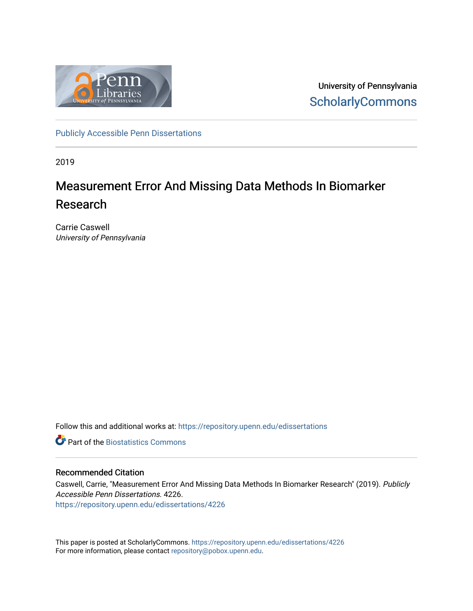

University of Pennsylvania **ScholarlyCommons** 

[Publicly Accessible Penn Dissertations](https://repository.upenn.edu/edissertations)

2019

# Measurement Error And Missing Data Methods In Biomarker Research

Carrie Caswell University of Pennsylvania

Follow this and additional works at: [https://repository.upenn.edu/edissertations](https://repository.upenn.edu/edissertations?utm_source=repository.upenn.edu%2Fedissertations%2F4226&utm_medium=PDF&utm_campaign=PDFCoverPages) 

**C** Part of the Biostatistics Commons

### Recommended Citation

Caswell, Carrie, "Measurement Error And Missing Data Methods In Biomarker Research" (2019). Publicly Accessible Penn Dissertations. 4226. [https://repository.upenn.edu/edissertations/4226](https://repository.upenn.edu/edissertations/4226?utm_source=repository.upenn.edu%2Fedissertations%2F4226&utm_medium=PDF&utm_campaign=PDFCoverPages) 

This paper is posted at ScholarlyCommons.<https://repository.upenn.edu/edissertations/4226> For more information, please contact [repository@pobox.upenn.edu.](mailto:repository@pobox.upenn.edu)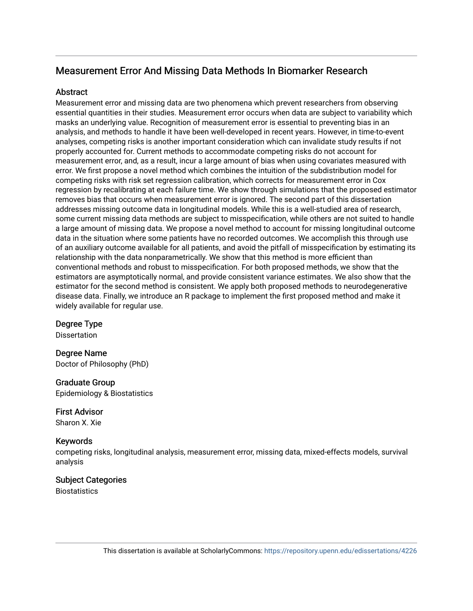## Measurement Error And Missing Data Methods In Biomarker Research

## **Abstract**

Measurement error and missing data are two phenomena which prevent researchers from observing essential quantities in their studies. Measurement error occurs when data are subject to variability which masks an underlying value. Recognition of measurement error is essential to preventing bias in an analysis, and methods to handle it have been well-developed in recent years. However, in time-to-event analyses, competing risks is another important consideration which can invalidate study results if not properly accounted for. Current methods to accommodate competing risks do not account for measurement error, and, as a result, incur a large amount of bias when using covariates measured with error. We first propose a novel method which combines the intuition of the subdistribution model for competing risks with risk set regression calibration, which corrects for measurement error in Cox regression by recalibrating at each failure time. We show through simulations that the proposed estimator removes bias that occurs when measurement error is ignored. The second part of this dissertation addresses missing outcome data in longitudinal models. While this is a well-studied area of research, some current missing data methods are subject to misspecification, while others are not suited to handle a large amount of missing data. We propose a novel method to account for missing longitudinal outcome data in the situation where some patients have no recorded outcomes. We accomplish this through use of an auxiliary outcome available for all patients, and avoid the pitfall of misspecification by estimating its relationship with the data nonparametrically. We show that this method is more efficient than conventional methods and robust to misspecification. For both proposed methods, we show that the estimators are asymptotically normal, and provide consistent variance estimates. We also show that the estimator for the second method is consistent. We apply both proposed methods to neurodegenerative disease data. Finally, we introduce an R package to implement the first proposed method and make it widely available for regular use.

Degree Type

Dissertation

Degree Name Doctor of Philosophy (PhD)

Graduate Group

Epidemiology & Biostatistics

First Advisor Sharon X. Xie

## Keywords

competing risks, longitudinal analysis, measurement error, missing data, mixed-effects models, survival analysis

## Subject Categories

**Biostatistics**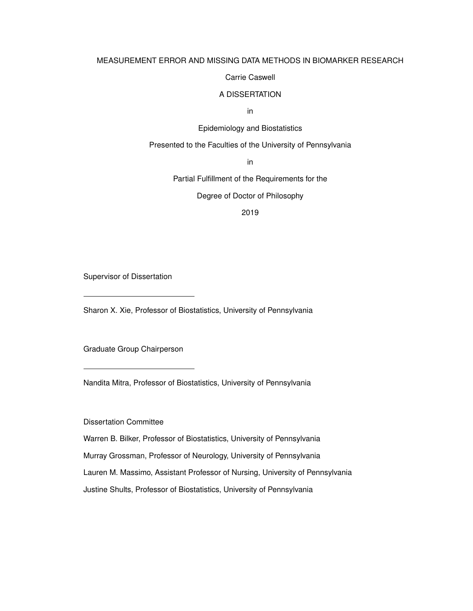## MEASUREMENT ERROR AND MISSING DATA METHODS IN BIOMARKER RESEARCH

### Carrie Caswell

#### A DISSERTATION

in

### Epidemiology and Biostatistics

### Presented to the Faculties of the University of Pennsylvania

in

Partial Fulfillment of the Requirements for the

Degree of Doctor of Philosophy

2019

Supervisor of Dissertation

Sharon X. Xie, Professor of Biostatistics, University of Pennsylvania

Graduate Group Chairperson

Nandita Mitra, Professor of Biostatistics, University of Pennsylvania

Dissertation Committee

Warren B. Bilker, Professor of Biostatistics, University of Pennsylvania Murray Grossman, Professor of Neurology, University of Pennsylvania

Lauren M. Massimo, Assistant Professor of Nursing, University of Pennsylvania

Justine Shults, Professor of Biostatistics, University of Pennsylvania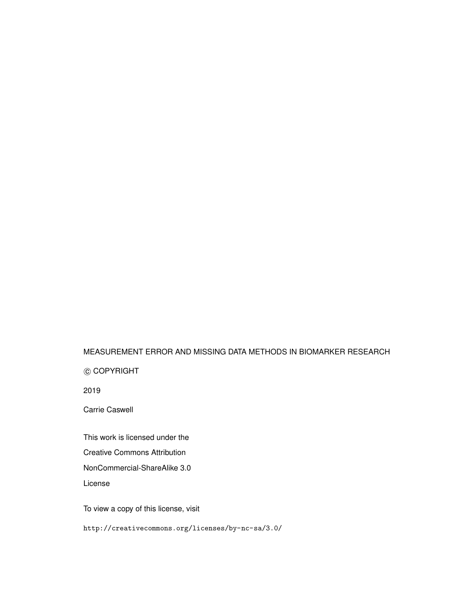## MEASUREMENT ERROR AND MISSING DATA METHODS IN BIOMARKER RESEARCH

c COPYRIGHT

2019

Carrie Caswell

This work is licensed under the

Creative Commons Attribution

NonCommercial-ShareAlike 3.0

License

To view a copy of this license, visit

http://creativecommons.org/licenses/by-nc-sa/3.0/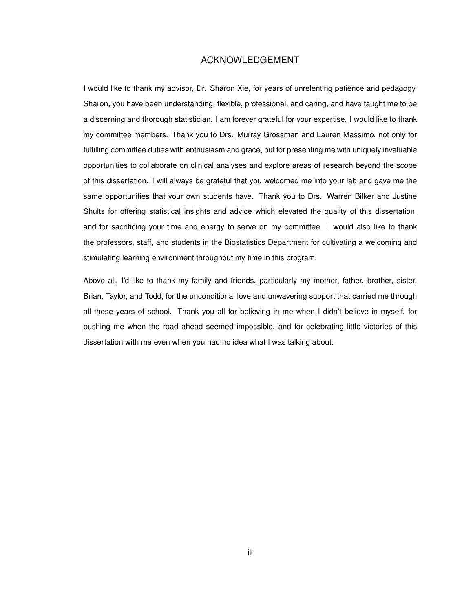### ACKNOWLEDGEMENT

I would like to thank my advisor, Dr. Sharon Xie, for years of unrelenting patience and pedagogy. Sharon, you have been understanding, flexible, professional, and caring, and have taught me to be a discerning and thorough statistician. I am forever grateful for your expertise. I would like to thank my committee members. Thank you to Drs. Murray Grossman and Lauren Massimo, not only for fulfilling committee duties with enthusiasm and grace, but for presenting me with uniquely invaluable opportunities to collaborate on clinical analyses and explore areas of research beyond the scope of this dissertation. I will always be grateful that you welcomed me into your lab and gave me the same opportunities that your own students have. Thank you to Drs. Warren Bilker and Justine Shults for offering statistical insights and advice which elevated the quality of this dissertation, and for sacrificing your time and energy to serve on my committee. I would also like to thank the professors, staff, and students in the Biostatistics Department for cultivating a welcoming and stimulating learning environment throughout my time in this program.

Above all, I'd like to thank my family and friends, particularly my mother, father, brother, sister, Brian, Taylor, and Todd, for the unconditional love and unwavering support that carried me through all these years of school. Thank you all for believing in me when I didn't believe in myself, for pushing me when the road ahead seemed impossible, and for celebrating little victories of this dissertation with me even when you had no idea what I was talking about.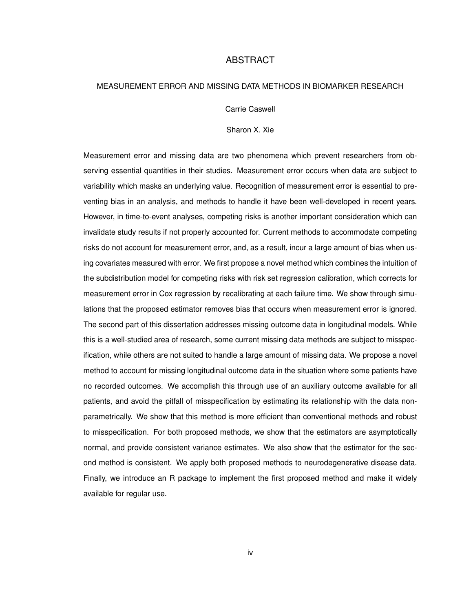### ABSTRACT

### MEASUREMENT ERROR AND MISSING DATA METHODS IN BIOMARKER RESEARCH

Carrie Caswell

Sharon X. Xie

Measurement error and missing data are two phenomena which prevent researchers from observing essential quantities in their studies. Measurement error occurs when data are subject to variability which masks an underlying value. Recognition of measurement error is essential to preventing bias in an analysis, and methods to handle it have been well-developed in recent years. However, in time-to-event analyses, competing risks is another important consideration which can invalidate study results if not properly accounted for. Current methods to accommodate competing risks do not account for measurement error, and, as a result, incur a large amount of bias when using covariates measured with error. We first propose a novel method which combines the intuition of the subdistribution model for competing risks with risk set regression calibration, which corrects for measurement error in Cox regression by recalibrating at each failure time. We show through simulations that the proposed estimator removes bias that occurs when measurement error is ignored. The second part of this dissertation addresses missing outcome data in longitudinal models. While this is a well-studied area of research, some current missing data methods are subject to misspecification, while others are not suited to handle a large amount of missing data. We propose a novel method to account for missing longitudinal outcome data in the situation where some patients have no recorded outcomes. We accomplish this through use of an auxiliary outcome available for all patients, and avoid the pitfall of misspecification by estimating its relationship with the data nonparametrically. We show that this method is more efficient than conventional methods and robust to misspecification. For both proposed methods, we show that the estimators are asymptotically normal, and provide consistent variance estimates. We also show that the estimator for the second method is consistent. We apply both proposed methods to neurodegenerative disease data. Finally, we introduce an R package to implement the first proposed method and make it widely available for regular use.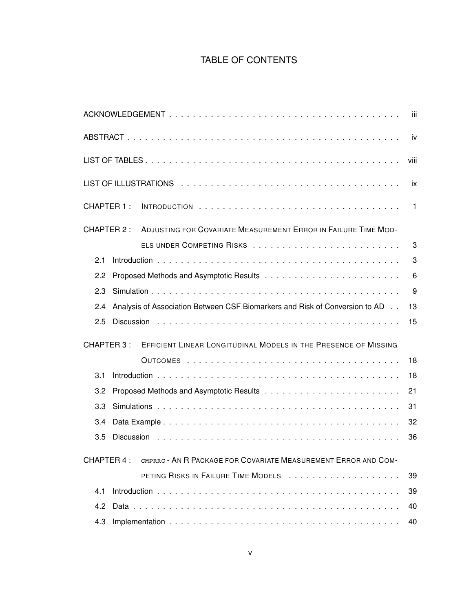## TABLE OF CONTENTS

|                                                                                     | iii            |
|-------------------------------------------------------------------------------------|----------------|
|                                                                                     | iv             |
|                                                                                     | viii           |
|                                                                                     | ix             |
| CHAPTER 1:                                                                          | $\overline{1}$ |
| CHAPTER 2 :<br>ADJUSTING FOR COVARIATE MEASUREMENT ERROR IN FAILURE TIME MOD-       |                |
|                                                                                     | 3              |
| 2.1                                                                                 | 3              |
| 2.2                                                                                 | 6              |
| 2.3                                                                                 | 9              |
| Analysis of Association Between CSF Biomarkers and Risk of Conversion to AD.<br>2.4 | 13             |
| 2.5                                                                                 | 15             |
| EFFICIENT LINEAR LONGITUDINAL MODELS IN THE PRESENCE OF MISSING<br>CHAPTER 3 :      |                |
|                                                                                     | 18             |
| 3.1                                                                                 | 18             |
| 3.2                                                                                 | 21             |
| 3.3                                                                                 | 31             |
| 3.4                                                                                 | 32             |
| 3.5                                                                                 | 36             |
| CMPRRC - AN R PACKAGE FOR COVARIATE MEASUREMENT ERROR AND COM-<br>CHAPTER 4:        |                |
|                                                                                     | 39             |
| 4.1                                                                                 | 39             |
| 4.2                                                                                 | 40             |
| 4.3                                                                                 | 40             |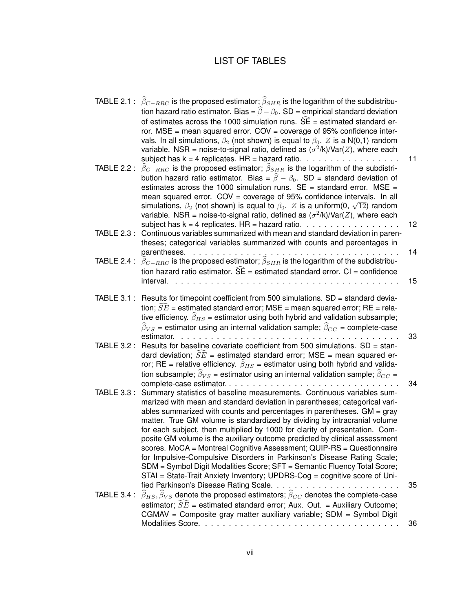## LIST OF TABLES

| TABLE 2.1 : $\widehat{\beta}_{C-RRC}$ is the proposed estimator; $\widehat{\beta}_{SHR}$ is the logarithm of the subdistribu-<br>tion hazard ratio estimator. Bias = $\widehat{\beta} - \beta_0$ . SD = empirical standard deviation<br>of estimates across the 1000 simulation runs. $\widehat{SE}$ = estimated standard er-<br>ror. $MSE$ = mean squared error. $COV$ = coverage of 95% confidence inter-<br>vals. In all simulations, $\beta_2$ (not shown) is equal to $\beta_0$ . Z is a N(0,1) random<br>variable. NSR = noise-to-signal ratio, defined as $(\sigma^2/k)/\text{Var}(Z)$ , where each<br>subject has $k = 4$ replicates. HR = hazard ratio. $\ldots \ldots \ldots \ldots \ldots$<br>TABLE 2.2 : $\widehat{\beta}_{C-RRC}$ is the proposed estimator; $\widehat{\beta}_{SHR}$ is the logarithm of the subdistri-<br>bution hazard ratio estimator. Bias = $\hat{\beta} - \beta_0$ . SD = standard deviation of<br>estimates across the 1000 simulation runs. $SE = standard error$ . MSE =<br>mean squared error. COV = coverage of 95% confidence intervals. In all | 11                                                                                                                                                                                                                                                                                                                                                                                                                                          |
|------------------------------------------------------------------------------------------------------------------------------------------------------------------------------------------------------------------------------------------------------------------------------------------------------------------------------------------------------------------------------------------------------------------------------------------------------------------------------------------------------------------------------------------------------------------------------------------------------------------------------------------------------------------------------------------------------------------------------------------------------------------------------------------------------------------------------------------------------------------------------------------------------------------------------------------------------------------------------------------------------------------------------------------------------------------------------------------|---------------------------------------------------------------------------------------------------------------------------------------------------------------------------------------------------------------------------------------------------------------------------------------------------------------------------------------------------------------------------------------------------------------------------------------------|
| variable. NSR = noise-to-signal ratio, defined as $(\sigma^2/k)/\text{Var}(Z)$ , where each                                                                                                                                                                                                                                                                                                                                                                                                                                                                                                                                                                                                                                                                                                                                                                                                                                                                                                                                                                                              | 12                                                                                                                                                                                                                                                                                                                                                                                                                                          |
| TABLE 2.3: Continuous variables summarized with mean and standard deviation in paren-<br>theses; categorical variables summarized with counts and percentages in                                                                                                                                                                                                                                                                                                                                                                                                                                                                                                                                                                                                                                                                                                                                                                                                                                                                                                                         |                                                                                                                                                                                                                                                                                                                                                                                                                                             |
| TABLE 2.4 : $\widehat{\beta}_{C-RRC}$ is the proposed estimator; $\widehat{\beta}_{SHR}$ is the logarithm of the subdistribu-                                                                                                                                                                                                                                                                                                                                                                                                                                                                                                                                                                                                                                                                                                                                                                                                                                                                                                                                                            | 14                                                                                                                                                                                                                                                                                                                                                                                                                                          |
| interval.                                                                                                                                                                                                                                                                                                                                                                                                                                                                                                                                                                                                                                                                                                                                                                                                                                                                                                                                                                                                                                                                                | 15                                                                                                                                                                                                                                                                                                                                                                                                                                          |
| TABLE 3.1 : Results for timepoint coefficient from 500 simulations. SD = standard devia-<br>tion; $SE$ = estimated standard error; MSE = mean squared error; RE = rela-<br>tive efficiency. $\widehat{\beta}_{HS}$ = estimator using both hybrid and validation subsample;<br>$\widehat{\beta}_{VS}$ = estimator using an internal validation sample; $\widehat{\beta}_{CC}$ = complete-case                                                                                                                                                                                                                                                                                                                                                                                                                                                                                                                                                                                                                                                                                             |                                                                                                                                                                                                                                                                                                                                                                                                                                             |
| Results for baseline covariate coefficient from 500 simulations. SD = stan-<br><b>TABLE 3.2 :</b><br>dard deviation; $\overline{SE}$ = estimated standard error; MSE = mean squared er-<br>ror; RE = relative efficiency. $\hat{\beta}_{HS}$ = estimator using both hybrid and valida-                                                                                                                                                                                                                                                                                                                                                                                                                                                                                                                                                                                                                                                                                                                                                                                                   | 33                                                                                                                                                                                                                                                                                                                                                                                                                                          |
| <b>TABLE 3.3 :</b><br>Summary statistics of baseline measurements. Continuous variables sum-<br>marized with mean and standard deviation in parentheses; categorical vari-<br>ables summarized with counts and percentages in parentheses. $GM = gray$<br>matter. True GM volume is standardized by dividing by intracranial volume<br>for each subject, then multiplied by 1000 for clarity of presentation. Com-<br>posite GM volume is the auxiliary outcome predicted by clinical assessment<br>scores. MoCA = Montreal Cognitive Assessment; QUIP-RS = Questionnaire<br>for Impulsive-Compulsive Disorders in Parkinson's Disease Rating Scale;<br>SDM = Symbol Digit Modalities Score; SFT = Semantic Fluency Total Score;<br>STAI = State-Trait Anxiety Inventory; UPDRS-Cog = cognitive score of Uni-                                                                                                                                                                                                                                                                            | 34<br>35                                                                                                                                                                                                                                                                                                                                                                                                                                    |
| $\beta_{HS}, \beta_{VS}$ denote the proposed estimators; $\beta_{CC}$ denotes the complete-case<br>estimator; $\widehat{SE}$ = estimated standard error; Aux. Out. = Auxiliary Outcome;<br>CGMAV = Composite gray matter auxiliary variable; SDM = Symbol Digit                                                                                                                                                                                                                                                                                                                                                                                                                                                                                                                                                                                                                                                                                                                                                                                                                          | 36                                                                                                                                                                                                                                                                                                                                                                                                                                          |
|                                                                                                                                                                                                                                                                                                                                                                                                                                                                                                                                                                                                                                                                                                                                                                                                                                                                                                                                                                                                                                                                                          | simulations, $\beta_2$ (not shown) is equal to $\beta_0$ . Z is a uniform(0, $\sqrt{12}$ ) random<br>subject has $k = 4$ replicates. HR = hazard ratio. $\ldots \ldots \ldots \ldots \ldots$<br>parentheses.<br>tion hazard ratio estimator. $\widehat{SE}$ = estimated standard error. $CI$ = confidence<br>estimator.<br>tion subsample; $\widehat{\beta}_{VS}$ = estimator using an internal validation sample; $\widehat{\beta}_{CC}$ = |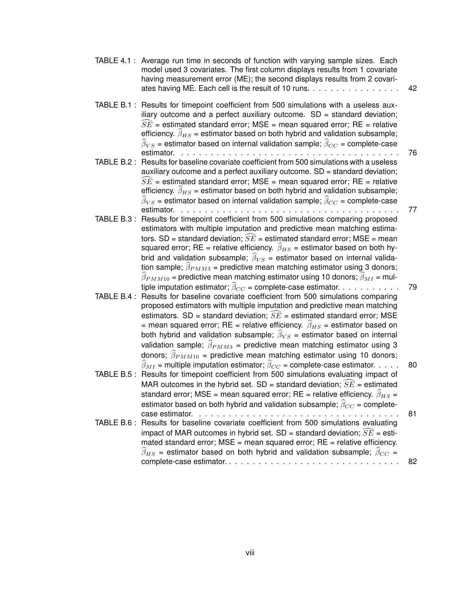|             | TABLE 4.1: Average run time in seconds of function with varying sample sizes. Each<br>model used 3 covariates. The first column displays results from 1 covariate<br>having measurement error (ME); the second displays results from 2 covari-<br>ates having ME. Each cell is the result of 10 runs.                                                                                                                                                                                                                                                                                                                                                                                                                                                                                                                           | 42 |
|-------------|---------------------------------------------------------------------------------------------------------------------------------------------------------------------------------------------------------------------------------------------------------------------------------------------------------------------------------------------------------------------------------------------------------------------------------------------------------------------------------------------------------------------------------------------------------------------------------------------------------------------------------------------------------------------------------------------------------------------------------------------------------------------------------------------------------------------------------|----|
|             | TABLE B.1: Results for timepoint coefficient from 500 simulations with a useless aux-<br>iliary outcome and a perfect auxiliary outcome. $SD = standard deviation$ ;<br>$\widehat{SE}$ = estimated standard error; MSE = mean squared error; RE = relative<br>efficiency. $\hat{\beta}_{HS}$ = estimator based on both hybrid and validation subsample;<br>$\widehat{\beta}_{VS}$ = estimator based on internal validation sample; $\widehat{\beta}_{CC}$ = complete-case<br>estimator.                                                                                                                                                                                                                                                                                                                                         | 76 |
|             | TABLE B.2: Results for baseline covariate coefficient from 500 simulations with a useless<br>auxiliary outcome and a perfect auxiliary outcome. SD = standard deviation;<br>$\widehat{SE}$ = estimated standard error; MSE = mean squared error; RE = relative<br>efficiency. $\hat{\beta}_{HS}$ = estimator based on both hybrid and validation subsample;<br>$\widehat{\beta}_{VS}$ = estimator based on internal validation sample; $\widehat{\beta}_{CC}$ = complete-case                                                                                                                                                                                                                                                                                                                                                   |    |
|             | estimator.<br>TABLE B.3 : Results for timepoint coefficient from 500 simulations comparing proposed<br>estimators with multiple imputation and predictive mean matching estima-<br>tors. SD = standard deviation; $\widehat{SE}$ = estimated standard error; MSE = mean<br>squared error; RE = relative efficiency. $\hat{\beta}_{HS}$ = estimator based on both hy-<br>brid and validation subsample; $\widehat{\beta}_{VS}$ = estimator based on internal valida-<br>tion sample; $\hat{\beta}_{PMM3}$ = predictive mean matching estimator using 3 donors;                                                                                                                                                                                                                                                                   | 77 |
| TABLE B.4 : | $\widehat{\beta}_{PMM10}$ = predictive mean matching estimator using 10 donors; $\widehat{\beta}_{MI}$ = mul-<br>tiple imputation estimator; $\widehat{\beta}_{CC}$ = complete-case estimator.<br>Results for baseline covariate coefficient from 500 simulations comparing<br>proposed estimators with multiple imputation and predictive mean matching<br>estimators. SD = standard deviation; $\widehat{SE}$ = estimated standard error; MSE<br>= mean squared error; RE = relative efficiency. $\hat{\beta}_{HS}$ = estimator based on<br>both hybrid and validation subsample; $\widehat{\beta}_{VS}$ = estimator based on internal<br>validation sample; $\widehat{\beta}_{PMM3}$ = predictive mean matching estimator using 3<br>donors; $\widehat{\beta}_{PMM10}$ = predictive mean matching estimator using 10 donors; | 79 |
|             | $\widehat{\beta}_{MI}$ = multiple imputation estimator; $\widehat{\beta}_{CC}$ = complete-case estimator.<br>TABLE B.5 : Results for timepoint coefficient from 500 simulations evaluating impact of<br>MAR outcomes in the hybrid set. SD = standard deviation; $\widehat{SE}$ = estimated<br>standard error; MSE = mean squared error; RE = relative efficiency. $\hat{\beta}_{HS}$ =<br>estimator based on both hybrid and validation subsample; $\widehat{\beta}_{CC}$ = complete-                                                                                                                                                                                                                                                                                                                                          | 80 |

estimator based on both hybrid and validation subsample;  $\beta_{CC}$  = complete-case estimator.  $\quad \ldots \ldots \ldots \ldots \ldots \ldots \ldots \ldots$ TABLE B.6 : Results for baseline covariate coefficient from 500 simulations evaluating impact of MAR outcomes in hybrid set. SD = standard deviation;  $\widehat{SE}$  = estimated standard error; MSE = mean squared error; RE = relative efficiency. <sup>β</sup>bHS = estimator based on both hybrid and validation subsample; <sup>β</sup>bCC <sup>=</sup> complete-case estimator. . . . . . . . . . . . . . . . . . . . . . . . . . . . . . 82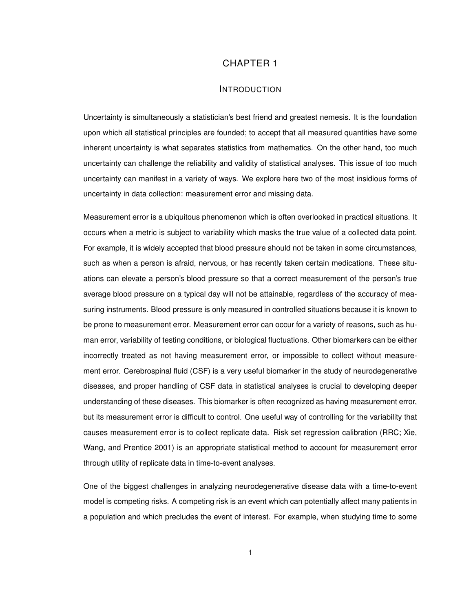## CHAPTER 1

#### INTRODUCTION

Uncertainty is simultaneously a statistician's best friend and greatest nemesis. It is the foundation upon which all statistical principles are founded; to accept that all measured quantities have some inherent uncertainty is what separates statistics from mathematics. On the other hand, too much uncertainty can challenge the reliability and validity of statistical analyses. This issue of too much uncertainty can manifest in a variety of ways. We explore here two of the most insidious forms of uncertainty in data collection: measurement error and missing data.

Measurement error is a ubiquitous phenomenon which is often overlooked in practical situations. It occurs when a metric is subject to variability which masks the true value of a collected data point. For example, it is widely accepted that blood pressure should not be taken in some circumstances, such as when a person is afraid, nervous, or has recently taken certain medications. These situations can elevate a person's blood pressure so that a correct measurement of the person's true average blood pressure on a typical day will not be attainable, regardless of the accuracy of measuring instruments. Blood pressure is only measured in controlled situations because it is known to be prone to measurement error. Measurement error can occur for a variety of reasons, such as human error, variability of testing conditions, or biological fluctuations. Other biomarkers can be either incorrectly treated as not having measurement error, or impossible to collect without measurement error. Cerebrospinal fluid (CSF) is a very useful biomarker in the study of neurodegenerative diseases, and proper handling of CSF data in statistical analyses is crucial to developing deeper understanding of these diseases. This biomarker is often recognized as having measurement error, but its measurement error is difficult to control. One useful way of controlling for the variability that causes measurement error is to collect replicate data. Risk set regression calibration (RRC; Xie, Wang, and Prentice 2001) is an appropriate statistical method to account for measurement error through utility of replicate data in time-to-event analyses.

One of the biggest challenges in analyzing neurodegenerative disease data with a time-to-event model is competing risks. A competing risk is an event which can potentially affect many patients in a population and which precludes the event of interest. For example, when studying time to some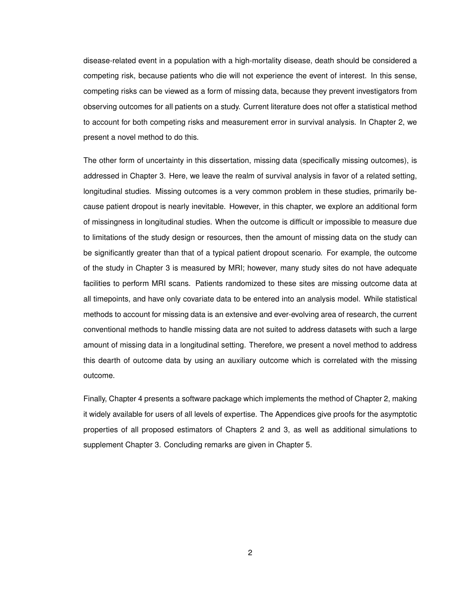disease-related event in a population with a high-mortality disease, death should be considered a competing risk, because patients who die will not experience the event of interest. In this sense, competing risks can be viewed as a form of missing data, because they prevent investigators from observing outcomes for all patients on a study. Current literature does not offer a statistical method to account for both competing risks and measurement error in survival analysis. In Chapter 2, we present a novel method to do this.

The other form of uncertainty in this dissertation, missing data (specifically missing outcomes), is addressed in Chapter 3. Here, we leave the realm of survival analysis in favor of a related setting, longitudinal studies. Missing outcomes is a very common problem in these studies, primarily because patient dropout is nearly inevitable. However, in this chapter, we explore an additional form of missingness in longitudinal studies. When the outcome is difficult or impossible to measure due to limitations of the study design or resources, then the amount of missing data on the study can be significantly greater than that of a typical patient dropout scenario. For example, the outcome of the study in Chapter 3 is measured by MRI; however, many study sites do not have adequate facilities to perform MRI scans. Patients randomized to these sites are missing outcome data at all timepoints, and have only covariate data to be entered into an analysis model. While statistical methods to account for missing data is an extensive and ever-evolving area of research, the current conventional methods to handle missing data are not suited to address datasets with such a large amount of missing data in a longitudinal setting. Therefore, we present a novel method to address this dearth of outcome data by using an auxiliary outcome which is correlated with the missing outcome.

Finally, Chapter 4 presents a software package which implements the method of Chapter 2, making it widely available for users of all levels of expertise. The Appendices give proofs for the asymptotic properties of all proposed estimators of Chapters 2 and 3, as well as additional simulations to supplement Chapter 3. Concluding remarks are given in Chapter 5.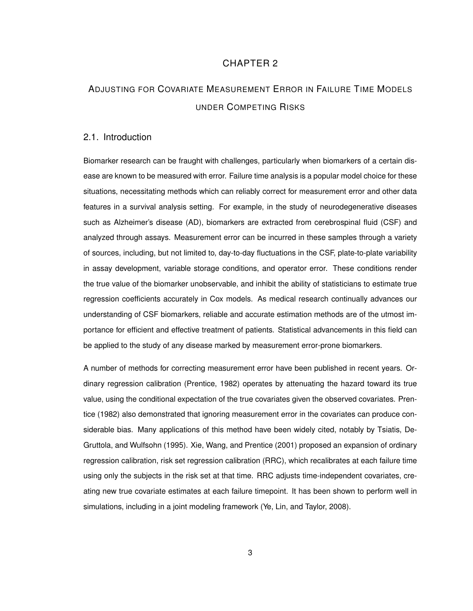## CHAPTER 2

## ADJUSTING FOR COVARIATE MEASUREMENT ERROR IN FAILURE TIME MODELS UNDER COMPETING RISKS

### 2.1. Introduction

Biomarker research can be fraught with challenges, particularly when biomarkers of a certain disease are known to be measured with error. Failure time analysis is a popular model choice for these situations, necessitating methods which can reliably correct for measurement error and other data features in a survival analysis setting. For example, in the study of neurodegenerative diseases such as Alzheimer's disease (AD), biomarkers are extracted from cerebrospinal fluid (CSF) and analyzed through assays. Measurement error can be incurred in these samples through a variety of sources, including, but not limited to, day-to-day fluctuations in the CSF, plate-to-plate variability in assay development, variable storage conditions, and operator error. These conditions render the true value of the biomarker unobservable, and inhibit the ability of statisticians to estimate true regression coefficients accurately in Cox models. As medical research continually advances our understanding of CSF biomarkers, reliable and accurate estimation methods are of the utmost importance for efficient and effective treatment of patients. Statistical advancements in this field can be applied to the study of any disease marked by measurement error-prone biomarkers.

A number of methods for correcting measurement error have been published in recent years. Ordinary regression calibration (Prentice, 1982) operates by attenuating the hazard toward its true value, using the conditional expectation of the true covariates given the observed covariates. Prentice (1982) also demonstrated that ignoring measurement error in the covariates can produce considerable bias. Many applications of this method have been widely cited, notably by Tsiatis, De-Gruttola, and Wulfsohn (1995). Xie, Wang, and Prentice (2001) proposed an expansion of ordinary regression calibration, risk set regression calibration (RRC), which recalibrates at each failure time using only the subjects in the risk set at that time. RRC adjusts time-independent covariates, creating new true covariate estimates at each failure timepoint. It has been shown to perform well in simulations, including in a joint modeling framework (Ye, Lin, and Taylor, 2008).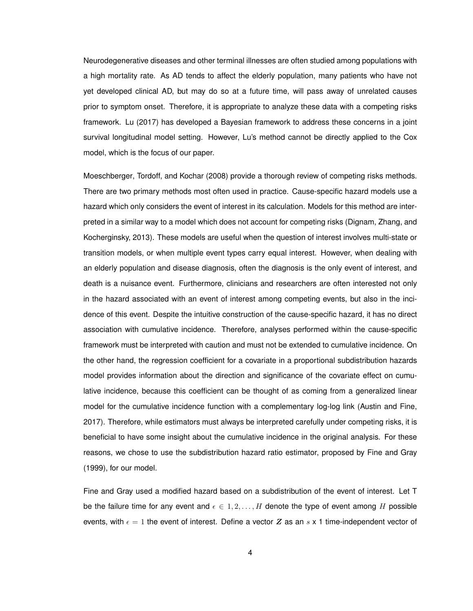Neurodegenerative diseases and other terminal illnesses are often studied among populations with a high mortality rate. As AD tends to affect the elderly population, many patients who have not yet developed clinical AD, but may do so at a future time, will pass away of unrelated causes prior to symptom onset. Therefore, it is appropriate to analyze these data with a competing risks framework. Lu (2017) has developed a Bayesian framework to address these concerns in a joint survival longitudinal model setting. However, Lu's method cannot be directly applied to the Cox model, which is the focus of our paper.

Moeschberger, Tordoff, and Kochar (2008) provide a thorough review of competing risks methods. There are two primary methods most often used in practice. Cause-specific hazard models use a hazard which only considers the event of interest in its calculation. Models for this method are interpreted in a similar way to a model which does not account for competing risks (Dignam, Zhang, and Kocherginsky, 2013). These models are useful when the question of interest involves multi-state or transition models, or when multiple event types carry equal interest. However, when dealing with an elderly population and disease diagnosis, often the diagnosis is the only event of interest, and death is a nuisance event. Furthermore, clinicians and researchers are often interested not only in the hazard associated with an event of interest among competing events, but also in the incidence of this event. Despite the intuitive construction of the cause-specific hazard, it has no direct association with cumulative incidence. Therefore, analyses performed within the cause-specific framework must be interpreted with caution and must not be extended to cumulative incidence. On the other hand, the regression coefficient for a covariate in a proportional subdistribution hazards model provides information about the direction and significance of the covariate effect on cumulative incidence, because this coefficient can be thought of as coming from a generalized linear model for the cumulative incidence function with a complementary log-log link (Austin and Fine, 2017). Therefore, while estimators must always be interpreted carefully under competing risks, it is beneficial to have some insight about the cumulative incidence in the original analysis. For these reasons, we chose to use the subdistribution hazard ratio estimator, proposed by Fine and Gray (1999), for our model.

Fine and Gray used a modified hazard based on a subdistribution of the event of interest. Let T be the failure time for any event and  $\epsilon \in 1, 2, \ldots, H$  denote the type of event among H possible events, with  $\epsilon = 1$  the event of interest. Define a vector Z as an s x 1 time-independent vector of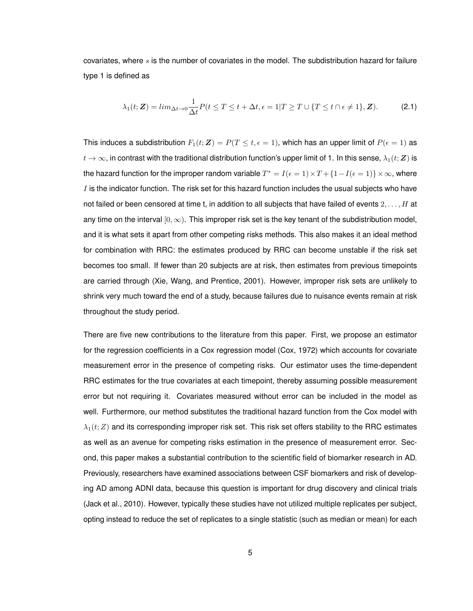covariates, where  $s$  is the number of covariates in the model. The subdistribution hazard for failure type 1 is defined as

$$
\lambda_1(t; \mathbf{Z}) = \lim_{\Delta t \to 0} \frac{1}{\Delta t} P(t \le T \le t + \Delta t, \epsilon = 1 | T \ge T \cup \{ T \le t \cap \epsilon \ne 1 \}, \mathbf{Z}). \tag{2.1}
$$

This induces a subdistribution  $F_1(t; Z) = P(T \leq t, \epsilon = 1)$ , which has an upper limit of  $P(\epsilon = 1)$  as  $t\to\infty$ , in contrast with the traditional distribution function's upper limit of 1. In this sense,  $\lambda_1(t;\bm{Z})$  is the hazard function for the improper random variable  $T^* = I(\epsilon = 1) \times T + \{1 - I(\epsilon = 1)\} \times \infty$ , where  $I$  is the indicator function. The risk set for this hazard function includes the usual subjects who have not failed or been censored at time t, in addition to all subjects that have failed of events  $2, \ldots, H$  at any time on the interval  $[0, \infty)$ . This improper risk set is the key tenant of the subdistribution model, and it is what sets it apart from other competing risks methods. This also makes it an ideal method for combination with RRC: the estimates produced by RRC can become unstable if the risk set becomes too small. If fewer than 20 subjects are at risk, then estimates from previous timepoints are carried through (Xie, Wang, and Prentice, 2001). However, improper risk sets are unlikely to shrink very much toward the end of a study, because failures due to nuisance events remain at risk throughout the study period.

There are five new contributions to the literature from this paper. First, we propose an estimator for the regression coefficients in a Cox regression model (Cox, 1972) which accounts for covariate measurement error in the presence of competing risks. Our estimator uses the time-dependent RRC estimates for the true covariates at each timepoint, thereby assuming possible measurement error but not requiring it. Covariates measured without error can be included in the model as well. Furthermore, our method substitutes the traditional hazard function from the Cox model with  $\lambda_1(t;Z)$  and its corresponding improper risk set. This risk set offers stability to the RRC estimates as well as an avenue for competing risks estimation in the presence of measurement error. Second, this paper makes a substantial contribution to the scientific field of biomarker research in AD. Previously, researchers have examined associations between CSF biomarkers and risk of developing AD among ADNI data, because this question is important for drug discovery and clinical trials (Jack et al., 2010). However, typically these studies have not utilized multiple replicates per subject, opting instead to reduce the set of replicates to a single statistic (such as median or mean) for each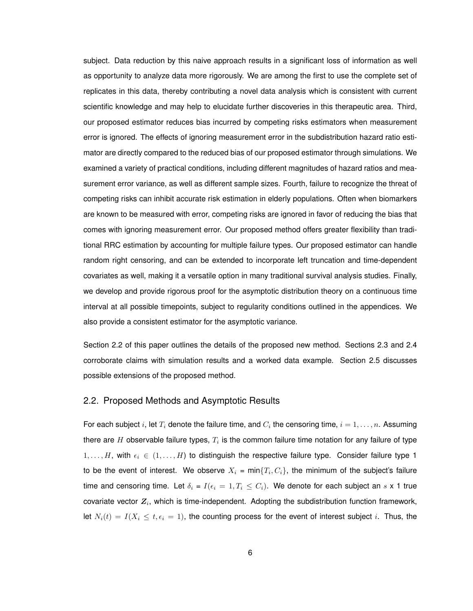subject. Data reduction by this naive approach results in a significant loss of information as well as opportunity to analyze data more rigorously. We are among the first to use the complete set of replicates in this data, thereby contributing a novel data analysis which is consistent with current scientific knowledge and may help to elucidate further discoveries in this therapeutic area. Third, our proposed estimator reduces bias incurred by competing risks estimators when measurement error is ignored. The effects of ignoring measurement error in the subdistribution hazard ratio estimator are directly compared to the reduced bias of our proposed estimator through simulations. We examined a variety of practical conditions, including different magnitudes of hazard ratios and measurement error variance, as well as different sample sizes. Fourth, failure to recognize the threat of competing risks can inhibit accurate risk estimation in elderly populations. Often when biomarkers are known to be measured with error, competing risks are ignored in favor of reducing the bias that comes with ignoring measurement error. Our proposed method offers greater flexibility than traditional RRC estimation by accounting for multiple failure types. Our proposed estimator can handle random right censoring, and can be extended to incorporate left truncation and time-dependent covariates as well, making it a versatile option in many traditional survival analysis studies. Finally, we develop and provide rigorous proof for the asymptotic distribution theory on a continuous time interval at all possible timepoints, subject to regularity conditions outlined in the appendices. We also provide a consistent estimator for the asymptotic variance.

Section 2.2 of this paper outlines the details of the proposed new method. Sections 2.3 and 2.4 corroborate claims with simulation results and a worked data example. Section 2.5 discusses possible extensions of the proposed method.

#### 2.2. Proposed Methods and Asymptotic Results

For each subject  $i$ , let  $T_i$  denote the failure time, and  $C_i$  the censoring time,  $i=1,\ldots,n.$  Assuming there are  $H$  observable failure types,  $T_i$  is the common failure time notation for any failure of type  $1, \ldots, H$ , with  $\epsilon_i \in (1, \ldots, H)$  to distinguish the respective failure type. Consider failure type 1 to be the event of interest. We observe  $X_i = \min\{T_i, C_i\}$ , the minimum of the subject's failure time and censoring time. Let  $\delta_i = I(\epsilon_i = 1, T_i \le C_i)$ . We denote for each subject an s x 1 true covariate vector  $Z_i$ , which is time-independent. Adopting the subdistribution function framework, let  $N_i(t) = I(X_i \le t, \epsilon_i = 1)$ , the counting process for the event of interest subject i. Thus, the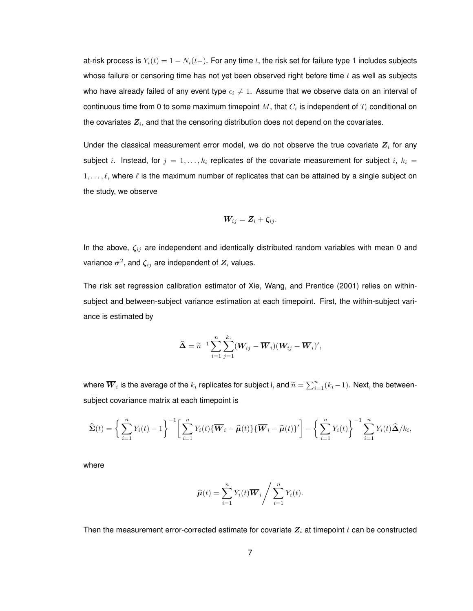at-risk process is  $Y_i(t) = 1 - N_i(t-)$ . For any time t, the risk set for failure type 1 includes subjects whose failure or censoring time has not yet been observed right before time  $t$  as well as subjects who have already failed of any event type  $\epsilon_i \neq 1$ . Assume that we observe data on an interval of continuous time from 0 to some maximum timepoint  $M,$  that  $C_i$  is independent of  $T_i$  conditional on the covariates  $\boldsymbol{Z_i},$  and that the censoring distribution does not depend on the covariates.

Under the classical measurement error model, we do not observe the true covariate  $Z_i$  for any subject i. Instead, for  $j = 1, ..., k_i$  replicates of the covariate measurement for subject i,  $k_i =$  $1, \ldots, \ell$ , where  $\ell$  is the maximum number of replicates that can be attained by a single subject on the study, we observe

$$
\boldsymbol{W}_{ij} = \boldsymbol{Z}_i + \boldsymbol{\zeta}_{ij}.
$$

In the above,  $\zeta_{ij}$  are independent and identically distributed random variables with mean 0 and variance  $\boldsymbol{\sigma}^2$ , and  $\boldsymbol{\zeta}_{ij}$  are independent of  $\boldsymbol{Z}_i$  values.

The risk set regression calibration estimator of Xie, Wang, and Prentice (2001) relies on withinsubject and between-subject variance estimation at each timepoint. First, the within-subject variance is estimated by

$$
\widehat{\mathbf{\Delta}} = \widetilde{n}^{-1} \sum_{i=1}^n \sum_{j=1}^{k_i} (\mathbf{W}_{ij} - \overline{\mathbf{W}}_i)(\mathbf{W}_{ij} - \overline{\mathbf{W}}_i)^{\prime},
$$

where  $\overline{\bm{W}}_i$  is the average of the  $k_i$  replicates for subject i, and  $\widetilde{n}=\sum_{i=1}^n(k_i-1).$  Next, the betweensubject covariance matrix at each timepoint is

$$
\widehat{\mathbf{\Sigma}}(t) = \bigg\{\sum_{i=1}^n Y_i(t) - 1\bigg\}^{-1} \bigg[\sum_{i=1}^n Y_i(t) \{\overline{\boldsymbol{W}}_i - \widehat{\boldsymbol{\mu}}(t)\} \{\overline{\boldsymbol{W}}_i - \widehat{\boldsymbol{\mu}}(t)\}'\bigg] - \bigg\{\sum_{i=1}^n Y_i(t)\bigg\}^{-1} \sum_{i=1}^n Y_i(t) \widehat{\boldsymbol{\Delta}}/k_i,
$$

where

$$
\widehat{\boldsymbol{\mu}}(t) = \sum_{i=1}^n Y_i(t) \overline{\boldsymbol{W}}_i / \sum_{i=1}^n Y_i(t).
$$

Then the measurement error-corrected estimate for covariate  $Z_i$  at timepoint  $t$  can be constructed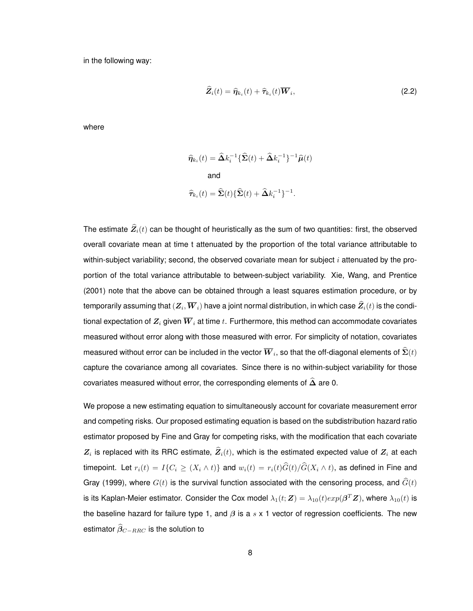in the following way:

$$
\widehat{Z}_i(t) = \widehat{\eta}_{k_i}(t) + \widehat{\tau}_{k_i}(t)\overline{W}_i,
$$
\n(2.2)

where

$$
\widehat{\eta}_{k_i}(t) = \widehat{\Delta} k_i^{-1} \{ \widehat{\Sigma}(t) + \widehat{\Delta} k_i^{-1} \}^{-1} \widehat{\mu}(t)
$$
  
and  

$$
\widehat{\tau}_{k_i}(t) = \widehat{\Sigma}(t) \{ \widehat{\Sigma}(t) + \widehat{\Delta} k_i^{-1} \}^{-1}.
$$

The estimate  $\widehat{Z}_i(t)$  can be thought of heuristically as the sum of two quantities: first, the observed overall covariate mean at time t attenuated by the proportion of the total variance attributable to within-subject variability; second, the observed covariate mean for subject i attenuated by the proportion of the total variance attributable to between-subject variability. Xie, Wang, and Prentice (2001) note that the above can be obtained through a least squares estimation procedure, or by temporarily assuming that  $(\boldsymbol{Z}_i, \boldsymbol{W}_i)$  have a joint normal distribution, in which case  $\boldsymbol{Z}_i(t)$  is the conditional expectation of  $Z_i$  given  $\overline{W}_i$  at time  $t$ . Furthermore, this method can accommodate covariates measured without error along with those measured with error. For simplicity of notation, covariates measured without error can be included in the vector  $\boldsymbol{W}_{i},$  so that the off-diagonal elements of  $\boldsymbol{\Sigma}(t)$ capture the covariance among all covariates. Since there is no within-subject variability for those covariates measured without error, the corresponding elements of  $\widehat{\Delta}$  are 0.

We propose a new estimating equation to simultaneously account for covariate measurement error and competing risks. Our proposed estimating equation is based on the subdistribution hazard ratio estimator proposed by Fine and Gray for competing risks, with the modification that each covariate  $Z_i$  is replaced with its RRC estimate,  $Z_i(t)$ , which is the estimated expected value of  $Z_i$  at each timepoint. Let  $r_i(t) = I\{C_i \geq (X_i \wedge t)\}\$  and  $w_i(t) = r_i(t)\widehat{G}(t)/\widehat{G}(X_i \wedge t)$ , as defined in Fine and Gray (1999), where  $G(t)$  is the survival function associated with the censoring process, and  $\widehat{G}(t)$ is its Kaplan-Meier estimator. Consider the Cox model  $\lambda_1(t;\bm{Z})=\lambda_{10}(t)exp(\bm{\beta}^T\bm{Z}),$  where  $\lambda_{10}(t)$  is the baseline hazard for failure type 1, and  $\beta$  is a s x 1 vector of regression coefficients. The new estimator  $\widehat{\beta}_{C-RRC}$  is the solution to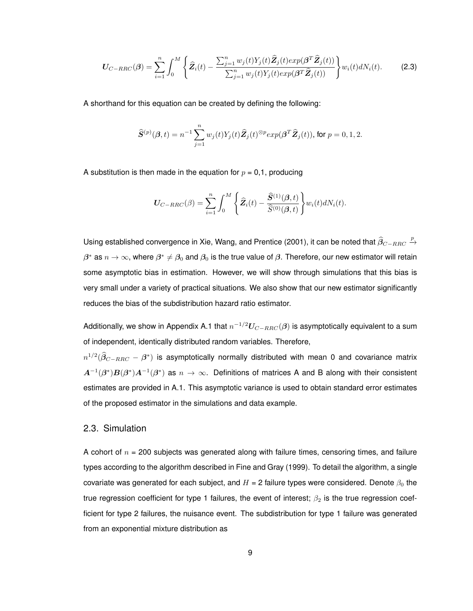$$
\boldsymbol{U}_{C-RRC}(\boldsymbol{\beta}) = \sum_{i=1}^{n} \int_{0}^{M} \left\{ \widehat{\boldsymbol{Z}}_{i}(t) - \frac{\sum_{j=1}^{n} w_{j}(t) Y_{j}(t) \widehat{\boldsymbol{Z}}_{j}(t) exp(\boldsymbol{\beta}^{T} \widehat{\boldsymbol{Z}}_{j}(t))}{\sum_{j=1}^{n} w_{j}(t) Y_{j}(t) exp(\boldsymbol{\beta}^{T} \widehat{\boldsymbol{Z}}_{j}(t))} \right\} w_{i}(t) dN_{i}(t).
$$
 (2.3)

A shorthand for this equation can be created by defining the following:

$$
\widehat{\pmb{S}}^{(p)}(\pmb{\beta},t)=n^{-1}\sum_{j=1}^n w_j(t)Y_j(t)\widehat{\pmb{Z}}_j(t)^{\otimes p}exp(\pmb{\beta}^T\widehat{\pmb{Z}}_j(t)), \text{ for } p=0,1,2.
$$

A substitution is then made in the equation for  $p = 0,1$ , producing

$$
\boldsymbol{U}_{C-RRC}(\boldsymbol{\beta}) = \sum_{i=1}^{n} \int_{0}^{M} \left\{ \widehat{\boldsymbol{Z}}_{i}(t) - \frac{\widehat{\boldsymbol{S}}^{(1)}(\boldsymbol{\beta},t)}{\widehat{\boldsymbol{S}}^{(0)}(\boldsymbol{\beta},t)} \right\} w_{i}(t) dN_{i}(t).
$$

Using established convergence in Xie, Wang, and Prentice (2001), it can be noted that  $\widehat{\beta}_{C-RRC} \stackrel{p}{\to}$  $\beta^*$  as  $n\to\infty$ , where  $\beta^*\neq\beta_0$  and  $\beta_0$  is the true value of  $\beta.$  Therefore, our new estimator will retain some asymptotic bias in estimation. However, we will show through simulations that this bias is very small under a variety of practical situations. We also show that our new estimator significantly reduces the bias of the subdistribution hazard ratio estimator.

Additionally, we show in Appendix A.1 that  $n^{-1/2} U_{C-RRC}(\beta)$  is asymptotically equivalent to a sum of independent, identically distributed random variables. Therefore,

 $n^{1/2}(\widehat{\beta}_{C-RRC}-\beta^*)$  is asymptotically normally distributed with mean 0 and covariance matrix  $A^{-1}(\beta^*)B(\beta^*)A^{-1}(\beta^*)$  as  $n\to\infty$ . Definitions of matrices A and B along with their consistent estimates are provided in A.1. This asymptotic variance is used to obtain standard error estimates of the proposed estimator in the simulations and data example.

### 2.3. Simulation

A cohort of  $n = 200$  subjects was generated along with failure times, censoring times, and failure types according to the algorithm described in Fine and Gray (1999). To detail the algorithm, a single covariate was generated for each subject, and  $H = 2$  failure types were considered. Denote  $\beta_0$  the true regression coefficient for type 1 failures, the event of interest;  $\beta_2$  is the true regression coefficient for type 2 failures, the nuisance event. The subdistribution for type 1 failure was generated from an exponential mixture distribution as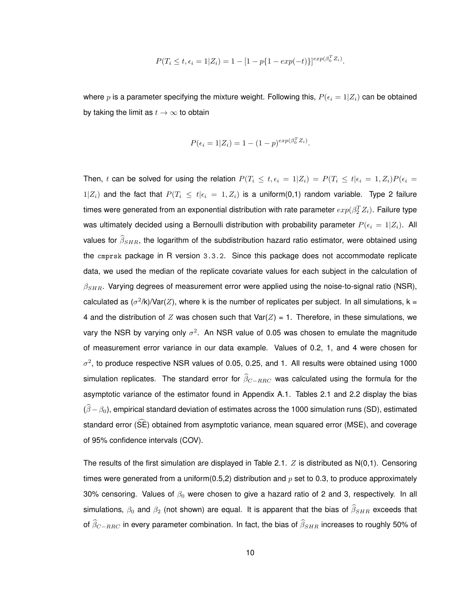$$
P(T_i \le t, \epsilon_i = 1 | Z_i) = 1 - [1 - p\{1 - exp(-t)\}]^{exp(\beta_0^T Z_i)}.
$$

where  $p$  is a parameter specifying the mixture weight. Following this,  $P(\epsilon_i = 1|Z_i)$  can be obtained by taking the limit as  $t \to \infty$  to obtain

$$
P(\epsilon_i = 1 | Z_i) = 1 - (1 - p)^{exp(\beta_0^T Z_i)}.
$$

Then, t can be solved for using the relation  $P(T_i \le t, \epsilon_i = 1 | Z_i) = P(T_i \le t | \epsilon_i = 1, Z_i) P(\epsilon_i = 1)$  $1|Z_i|$  and the fact that  $P(T_i \leq t | \epsilon_i = 1, Z_i)$  is a uniform(0,1) random variable. Type 2 failure times were generated from an exponential distribution with rate parameter  $exp(\beta_2^TZ_i)$ . Failure type was ultimately decided using a Bernoulli distribution with probability parameter  $P(\epsilon_i = 1 | Z_i)$ . All values for  $\widehat{\beta}_{SHR}$ , the logarithm of the subdistribution hazard ratio estimator, were obtained using the cmprsk package in R version 3.3.2. Since this package does not accommodate replicate data, we used the median of the replicate covariate values for each subject in the calculation of  $\beta_{SHR}$ . Varying degrees of measurement error were applied using the noise-to-signal ratio (NSR), calculated as  $(\sigma^2/k)/\text{Var}(Z)$ , where k is the number of replicates per subject. In all simulations, k = 4 and the distribution of Z was chosen such that  $Var(Z) = 1$ . Therefore, in these simulations, we vary the NSR by varying only  $\sigma^2$ . An NSR value of 0.05 was chosen to emulate the magnitude of measurement error variance in our data example. Values of 0.2, 1, and 4 were chosen for  $\sigma^2$ , to produce respective NSR values of 0.05, 0.25, and 1. All results were obtained using 1000 simulation replicates. The standard error for  $\widehat{\beta}_{C-RRC}$  was calculated using the formula for the asymptotic variance of the estimator found in Appendix A.1. Tables 2.1 and 2.2 display the bias  $(\widehat{\beta}-\beta_0)$ , empirical standard deviation of estimates across the 1000 simulation runs (SD), estimated standard error (SE) obtained from asymptotic variance, mean squared error (MSE), and coverage of 95% confidence intervals (COV).

The results of the first simulation are displayed in Table 2.1.  $Z$  is distributed as  $N(0,1)$ . Censoring times were generated from a uniform(0.5,2) distribution and  $p$  set to 0.3, to produce approximately 30% censoring. Values of  $\beta_0$  were chosen to give a hazard ratio of 2 and 3, respectively. In all simulations,  $\beta_0$  and  $\beta_2$  (not shown) are equal. It is apparent that the bias of  $\widehat{\beta}_{SHR}$  exceeds that of  $\widehat{\beta}_{C-RRC}$  in every parameter combination. In fact, the bias of  $\widehat{\beta}_{SHR}$  increases to roughly 50% of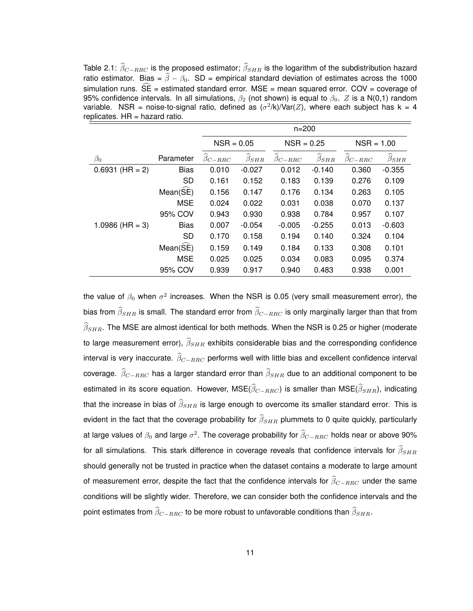Table 2.1:  $\widehat{\beta}_{C-RRC}$  is the proposed estimator;  $\widehat{\beta}_{SHR}$  is the logarithm of the subdistribution hazard ratio estimator. Bias =  $\widehat{\beta} - \beta_0$ . SD = empirical standard deviation of estimates across the 1000 simulation runs.  $\widehat{SE}$  = estimated standard error. MSE = mean squared error. COV = coverage of 95% confidence intervals. In all simulations,  $\beta_2$  (not shown) is equal to  $\beta_0$ . Z is a N(0,1) random variable. NSR = noise-to-signal ratio, defined as  $(\sigma^2/k)/\text{Var}(Z)$ , where each subject has k = 4  $replicates.$  HR = hazard ratio.

|                   |                      | $n = 200$       |                         |                                |                              |                           |                         |
|-------------------|----------------------|-----------------|-------------------------|--------------------------------|------------------------------|---------------------------|-------------------------|
|                   |                      | $NSR = 0.05$    |                         | $NSR = 0.25$                   |                              | $NSR = 1.00$              |                         |
| $\beta_0$         | Parameter            | $\beta_{C-RRC}$ | $\widehat{\beta}_{SHR}$ | ∼<br>$\widehat{\beta}_{C-RRC}$ | ∼<br>$\widehat{\beta}_{SHR}$ | $\widehat{\beta}_{C-RRC}$ | $\widehat{\beta}_{SHR}$ |
| $0.6931$ (HR = 2) | <b>Bias</b>          | 0.010           | $-0.027$                | 0.012                          | $-0.140$                     | 0.360                     | $-0.355$                |
|                   | <b>SD</b>            | 0.161           | 0.152                   | 0.183                          | 0.139                        | 0.276                     | 0.109                   |
|                   | $Mean(\widehat{SE})$ | 0.156           | 0.147                   | 0.176                          | 0.134                        | 0.263                     | 0.105                   |
|                   | <b>MSE</b>           | 0.024           | 0.022                   | 0.031                          | 0.038                        | 0.070                     | 0.137                   |
|                   | 95% COV              | 0.943           | 0.930                   | 0.938                          | 0.784                        | 0.957                     | 0.107                   |
| 1.0986 (HR = 3)   | <b>Bias</b>          | 0.007           | $-0.054$                | $-0.005$                       | $-0.255$                     | 0.013                     | $-0.603$                |
|                   | <b>SD</b>            | 0.170           | 0.158                   | 0.194                          | 0.140                        | 0.324                     | 0.104                   |
|                   | $Mean(\hat{SE})$     | 0.159           | 0.149                   | 0.184                          | 0.133                        | 0.308                     | 0.101                   |
|                   | <b>MSE</b>           | 0.025           | 0.025                   | 0.034                          | 0.083                        | 0.095                     | 0.374                   |
|                   | 95% COV              | 0.939           | 0.917                   | 0.940                          | 0.483                        | 0.938                     | 0.001                   |

the value of  $\beta_0$  when  $\sigma^2$  increases. When the NSR is 0.05 (very small measurement error), the bias from  $\widehat{\beta}_{SHR}$  is small. The standard error from  $\widehat{\beta}_{C-RRC}$  is only marginally larger than that from  $\widehat{\beta}_{SHR}$ . The MSE are almost identical for both methods. When the NSR is 0.25 or higher (moderate to large measurement error),  $\widehat{\beta}_{SHR}$  exhibits considerable bias and the corresponding confidence interval is very inaccurate.  $\widehat{\beta}_{C-RRC}$  performs well with little bias and excellent confidence interval coverage.  $\widehat{\beta}_{C-RRC}$  has a larger standard error than  $\widehat{\beta}_{SHR}$  due to an additional component to be estimated in its score equation. However, MSE( $\widehat{\beta}_{C-RRC}$ ) is smaller than MSE( $\widehat{\beta}_{SHR}$ ), indicating that the increase in bias of  $\widehat{\beta}_{SHR}$  is large enough to overcome its smaller standard error. This is evident in the fact that the coverage probability for  $\widehat{\beta}_{SHR}$  plummets to 0 quite quickly, particularly at large values of  $\beta_0$  and large  $\sigma^2$ . The coverage probability for  $\widehat{\beta}_{C-RRC}$  holds near or above 90% for all simulations. This stark difference in coverage reveals that confidence intervals for  $\widehat{\beta}_{SHR}$ should generally not be trusted in practice when the dataset contains a moderate to large amount of measurement error, despite the fact that the confidence intervals for  $\widehat{\beta}_{C−RRC}$  under the same conditions will be slightly wider. Therefore, we can consider both the confidence intervals and the point estimates from  $\widehat{\beta}_{C-RRC}$  to be more robust to unfavorable conditions than  $\widehat{\beta}_{SHR}$ .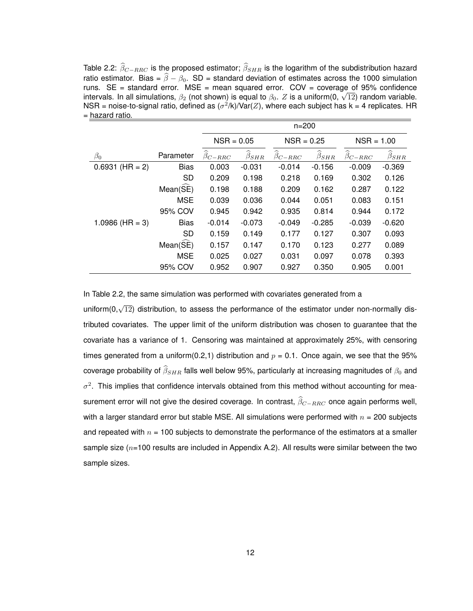Table 2.2:  $\widehat{\beta}_{C-RRC}$  is the proposed estimator;  $\widehat{\beta}_{SHR}$  is the logarithm of the subdistribution hazard ratio estimator. Bias =  $\widehat{\beta} - \beta_0$ . SD = standard deviation of estimates across the 1000 simulation runs.  $SE = standard error$ .  $MSE = mean squared error$ .  $COV = coverage of 95% confidence$ runs. SE = standard error. MSE = mean squared error. COV = coverage of 95% confidence<br>intervals. In all simulations,  $\beta_2$  (not shown) is equal to  $\beta_0$ . Z is a uniform(0,  $\sqrt{12}$ ) random variable. NSR = noise-to-signal ratio, defined as  $(\sigma^2/k)/\text{Var}(Z)$ , where each subject has k = 4 replicates. HR = hazard ratio.

|                   |                  | $n = 200$                 |                              |                      |                              |                                |                         |  |
|-------------------|------------------|---------------------------|------------------------------|----------------------|------------------------------|--------------------------------|-------------------------|--|
|                   |                  |                           | $NSR = 0.05$                 |                      | $NSR = 0.25$                 |                                | $NSR = 1.00$            |  |
| $\beta_0$         | Parameter        | $\widehat{\beta}_{C-RRC}$ | ∼<br>$\widehat{\beta}_{SHR}$ | ∼<br>$\beta_{C-RRC}$ | ∼<br>$\widehat{\beta}_{SHR}$ | ∼<br>$\widehat{\beta}_{C-RRC}$ | $\widehat{\beta}_{SHR}$ |  |
| $0.6931$ (HR = 2) | <b>Bias</b>      | 0.003                     | $-0.031$                     | $-0.014$             | $-0.156$                     | $-0.009$                       | $-0.369$                |  |
|                   | <b>SD</b>        | 0.209                     | 0.198                        | 0.218                | 0.169                        | 0.302                          | 0.126                   |  |
|                   | Mean(SE)         | 0.198                     | 0.188                        | 0.209                | 0.162                        | 0.287                          | 0.122                   |  |
|                   | <b>MSE</b>       | 0.039                     | 0.036                        | 0.044                | 0.051                        | 0.083                          | 0.151                   |  |
|                   | 95% COV          | 0.945                     | 0.942                        | 0.935                | 0.814                        | 0.944                          | 0.172                   |  |
| 1.0986 (HR = 3)   | <b>Bias</b>      | $-0.014$                  | $-0.073$                     | $-0.049$             | $-0.285$                     | $-0.039$                       | $-0.620$                |  |
|                   | SD               | 0.159                     | 0.149                        | 0.177                | 0.127                        | 0.307                          | 0.093                   |  |
|                   | $Mean(\hat{SE})$ | 0.157                     | 0.147                        | 0.170                | 0.123                        | 0.277                          | 0.089                   |  |
|                   | <b>MSE</b>       | 0.025                     | 0.027                        | 0.031                | 0.097                        | 0.078                          | 0.393                   |  |
|                   | 95% COV          | 0.952                     | 0.907                        | 0.927                | 0.350                        | 0.905                          | 0.001                   |  |

In Table 2.2, the same simulation was performed with covariates generated from a

uniform(0, $\sqrt{12}$ ) distribution, to assess the performance of the estimator under non-normally distributed covariates. The upper limit of the uniform distribution was chosen to guarantee that the covariate has a variance of 1. Censoring was maintained at approximately 25%, with censoring times generated from a uniform(0.2,1) distribution and  $p = 0.1$ . Once again, we see that the 95% coverage probability of  $\widehat{\beta}_{SHR}$  falls well below 95%, particularly at increasing magnitudes of  $\beta_0$  and  $\sigma^2$ . This implies that confidence intervals obtained from this method without accounting for measurement error will not give the desired coverage. In contrast,  $\widehat{\beta}_{C-RRC}$  once again performs well, with a larger standard error but stable MSE. All simulations were performed with  $n = 200$  subjects and repeated with  $n = 100$  subjects to demonstrate the performance of the estimators at a smaller sample size ( $n=100$  results are included in Appendix A.2). All results were similar between the two sample sizes.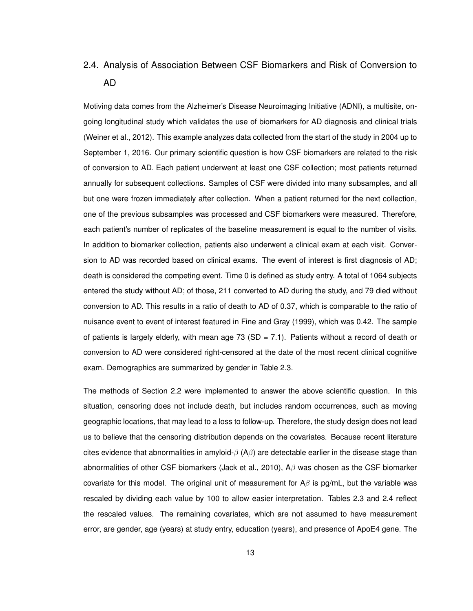## 2.4. Analysis of Association Between CSF Biomarkers and Risk of Conversion to AD

Motiving data comes from the Alzheimer's Disease Neuroimaging Initiative (ADNI), a multisite, ongoing longitudinal study which validates the use of biomarkers for AD diagnosis and clinical trials (Weiner et al., 2012). This example analyzes data collected from the start of the study in 2004 up to September 1, 2016. Our primary scientific question is how CSF biomarkers are related to the risk of conversion to AD. Each patient underwent at least one CSF collection; most patients returned annually for subsequent collections. Samples of CSF were divided into many subsamples, and all but one were frozen immediately after collection. When a patient returned for the next collection, one of the previous subsamples was processed and CSF biomarkers were measured. Therefore, each patient's number of replicates of the baseline measurement is equal to the number of visits. In addition to biomarker collection, patients also underwent a clinical exam at each visit. Conversion to AD was recorded based on clinical exams. The event of interest is first diagnosis of AD; death is considered the competing event. Time 0 is defined as study entry. A total of 1064 subjects entered the study without AD; of those, 211 converted to AD during the study, and 79 died without conversion to AD. This results in a ratio of death to AD of 0.37, which is comparable to the ratio of nuisance event to event of interest featured in Fine and Gray (1999), which was 0.42. The sample of patients is largely elderly, with mean age 73 (SD = 7.1). Patients without a record of death or conversion to AD were considered right-censored at the date of the most recent clinical cognitive exam. Demographics are summarized by gender in Table 2.3.

The methods of Section 2.2 were implemented to answer the above scientific question. In this situation, censoring does not include death, but includes random occurrences, such as moving geographic locations, that may lead to a loss to follow-up. Therefore, the study design does not lead us to believe that the censoring distribution depends on the covariates. Because recent literature cites evidence that abnormalities in amyloid- $\beta$  (A $\beta$ ) are detectable earlier in the disease stage than abnormalities of other CSF biomarkers (Jack et al., 2010),  $A\beta$  was chosen as the CSF biomarker covariate for this model. The original unit of measurement for  $A\beta$  is pg/mL, but the variable was rescaled by dividing each value by 100 to allow easier interpretation. Tables 2.3 and 2.4 reflect the rescaled values. The remaining covariates, which are not assumed to have measurement error, are gender, age (years) at study entry, education (years), and presence of ApoE4 gene. The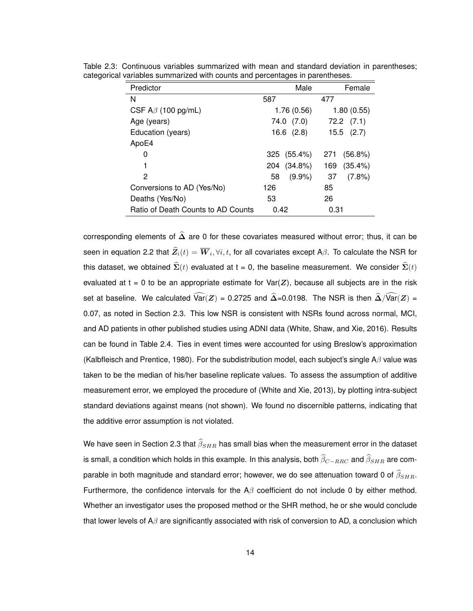| Predictor                          | Male              | Female         |
|------------------------------------|-------------------|----------------|
| N                                  | 587               | 477            |
| CSF $A\beta$ (100 pg/mL)           | 1.76(0.56)        | 1.80(0.55)     |
| Age (years)                        | 74.0 (7.0)        | $72.2$ $(7.1)$ |
| Education (years)                  | $16.6$ $(2.8)$    | $15.5$ $(2.7)$ |
| ApoE4                              |                   |                |
| 0                                  | 325 (55.4%)       | (56.8%)<br>271 |
| 1                                  | $(34.8\%)$<br>204 | 169<br>(35.4%) |
| 2                                  | $(9.9\%)$<br>58   | 37<br>(7.8%)   |
| Conversions to AD (Yes/No)         | 126               | 85             |
| Deaths (Yes/No)                    | 53                | 26             |
| Ratio of Death Counts to AD Counts | 0.42              | 0.31           |

Table 2.3: Continuous variables summarized with mean and standard deviation in parentheses; categorical variables summarized with counts and percentages in parentheses.

corresponding elements of  $\hat{\Delta}$  are 0 for these covariates measured without error; thus, it can be seen in equation 2.2 that  $\bm{Z}_i(t) = \overline{\bm{W}}_i, \forall i, t,$  for all covariates except A $\beta$ . To calculate the NSR for this dataset, we obtained  $\widehat{\Sigma}(t)$  evaluated at t = 0, the baseline measurement. We consider  $\widehat{\Sigma}(t)$ evaluated at  $t = 0$  to be an appropriate estimate for  $Var(Z)$ , because all subjects are in the risk set at baseline. We calculated  $\widehat{\text{Var}}(Z) = 0.2725$  and  $\widehat{\Delta} = 0.0198$ . The NSR is then  $\widehat{\Delta}/\widehat{\text{Var}}(Z) =$ 0.07, as noted in Section 2.3. This low NSR is consistent with NSRs found across normal, MCI, and AD patients in other published studies using ADNI data (White, Shaw, and Xie, 2016). Results can be found in Table 2.4. Ties in event times were accounted for using Breslow's approximation (Kalbfleisch and Prentice, 1980). For the subdistribution model, each subject's single A $\beta$  value was taken to be the median of his/her baseline replicate values. To assess the assumption of additive measurement error, we employed the procedure of (White and Xie, 2013), by plotting intra-subject standard deviations against means (not shown). We found no discernible patterns, indicating that the additive error assumption is not violated.

We have seen in Section 2.3 that  $\widehat{\beta}_{SHR}$  has small bias when the measurement error in the dataset is small, a condition which holds in this example. In this analysis, both  $\widehat\beta_{C-RRC}$  and  $\widehat\beta_{SHR}$  are comparable in both magnitude and standard error; however, we do see attenuation toward 0 of  $\widehat{\beta}_{SHR}$ . Furthermore, the confidence intervals for the  $A\beta$  coefficient do not include 0 by either method. Whether an investigator uses the proposed method or the SHR method, he or she would conclude that lower levels of A $\beta$  are significantly associated with risk of conversion to AD, a conclusion which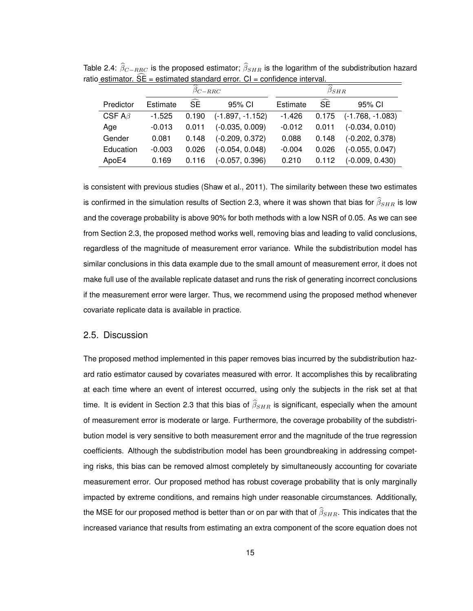|               | $\beta_{C-RRC}$ |           |                    | ~<br>$\beta_{SHR}$ |                         |                    |  |
|---------------|-----------------|-----------|--------------------|--------------------|-------------------------|--------------------|--|
| Predictor     | Estimate        | <b>SE</b> | 95% CI             | Estimate           | $\widehat{\mathsf{SE}}$ | 95% CI             |  |
| CSF A $\beta$ | $-1.525$        | 0.190     | $(-1.897, -1.152)$ | $-1.426$           | 0.175                   | $(-1.768, -1.083)$ |  |
| Age           | $-0.013$        | 0.011     | $(-0.035, 0.009)$  | $-0.012$           | 0.011                   | $(-0.034, 0.010)$  |  |
| Gender        | 0.081           | 0.148     | $(-0.209, 0.372)$  | 0.088              | 0.148                   | $(-0.202, 0.378)$  |  |
| Education     | $-0.003$        | 0.026     | $(-0.054, 0.048)$  | $-0.004$           | 0.026                   | $(-0.055, 0.047)$  |  |
| ApoE4         | 0.169           | 0.116     | $(-0.057, 0.396)$  | 0.210              | 0.112                   | $(-0.009, 0.430)$  |  |

Table 2.4:  $\widehat{\beta}_{C-RRC}$  is the proposed estimator;  $\widehat{\beta}_{SHR}$  is the logarithm of the subdistribution hazard ratio estimator.  $\widehat{SE}$  = estimated standard error.  $CI$  = confidence interval

is consistent with previous studies (Shaw et al., 2011). The similarity between these two estimates is confirmed in the simulation results of Section 2.3, where it was shown that bias for  $\widehat{\beta}_{SHR}$  is low and the coverage probability is above 90% for both methods with a low NSR of 0.05. As we can see from Section 2.3, the proposed method works well, removing bias and leading to valid conclusions, regardless of the magnitude of measurement error variance. While the subdistribution model has similar conclusions in this data example due to the small amount of measurement error, it does not make full use of the available replicate dataset and runs the risk of generating incorrect conclusions if the measurement error were larger. Thus, we recommend using the proposed method whenever covariate replicate data is available in practice.

### 2.5. Discussion

The proposed method implemented in this paper removes bias incurred by the subdistribution hazard ratio estimator caused by covariates measured with error. It accomplishes this by recalibrating at each time where an event of interest occurred, using only the subjects in the risk set at that time. It is evident in Section 2.3 that this bias of  $\widehat{\beta}_{SHR}$  is significant, especially when the amount of measurement error is moderate or large. Furthermore, the coverage probability of the subdistribution model is very sensitive to both measurement error and the magnitude of the true regression coefficients. Although the subdistribution model has been groundbreaking in addressing competing risks, this bias can be removed almost completely by simultaneously accounting for covariate measurement error. Our proposed method has robust coverage probability that is only marginally impacted by extreme conditions, and remains high under reasonable circumstances. Additionally, the MSE for our proposed method is better than or on par with that of  $\widehat{\beta}_{SHR}$ . This indicates that the increased variance that results from estimating an extra component of the score equation does not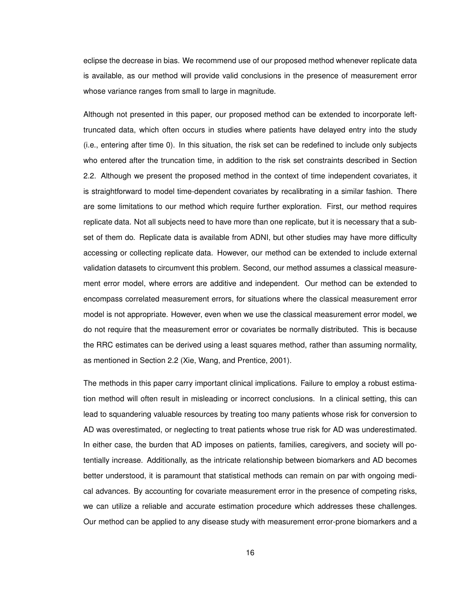eclipse the decrease in bias. We recommend use of our proposed method whenever replicate data is available, as our method will provide valid conclusions in the presence of measurement error whose variance ranges from small to large in magnitude.

Although not presented in this paper, our proposed method can be extended to incorporate lefttruncated data, which often occurs in studies where patients have delayed entry into the study (i.e., entering after time 0). In this situation, the risk set can be redefined to include only subjects who entered after the truncation time, in addition to the risk set constraints described in Section 2.2. Although we present the proposed method in the context of time independent covariates, it is straightforward to model time-dependent covariates by recalibrating in a similar fashion. There are some limitations to our method which require further exploration. First, our method requires replicate data. Not all subjects need to have more than one replicate, but it is necessary that a subset of them do. Replicate data is available from ADNI, but other studies may have more difficulty accessing or collecting replicate data. However, our method can be extended to include external validation datasets to circumvent this problem. Second, our method assumes a classical measurement error model, where errors are additive and independent. Our method can be extended to encompass correlated measurement errors, for situations where the classical measurement error model is not appropriate. However, even when we use the classical measurement error model, we do not require that the measurement error or covariates be normally distributed. This is because the RRC estimates can be derived using a least squares method, rather than assuming normality, as mentioned in Section 2.2 (Xie, Wang, and Prentice, 2001).

The methods in this paper carry important clinical implications. Failure to employ a robust estimation method will often result in misleading or incorrect conclusions. In a clinical setting, this can lead to squandering valuable resources by treating too many patients whose risk for conversion to AD was overestimated, or neglecting to treat patients whose true risk for AD was underestimated. In either case, the burden that AD imposes on patients, families, caregivers, and society will potentially increase. Additionally, as the intricate relationship between biomarkers and AD becomes better understood, it is paramount that statistical methods can remain on par with ongoing medical advances. By accounting for covariate measurement error in the presence of competing risks, we can utilize a reliable and accurate estimation procedure which addresses these challenges. Our method can be applied to any disease study with measurement error-prone biomarkers and a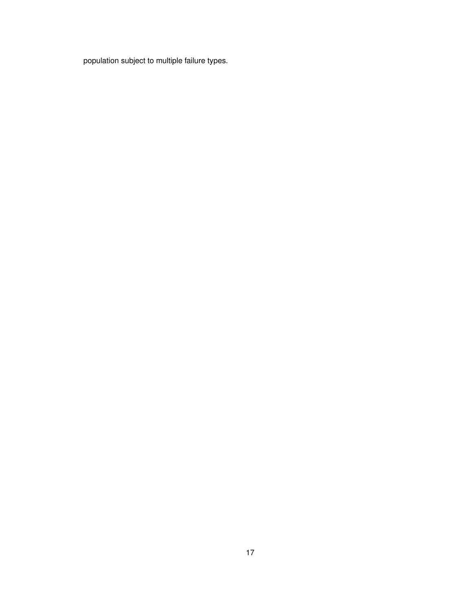population subject to multiple failure types.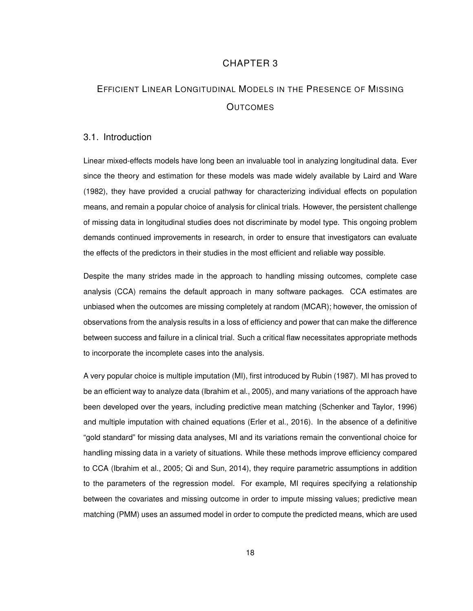## CHAPTER 3

## EFFICIENT LINEAR LONGITUDINAL MODELS IN THE PRESENCE OF MISSING **OUTCOMES**

#### 3.1. Introduction

Linear mixed-effects models have long been an invaluable tool in analyzing longitudinal data. Ever since the theory and estimation for these models was made widely available by Laird and Ware (1982), they have provided a crucial pathway for characterizing individual effects on population means, and remain a popular choice of analysis for clinical trials. However, the persistent challenge of missing data in longitudinal studies does not discriminate by model type. This ongoing problem demands continued improvements in research, in order to ensure that investigators can evaluate the effects of the predictors in their studies in the most efficient and reliable way possible.

Despite the many strides made in the approach to handling missing outcomes, complete case analysis (CCA) remains the default approach in many software packages. CCA estimates are unbiased when the outcomes are missing completely at random (MCAR); however, the omission of observations from the analysis results in a loss of efficiency and power that can make the difference between success and failure in a clinical trial. Such a critical flaw necessitates appropriate methods to incorporate the incomplete cases into the analysis.

A very popular choice is multiple imputation (MI), first introduced by Rubin (1987). MI has proved to be an efficient way to analyze data (Ibrahim et al., 2005), and many variations of the approach have been developed over the years, including predictive mean matching (Schenker and Taylor, 1996) and multiple imputation with chained equations (Erler et al., 2016). In the absence of a definitive "gold standard" for missing data analyses, MI and its variations remain the conventional choice for handling missing data in a variety of situations. While these methods improve efficiency compared to CCA (Ibrahim et al., 2005; Qi and Sun, 2014), they require parametric assumptions in addition to the parameters of the regression model. For example, MI requires specifying a relationship between the covariates and missing outcome in order to impute missing values; predictive mean matching (PMM) uses an assumed model in order to compute the predicted means, which are used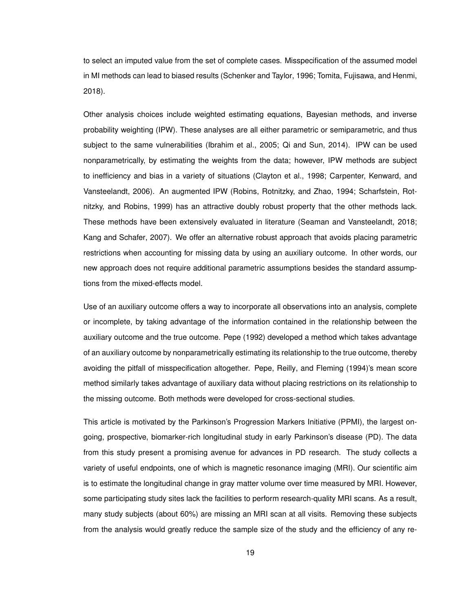to select an imputed value from the set of complete cases. Misspecification of the assumed model in MI methods can lead to biased results (Schenker and Taylor, 1996; Tomita, Fujisawa, and Henmi, 2018).

Other analysis choices include weighted estimating equations, Bayesian methods, and inverse probability weighting (IPW). These analyses are all either parametric or semiparametric, and thus subject to the same vulnerabilities (Ibrahim et al., 2005; Qi and Sun, 2014). IPW can be used nonparametrically, by estimating the weights from the data; however, IPW methods are subject to inefficiency and bias in a variety of situations (Clayton et al., 1998; Carpenter, Kenward, and Vansteelandt, 2006). An augmented IPW (Robins, Rotnitzky, and Zhao, 1994; Scharfstein, Rotnitzky, and Robins, 1999) has an attractive doubly robust property that the other methods lack. These methods have been extensively evaluated in literature (Seaman and Vansteelandt, 2018; Kang and Schafer, 2007). We offer an alternative robust approach that avoids placing parametric restrictions when accounting for missing data by using an auxiliary outcome. In other words, our new approach does not require additional parametric assumptions besides the standard assumptions from the mixed-effects model.

Use of an auxiliary outcome offers a way to incorporate all observations into an analysis, complete or incomplete, by taking advantage of the information contained in the relationship between the auxiliary outcome and the true outcome. Pepe (1992) developed a method which takes advantage of an auxiliary outcome by nonparametrically estimating its relationship to the true outcome, thereby avoiding the pitfall of misspecification altogether. Pepe, Reilly, and Fleming (1994)'s mean score method similarly takes advantage of auxiliary data without placing restrictions on its relationship to the missing outcome. Both methods were developed for cross-sectional studies.

This article is motivated by the Parkinson's Progression Markers Initiative (PPMI), the largest ongoing, prospective, biomarker-rich longitudinal study in early Parkinson's disease (PD). The data from this study present a promising avenue for advances in PD research. The study collects a variety of useful endpoints, one of which is magnetic resonance imaging (MRI). Our scientific aim is to estimate the longitudinal change in gray matter volume over time measured by MRI. However, some participating study sites lack the facilities to perform research-quality MRI scans. As a result, many study subjects (about 60%) are missing an MRI scan at all visits. Removing these subjects from the analysis would greatly reduce the sample size of the study and the efficiency of any re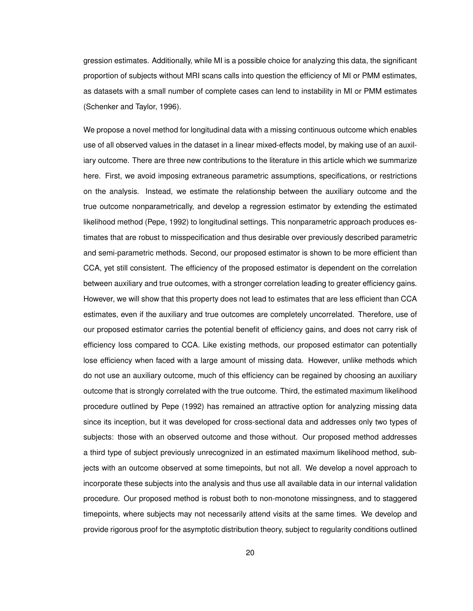gression estimates. Additionally, while MI is a possible choice for analyzing this data, the significant proportion of subjects without MRI scans calls into question the efficiency of MI or PMM estimates, as datasets with a small number of complete cases can lend to instability in MI or PMM estimates (Schenker and Taylor, 1996).

We propose a novel method for longitudinal data with a missing continuous outcome which enables use of all observed values in the dataset in a linear mixed-effects model, by making use of an auxiliary outcome. There are three new contributions to the literature in this article which we summarize here. First, we avoid imposing extraneous parametric assumptions, specifications, or restrictions on the analysis. Instead, we estimate the relationship between the auxiliary outcome and the true outcome nonparametrically, and develop a regression estimator by extending the estimated likelihood method (Pepe, 1992) to longitudinal settings. This nonparametric approach produces estimates that are robust to misspecification and thus desirable over previously described parametric and semi-parametric methods. Second, our proposed estimator is shown to be more efficient than CCA, yet still consistent. The efficiency of the proposed estimator is dependent on the correlation between auxiliary and true outcomes, with a stronger correlation leading to greater efficiency gains. However, we will show that this property does not lead to estimates that are less efficient than CCA estimates, even if the auxiliary and true outcomes are completely uncorrelated. Therefore, use of our proposed estimator carries the potential benefit of efficiency gains, and does not carry risk of efficiency loss compared to CCA. Like existing methods, our proposed estimator can potentially lose efficiency when faced with a large amount of missing data. However, unlike methods which do not use an auxiliary outcome, much of this efficiency can be regained by choosing an auxiliary outcome that is strongly correlated with the true outcome. Third, the estimated maximum likelihood procedure outlined by Pepe (1992) has remained an attractive option for analyzing missing data since its inception, but it was developed for cross-sectional data and addresses only two types of subjects: those with an observed outcome and those without. Our proposed method addresses a third type of subject previously unrecognized in an estimated maximum likelihood method, subjects with an outcome observed at some timepoints, but not all. We develop a novel approach to incorporate these subjects into the analysis and thus use all available data in our internal validation procedure. Our proposed method is robust both to non-monotone missingness, and to staggered timepoints, where subjects may not necessarily attend visits at the same times. We develop and provide rigorous proof for the asymptotic distribution theory, subject to regularity conditions outlined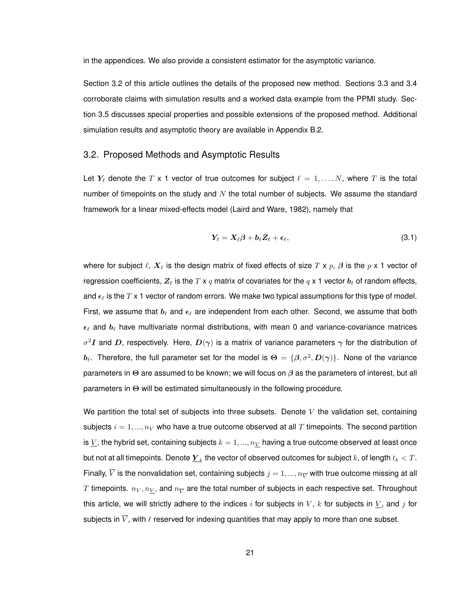in the appendices. We also provide a consistent estimator for the asymptotic variance.

Section 3.2 of this article outlines the details of the proposed new method. Sections 3.3 and 3.4 corroborate claims with simulation results and a worked data example from the PPMI study. Section 3.5 discusses special properties and possible extensions of the proposed method. Additional simulation results and asymptotic theory are available in Appendix B.2.

### 3.2. Proposed Methods and Asymptotic Results

Let  $Y_\ell$  denote the T x 1 vector of true outcomes for subject  $\ell = 1, \ldots, N$ , where T is the total number of timepoints on the study and  $N$  the total number of subjects. We assume the standard framework for a linear mixed-effects model (Laird and Ware, 1982), namely that

$$
Y_{\ell}=X_{\ell}\beta+b_{\ell}Z_{\ell}+\epsilon_{\ell}, \qquad (3.1)
$$

where for subject  $\ell$ ,  $\bm{X}_{\ell}$  is the design matrix of fixed effects of size T x p,  $\beta$  is the p x 1 vector of regression coefficients,  $Z_\ell$  is the T x  $q$  matrix of covariates for the  $q \times 1$  vector  $b_\ell$  of random effects, and  $\epsilon_{\ell}$  is the T x 1 vector of random errors. We make two typical assumptions for this type of model. First, we assume that  $b_\ell$  and  $\epsilon_\ell$  are independent from each other. Second, we assume that both  $\epsilon_{\ell}$  and  $b_{\ell}$  have multivariate normal distributions, with mean 0 and variance-covariance matrices  $\sigma^2 I$  and D, respectively. Here,  $D(\gamma)$  is a matrix of variance parameters  $\gamma$  for the distribution of  $b_\ell$ . Therefore, the full parameter set for the model is  $\Theta = \{\beta, \sigma^2, D(\gamma)\}.$  None of the variance parameters in Θ are assumed to be known; we will focus on  $\beta$  as the parameters of interest, but all parameters in Θ will be estimated simultaneously in the following procedure.

We partition the total set of subjects into three subsets. Denote  $V$  the validation set, containing subjects  $i = 1, ..., n<sub>V</sub>$  who have a true outcome observed at all T timepoints. The second partition is  $\underline{V}$ , the hybrid set, containing subjects  $k = 1, ..., n_V$  having a true outcome observed at least once but not at all timepoints. Denote  $\underline{Y}_k$  the vector of observed outcomes for subject  $k$ , of length  $t_k < T.$ Finally,  $\overline{V}$  is the nonvalidation set, containing subjects  $j = 1, ..., n_{\overline{V}}$  with true outcome missing at all  $T$  timepoints.  $n_V, n_{\underline{V}},$  and  $n_{\overline{V}}$  are the total number of subjects in each respective set. Throughout this article, we will strictly adhere to the indices i for subjects in V, k for subjects in  $\underline{V}$ , and j for subjects in  $\overline{V}$ , with  $\ell$  reserved for indexing quantities that may apply to more than one subset.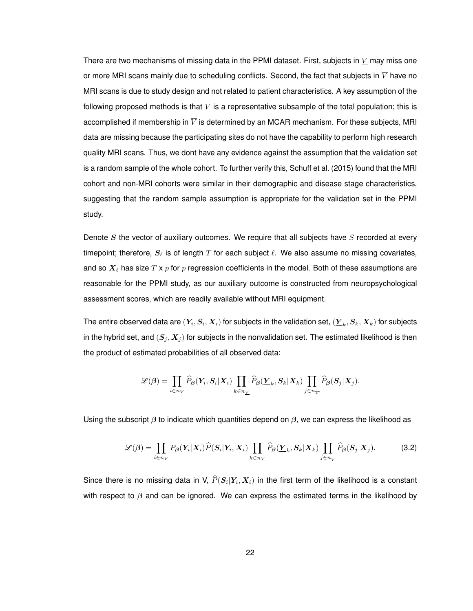There are two mechanisms of missing data in the PPMI dataset. First, subjects in  $V$  may miss one or more MRI scans mainly due to scheduling conflicts. Second, the fact that subjects in  $\overline{V}$  have no MRI scans is due to study design and not related to patient characteristics. A key assumption of the following proposed methods is that  $V$  is a representative subsample of the total population; this is accomplished if membership in  $\overline{V}$  is determined by an MCAR mechanism. For these subjects, MRI data are missing because the participating sites do not have the capability to perform high research quality MRI scans. Thus, we dont have any evidence against the assumption that the validation set is a random sample of the whole cohort. To further verify this, Schuff et al. (2015) found that the MRI cohort and non-MRI cohorts were similar in their demographic and disease stage characteristics, suggesting that the random sample assumption is appropriate for the validation set in the PPMI study.

Denote  $S$  the vector of auxiliary outcomes. We require that all subjects have  $S$  recorded at every timepoint; therefore,  $S_\ell$  is of length T for each subject  $\ell$ . We also assume no missing covariates, and so  $X_\ell$  has size T x p for p regression coefficients in the model. Both of these assumptions are reasonable for the PPMI study, as our auxiliary outcome is constructed from neuropsychological assessment scores, which are readily available without MRI equipment.

The entire observed data are  $(Y_i, S_i, X_i)$  for subjects in the validation set,  $(\underline{Y}_k, S_k, X_k)$  for subjects in the hybrid set, and  $(S_i, X_j)$  for subjects in the nonvalidation set. The estimated likelihood is then the product of estimated probabilities of all observed data:

$$
\mathscr{L}(\beta) = \prod_{i \in n_V} \widehat{P}_{\beta}(Y_i, S_i | X_i) \prod_{k \in n_V} \widehat{P}_{\beta}(\underline{Y}_k, S_k | X_k) \prod_{j \in n_V} \widehat{P}_{\beta}(S_j | X_j).
$$

Using the subscript  $\beta$  to indicate which quantities depend on  $\beta$ , we can express the likelihood as

$$
\mathcal{L}(\beta) = \prod_{i \in n_V} P_{\beta}(Y_i | X_i) \widehat{P}(S_i | Y_i, X_i) \prod_{k \in n_V} \widehat{P}_{\beta}(\underline{Y}_k, S_k | X_k) \prod_{j \in n_V} \widehat{P}_{\beta}(S_j | X_j).
$$
(3.2)

Since there is no missing data in V,  $P(\bm{S}_i|\bm{Y}_i,\bm{X}_i)$  in the first term of the likelihood is a constant with respect to  $\beta$  and can be ignored. We can express the estimated terms in the likelihood by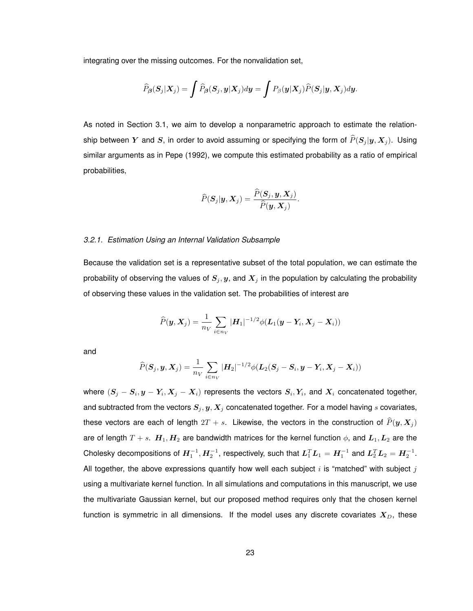integrating over the missing outcomes. For the nonvalidation set,

$$
\widehat{P}_{\boldsymbol{\beta}}(\boldsymbol{S}_j|\boldsymbol{X}_j) = \int \widehat{P}_{\boldsymbol{\beta}}(\boldsymbol{S}_j,\boldsymbol{y}|\boldsymbol{X}_j) d\boldsymbol{y} = \int P_{\boldsymbol{\beta}}(\boldsymbol{y}|\boldsymbol{X}_j) \widehat{P}(\boldsymbol{S}_j|\boldsymbol{y},\boldsymbol{X}_j) d\boldsymbol{y}.
$$

As noted in Section 3.1, we aim to develop a nonparametric approach to estimate the relationship between Y and S, in order to avoid assuming or specifying the form of  $\widehat{P}(S_j |y, X_j)$ . Using similar arguments as in Pepe (1992), we compute this estimated probability as a ratio of empirical probabilities,

$$
\widehat{P}(\boldsymbol{S}_j|\boldsymbol{y},\boldsymbol{X}_j)=\frac{\widehat{P}(\boldsymbol{S}_j,\boldsymbol{y},\boldsymbol{X}_j)}{\widehat{P}(\boldsymbol{y},\boldsymbol{X}_j)}.
$$

#### *3.2.1. Estimation Using an Internal Validation Subsample*

Because the validation set is a representative subset of the total population, we can estimate the probability of observing the values of  $S_j, y$ , and  $X_j$  in the population by calculating the probability of observing these values in the validation set. The probabilities of interest are

$$
\widehat{P}(\boldsymbol{y}, \boldsymbol{X}_j) = \frac{1}{n_V} \sum_{i \in n_V} |\boldsymbol{H}_1|^{-1/2} \phi(\boldsymbol{L}_1(\boldsymbol{y} - \boldsymbol{Y}_i, \boldsymbol{X}_j - \boldsymbol{X}_i))
$$

and

$$
\widehat{P}(\boldsymbol{S}_j,\boldsymbol{y},\boldsymbol{X}_j)=\frac{1}{n_V}\sum_{i\in n_V}|\boldsymbol{H}_2|^{-1/2}\phi(\boldsymbol{L}_2(\boldsymbol{S}_j-\boldsymbol{S}_i,\boldsymbol{y}-\boldsymbol{Y}_i,\boldsymbol{X}_j-\boldsymbol{X}_i))
$$

where  $(S_j - S_i, y - Y_i, X_j - X_i)$  represents the vectors  $S_i, Y_i$ , and  $X_i$  concatenated together, and subtracted from the vectors  $S_j, y, X_j$  concatenated together. For a model having s covariates, these vectors are each of length  $2T + s$ . Likewise, the vectors in the construction of  $\widehat{P}(\bm{y}, \bm{X}_j )$ are of length  $T + s$ .  $H_1, H_2$  are bandwidth matrices for the kernel function  $\phi$ , and  $L_1, L_2$  are the Cholesky decompositions of  $H_1^{-1}, H_2^{-1}$ , respectively, such that  $L_1^TL_1 = H_1^{-1}$  and  $L_2^TL_2 = H_2^{-1}$ . All together, the above expressions quantify how well each subject  $i$  is "matched" with subject  $j$ using a multivariate kernel function. In all simulations and computations in this manuscript, we use the multivariate Gaussian kernel, but our proposed method requires only that the chosen kernel function is symmetric in all dimensions. If the model uses any discrete covariates  $X_D$ , these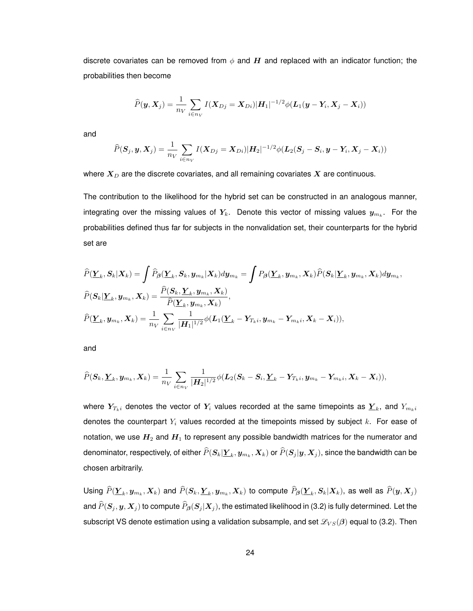discrete covariates can be removed from  $\phi$  and H and replaced with an indicator function; the probabilities then become

$$
\widehat{P}(\boldsymbol{y}, \boldsymbol{X}_j) = \frac{1}{n_V} \sum_{i \in n_V} I(\boldsymbol{X}_{Dj} = \boldsymbol{X}_{Di}) |\boldsymbol{H}_1|^{-1/2} \phi(\boldsymbol{L}_1(\boldsymbol{y} - \boldsymbol{Y}_i, \boldsymbol{X}_j - \boldsymbol{X}_i))
$$

and

$$
\widehat{P}(\boldsymbol{S}_j,\boldsymbol{y},\boldsymbol{X}_j)=\frac{1}{n_V}\sum_{i\in n_V}I(\boldsymbol{X}_{Dj}=\boldsymbol{X}_{Di})|\boldsymbol{H}_2|^{-1/2}\phi(\boldsymbol{L}_2(\boldsymbol{S}_j-\boldsymbol{S}_i,\boldsymbol{y}-\boldsymbol{Y}_i,\boldsymbol{X}_j-\boldsymbol{X}_i))
$$

where  $X_D$  are the discrete covariates, and all remaining covariates  $X$  are continuous.

The contribution to the likelihood for the hybrid set can be constructed in an analogous manner, integrating over the missing values of  $Y_k$ . Denote this vector of missing values  $y_{m_k}$ . For the probabilities defined thus far for subjects in the nonvalidation set, their counterparts for the hybrid set are

$$
\begin{aligned}\n\widehat{P}(\underline{Y}_k, \underline{S}_k | \underline{X}_k) &= \int \widehat{P}_{\beta}(\underline{Y}_k, \underline{S}_k, \underline{y}_{m_k} | \underline{X}_k) d\underline{y}_{m_k} = \int P_{\beta}(\underline{Y}_k, \underline{y}_{m_k}, \underline{X}_k) \widehat{P}(\underline{S}_k | \underline{Y}_k, \underline{y}_{m_k}, \underline{X}_k) d\underline{y}_{m_k}, \\
\widehat{P}(\underline{S}_k | \underline{Y}_k, \underline{y}_{m_k}, \underline{X}_k) &= \frac{\widehat{P}(\underline{S}_k, \underline{Y}_k, \underline{y}_{m_k}, \underline{X}_k)}{\widehat{P}(\underline{Y}_k, \underline{y}_{m_k}, \underline{X}_k)}, \\
\widehat{P}(\underline{Y}_k, \underline{y}_{m_k}, \underline{X}_k) &= \frac{1}{n_V} \sum_{i \in n_V} \frac{1}{|H_1|^{1/2}} \phi(\underline{L}_1(\underline{Y}_k - Y_{T_k i}, \underline{y}_{m_k} - Y_{m_k i}, \underline{X}_k - \underline{X}_i)),\n\end{aligned}
$$

and

$$
\widehat{P}(\boldsymbol{S}_k,\boldsymbol{\underline{Y}}_k,\boldsymbol{y}_{m_k},\boldsymbol{X}_k) = \frac{1}{n_V}\sum_{i\in n_V}\frac{1}{|\boldsymbol{H}_2|^{1/2}}\phi(\boldsymbol{L}_2(\boldsymbol{S}_k-\boldsymbol{S}_i,\boldsymbol{\underline{Y}}_k-\boldsymbol{Y}_{T_ki},\boldsymbol{y}_{m_k}-\boldsymbol{Y}_{m_ki},\boldsymbol{X}_k-\boldsymbol{X}_i)),
$$

where  $Y_{T_k i}$  denotes the vector of  $Y_i$  values recorded at the same timepoints as  $\underline{Y}_k$ , and  $Y_{m_k i}$ denotes the counterpart  $Y_i$  values recorded at the timepoints missed by subject  $k$ . For ease of notation, we use  $H_2$  and  $H_1$  to represent any possible bandwidth matrices for the numerator and denominator, respectively, of either  $P(\bm{S}_k | \bm{\underline{Y}}_k, \bm{y}_{m_k}, \bm{X}_k)$  or  $P(\bm{S}_j | \bm{y}, \bm{X}_j),$  since the bandwidth can be chosen arbitrarily.

Using  $P(\underline{Y}_k,y_{m_k},X_k)$  and  $P(\bm{S}_k,\underline{Y}_k,y_{m_k},X_k)$  to compute  $P_{\bm{\beta}}(\underline{Y}_k,\bm{S}_k|\bm{X}_k)$ , as well as  $P(\bm{y},\bm{X}_j)$ and  $\widehat{P}(S_j, y, X_j)$  to compute  $\widehat{P}_{\beta}(S_j | X_j)$ , the estimated likelihood in (3.2) is fully determined. Let the subscript VS denote estimation using a validation subsample, and set  $\mathcal{L}_{VS}(\beta)$  equal to (3.2). Then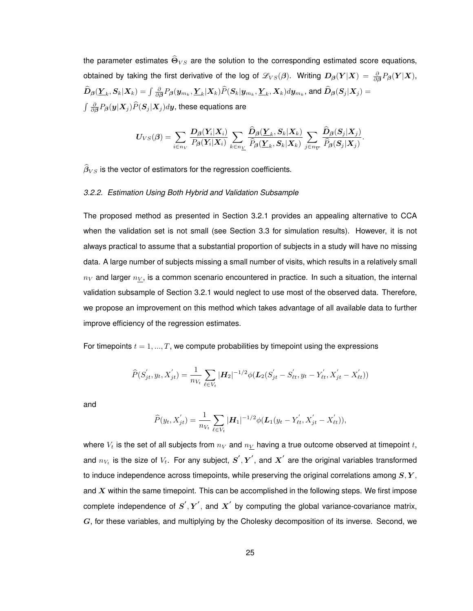the parameter estimates  $\widehat{\Theta}_{VS}$  are the solution to the corresponding estimated score equations, obtained by taking the first derivative of the log of  $\mathscr{L}_{VS}(\beta)$ . Writing  $D_\beta(Y|X) = \frac{\partial}{\partial \beta}P_\beta(Y|X),$  $\widehat{\bm{D}}_{\bm{\beta}}(\bm{Y}_k,\bm{S}_k|\bm{X}_k)=\int \frac{\partial}{\partial \bm{\beta}}P_{\bm{\beta}}(\bm{y}_{m_k},\bm{Y}_k|\bm{X}_k)\widehat{P}(\bm{S}_k|\bm{y}_{m_k},\bm{Y}_k,\bm{X}_k) d\bm{y}_{m_k},$  and  $\widehat{\bm{D}}_{\bm{\beta}}(\bm{S}_j|\bm{X}_j)=$  $\int \frac{\partial}{\partial {\boldsymbol \beta}} P_{\boldsymbol \beta}({\boldsymbol y}|{\boldsymbol X}_j) \widehat{P}({\boldsymbol S}_j|{\boldsymbol X}_j) d {\boldsymbol y},$  these equations are

$$
\boldsymbol{U}_{VS}(\boldsymbol{\beta}) = \sum_{i \in n_V} \frac{\boldsymbol{D}_{\boldsymbol{\beta}}(\boldsymbol{Y}_i|\boldsymbol{X}_i)}{P_{\boldsymbol{\beta}}(\boldsymbol{Y}_i|\boldsymbol{X}_i)} \sum_{k \in n_{\underline{V}}} \frac{\widehat{\boldsymbol{D}}_{\boldsymbol{\beta}}(\boldsymbol{\underline{Y}}_k,\boldsymbol{S}_k|\boldsymbol{X}_k)}{\widehat{P}_{\boldsymbol{\beta}}(\boldsymbol{\underline{Y}}_k,\boldsymbol{S}_k|\boldsymbol{X}_k)} \sum_{j \in n_{\overline{V}}} \frac{\widehat{\boldsymbol{D}}_{\boldsymbol{\beta}}(\boldsymbol{S}_j|\boldsymbol{X}_j)}{\widehat{P}_{\boldsymbol{\beta}}(\boldsymbol{S}_j|\boldsymbol{X}_j)}.
$$

 $\widehat{\beta}_{VS}$  is the vector of estimators for the regression coefficients.

#### *3.2.2. Estimation Using Both Hybrid and Validation Subsample*

The proposed method as presented in Section 3.2.1 provides an appealing alternative to CCA when the validation set is not small (see Section 3.3 for simulation results). However, it is not always practical to assume that a substantial proportion of subjects in a study will have no missing data. A large number of subjects missing a small number of visits, which results in a relatively small  $n_V$  and larger  $n_V$ , is a common scenario encountered in practice. In such a situation, the internal validation subsample of Section 3.2.1 would neglect to use most of the observed data. Therefore, we propose an improvement on this method which takes advantage of all available data to further improve efficiency of the regression estimates.

For timepoints  $t = 1, ..., T$ , we compute probabilities by timepoint using the expressions

$$
\widehat{P}(S'_{jt}, y_t, X'_{jt}) = \frac{1}{n_{V_t}} \sum_{\ell \in V_t} |\mathbf{H}_2|^{-1/2} \phi(\mathbf{L}_2(S'_{jt} - S'_{\ell t}, y_t - Y'_{\ell t}, X'_{jt} - X'_{\ell t}))
$$

and

$$
\widehat{P}(y_t, X'_{jt}) = \frac{1}{n_{V_t}} \sum_{\ell \in V_t} |\mathbf{H}_1|^{-1/2} \phi(\mathbf{L}_1(y_t - Y'_{\ell t}, X'_{jt} - X'_{\ell t})),
$$

where  $V_t$  is the set of all subjects from  $n_V$  and  $n_V$  having a true outcome observed at timepoint t, and  $n_{V_t}$  is the size of  $V_t$ . For any subject,  $\boldsymbol{S}', \boldsymbol{Y}',$  and  $\boldsymbol{X}'$  are the original variables transformed to induce independence across timepoints, while preserving the original correlations among  $S, Y$ , and  $X$  within the same timepoint. This can be accomplished in the following steps. We first impose complete independence of  $S^{'}, Y^{'},$  and  $X^{'}$  by computing the global variance-covariance matrix,  $G$ , for these variables, and multiplying by the Cholesky decomposition of its inverse. Second, we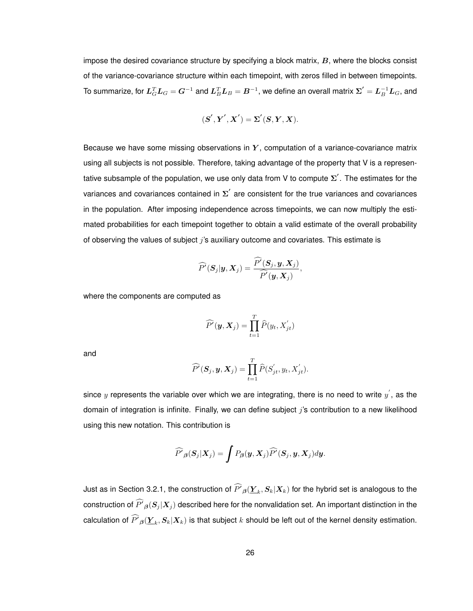impose the desired covariance structure by specifying a block matrix,  $B$ , where the blocks consist of the variance-covariance structure within each timepoint, with zeros filled in between timepoints. To summarize, for  $\bm{L}_G^T\bm{L}_G=\bm{G}^{-1}$  and  $\bm{L}_B^T\bm{L}_B=\bm{B}^{-1}$ , we define an overall matrix  $\bm{\Sigma}'=\bm{L}_B^{-1}\bm{L}_G$ , and

$$
(\boldsymbol{S}',\boldsymbol{Y}',\boldsymbol{X}')=\boldsymbol{\Sigma}'(\boldsymbol{S},\boldsymbol{Y},\boldsymbol{X}).
$$

Because we have some missing observations in  $Y$ , computation of a variance-covariance matrix using all subjects is not possible. Therefore, taking advantage of the property that V is a representative subsample of the population, we use only data from V to compute  $\boldsymbol{\Sigma}'$  . The estimates for the variances and covariances contained in  $\Sigma^{'}$  are consistent for the true variances and covariances in the population. After imposing independence across timepoints, we can now multiply the estimated probabilities for each timepoint together to obtain a valid estimate of the overall probability of observing the values of subject j's auxiliary outcome and covariates. This estimate is

$$
\widehat{P}'(\boldsymbol{S}_j|\boldsymbol{y},\boldsymbol{X}_j)=\frac{\widehat{P}'(\boldsymbol{S}_j,\boldsymbol{y},\boldsymbol{X}_j)}{\widehat{P}'(\boldsymbol{y},\boldsymbol{X}_j)},
$$

where the components are computed as

$$
\widehat{P}'(\boldsymbol{y}, \boldsymbol{X}_j) = \prod_{t=1}^T \widehat{P}(y_t, X_{jt}')
$$

and

$$
\widehat{P}'(\boldsymbol{S}_j, \boldsymbol{y}, \boldsymbol{X}_j) = \prod_{t=1}^T \widehat{P}(S'_{jt}, y_t, X'_{jt}).
$$

since  $y$  represents the variable over which we are integrating, there is no need to write  $y^{'}$ , as the domain of integration is infinite. Finally, we can define subject  $j$ 's contribution to a new likelihood using this new notation. This contribution is

$$
\widehat{P}_{\beta}(\boldsymbol{S}_j|\boldsymbol{X}_j)=\int P_{\beta}(\boldsymbol{y},\boldsymbol{X}_j)\widehat{P}'(\boldsymbol{S}_j,\boldsymbol{y},\boldsymbol{X}_j)d\boldsymbol{y}.
$$

Just as in Section 3.2.1, the construction of  $P'\boldsymbol_\beta(\underline{Y}_k,S_k|X_k)$  for the hybrid set is analogous to the construction of  $P'\mathbf{_{\beta}}(S_j | \bm{X}_j)$  described here for the nonvalidation set. An important distinction in the calculation of  $P'\boldsymbol_\beta(\underline{Y}_k,S_k|X_k)$  is that subject  $k$  should be left out of the kernel density estimation.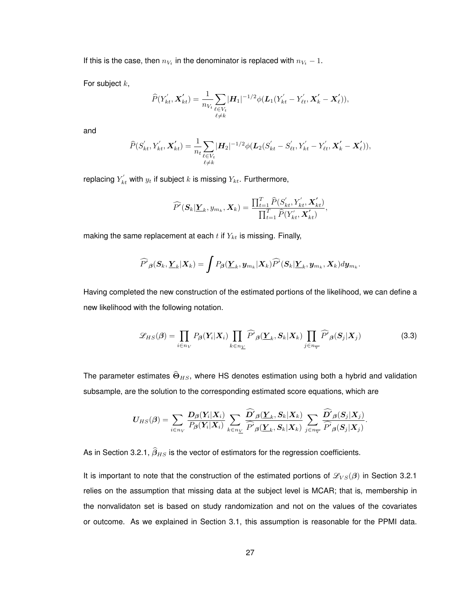If this is the case, then  $n_{V_t}$  in the denominator is replaced with  $n_{V_t} - 1$ .

For subject  $k$ ,

$$
\widehat{P}(Y'_{kt}, \mathbf{X}'_{kt}) = \frac{1}{n_{V_t}} \sum_{\substack{\ell \in V_t \\ \ell \neq k}} |\mathbf{H}_1|^{-1/2} \phi(\mathbf{L}_1(Y'_{kt} - Y'_{\ell t}, \mathbf{X}'_k - \mathbf{X}'_{\ell})),
$$

and

$$
\widehat{P}(S'_{kt}, Y'_{kt}, \mathbf{X}'_{kt}) = \frac{1}{n_t} \sum_{\substack{\ell \in V_t \\ \ell \neq k}} |\mathbf{H}_2|^{-1/2} \phi(\mathbf{L}_2(S'_{kt} - S'_{\ell t}, Y'_{kt} - Y'_{\ell t}, \mathbf{X}'_k - \mathbf{X}'_{\ell})),
$$

replacing  $Y_{kt}^{'}$  with  $y_{t}$  if subject  $k$  is missing  $Y_{kt}.$  Furthermore,

$$
\widehat{P}^{\prime}(\mathbf{S}_k|\mathbf{\underline{Y}}_k, y_{m_k}, \mathbf{X}_k) = \frac{\prod_{t=1}^T \widehat{P}(S_{kt}^{\prime}, Y_{kt}^{\prime}, \mathbf{X}_{kt}^{\prime})}{\prod_{t=1}^T \widehat{P}(Y_{kt}^{\prime}, \mathbf{X}_{kt}^{\prime})},
$$

making the same replacement at each  $t$  if  $Y_{kt}$  is missing. Finally,

$$
\widehat{P'}_{\beta}(S_k, \underline{Y}_k | \underline{X}_k) = \int P_{\beta}(\underline{Y}_k, y_{m_k} | \underline{X}_k) \widehat{P'}(S_k | \underline{Y}_k, y_{m_k}, X_k) dy_{m_k}
$$

Having completed the new construction of the estimated portions of the likelihood, we can define a new likelihood with the following notation.

$$
\mathcal{L}_{HS}(\beta) = \prod_{i \in n_V} P_{\beta}(Y_i | X_i) \prod_{k \in n_V} \widehat{P'}_{\beta}(\underline{Y}_k, S_k | X_k) \prod_{j \in n_V} \widehat{P'}_{\beta}(S_j | X_j)
$$
(3.3)

.

The parameter estimates  $\widehat{\Theta}_{HS}$ , where HS denotes estimation using both a hybrid and validation subsample, are the solution to the corresponding estimated score equations, which are

$$
\boldsymbol{U_{HS}}(\boldsymbol{\beta}) = \sum_{i \in n_V} \frac{\boldsymbol{D}_{\boldsymbol{\beta}}(\boldsymbol{Y_i}|\boldsymbol{X_i})}{P_{\boldsymbol{\beta}}(\boldsymbol{Y_i}|\boldsymbol{X_i})} \sum_{k \in n_{\underline{V}}} \frac{\widehat{\boldsymbol{D}'}_{\boldsymbol{\beta}}(\boldsymbol{\underline{Y}}_k,\boldsymbol{S}_k|\boldsymbol{X_k})}{\widehat{\boldsymbol{P}'}_{\boldsymbol{\beta}}(\boldsymbol{\underline{Y}}_k,\boldsymbol{S}_k|\boldsymbol{X_k})} \sum_{j \in n_{\overline{V}}} \frac{\widehat{\boldsymbol{D}'}_{\boldsymbol{\beta}}(\boldsymbol{S}_j|\boldsymbol{X_j})}{\widehat{\boldsymbol{P}'}_{\boldsymbol{\beta}}(\boldsymbol{S}_j|\boldsymbol{X_j})}.
$$

As in Section 3.2.1,  $\widehat{\beta}_{HS}$  is the vector of estimators for the regression coefficients.

It is important to note that the construction of the estimated portions of  $\mathcal{L}_{VS}(\beta)$  in Section 3.2.1 relies on the assumption that missing data at the subject level is MCAR; that is, membership in the nonvalidaton set is based on study randomization and not on the values of the covariates or outcome. As we explained in Section 3.1, this assumption is reasonable for the PPMI data.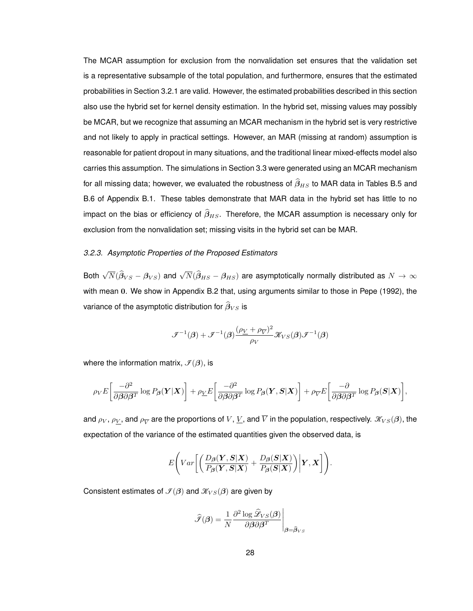The MCAR assumption for exclusion from the nonvalidation set ensures that the validation set is a representative subsample of the total population, and furthermore, ensures that the estimated probabilities in Section 3.2.1 are valid. However, the estimated probabilities described in this section also use the hybrid set for kernel density estimation. In the hybrid set, missing values may possibly be MCAR, but we recognize that assuming an MCAR mechanism in the hybrid set is very restrictive and not likely to apply in practical settings. However, an MAR (missing at random) assumption is reasonable for patient dropout in many situations, and the traditional linear mixed-effects model also carries this assumption. The simulations in Section 3.3 were generated using an MCAR mechanism for all missing data; however, we evaluated the robustness of  $\widehat{\beta}_{HS}$  to MAR data in Tables B.5 and B.6 of Appendix B.1. These tables demonstrate that MAR data in the hybrid set has little to no impact on the bias or efficiency of  $\widehat{\beta}_{HS}$ . Therefore, the MCAR assumption is necessary only for exclusion from the nonvalidation set; missing visits in the hybrid set can be MAR.

#### *3.2.3. Asymptotic Properties of the Proposed Estimators*

Both  $\sqrt{N}(\widehat{\beta}_{VS}-\beta_{VS})$  and  $\sqrt{N}(\widehat{\beta}_{HS}-\beta_{HS})$  are asymptotically normally distributed as  $N\to\infty$ with mean 0. We show in Appendix B.2 that, using arguments similar to those in Pepe (1992), the variance of the asymptotic distribution for  $\widehat{\beta}_{VS}$  is

$$
\mathcal{F}^{-1}(\boldsymbol{\beta})+\mathcal{F}^{-1}(\boldsymbol{\beta})\frac{(\rho_{V}+\rho_{\overline{V}})^{2}}{\rho_{V}}\mathcal{K}_{VS}(\boldsymbol{\beta})\mathcal{F}^{-1}(\boldsymbol{\beta})
$$

where the information matrix,  $\mathcal{I}(\beta)$ , is

$$
\rho_V E\bigg[\frac{-\partial^2}{\partial \beta \partial \beta^T} \log P_{\beta}(\boldsymbol{Y}|\boldsymbol{X})\bigg] + \rho_{\underline{V}} E\bigg[\frac{-\partial^2}{\partial \beta \partial \beta^T} \log P_{\beta}(\boldsymbol{Y}, \boldsymbol{S}|\boldsymbol{X})\bigg] + \rho_{\overline{V}} E\bigg[\frac{-\partial}{\partial \beta \partial \beta^T} \log P_{\beta}(\boldsymbol{S}|\boldsymbol{X})\bigg],
$$

and  $\rho_V$ ,  $\rho_{\underline V}$ , and  $\rho_{\overline V}$  are the proportions of  $V$ ,  $\underline V$ , and  $\overline V$  in the population, respectively.  $\mathscr K_{VS}(\bm\beta)$ , the expectation of the variance of the estimated quantities given the observed data, is

$$
E\Bigg(Var\bigg[\bigg(\frac{D_{\boldsymbol{\beta}}(\boldsymbol{Y},\boldsymbol{S}|\boldsymbol{X})}{P_{\boldsymbol{\beta}}(\boldsymbol{Y},\boldsymbol{S}|\boldsymbol{X})}+\frac{D_{\boldsymbol{\beta}}(\boldsymbol{S}|\boldsymbol{X})}{P_{\boldsymbol{\beta}}(\boldsymbol{S}|\boldsymbol{X})}\bigg)\bigg|\boldsymbol{Y},\boldsymbol{X}\bigg]\Bigg).
$$

Consistent estimates of  $\mathcal{I}(\beta)$  and  $\mathcal{K}_{VS}(\beta)$  are given by

$$
\hat{\mathcal{F}}(\boldsymbol{\beta}) = \frac{1}{N} \frac{\partial^2 \log \hat{\mathcal{L}}_{VS}(\boldsymbol{\beta})}{\partial \boldsymbol{\beta} \partial \boldsymbol{\beta}^T} \Bigg|_{\boldsymbol{\beta} = \hat{\boldsymbol{\beta}}_{VS}}
$$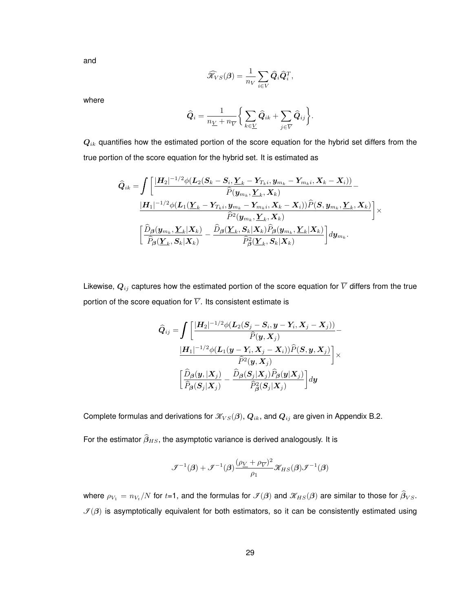and

$$
\widehat{\mathcal{K}}_{VS}(\boldsymbol{\beta}) = \frac{1}{n_V} \sum_{i \in V} \widehat{\boldsymbol{Q}}_i \widehat{\boldsymbol{Q}}_i^T,
$$

where

$$
\widehat{Q}_i = \frac{1}{n_{\underline{V}}+n_{\overline{V}}} \bigg\{\sum_{k \in \underline{V}} \widehat{Q}_{ik} + \sum_{j \in \overline{V}} \widehat{Q}_{ij}\bigg\}.
$$

 $Q_{ik}$  quantifies how the estimated portion of the score equation for the hybrid set differs from the true portion of the score equation for the hybrid set. It is estimated as

$$
\begin{aligned} \widehat{\bm{Q}}_{ik}=&\int\bigg[\frac{|\bm{H}_2|^{-1/2}\phi(\bm{L}_2(\bm{S}_k-\bm{S}_i,\bm{\underline{Y}}_k-\bm{Y}_{T_ki},\bm{y}_{m_k}-\bm{Y}_{m_ki},\bm{X}_k-\bm{X}_i))}{\widehat{P}(\bm{y}_{m_k},\bm{\underline{Y}}_k,\bm{X}_k)}\\&\frac{|\bm{H}_1|^{-1/2}\phi(\bm{L}_1(\bm{\underline{Y}}_k-\bm{Y}_{T_ki},\bm{y}_{m_k}-\bm{Y}_{m_ki},\bm{X}_k-\bm{X}_i))\widehat{P}(\bm{S},\bm{y}_{m_k},\bm{\underline{Y}}_k,\bm{X}_k)}{\widehat{P}^2(\bm{y}_{m_k},\bm{\underline{Y}}_k,\bm{X}_k)}\bigg]\times\\&\bigg[\frac{\widehat{D}_{\bm{\beta}}(\bm{y}_{m_k},\bm{\underline{Y}}_k|\bm{X}_k)}{\widehat{P}_{\bm{\beta}}(\bm{\underline{Y}}_k,\bm{S}_k|\bm{X}_k)}-\frac{\widehat{D}_{\bm{\beta}}(\bm{\underline{Y}}_k,\bm{S}_k|\bm{X}_k)\widehat{P}_{\bm{\beta}}(\bm{y}_{m_k},\bm{\underline{Y}}_k|\bm{X}_k)}{\widehat{P}_{\bm{\beta}}^2(\bm{\underline{Y}}_k,\bm{S}_k|\bm{X}_k)}\bigg]d\bm{y}_{m_k}.\end{aligned}
$$

Likewise,  $\bm{Q}_{ij}$  captures how the estimated portion of the score equation for  $\overline{V}$  differs from the true portion of the score equation for  $\overline{V}$ . Its consistent estimate is

$$
\begin{aligned} \widehat{\bm{Q}}_{ij}=&\int\!\bigg[\frac{|\bm{H}_2|^{-1/2}\phi(\bm{L}_2(\bm{S}_j-\bm{S}_i,\bm{y}-\bm{Y}_i,\bm{X}_j-\bm{X}_j))}{\widehat{P}(\bm{y},\bm{X}_j)}\\&\frac{|\bm{H}_1|^{-1/2}\phi(\bm{L}_1(\bm{y}-\bm{Y}_i,\bm{X}_j-\bm{X}_i))\widehat{P}(\bm{S},\bm{y},\bm{X}_j)}{\widehat{P}^2(\bm{y},\bm{X}_j)}\bigg]\times\\&\bigg[\frac{\widehat{D}_{\bm{\beta}}(\bm{y},|\bm{X}_j)}{\widehat{P}_{\bm{\beta}}(\bm{S}_j|\bm{X}_j)}-\frac{\widehat{D}_{\bm{\beta}}(\bm{S}_j|\bm{X}_j)\widehat{P}_{\bm{\beta}}(\bm{y}|\bm{X}_j)}{\widehat{P}_{\bm{\beta}}^2(\bm{S}_j|\bm{X}_j)}\bigg]dy\end{aligned}
$$

Complete formulas and derivations for  $\mathcal{K}_{VS}(\beta),$   $\mathbf{Q}_{ik}$ , and  $\mathbf{Q}_{ij}$  are given in Appendix B.2.

For the estimator  $\widehat{\beta}_{HS}$ , the asymptotic variance is derived analogously. It is

$$
\mathcal{F}^{-1}(\boldsymbol{\beta})+\mathcal{F}^{-1}(\boldsymbol{\beta})\frac{(\rho_{V}+\rho_{\overline{V}})^{2}}{\rho_{1}}\mathcal{K}_{HS}(\boldsymbol{\beta})\mathcal{F}^{-1}(\boldsymbol{\beta})
$$

where  $\rho_{V_1}=n_{V_t}/N$  for  $t$ =1, and the formulas for  $\mathcal{I}(\bm{\beta})$  and  $\mathcal{K}_{HS}(\bm{\beta})$  are similar to those for  $\bm{\beta}_{VS}.$  $\mathcal{I}(\beta)$  is asymptotically equivalent for both estimators, so it can be consistently estimated using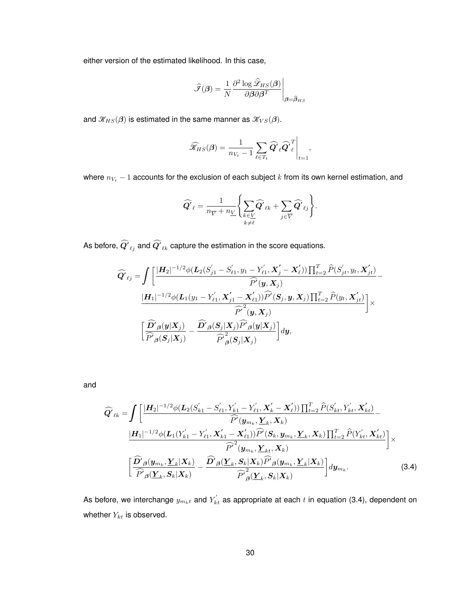either version of the estimated likelihood. In this case,

$$
\widehat{\mathcal{F}}(\pmb{\beta}) = \frac{1}{N} \frac{\partial^2 \log \widehat{\mathcal{L}}_{HS}(\pmb{\beta})}{\partial \pmb{\beta} \partial \pmb{\beta}^T}\Bigg|_{\pmb{\beta} = \widehat{\pmb{\beta}}_{HS}}
$$

and  $\mathcal{K}_{HS}(\beta)$  is estimated in the same manner as  $\mathcal{K}_{VS}(\beta)$ .

$$
\widehat{\mathcal{K}}_{HS}(\pmb{\beta}) = \frac{1}{n_{V_t} - 1}\sum_{\ell \in T_t} \widehat{\pmb{Q}'}_{\ell} \widehat{\pmb{Q}'}_{\ell}^T\Bigg|_{t=1},
$$

where  $n_{V_t}$  − 1 accounts for the exclusion of each subject  $k$  from its own kernel estimation, and

$$
\widehat{Q'}_{\ell} = \frac{1}{n_{\overline{V}} + n_{\underline{V}}} \Biggl\{ \sum_{\substack{k \in \underline{V} \\ k \neq \ell}} \widehat{Q'}_{\ell k} + \sum_{j \in \overline{V}} \widehat{Q'}_{\ell j} \Biggr\}.
$$

As before,  $\bm{Q'}_{\ell j}$  and  $\bm{Q'}_{\ell k}$  capture the estimation in the score equations.

$$
\widehat{Q'}_{\ell j} = \int \left[ \frac{|H_2|^{-1/2} \phi(L_2(S'_{j1} - S'_{\ell 1}, y_1 - Y'_{\ell 1}, X'_{j} - X'_{\ell})) \prod_{t=2}^T \widehat{P}(S'_{jt}, y_t, X'_{jt})}{\widehat{P'}(y, X_j)} - \frac{|H_1|^{-1/2} \phi(L_1(y_1 - Y'_{\ell 1}, X'_{j1} - X'_{\ell 1})) \widehat{P'}(S_j, y, X_j) \prod_{t=2}^T \widehat{P}(y_t, X'_{jt})}{\widehat{P'}^2(y, X_j)} \right] \times \left[ \frac{\widehat{D'}_{\beta}(y|X_j)}{\widehat{P'}_{\beta}(S_j|X_j)} - \frac{\widehat{D'}_{\beta}(S_j|X_j) \widehat{P'}_{\beta}(y|X_j)}{\widehat{P'}^2_{\beta}(S_j|X_j)} \right] dy,
$$

and

$$
\widehat{Q'}_{\ell k} = \int \left[ \frac{|\mathbf{H}_{2}|^{-1/2} \phi(\mathbf{L}_{2}(S_{k1}^{\prime} - S_{\ell 1}^{\prime}, Y_{k1}^{\prime} - Y_{\ell 1}^{\prime}, \mathbf{X}_{k}^{\prime} - \mathbf{X}_{\ell}^{\prime})) \prod_{t=2}^{T} \widehat{P}(S_{k t}^{\prime}, Y_{k t}^{\prime}, \mathbf{X}_{k t}^{\prime})}{\widehat{P}'(\mathbf{y}_{m k}, \mathbf{Y}_{k}, \mathbf{X}_{k})} - \frac{|\mathbf{H}_{1}|^{-1/2} \phi(\mathbf{L}_{1}(Y_{k1}^{\prime} - Y_{\ell 1}^{\prime}, \mathbf{X}_{k1}^{\prime} - \mathbf{X}_{\ell 1}^{\prime})) \widehat{P}'(\mathbf{S}_{k}, \mathbf{y}_{m k}, \mathbf{Y}_{k}, \mathbf{X}_{k}) \prod_{t=2}^{T} \widehat{P}(Y_{k t}^{\prime}, \mathbf{X}_{k t}^{\prime})}{\widehat{P}'(\mathbf{y}_{m k}, \mathbf{Y}_{k t}, \mathbf{X}_{k})} \right] \times \left[ \frac{\widehat{D'}_{\beta}(\mathbf{y}_{m k}, \mathbf{Y}_{k} | \mathbf{X}_{k})}{\widehat{P'}_{\beta}(\mathbf{Y}_{k}, \mathbf{S}_{k} | \mathbf{X}_{k})} - \frac{\widehat{D'}_{\beta}(\mathbf{Y}_{k}, \mathbf{S}_{k} | \mathbf{X}_{k}) \widehat{P'}_{\beta}(\mathbf{y}_{m k}, \mathbf{Y}_{k} | \mathbf{X}_{k})}{\widehat{P'}_{\beta}^2(\mathbf{Y}_{k}, \mathbf{S}_{k} | \mathbf{X}_{k})} \right] d\mathbf{y}_{m k}. \tag{3.4}
$$

As before, we interchange  $y_{m_kt}$  and  $Y^{'}_{kt}$  as appropriate at each  $t$  in equation (3.4), dependent on whether  $Y_{kt}$  is observed.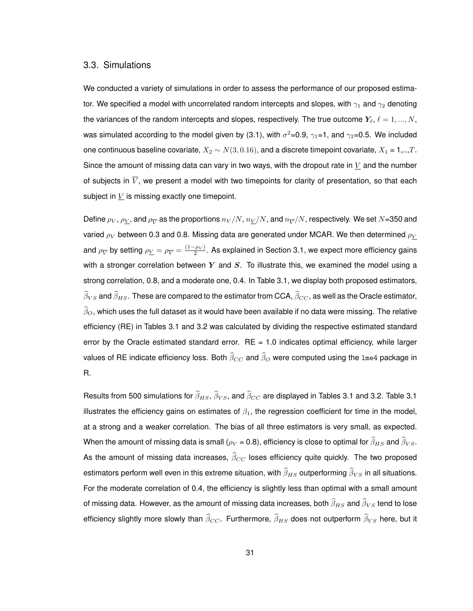#### 3.3. Simulations

We conducted a variety of simulations in order to assess the performance of our proposed estimator. We specified a model with uncorrelated random intercepts and slopes, with  $\gamma_1$  and  $\gamma_2$  denoting the variances of the random intercepts and slopes, respectively. The true outcome  $Y_{\ell}$ ,  $\ell = 1, ..., N$ , was simulated according to the model given by (3.1), with  $\sigma^2$ =0.9,  $\gamma_1$ =1, and  $\gamma_2$ =0.5. We included one continuous baseline covariate,  $X_2 \sim N(3, 0.16)$ , and a discrete timepoint covariate,  $X_1 = 1,..,T$ . Since the amount of missing data can vary in two ways, with the dropout rate in  $V$  and the number of subjects in  $\overline{V}$ , we present a model with two timepoints for clarity of presentation, so that each subject in  $V$  is missing exactly one timepoint.

Define  $\rho_V$ ,  $\rho_{\underline V}$ , and  $\rho_{\overline V}$  as the proportions  $n_V/N$  ,  $n_{\underline V}/N$ , and  $n_{\overline V}/N$ , respectively. We set  $N$ =350 and varied  $\rho_V$  between 0.3 and 0.8. Missing data are generated under MCAR. We then determined  $\rho_V$ and  $\rho_{\overline V}$  by setting  $\rho_{\underline V}=\rho_{\overline V}=\frac{(1-\rho_V)}{2}.$  As explained in Section 3.1, we expect more efficiency gains with a stronger correlation between  $Y$  and  $S$ . To illustrate this, we examined the model using a strong correlation, 0.8, and a moderate one, 0.4. In Table 3.1, we display both proposed estimators,  $\widehat\beta_{VS}$  and  $\widehat\beta_{HS}.$  These are compared to the estimator from CCA,  $\widehat\beta_{CC},$  as well as the Oracle estimator,  $\widehat{\beta}_O$ , which uses the full dataset as it would have been available if no data were missing. The relative efficiency (RE) in Tables 3.1 and 3.2 was calculated by dividing the respective estimated standard error by the Oracle estimated standard error.  $RE = 1.0$  indicates optimal efficiency, while larger values of RE indicate efficiency loss. Both  $\widehat{\beta}_{CC}$  and  $\widehat{\beta}_{O}$  were computed using the lme4 package in R.

Results from 500 simulations for  $\widehat{\beta}_{HS}$ ,  $\widehat{\beta}_{VS}$ , and  $\widehat{\beta}_{CC}$  are displayed in Tables 3.1 and 3.2. Table 3.1 illustrates the efficiency gains on estimates of  $\beta_1$ , the regression coefficient for time in the model, at a strong and a weaker correlation. The bias of all three estimators is very small, as expected. When the amount of missing data is small ( $\rho_V$  = 0.8), efficiency is close to optimal for  $\widehat \beta_{HS}$  and  $\widehat \beta_{VS}$ . As the amount of missing data increases,  $\widehat{\beta}_{CC}$  loses efficiency quite quickly. The two proposed estimators perform well even in this extreme situation, with  $\widehat{\beta}_{HS}$  outperforming  $\widehat{\beta}_{VS}$  in all situations. For the moderate correlation of 0.4, the efficiency is slightly less than optimal with a small amount of missing data. However, as the amount of missing data increases, both  $\widehat \beta_{HS}$  and  $\widehat \beta_{VS}$  tend to lose efficiency slightly more slowly than  $\widehat\beta_{CC}$ . Furthermore,  $\widehat\beta_{HS}$  does not outperform  $\widehat\beta_{VS}$  here, but it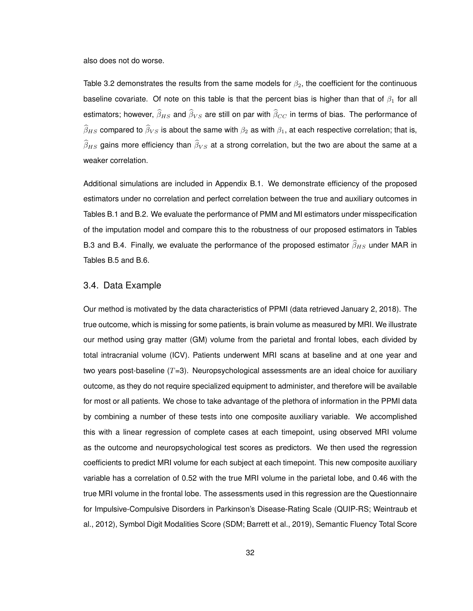also does not do worse.

Table 3.2 demonstrates the results from the same models for  $\beta_2$ , the coefficient for the continuous baseline covariate. Of note on this table is that the percent bias is higher than that of  $\beta_1$  for all estimators; however,  $\widehat{\beta}_{HS}$  and  $\widehat{\beta}_{VS}$  are still on par with  $\widehat{\beta}_{CC}$  in terms of bias. The performance of  $\widehat{\beta}_{HS}$  compared to  $\widehat{\beta}_{VS}$  is about the same with  $\beta_2$  as with  $\beta_1$ , at each respective correlation; that is,  $\widehat{\beta}_{HS}$  gains more efficiency than  $\widehat{\beta}_{VS}$  at a strong correlation, but the two are about the same at a weaker correlation.

Additional simulations are included in Appendix B.1. We demonstrate efficiency of the proposed estimators under no correlation and perfect correlation between the true and auxiliary outcomes in Tables B.1 and B.2. We evaluate the performance of PMM and MI estimators under misspecification of the imputation model and compare this to the robustness of our proposed estimators in Tables B.3 and B.4. Finally, we evaluate the performance of the proposed estimator  $\widehat{\beta}_{HS}$  under MAR in Tables B.5 and B.6.

#### 3.4. Data Example

Our method is motivated by the data characteristics of PPMI (data retrieved January 2, 2018). The true outcome, which is missing for some patients, is brain volume as measured by MRI. We illustrate our method using gray matter (GM) volume from the parietal and frontal lobes, each divided by total intracranial volume (ICV). Patients underwent MRI scans at baseline and at one year and two years post-baseline  $(T=3)$ . Neuropsychological assessments are an ideal choice for auxiliary outcome, as they do not require specialized equipment to administer, and therefore will be available for most or all patients. We chose to take advantage of the plethora of information in the PPMI data by combining a number of these tests into one composite auxiliary variable. We accomplished this with a linear regression of complete cases at each timepoint, using observed MRI volume as the outcome and neuropsychological test scores as predictors. We then used the regression coefficients to predict MRI volume for each subject at each timepoint. This new composite auxiliary variable has a correlation of 0.52 with the true MRI volume in the parietal lobe, and 0.46 with the true MRI volume in the frontal lobe. The assessments used in this regression are the Questionnaire for Impulsive-Compulsive Disorders in Parkinson's Disease-Rating Scale (QUIP-RS; Weintraub et al., 2012), Symbol Digit Modalities Score (SDM; Barrett et al., 2019), Semantic Fluency Total Score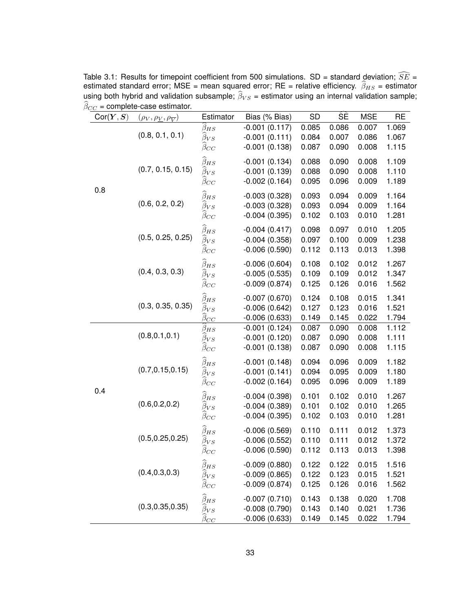|           | $\beta_{CC}$ = complete-case estimator.                                  | Estimator                                                              | Bias (% Bias)                                         | <b>SD</b>               | ŜÈ                      | <b>MSE</b>              | <b>RE</b>               |
|-----------|--------------------------------------------------------------------------|------------------------------------------------------------------------|-------------------------------------------------------|-------------------------|-------------------------|-------------------------|-------------------------|
| Cor(Y, S) | $(\rho_V, \rho_{\underline{V}}, \rho_{\overline{V}})$<br>(0.8, 0.1, 0.1) | $\beta_{HS}$<br>$\beta_{VS}$<br>$\beta_{CC}$                           | $-0.001(0.117)$<br>$-0.001(0.111)$<br>$-0.001(0.138)$ | 0.085<br>0.084<br>0.087 | 0.086<br>0.007<br>0.090 | 0.007<br>0.086<br>0.008 | 1.069<br>1.067<br>1.115 |
|           | (0.7, 0.15, 0.15)                                                        | $\widehat{\beta}_{HS}$<br>$\overline{\beta}_{VS}$<br>$\beta_{CC}$      | $-0.001(0.134)$<br>$-0.001(0.139)$<br>$-0.002(0.164)$ | 0.088<br>0.088<br>0.095 | 0.090<br>0.090<br>0.096 | 0.008<br>0.008<br>0.009 | 1.109<br>1.110<br>1.189 |
| 0.8       | (0.6, 0.2, 0.2)                                                          | $\widehat{\beta}_{HS}$<br>$\beta_{VS}$<br>$\beta_{CC}$                 | $-0.003(0.328)$<br>$-0.003(0.328)$<br>$-0.004(0.395)$ | 0.093<br>0.093<br>0.102 | 0.094<br>0.094<br>0.103 | 0.009<br>0.009<br>0.010 | 1.164<br>1.164<br>1.281 |
|           | (0.5, 0.25, 0.25)                                                        | $\widehat{\beta}_{HS}$<br>$\overline{\beta}_{VS}$<br>$\beta_{CC}$      | $-0.004(0.417)$<br>$-0.004(0.358)$<br>$-0.006(0.590)$ | 0.098<br>0.097<br>0.112 | 0.097<br>0.100<br>0.113 | 0.010<br>0.009<br>0.013 | 1.205<br>1.238<br>1.398 |
|           | (0.4, 0.3, 0.3)                                                          | $\widehat{\beta}_{HS}$<br>$\beta_{VS}$<br>$\beta_{CC}$                 | $-0.006(0.604)$<br>$-0.005(0.535)$<br>$-0.009(0.874)$ | 0.108<br>0.109<br>0.125 | 0.102<br>0.109<br>0.126 | 0.012<br>0.012<br>0.016 | 1.267<br>1.347<br>1.562 |
|           | (0.3, 0.35, 0.35)                                                        | $\widehat{\beta}_{HS}$<br>$\bar{\beta}_{VS}$<br>$\hat{\beta}_{CC}$     | $-0.007(0.670)$<br>$-0.006(0.642)$<br>$-0.006(0.633)$ | 0.124<br>0.127<br>0.149 | 0.108<br>0.123<br>0.145 | 0.015<br>0.016<br>0.022 | 1.341<br>1.521<br>1.794 |
|           | (0.8, 0.1, 0.1)                                                          | $\beta_{HS}$<br>$\beta_{VS}$<br>$\beta_{CC}$                           | $-0.001(0.124)$<br>$-0.001(0.120)$<br>$-0.001(0.138)$ | 0.087<br>0.087<br>0.087 | 0.090<br>0.090<br>0.090 | 0.008<br>0.008<br>0.008 | 1.112<br>1.111<br>1.115 |
|           | (0.7, 0.15, 0.15)                                                        | $\widehat{\beta}_{HS}$<br>$\beta_{VS}$<br>$\beta_{CC}$                 | $-0.001(0.148)$<br>$-0.001(0.141)$<br>$-0.002(0.164)$ | 0.094<br>0.094<br>0.095 | 0.096<br>0.095<br>0.096 | 0.009<br>0.009<br>0.009 | 1.182<br>1.180<br>1.189 |
| 0.4       | (0.6, 0.2, 0.2)                                                          | $\widehat{\beta}_{HS}$<br>$\beta_{VS}$<br>$\beta_{CC}$                 | $-0.004(0.398)$<br>$-0.004(0.389)$<br>$-0.004(0.395)$ | 0.101<br>0.101<br>0.102 | 0.102<br>0.102<br>0.103 | 0.010<br>0.010<br>0.010 | 1.267<br>1.265<br>1.281 |
|           | (0.5, 0.25, 0.25)                                                        | $\widehat{\beta}_{HS}$<br>$\beta_{VS}$<br>$\beta_{CC}$                 | $-0.006(0.569)$<br>$-0.006(0.552)$<br>$-0.006(0.590)$ | 0.110<br>0.110<br>0.112 | 0.111<br>0.111<br>0.113 | 0.012<br>0.012<br>0.013 | 1.373<br>1.372<br>1.398 |
|           | (0.4, 0.3, 0.3)                                                          | $\widehat{\beta}_{HS}$<br>$\overline{\beta}_{VS}$<br>$\beta_{CC}$      | $-0.009(0.880)$<br>$-0.009(0.865)$<br>$-0.009(0.874)$ | 0.122<br>0.122<br>0.125 | 0.122<br>0.123<br>0.126 | 0.015<br>0.015<br>0.016 | 1.516<br>1.521<br>1.562 |
|           | (0.3, 0.35, 0.35)                                                        | $\widehat{\beta}_{HS}$<br>$\widehat{\beta}_{VS}$<br>$\hat{\beta}_{CC}$ | $-0.007(0.710)$<br>$-0.008(0.790)$<br>$-0.006(0.633)$ | 0.143<br>0.143<br>0.149 | 0.138<br>0.140<br>0.145 | 0.020<br>0.021<br>0.022 | 1.708<br>1.736<br>1.794 |

Table 3.1: Results for timepoint coefficient from 500 simulations.  $SD =$  standard deviation;  $SE =$ estimated standard error; MSE = mean squared error; RE = relative efficiency.  $\beta_{HS}$  = estimator using both hybrid and validation subsample;  $\beta_{VS}$  = estimator using an internal validation sample;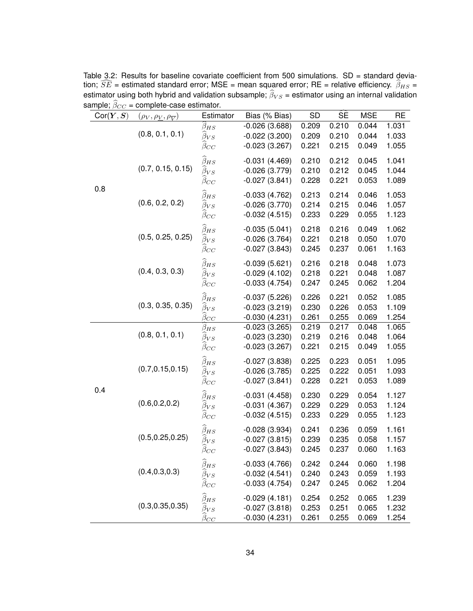| Cor(Y, S) | ample, $\rho_{CC}$ = complete case commator.<br>$(\rho_V, \rho_V, \rho_{\overline{V}})$ | Estimator                                                                     | Bias (% Bias)                                         | <b>SD</b>               | ŚÈ                      | <b>MSE</b>              | <b>RE</b>               |
|-----------|-----------------------------------------------------------------------------------------|-------------------------------------------------------------------------------|-------------------------------------------------------|-------------------------|-------------------------|-------------------------|-------------------------|
|           | (0.8, 0.1, 0.1)                                                                         | $\beta_{HS}$<br>$\beta_{VS}$<br>$\beta_{CC}$                                  | $-0.026(3.688)$<br>$-0.022(3.200)$<br>$-0.023(3.267)$ | 0.209<br>0.209<br>0.221 | 0.210<br>0.210<br>0.215 | 0.044<br>0.044<br>0.049 | 1.031<br>1.033<br>1.055 |
|           | (0.7, 0.15, 0.15)                                                                       | $\widehat{\beta}_{HS}$<br>$\bar{\beta}_{VS}$<br>$\beta_{CC}$                  | $-0.031(4.469)$<br>$-0.026(3.779)$<br>$-0.027(3.841)$ | 0.210<br>0.210<br>0.228 | 0.212<br>0.212<br>0.221 | 0.045<br>0.045<br>0.053 | 1.041<br>1.044<br>1.089 |
| 0.8       | (0.6, 0.2, 0.2)                                                                         | $\widehat{\beta}_{HS}$<br>$\beta_{VS}$<br>$\beta_{CC}$                        | $-0.033(4.762)$<br>$-0.026(3.770)$<br>$-0.032(4.515)$ | 0.213<br>0.214<br>0.233 | 0.214<br>0.215<br>0.229 | 0.046<br>0.046<br>0.055 | 1.053<br>1.057<br>1.123 |
|           | (0.5, 0.25, 0.25)                                                                       | $\widehat{\beta}_{HS}$<br>$\overline{\beta}_{VS}$<br>$\beta_{CC}$             | $-0.035(5.041)$<br>$-0.026(3.764)$<br>$-0.027(3.843)$ | 0.218<br>0.221<br>0.245 | 0.216<br>0.218<br>0.237 | 0.049<br>0.050<br>0.061 | 1.062<br>1.070<br>1.163 |
|           | (0.4, 0.3, 0.3)                                                                         | $\widehat{\beta}_{HS}$<br>$\beta_{VS}$<br>$\beta_{CC}$                        | $-0.039(5.621)$<br>$-0.029(4.102)$<br>$-0.033(4.754)$ | 0.216<br>0.218<br>0.247 | 0.218<br>0.221<br>0.245 | 0.048<br>0.048<br>0.062 | 1.073<br>1.087<br>1.204 |
|           | (0.3, 0.35, 0.35)                                                                       | $\widehat{\beta}_{HS}$<br>$\beta_{VS}$<br>$\overline{\beta_{C\underline{C}}}$ | $-0.037(5.226)$<br>$-0.023(3.219)$<br>$-0.030(4.231)$ | 0.226<br>0.230<br>0.261 | 0.221<br>0.226<br>0.255 | 0.052<br>0.053<br>0.069 | 1.085<br>1.109<br>1.254 |
| 0.4       | (0.8, 0.1, 0.1)                                                                         | $\beta_{HS}$<br>$\beta_{VS}$<br>$\beta_{CC}$                                  | $-0.023(3.265)$<br>$-0.023(3.230)$<br>$-0.023(3.267)$ | 0.219<br>0.219<br>0.221 | 0.217<br>0.216<br>0.215 | 0.048<br>0.048<br>0.049 | 1.065<br>1.064<br>1.055 |
|           | (0.7, 0.15, 0.15)                                                                       | $\widehat{\beta}_{HS}$<br>$\beta_{VS}$<br>$\beta_{CC}$                        | $-0.027(3.838)$<br>$-0.026(3.785)$<br>$-0.027(3.841)$ | 0.225<br>0.225<br>0.228 | 0.223<br>0.222<br>0.221 | 0.051<br>0.051<br>0.053 | 1.095<br>1.093<br>1.089 |
|           | (0.6, 0.2, 0.2)                                                                         | $\widehat{\beta}_{HS}$<br>$\beta_{VS}$<br>$\beta_{CC}$                        | $-0.031(4.458)$<br>$-0.031(4.367)$<br>$-0.032(4.515)$ | 0.230<br>0.229<br>0.233 | 0.229<br>0.229<br>0.229 | 0.054<br>0.053<br>0.055 | 1.127<br>1.124<br>1.123 |
|           | (0.5, 0.25, 0.25)                                                                       | $\widehat{\beta}_{HS}$<br>$\beta_{VS}$<br>$\beta_{CC}$                        | $-0.028(3.934)$<br>$-0.027(3.815)$<br>$-0.027(3.843)$ | 0.241<br>0.239<br>0.245 | 0.236<br>0.235<br>0.237 | 0.059<br>0.058<br>0.060 | 1.161<br>1.157<br>1.163 |
|           | (0.4, 0.3, 0.3)                                                                         | $\widehat{\beta}_{HS}$<br>$\beta_{VS}$<br>$\beta_{CC}$                        | $-0.033(4.766)$<br>$-0.032(4.541)$<br>$-0.033(4.754)$ | 0.242<br>0.240<br>0.247 | 0.244<br>0.243<br>0.245 | 0.060<br>0.059<br>0.062 | 1.198<br>1.193<br>1.204 |
|           | (0.3, 0.35, 0.35)                                                                       | $\widehat{\beta}_{HS}$<br>$\widehat{\beta}_{VS}$<br>$\beta_{CC}$              | $-0.029(4.181)$<br>$-0.027(3.818)$<br>$-0.030(4.231)$ | 0.254<br>0.253<br>0.261 | 0.252<br>0.251<br>0.255 | 0.065<br>0.065<br>0.069 | 1.239<br>1.232<br>1.254 |

Table 3.2: Results for baseline covariate coefficient from 500 simulations. SD = standard deviation;  $\widehat{SE}$  = estimated standard error; MSE = mean squared error; RE = relative efficiency.  $\widehat{\beta}_{HS}$  = estimator using both hybrid and validation subsample;  $\beta_{VS}$  = estimator using an internal validation sample;  $\beta_{CC}$  = complete-case estimator.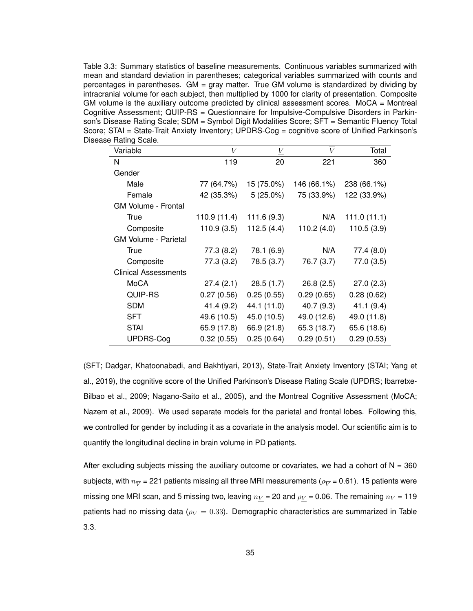Table 3.3: Summary statistics of baseline measurements. Continuous variables summarized with mean and standard deviation in parentheses; categorical variables summarized with counts and percentages in parentheses. GM = gray matter. True GM volume is standardized by dividing by intracranial volume for each subject, then multiplied by 1000 for clarity of presentation. Composite GM volume is the auxiliary outcome predicted by clinical assessment scores. MoCA  $=$  Montreal Cognitive Assessment; QUIP-RS = Questionnaire for Impulsive-Compulsive Disorders in Parkinson's Disease Rating Scale; SDM = Symbol Digit Modalities Score; SFT = Semantic Fluency Total Score; STAI = State-Trait Anxiety Inventory; UPDRS-Cog = cognitive score of Unified Parkinson's Disease Rating Scale.

| Variable                    | V            | $\underline{V}$ | $\overline{V}$ | Total       |
|-----------------------------|--------------|-----------------|----------------|-------------|
| N                           | 119          | 20              | 221            | 360         |
| Gender                      |              |                 |                |             |
| Male                        | 77 (64.7%)   | 15 (75.0%)      | 146 (66.1%)    | 238 (66.1%) |
| Female                      | 42 (35.3%)   | $5(25.0\%)$     | 75 (33.9%)     | 122 (33.9%) |
| <b>GM Volume - Frontal</b>  |              |                 |                |             |
| True                        | 110.9 (11.4) | 111.6 (9.3)     | N/A            | 111.0(11.1) |
| Composite                   | 110.9(3.5)   | 112.5(4.4)      | 110.2(4.0)     | 110.5(3.9)  |
| <b>GM Volume - Parietal</b> |              |                 |                |             |
| <b>True</b>                 | 77.3 (8.2)   | 78.1 (6.9)      | N/A            | 77.4 (8.0)  |
| Composite                   | 77.3 (3.2)   | 78.5 (3.7)      | 76.7 (3.7)     | 77.0 (3.5)  |
| <b>Clinical Assessments</b> |              |                 |                |             |
| MoCA                        | 27.4(2.1)    | 28.5(1.7)       | 26.8(2.5)      | 27.0(2.3)   |
| QUIP-RS                     | 0.27(0.56)   | 0.25(0.55)      | 0.29(0.65)     | 0.28(0.62)  |
| <b>SDM</b>                  | 41.4 (9.2)   | 44.1 (11.0)     | 40.7 (9.3)     | 41.1(9.4)   |
| <b>SFT</b>                  | 49.6 (10.5)  | 45.0 (10.5)     | 49.0 (12.6)    | 49.0 (11.8) |
| <b>STAI</b>                 | 65.9 (17.8)  | 66.9 (21.8)     | 65.3 (18.7)    | 65.6 (18.6) |
| <b>UPDRS-Cog</b>            | 0.32(0.55)   | 0.25(0.64)      | 0.29(0.51)     | 0.29(0.53)  |

(SFT; Dadgar, Khatoonabadi, and Bakhtiyari, 2013), State-Trait Anxiety Inventory (STAI; Yang et al., 2019), the cognitive score of the Unified Parkinson's Disease Rating Scale (UPDRS; Ibarretxe-Bilbao et al., 2009; Nagano-Saito et al., 2005), and the Montreal Cognitive Assessment (MoCA; Nazem et al., 2009). We used separate models for the parietal and frontal lobes. Following this, we controlled for gender by including it as a covariate in the analysis model. Our scientific aim is to quantify the longitudinal decline in brain volume in PD patients.

After excluding subjects missing the auxiliary outcome or covariates, we had a cohort of  $N = 360$ subjects, with  $n_{\overline V}$  = 221 patients missing all three MRI measurements ( $\rho_{\overline V}$  = 0.61). 15 patients were missing one MRI scan, and 5 missing two, leaving  $n_V$  = 20 and  $\rho_V$  = 0.06. The remaining  $n_V$  = 119 patients had no missing data ( $\rho_V = 0.33$ ). Demographic characteristics are summarized in Table 3.3.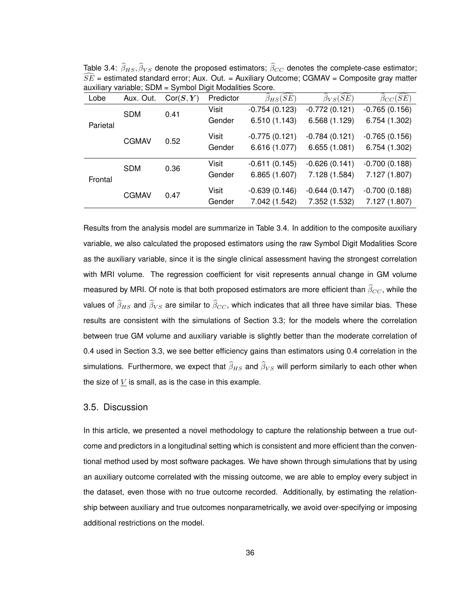| Lobe     | Aux. Out.    | Cor(S, Y) | Predictor | $\widehat{\beta}_{HS}(\widehat{SE})$ | $\widehat{\beta}_{VS}(\widehat{SE})$ | $\beta_{CC}(S\bar{E})$ |
|----------|--------------|-----------|-----------|--------------------------------------|--------------------------------------|------------------------|
|          | <b>SDM</b>   | 0.41      | Visit     | $-0.754(0.123)$                      | $-0.772(0.121)$                      | $-0.765(0.156)$        |
| Parietal |              |           | Gender    | 6.510 (1.143)                        | 6.568 (1.129)                        | 6.754 (1.302)          |
|          | <b>CGMAV</b> | 0.52      | Visit     | $-0.775(0.121)$                      | $-0.784(0.121)$                      | $-0.765(0.156)$        |
|          |              |           | Gender    | 6.616 (1.077)                        | 6.655(1.081)                         | 6.754 (1.302)          |
|          | <b>SDM</b>   | 0.36      | Visit     | $-0.611(0.145)$                      | $-0.626(0.141)$                      | $-0.700(0.188)$        |
| Frontal  |              |           | Gender    | 6.865 (1.607)                        | 7.128 (1.584)                        | 7.127 (1.807)          |
|          | <b>CGMAV</b> | 0.47      | Visit     | $-0.639(0.146)$                      | $-0.644(0.147)$                      | $-0.700(0.188)$        |
|          |              |           | Gender    | 7.042 (1.542)                        | 7.352 (1.532)                        | 7.127 (1.807)          |

Table 3.4:  $\widehat{\beta}_{HS}, \widehat{\beta}_{VS}$  denote the proposed estimators;  $\widehat{\beta}_{CC}$  denotes the complete-case estimator;  $\widehat{SE}$  = estimated standard error; Aux. Out. = Auxiliary Outcome; CGMAV = Composite gray matter auxiliary variable; SDM = Symbol Digit Modalities Score.

Results from the analysis model are summarize in Table 3.4. In addition to the composite auxiliary variable, we also calculated the proposed estimators using the raw Symbol Digit Modalities Score as the auxiliary variable, since it is the single clinical assessment having the strongest correlation with MRI volume. The regression coefficient for visit represents annual change in GM volume measured by MRI. Of note is that both proposed estimators are more efficient than  $\widehat{\beta}_{CC}$ , while the values of  $\widehat{\beta}_{HS}$  and  $\widehat{\beta}_{VS}$  are similar to  $\widehat{\beta}_{CC}$ , which indicates that all three have similar bias. These results are consistent with the simulations of Section 3.3; for the models where the correlation between true GM volume and auxiliary variable is slightly better than the moderate correlation of 0.4 used in Section 3.3, we see better efficiency gains than estimators using 0.4 correlation in the simulations. Furthermore, we expect that  $\widehat{\beta}_{HS}$  and  $\widehat{\beta}_{VS}$  will perform similarly to each other when the size of  *is small, as is the case in this example.* 

### 3.5. Discussion

In this article, we presented a novel methodology to capture the relationship between a true outcome and predictors in a longitudinal setting which is consistent and more efficient than the conventional method used by most software packages. We have shown through simulations that by using an auxiliary outcome correlated with the missing outcome, we are able to employ every subject in the dataset, even those with no true outcome recorded. Additionally, by estimating the relationship between auxiliary and true outcomes nonparametrically, we avoid over-specifying or imposing additional restrictions on the model.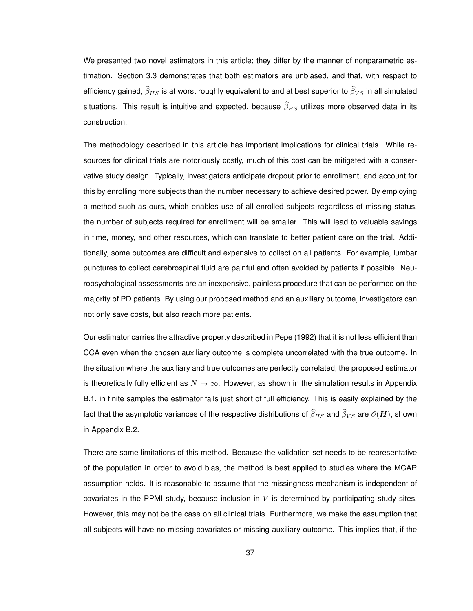We presented two novel estimators in this article; they differ by the manner of nonparametric estimation. Section 3.3 demonstrates that both estimators are unbiased, and that, with respect to efficiency gained,  $\widehat{\beta}_{HS}$  is at worst roughly equivalent to and at best superior to  $\widehat{\beta}_{VS}$  in all simulated situations. This result is intuitive and expected, because  $\widehat{\beta}_{HS}$  utilizes more observed data in its construction.

The methodology described in this article has important implications for clinical trials. While resources for clinical trials are notoriously costly, much of this cost can be mitigated with a conservative study design. Typically, investigators anticipate dropout prior to enrollment, and account for this by enrolling more subjects than the number necessary to achieve desired power. By employing a method such as ours, which enables use of all enrolled subjects regardless of missing status, the number of subjects required for enrollment will be smaller. This will lead to valuable savings in time, money, and other resources, which can translate to better patient care on the trial. Additionally, some outcomes are difficult and expensive to collect on all patients. For example, lumbar punctures to collect cerebrospinal fluid are painful and often avoided by patients if possible. Neuropsychological assessments are an inexpensive, painless procedure that can be performed on the majority of PD patients. By using our proposed method and an auxiliary outcome, investigators can not only save costs, but also reach more patients.

Our estimator carries the attractive property described in Pepe (1992) that it is not less efficient than CCA even when the chosen auxiliary outcome is complete uncorrelated with the true outcome. In the situation where the auxiliary and true outcomes are perfectly correlated, the proposed estimator is theoretically fully efficient as  $N \to \infty$ . However, as shown in the simulation results in Appendix B.1, in finite samples the estimator falls just short of full efficiency. This is easily explained by the fact that the asymptotic variances of the respective distributions of  $\widehat \beta_{HS}$  and  $\widehat \beta_{VS}$  are  $\mathcal O(\bm H)$ , shown in Appendix B.2.

There are some limitations of this method. Because the validation set needs to be representative of the population in order to avoid bias, the method is best applied to studies where the MCAR assumption holds. It is reasonable to assume that the missingness mechanism is independent of covariates in the PPMI study, because inclusion in  $\overline{V}$  is determined by participating study sites. However, this may not be the case on all clinical trials. Furthermore, we make the assumption that all subjects will have no missing covariates or missing auxiliary outcome. This implies that, if the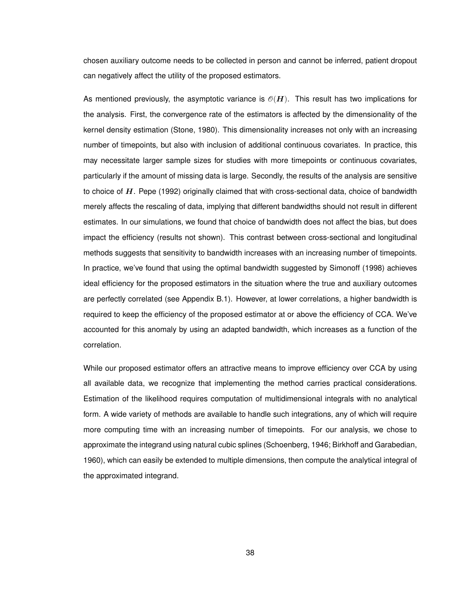chosen auxiliary outcome needs to be collected in person and cannot be inferred, patient dropout can negatively affect the utility of the proposed estimators.

As mentioned previously, the asymptotic variance is  $\mathcal{O}(H)$ . This result has two implications for the analysis. First, the convergence rate of the estimators is affected by the dimensionality of the kernel density estimation (Stone, 1980). This dimensionality increases not only with an increasing number of timepoints, but also with inclusion of additional continuous covariates. In practice, this may necessitate larger sample sizes for studies with more timepoints or continuous covariates, particularly if the amount of missing data is large. Secondly, the results of the analysis are sensitive to choice of H. Pepe (1992) originally claimed that with cross-sectional data, choice of bandwidth merely affects the rescaling of data, implying that different bandwidths should not result in different estimates. In our simulations, we found that choice of bandwidth does not affect the bias, but does impact the efficiency (results not shown). This contrast between cross-sectional and longitudinal methods suggests that sensitivity to bandwidth increases with an increasing number of timepoints. In practice, we've found that using the optimal bandwidth suggested by Simonoff (1998) achieves ideal efficiency for the proposed estimators in the situation where the true and auxiliary outcomes are perfectly correlated (see Appendix B.1). However, at lower correlations, a higher bandwidth is required to keep the efficiency of the proposed estimator at or above the efficiency of CCA. We've accounted for this anomaly by using an adapted bandwidth, which increases as a function of the correlation.

While our proposed estimator offers an attractive means to improve efficiency over CCA by using all available data, we recognize that implementing the method carries practical considerations. Estimation of the likelihood requires computation of multidimensional integrals with no analytical form. A wide variety of methods are available to handle such integrations, any of which will require more computing time with an increasing number of timepoints. For our analysis, we chose to approximate the integrand using natural cubic splines (Schoenberg, 1946; Birkhoff and Garabedian, 1960), which can easily be extended to multiple dimensions, then compute the analytical integral of the approximated integrand.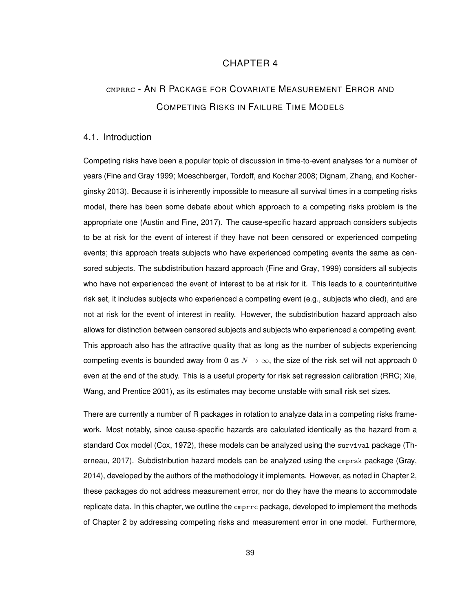# CHAPTER 4

# cmprrc - A<sup>N</sup> R PACKAGE FOR COVARIATE MEASUREMENT ERROR AND COMPETING RISKS IN FAILURE TIME MODELS

#### 4.1. Introduction

Competing risks have been a popular topic of discussion in time-to-event analyses for a number of years (Fine and Gray 1999; Moeschberger, Tordoff, and Kochar 2008; Dignam, Zhang, and Kocherginsky 2013). Because it is inherently impossible to measure all survival times in a competing risks model, there has been some debate about which approach to a competing risks problem is the appropriate one (Austin and Fine, 2017). The cause-specific hazard approach considers subjects to be at risk for the event of interest if they have not been censored or experienced competing events; this approach treats subjects who have experienced competing events the same as censored subjects. The subdistribution hazard approach (Fine and Gray, 1999) considers all subjects who have not experienced the event of interest to be at risk for it. This leads to a counterintuitive risk set, it includes subjects who experienced a competing event (e.g., subjects who died), and are not at risk for the event of interest in reality. However, the subdistribution hazard approach also allows for distinction between censored subjects and subjects who experienced a competing event. This approach also has the attractive quality that as long as the number of subjects experiencing competing events is bounded away from 0 as  $N \to \infty$ , the size of the risk set will not approach 0 even at the end of the study. This is a useful property for risk set regression calibration (RRC; Xie, Wang, and Prentice 2001), as its estimates may become unstable with small risk set sizes.

There are currently a number of R packages in rotation to analyze data in a competing risks framework. Most notably, since cause-specific hazards are calculated identically as the hazard from a standard Cox model (Cox, 1972), these models can be analyzed using the survival package (Therneau, 2017). Subdistribution hazard models can be analyzed using the cmprsk package (Gray, 2014), developed by the authors of the methodology it implements. However, as noted in Chapter 2, these packages do not address measurement error, nor do they have the means to accommodate replicate data. In this chapter, we outline the cmprrc package, developed to implement the methods of Chapter 2 by addressing competing risks and measurement error in one model. Furthermore,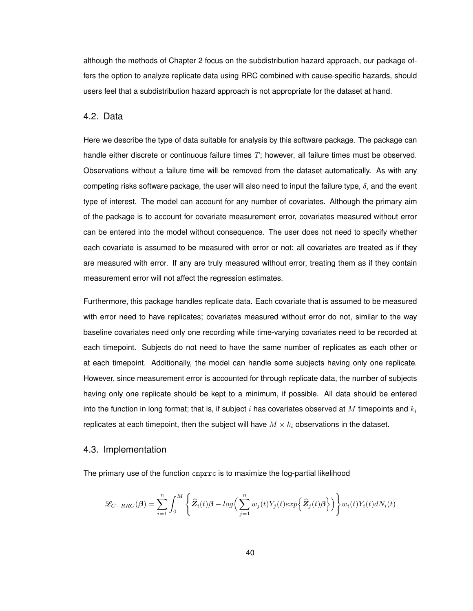although the methods of Chapter 2 focus on the subdistribution hazard approach, our package offers the option to analyze replicate data using RRC combined with cause-specific hazards, should users feel that a subdistribution hazard approach is not appropriate for the dataset at hand.

#### 4.2. Data

Here we describe the type of data suitable for analysis by this software package. The package can handle either discrete or continuous failure times  $T$ ; however, all failure times must be observed. Observations without a failure time will be removed from the dataset automatically. As with any competing risks software package, the user will also need to input the failure type,  $\delta$ , and the event type of interest. The model can account for any number of covariates. Although the primary aim of the package is to account for covariate measurement error, covariates measured without error can be entered into the model without consequence. The user does not need to specify whether each covariate is assumed to be measured with error or not; all covariates are treated as if they are measured with error. If any are truly measured without error, treating them as if they contain measurement error will not affect the regression estimates.

Furthermore, this package handles replicate data. Each covariate that is assumed to be measured with error need to have replicates; covariates measured without error do not, similar to the way baseline covariates need only one recording while time-varying covariates need to be recorded at each timepoint. Subjects do not need to have the same number of replicates as each other or at each timepoint. Additionally, the model can handle some subjects having only one replicate. However, since measurement error is accounted for through replicate data, the number of subjects having only one replicate should be kept to a minimum, if possible. All data should be entered into the function in long format; that is, if subject i has covariates observed at M timepoints and  $k_i$ replicates at each timepoint, then the subject will have  $M \times k_i$  observations in the dataset.

#### 4.3. Implementation

The primary use of the function cmprrc is to maximize the log-partial likelihood

$$
\mathcal{L}_{C-RRC}(\boldsymbol{\beta}) = \sum_{i=1}^{n} \int_{0}^{M} \left\{ \widehat{\mathbf{Z}}_{i}(t) \boldsymbol{\beta} - log \Big( \sum_{j=1}^{n} w_{j}(t) Y_{j}(t) exp \Big\{ \widehat{\mathbf{Z}}_{j}(t) \boldsymbol{\beta} \Big\} \Big) \right\} w_{i}(t) Y_{i}(t) dN_{i}(t)
$$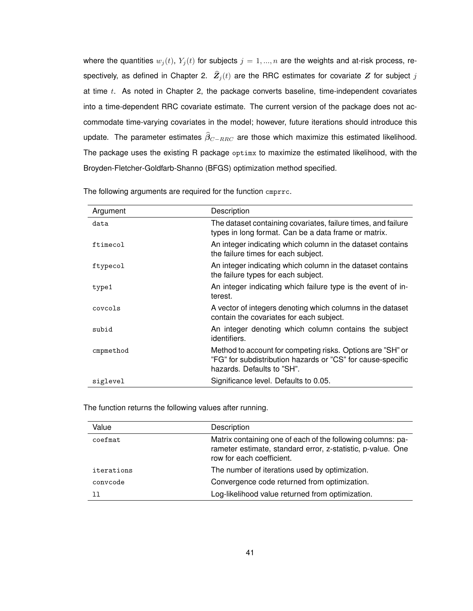where the quantities  $w_i(t)$ ,  $Y_i(t)$  for subjects  $j = 1, ..., n$  are the weights and at-risk process, respectively, as defined in Chapter 2.  $\widehat{Z}_j(t)$  are the RRC estimates for covariate Z for subject j at time  $t$ . As noted in Chapter 2, the package converts baseline, time-independent covariates into a time-dependent RRC covariate estimate. The current version of the package does not accommodate time-varying covariates in the model; however, future iterations should introduce this update. The parameter estimates  $\widehat{\beta}_{C-RRC}$  are those which maximize this estimated likelihood. The package uses the existing R package optimx to maximize the estimated likelihood, with the Broyden-Fletcher-Goldfarb-Shanno (BFGS) optimization method specified.

| Argument  | Description                                                                                                                                             |
|-----------|---------------------------------------------------------------------------------------------------------------------------------------------------------|
| data      | The dataset containing covariates, failure times, and failure<br>types in long format. Can be a data frame or matrix.                                   |
| ftimecol  | An integer indicating which column in the dataset contains<br>the failure times for each subject.                                                       |
| ftypecol  | An integer indicating which column in the dataset contains<br>the failure types for each subject.                                                       |
| type1     | An integer indicating which failure type is the event of in-<br>terest.                                                                                 |
| covcols   | A vector of integers denoting which columns in the dataset<br>contain the covariates for each subject.                                                  |
| subid     | An integer denoting which column contains the subject<br>identifiers.                                                                                   |
| cmpmethod | Method to account for competing risks. Options are "SH" or<br>"FG" for subdistribution hazards or "CS" for cause-specific<br>hazards. Defaults to "SH". |
| siglevel  | Significance level. Defaults to 0.05.                                                                                                                   |

The following arguments are required for the function cmprrc.

The function returns the following values after running.

| Value      | Description                                                                                                                                             |
|------------|---------------------------------------------------------------------------------------------------------------------------------------------------------|
| coefmat    | Matrix containing one of each of the following columns: pa-<br>rameter estimate, standard error, z-statistic, p-value. One<br>row for each coefficient. |
| iterations | The number of iterations used by optimization.                                                                                                          |
| convcode   | Convergence code returned from optimization.                                                                                                            |
| ו ו        | Log-likelihood value returned from optimization.                                                                                                        |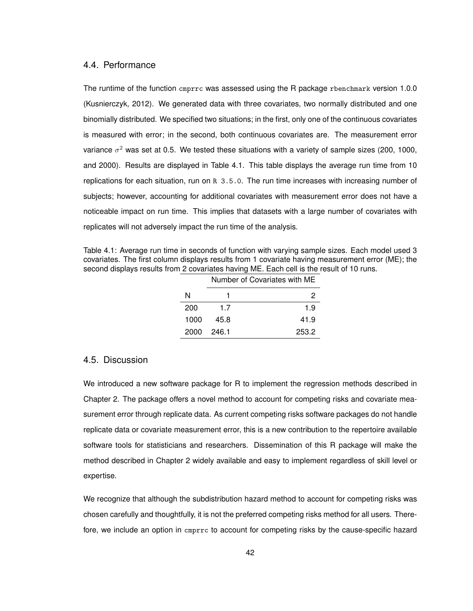#### 4.4. Performance

The runtime of the function cmprrc was assessed using the R package rbenchmark version 1.0.0 (Kusnierczyk, 2012). We generated data with three covariates, two normally distributed and one binomially distributed. We specified two situations; in the first, only one of the continuous covariates is measured with error; in the second, both continuous covariates are. The measurement error variance  $\sigma^2$  was set at 0.5. We tested these situations with a variety of sample sizes (200, 1000, and 2000). Results are displayed in Table 4.1. This table displays the average run time from 10 replications for each situation, run on R 3.5.0. The run time increases with increasing number of subjects; however, accounting for additional covariates with measurement error does not have a noticeable impact on run time. This implies that datasets with a large number of covariates with replicates will not adversely impact the run time of the analysis.

Table 4.1: Average run time in seconds of function with varying sample sizes. Each model used 3 covariates. The first column displays results from 1 covariate having measurement error (ME); the second displays results from 2 covariates having ME. Each cell is the result of 10 runs.

|      | Number of Covariates with ME |       |  |
|------|------------------------------|-------|--|
| N    |                              | 2     |  |
| 200  | 1.7                          | 1.9   |  |
| 1000 | 45.8                         | 41.9  |  |
| 2000 | 246.1                        | 253.2 |  |

#### 4.5. Discussion

We introduced a new software package for R to implement the regression methods described in Chapter 2. The package offers a novel method to account for competing risks and covariate measurement error through replicate data. As current competing risks software packages do not handle replicate data or covariate measurement error, this is a new contribution to the repertoire available software tools for statisticians and researchers. Dissemination of this R package will make the method described in Chapter 2 widely available and easy to implement regardless of skill level or expertise.

We recognize that although the subdistribution hazard method to account for competing risks was chosen carefully and thoughtfully, it is not the preferred competing risks method for all users. Therefore, we include an option in cmprrc to account for competing risks by the cause-specific hazard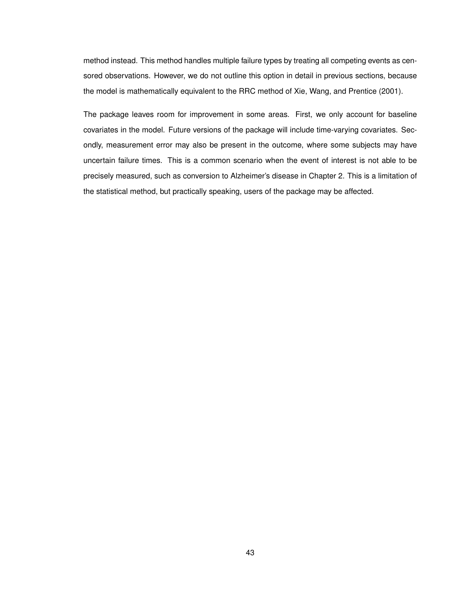method instead. This method handles multiple failure types by treating all competing events as censored observations. However, we do not outline this option in detail in previous sections, because the model is mathematically equivalent to the RRC method of Xie, Wang, and Prentice (2001).

The package leaves room for improvement in some areas. First, we only account for baseline covariates in the model. Future versions of the package will include time-varying covariates. Secondly, measurement error may also be present in the outcome, where some subjects may have uncertain failure times. This is a common scenario when the event of interest is not able to be precisely measured, such as conversion to Alzheimer's disease in Chapter 2. This is a limitation of the statistical method, but practically speaking, users of the package may be affected.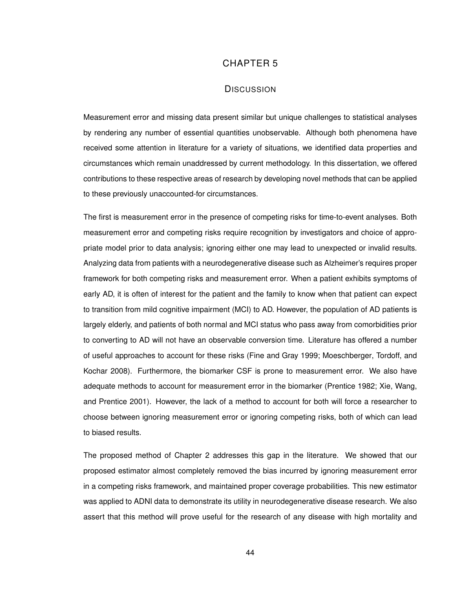# CHAPTER 5

### **DISCUSSION**

Measurement error and missing data present similar but unique challenges to statistical analyses by rendering any number of essential quantities unobservable. Although both phenomena have received some attention in literature for a variety of situations, we identified data properties and circumstances which remain unaddressed by current methodology. In this dissertation, we offered contributions to these respective areas of research by developing novel methods that can be applied to these previously unaccounted-for circumstances.

The first is measurement error in the presence of competing risks for time-to-event analyses. Both measurement error and competing risks require recognition by investigators and choice of appropriate model prior to data analysis; ignoring either one may lead to unexpected or invalid results. Analyzing data from patients with a neurodegenerative disease such as Alzheimer's requires proper framework for both competing risks and measurement error. When a patient exhibits symptoms of early AD, it is often of interest for the patient and the family to know when that patient can expect to transition from mild cognitive impairment (MCI) to AD. However, the population of AD patients is largely elderly, and patients of both normal and MCI status who pass away from comorbidities prior to converting to AD will not have an observable conversion time. Literature has offered a number of useful approaches to account for these risks (Fine and Gray 1999; Moeschberger, Tordoff, and Kochar 2008). Furthermore, the biomarker CSF is prone to measurement error. We also have adequate methods to account for measurement error in the biomarker (Prentice 1982; Xie, Wang, and Prentice 2001). However, the lack of a method to account for both will force a researcher to choose between ignoring measurement error or ignoring competing risks, both of which can lead to biased results.

The proposed method of Chapter 2 addresses this gap in the literature. We showed that our proposed estimator almost completely removed the bias incurred by ignoring measurement error in a competing risks framework, and maintained proper coverage probabilities. This new estimator was applied to ADNI data to demonstrate its utility in neurodegenerative disease research. We also assert that this method will prove useful for the research of any disease with high mortality and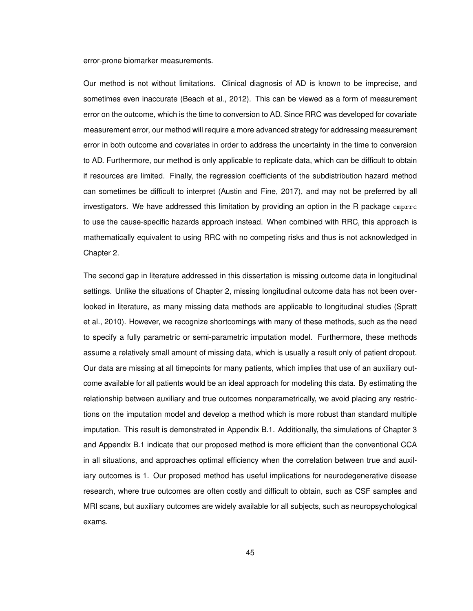error-prone biomarker measurements.

Our method is not without limitations. Clinical diagnosis of AD is known to be imprecise, and sometimes even inaccurate (Beach et al., 2012). This can be viewed as a form of measurement error on the outcome, which is the time to conversion to AD. Since RRC was developed for covariate measurement error, our method will require a more advanced strategy for addressing measurement error in both outcome and covariates in order to address the uncertainty in the time to conversion to AD. Furthermore, our method is only applicable to replicate data, which can be difficult to obtain if resources are limited. Finally, the regression coefficients of the subdistribution hazard method can sometimes be difficult to interpret (Austin and Fine, 2017), and may not be preferred by all investigators. We have addressed this limitation by providing an option in the R package cmprrc to use the cause-specific hazards approach instead. When combined with RRC, this approach is mathematically equivalent to using RRC with no competing risks and thus is not acknowledged in Chapter 2.

The second gap in literature addressed in this dissertation is missing outcome data in longitudinal settings. Unlike the situations of Chapter 2, missing longitudinal outcome data has not been overlooked in literature, as many missing data methods are applicable to longitudinal studies (Spratt et al., 2010). However, we recognize shortcomings with many of these methods, such as the need to specify a fully parametric or semi-parametric imputation model. Furthermore, these methods assume a relatively small amount of missing data, which is usually a result only of patient dropout. Our data are missing at all timepoints for many patients, which implies that use of an auxiliary outcome available for all patients would be an ideal approach for modeling this data. By estimating the relationship between auxiliary and true outcomes nonparametrically, we avoid placing any restrictions on the imputation model and develop a method which is more robust than standard multiple imputation. This result is demonstrated in Appendix B.1. Additionally, the simulations of Chapter 3 and Appendix B.1 indicate that our proposed method is more efficient than the conventional CCA in all situations, and approaches optimal efficiency when the correlation between true and auxiliary outcomes is 1. Our proposed method has useful implications for neurodegenerative disease research, where true outcomes are often costly and difficult to obtain, such as CSF samples and MRI scans, but auxiliary outcomes are widely available for all subjects, such as neuropsychological exams.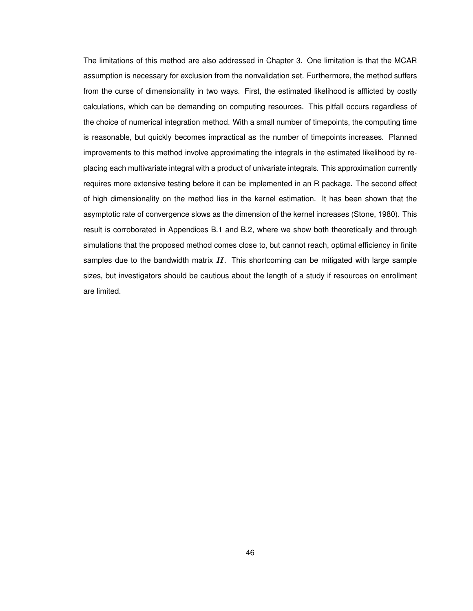The limitations of this method are also addressed in Chapter 3. One limitation is that the MCAR assumption is necessary for exclusion from the nonvalidation set. Furthermore, the method suffers from the curse of dimensionality in two ways. First, the estimated likelihood is afflicted by costly calculations, which can be demanding on computing resources. This pitfall occurs regardless of the choice of numerical integration method. With a small number of timepoints, the computing time is reasonable, but quickly becomes impractical as the number of timepoints increases. Planned improvements to this method involve approximating the integrals in the estimated likelihood by replacing each multivariate integral with a product of univariate integrals. This approximation currently requires more extensive testing before it can be implemented in an R package. The second effect of high dimensionality on the method lies in the kernel estimation. It has been shown that the asymptotic rate of convergence slows as the dimension of the kernel increases (Stone, 1980). This result is corroborated in Appendices B.1 and B.2, where we show both theoretically and through simulations that the proposed method comes close to, but cannot reach, optimal efficiency in finite samples due to the bandwidth matrix  $H$ . This shortcoming can be mitigated with large sample sizes, but investigators should be cautious about the length of a study if resources on enrollment are limited.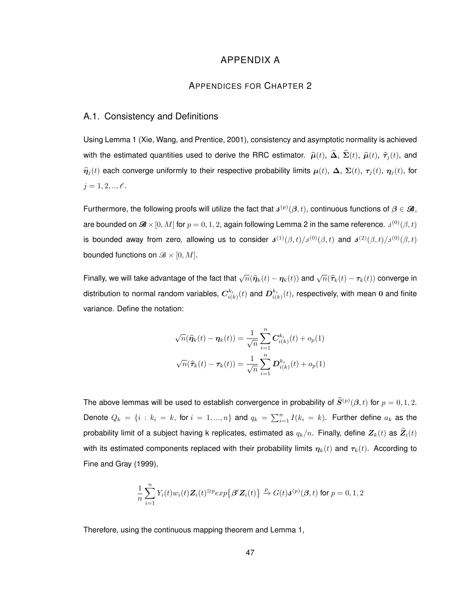# APPENDIX A

#### APPENDICES FOR CHAPTER 2

### A.1. Consistency and Definitions

Using Lemma 1 (Xie, Wang, and Prentice, 2001), consistency and asymptotic normality is achieved with the estimated quantities used to derive the RRC estimator.  $\hat{\mu}(t)$ ,  $\hat{\Delta}$ ,  $\hat{\Sigma}(t)$ ,  $\hat{\mu}(t)$ ,  $\hat{\tau}_j(t)$ , and  $\hat{\eta}_i(t)$  each converge uniformly to their respective probability limits  $\mu(t)$ ,  $\Delta$ ,  $\Sigma(t)$ ,  $\tau_i(t)$ ,  $\eta_i(t)$ , for  $j = 1, 2, ..., \ell$ .

Furthermore, the following proofs will utilize the fact that  $\bm{s}^{(p)}(\bm{\beta},t)$ , continuous functions of  $\bm{\beta} \in \mathcal{B}$ , are bounded on  $\mathscr{B}\times [0,M]$  for  $p=0,1,2,$  again following Lemma 2 in the same reference.  $\mathfrak{z}^{(0)}(\beta,t)$ is bounded away from zero, allowing us to consider  $\bm{J}^{(1)}(\beta,t)/\bm{J}^{(0)}(\beta,t)$  and  $\bm{J}^{(2)}(\beta,t)/\bm{J}^{(0)}(\beta,t)$ bounded functions on  $\mathcal{B} \times [0, M]$ .

Finally, we will take advantage of the fact that  $\sqrt{n}(\widehat{\pmb{\eta}}_k(t)-\pmb{\eta}_k(t))$  and  $\sqrt{n}(\widehat{\pmb{\tau}}_k(t)-\pmb{\tau}_k(t))$  converge in distribution to normal random variables,  $\bm{C}^{k_i}_{i(k)}(t)$  and  $\bm{D}^{k_i}_{i(k)}(t)$ , respectively, with mean 0 and finite variance. Define the notation:

$$
\sqrt{n}(\widehat{\eta}_k(t) - \eta_k(t)) = \frac{1}{\sqrt{n}} \sum_{i=1}^n C_{i(k)}^{k_i}(t) + o_p(1)
$$

$$
\sqrt{n}(\widehat{\tau}_k(t) - \tau_k(t)) = \frac{1}{\sqrt{n}} \sum_{i=1}^n D_{i(k)}^{k_i}(t) + o_p(1)
$$

The above lemmas will be used to establish convergence in probability of  $\widehat{\bm{S}}^{(p)}(\bm{\beta},t)$  for  $p=0,1,2.$ Denote  $Q_k = \{i : k_i = k, \text{ for } i = 1, ..., n\}$  and  $q_k = \sum_{i=1}^n I(k_i = k)$ . Further define  $a_k$  as the probability limit of a subject having k replicates, estimated as  $q_k/n$ . Finally, define  $Z_k(t)$  as  $\widehat{Z}_i(t)$ with its estimated components replaced with their probability limits  $\eta_k(t)$  and  $\tau_k(t)$ . According to Fine and Gray (1999),

$$
\frac{1}{n}\sum_{i=1}^nY_i(t)w_i(t)\mathbf{Z}_i(t)^{\otimes p}exp\bigl\{\boldsymbol{\beta}'\mathbf{Z}_i(t)\bigr\} \xrightarrow{p} G(t)\boldsymbol{\delta}^{(p)}(\boldsymbol{\beta},t) \text{ for } p=0,1,2
$$

Therefore, using the continuous mapping theorem and Lemma 1,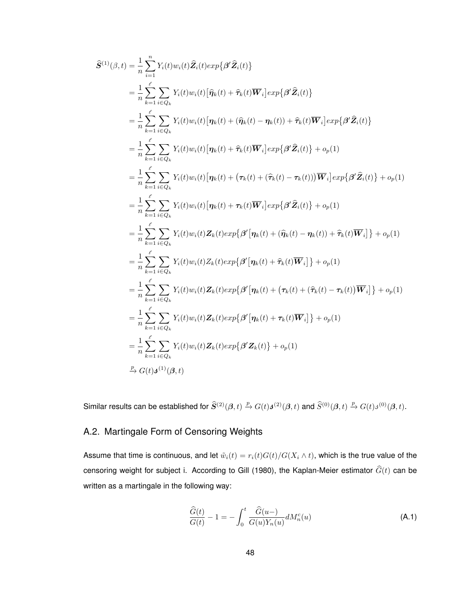$$
\hat{S}^{(1)}(\beta,t) = \frac{1}{n} \sum_{i=1}^{n} Y_i(t) w_i(t) \hat{Z}_i(t) exp\{\beta' \hat{Z}_i(t)\}\n\n= \frac{1}{n} \sum_{k=1}^{e} Y_i(t) w_i(t) [\hat{\eta}_k(t) + \hat{\tau}_k(t) \overline{W}_i] exp\{\beta' \hat{Z}_i(t)\}\n\n= \frac{1}{n} \sum_{k=1}^{e} \sum_{i \in Q_k} Y_i(t) w_i(t) [\eta_k(t) + (\hat{\eta}_k(t) - \eta_k(t)) + \hat{\tau}_k(t) \overline{W}_i] exp\{\beta' \hat{Z}_i(t)\}\n\n= \frac{1}{n} \sum_{k=1}^{e} \sum_{i \in Q_k} Y_i(t) w_i(t) [\eta_k(t) + \hat{\tau}_k(t) \overline{W}_i] exp\{\beta' \hat{Z}_i(t)\} + o_p(1)\n\n= \frac{1}{n} \sum_{k=1}^{e} \sum_{i \in Q_k} Y_i(t) w_i(t) [\eta_k(t) + (\tau_k(t) + (\hat{\tau}_k(t) - \tau_k(t))) \overline{W}_i] exp\{\beta' \hat{Z}_i(t)\} + o_p(1)\n\n= \frac{1}{n} \sum_{k=1}^{e} \sum_{i \in Q_k} Y_i(t) w_i(t) [\eta_k(t) + \tau_k(t) \overline{W}_i] exp\{\beta' \hat{Z}_i(t)\} + o_p(1)\n\n= \frac{1}{n} \sum_{k=1}^{e} \sum_{i \in Q_k} Y_i(t) w_i(t) Z_k(t) exp\{\beta' [\eta_k(t) + (\hat{\eta}_k(t) - \eta_k(t)) + \hat{\tau}_k(t) \overline{W}_i]\} + o_p(1)\n\n= \frac{1}{n} \sum_{k=1}^{e} \sum_{i \in Q_k} Y_i(t) w_i(t) Z_k(t) exp\{\beta' [\eta_k(t) + \hat{\tau}_k(t) \overline{W}_i]\} + o_p(1)\n\n= \frac{1}{n} \sum_{k=1}^{e} \sum_{i \in Q_k} Y_i(t) w_i(t) Z_k(t) exp\{\beta' [\eta_k(t) + (\tau_k(t) + (\hat{\tau}_k(t) - \tau_k(t)) \overline{W}_i]\} + o_p(1)\n\n= \frac{1}{n} \sum_{k=1}^{e} \sum_{i \in Q_k
$$

Similar results can be established for  $\widehat{S}^{(2)}(\beta,t) \stackrel{p}{\to} G(t)\mathbf{J}^{(2)}(\beta,t)$  and  $\widehat{S}^{(0)}(\beta,t) \stackrel{p}{\to} G(t)\mathbf{J}^{(0)}(\beta,t)$ .

# A.2. Martingale Form of Censoring Weights

Assume that time is continuous, and let  $\tilde{w}_i(t) = r_i(t)G(t)/G(X_i \wedge t)$ , which is the true value of the censoring weight for subject i. According to Gill (1980), the Kaplan-Meier estimator  $\widehat{G}(t)$  can be written as a martingale in the following way:

$$
\frac{\widehat{G}(t)}{G(t)} - 1 = -\int_0^t \frac{\widehat{G}(u-)}{G(u)Y_n(u)} dM_n^c(u)
$$
\n(A.1)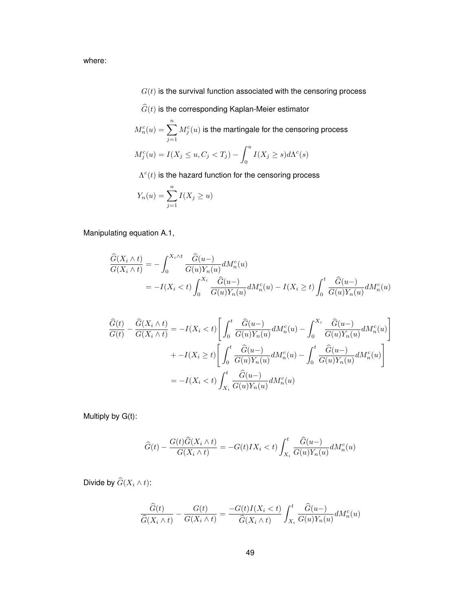where:

- $G(t)$  is the survival function associated with the censoring process
- $\widehat{G}(t)$  is the corresponding Kaplan-Meier estimator
- $M_n^c(u) = \sum^n$  $j=1$  $M_j^c(u)$  is the martingale for the censoring process  $M_j^c(u) = I(X_j \le u, C_j < T_j) - \int^u$  $\int_{0}^{1} I(X_{j} \geq s) d\Lambda^{c}(s)$ 
	- $\Lambda^c(t)$  is the hazard function for the censoring process

$$
Y_n(u) = \sum_{j=1}^n I(X_j \ge u)
$$

Manipulating equation A.1,

$$
\begin{split} \frac{\widehat{G}(X_i \wedge t)}{G(X_i \wedge t)} &= -\int_0^{X_i \wedge t} \frac{\widehat{G}(u-)}{G(u)Y_n(u)} dM_n^c(u) \\ &= -I(X_i < t) \int_0^{X_i} \frac{\widehat{G}(u-)}{G(u)Y_n(u)} dM_n^c(u) - I(X_i \ge t) \int_0^t \frac{\widehat{G}(u-)}{G(u)Y_n(u)} dM_n^c(u) \end{split}
$$

$$
\frac{\widehat{G}(t)}{G(t)} - \frac{\widehat{G}(X_i \wedge t)}{G(X_i \wedge t)} = -I(X_i < t) \left[ \int_0^t \frac{\widehat{G}(u-)}{G(u)Y_n(u)} dM_n^c(u) - \int_0^{X_i} \frac{\widehat{G}(u-)}{G(u)Y_n(u)} dM_n^c(u) \right] \n+ -I(X_i \ge t) \left[ \int_0^t \frac{\widehat{G}(u-)}{G(u)Y_n(u)} dM_n^c(u) - \int_0^t \frac{\widehat{G}(u-)}{G(u)Y_n(u)} dM_n^c(u) \right] \n= -I(X_i < t) \int_{X_i}^t \frac{\widehat{G}(u-)}{G(u)Y_n(u)} dM_n^c(u)
$$

Multiply by G(t):

$$
\widehat{G}(t) - \frac{G(t)\widehat{G}(X_i \wedge t)}{G(X_i \wedge t)} = -G(t)IX_i < t\bigg) \int_{X_i}^t \frac{\widehat{G}(u-)}{G(u)Y_n(u)} dM_n^c(u)
$$

Divide by  $\widehat{G}(X_i \wedge t)$ :

$$
\frac{\widehat{G}(t)}{\widehat{G}(X_i \wedge t)} - \frac{G(t)}{G(X_i \wedge t)} = \frac{-G(t)I(X_i < t)}{\widehat{G}(X_i \wedge t)} \int_{X_i}^t \frac{\widehat{G}(u-)}{G(u)Y_n(u)} dM_n^c(u)
$$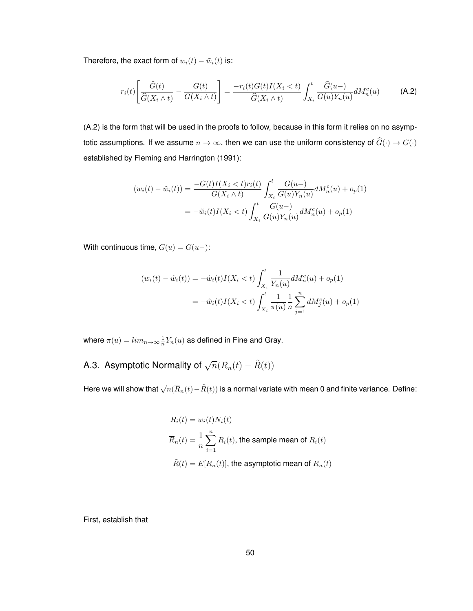Therefore, the exact form of  $w_i(t) - \tilde{w}_i(t)$  is:

$$
r_i(t) \left[ \frac{\widehat{G}(t)}{\widehat{G}(X_i \wedge t)} - \frac{G(t)}{G(X_i \wedge t)} \right] = \frac{-r_i(t)G(t)I(X_i < t)}{\widehat{G}(X_i \wedge t)} \int_{X_i}^t \frac{\widehat{G}(u-)}{G(u)Y_n(u)} dM_n^c(u) \tag{A.2}
$$

(A.2) is the form that will be used in the proofs to follow, because in this form it relies on no asymptotic assumptions. If we assume  $n \to \infty$ , then we can use the uniform consistency of  $\widehat{G}(\cdot) \to G(\cdot)$ established by Fleming and Harrington (1991):

$$
(w_i(t) - \tilde{w}_i(t)) = \frac{-G(t)I(X_i < t)r_i(t)}{G(X_i \wedge t)} \int_{X_i}^t \frac{G(u-)}{G(u)Y_n(u)} dM_n^c(u) + o_p(1)
$$
  
=  $-\tilde{w}_i(t)I(X_i < t) \int_{X_i}^t \frac{G(u-)}{G(u)Y_n(u)} dM_n^c(u) + o_p(1)$ 

With continuous time,  $G(u) = G(u-)$ :

$$
(w_i(t) - \tilde{w}_i(t)) = -\tilde{w}_i(t)I(X_i < t) \int_{X_i}^t \frac{1}{Y_n(u)} dM_n^c(u) + o_p(1)
$$
  
= 
$$
-\tilde{w}_i(t)I(X_i < t) \int_{X_i}^t \frac{1}{\pi(u)} \frac{1}{n} \sum_{j=1}^n dM_j^c(u) + o_p(1)
$$

where  $\pi(u)=lim_{n\rightarrow\infty}\frac{1}{n}Y_n(u)$  as defined in Fine and Gray.

A.3. Asymptotic Normality of  $\sqrt{n}(\overline{R}_n(t) - \tilde{R}(t))$ 

Here we will show that  $\sqrt{n}(\overline{R}_{n}(t)-\tilde{R}(t))$  is a normal variate with mean 0 and finite variance. Define:

$$
R_i(t) = w_i(t)N_i(t)
$$
  

$$
\overline{R}_n(t) = \frac{1}{n} \sum_{i=1}^n R_i(t)
$$
, the sample mean of  $R_i(t)$   

$$
\tilde{R}(t) = E[\overline{R}_n(t)]
$$
, the asymptotic mean of  $\overline{R}_n(t)$ 

First, establish that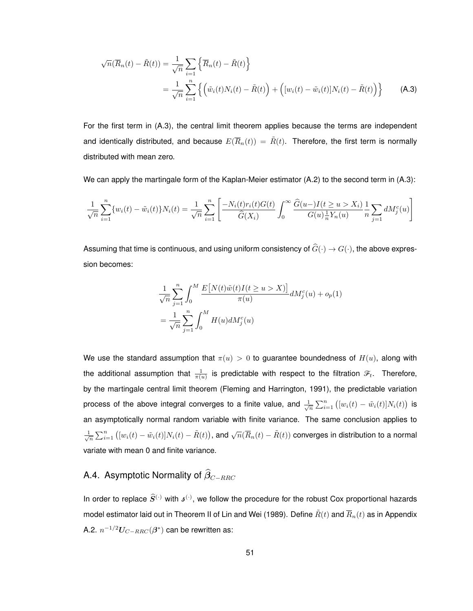$$
\sqrt{n}(\overline{R}_n(t) - \tilde{R}(t)) = \frac{1}{\sqrt{n}} \sum_{i=1}^n \left\{ \overline{R}_n(t) - \tilde{R}(t) \right\}
$$

$$
= \frac{1}{\sqrt{n}} \sum_{i=1}^n \left\{ \left( \tilde{w}_i(t) N_i(t) - \tilde{R}(t) \right) + \left( [w_i(t) - \tilde{w}_i(t)] N_i(t) - \tilde{R}(t) \right) \right\} \tag{A.3}
$$

For the first term in (A.3), the central limit theorem applies because the terms are independent and identically distributed, and because  $E(\overline{R}_n(t)) = \tilde{R}(t)$ . Therefore, the first term is normally distributed with mean zero.

We can apply the martingale form of the Kaplan-Meier estimator (A.2) to the second term in (A.3):

$$
\frac{1}{\sqrt{n}} \sum_{i=1}^{n} \{w_i(t) - \tilde{w}_i(t)\} N_i(t) = \frac{1}{\sqrt{n}} \sum_{i=1}^{n} \left[ \frac{-N_i(t) r_i(t) G(t)}{\hat{G}(X_i)} \int_0^{\infty} \frac{\hat{G}(u-) I(t \ge u > X_i)}{G(u) \frac{1}{n} Y_n(u)} \frac{1}{n} \sum_{j=1}^{n} dM_j^c(u) \right]
$$

Assuming that time is continuous, and using uniform consistency of  $\widehat{G}(\cdot) \to G(\cdot)$ , the above expression becomes:

$$
\frac{1}{\sqrt{n}} \sum_{j=1}^{n} \int_{0}^{M} \frac{E[N(t)\tilde{w}(t)I(t \ge u > X)]}{\pi(u)} dM_{j}^{c}(u) + o_{p}(1)
$$

$$
= \frac{1}{\sqrt{n}} \sum_{j=1}^{n} \int_{0}^{M} H(u) dM_{j}^{c}(u)
$$

We use the standard assumption that  $\pi(u) > 0$  to guarantee boundedness of  $H(u)$ , along with the additional assumption that  $\frac{1}{\pi(u)}$  is predictable with respect to the filtration  $\mathscr{F}_t.$  Therefore, by the martingale central limit theorem (Fleming and Harrington, 1991), the predictable variation process of the above integral converges to a finite value, and  $\frac{1}{\sqrt{n}}\sum_{i=1}^n\left([w_i(t)-\tilde w_i(t)]N_i(t)\right)$  is an asymptotically normal random variable with finite variance. The same conclusion applies to  $\frac{1}{\sqrt{n}}\sum_{i=1}^n\left([w_i(t)-\tilde{w}_i(t)]N_i(t)-\tilde{R}(t)\right)$ , and  $\sqrt{n}(\overline{R}_n(t)-\tilde{R}(t))$  converges in distribution to a normal variate with mean 0 and finite variance.

# A.4. Asymptotic Normality of  $\widehat{\beta}_{C-RRC}$

In order to replace  $\widehat{S}^{(\cdot)}$  with  $\mathfrak{s}^{(\cdot)}$ , we follow the procedure for the robust Cox proportional hazards model estimator laid out in Theorem II of Lin and Wei (1989). Define  $\tilde{R}(t)$  and  $\overline{R}_n(t)$  as in Appendix A.2.  $n^{-1/2} U_{C-RRC}(\bm{\beta}^*)$  can be rewritten as: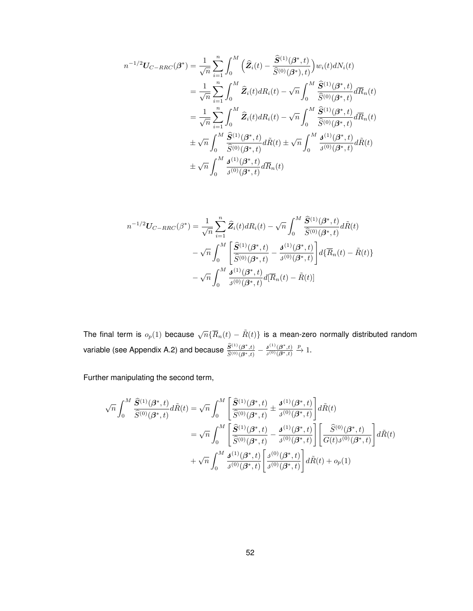$$
n^{-1/2}U_{C-RRC}(\beta^{*}) = \frac{1}{\sqrt{n}} \sum_{i=1}^{n} \int_{0}^{M} (\hat{Z}_{i}(t) - \frac{\hat{S}^{(1)}(\beta^{*}, t)}{\hat{S}^{(0)}(\beta^{*}), t}) w_{i}(t) dN_{i}(t)
$$
  
\n
$$
= \frac{1}{\sqrt{n}} \sum_{i=1}^{n} \int_{0}^{M} \hat{Z}_{i}(t) dR_{i}(t) - \sqrt{n} \int_{0}^{M} \frac{\hat{S}^{(1)}(\beta^{*}, t)}{\hat{S}^{(0)}(\beta^{*}, t)} d\overline{R}_{n}(t)
$$
  
\n
$$
= \frac{1}{\sqrt{n}} \sum_{i=1}^{n} \int_{0}^{M} \hat{Z}_{i}(t) dR_{i}(t) - \sqrt{n} \int_{0}^{M} \frac{\hat{S}^{(1)}(\beta^{*}, t)}{\hat{S}^{(0)}(\beta^{*}, t)} d\overline{R}_{n}(t)
$$
  
\n
$$
\pm \sqrt{n} \int_{0}^{M} \frac{\hat{S}^{(1)}(\beta^{*}, t)}{\hat{S}^{(0)}(\beta^{*}, t)} d\tilde{R}(t) \pm \sqrt{n} \int_{0}^{M} \frac{\mathbf{J}^{(1)}(\beta^{*}, t)}{\hat{S}^{(0)}(\beta^{*}, t)} d\tilde{R}(t)
$$
  
\n
$$
\pm \sqrt{n} \int_{0}^{M} \frac{\mathbf{J}^{(1)}(\beta^{*}, t)}{\hat{S}^{(0)}(\beta^{*}, t)} d\overline{R}_{n}(t)
$$

$$
n^{-1/2}U_{C-RRC}(\beta^{*}) = \frac{1}{\sqrt{n}} \sum_{i=1}^{n} \hat{Z}_{i}(t) dR_{i}(t) - \sqrt{n} \int_{0}^{M} \frac{\hat{S}^{(1)}(\beta^{*}, t)}{\hat{S}^{(0)}(\beta^{*}, t)} d\tilde{R}(t)
$$

$$
- \sqrt{n} \int_{0}^{M} \left[ \frac{\hat{S}^{(1)}(\beta^{*}, t)}{\hat{S}^{(0)}(\beta^{*}, t)} - \frac{\mathbf{J}^{(1)}(\beta^{*}, t)}{\mathbf{J}^{(0)}(\beta^{*}, t)} \right] d\{\overline{R}_{n}(t) - \tilde{R}(t)\}
$$

$$
- \sqrt{n} \int_{0}^{M} \frac{\mathbf{J}^{(1)}(\beta^{*}, t)}{\mathbf{J}^{(0)}(\beta^{*}, t)} d\{\overline{R}_{n}(t) - \tilde{R}(t)\}
$$

The final term is  $o_p(1)$  because  $\sqrt{n} \{ \overline{R}_n(t) - \tilde{R}(t) \}$  is a mean-zero normally distributed random variable (see Appendix A.2) and because  $\frac{\widehat{S}^{(1)}(\boldsymbol{\beta}^*,t)}{\widehat{S}^{(0)}(\boldsymbol{\beta}^*,t)}$  $\frac{\widehat{S}^{(1)}(\boldsymbol{\beta}^*,t)}{\widehat{S}^{(0)}(\boldsymbol{\beta}^*,t)} - \frac{\boldsymbol{\beta}^{(1)}(\boldsymbol{\beta}^*,t)}{\boldsymbol{\beta}^{(0)}(\boldsymbol{\beta}^*,t)}$  $\mathfrak{z}^{(0)}(\boldsymbol{\beta}^*,t)$  $\stackrel{p}{\rightarrow} 1.$ 

Further manipulating the second term,

$$
\sqrt{n} \int_0^M \frac{\hat{S}^{(1)}(\beta^*,t)}{\hat{S}^{(0)}(\beta^*,t)} d\tilde{R}(t) = \sqrt{n} \int_0^M \left[ \frac{\hat{S}^{(1)}(\beta^*,t)}{\hat{S}^{(0)}(\beta^*,t)} \pm \frac{\mathbf{J}^{(1)}(\beta^*,t)}{\mathbf{J}^{(0)}(\beta^*,t)} \right] d\tilde{R}(t)
$$
  

$$
= \sqrt{n} \int_0^M \left[ \frac{\hat{S}^{(1)}(\beta^*,t)}{\hat{S}^{(0)}(\beta^*,t)} - \frac{\mathbf{J}^{(1)}(\beta^*,t)}{\mathbf{J}^{(0)}(\beta^*,t)} \right] \left[ \frac{\hat{S}^{(0)}(\beta^*,t)}{G(t)\mathbf{J}^{(0)}(\beta^*,t)} \right] d\tilde{R}(t)
$$
  

$$
+ \sqrt{n} \int_0^M \frac{\mathbf{J}^{(1)}(\beta^*,t)}{\mathbf{J}^{(0)}(\beta^*,t)} \left[ \frac{\mathbf{J}^{(0)}(\beta^*,t)}{\mathbf{J}^{(0)}(\beta^*,t)} \right] d\tilde{R}(t) + o_p(1)
$$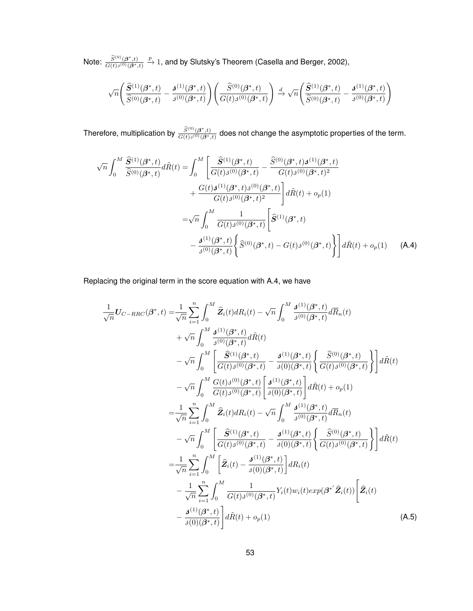Note:  $\frac{\widehat{S}^{(0)}(\bm{\beta}^*,t)}{G(t)_{A}(0)(\bm{\beta}^*)}$  $G(t)j^{(0)}(\boldsymbol{\beta}^*,t)$  $\stackrel{p}{\rightarrow}$  1, and by Slutsky's Theorem (Casella and Berger, 2002),

$$
\sqrt{n}\left(\frac{\widehat{S}^{(1)}(\boldsymbol{\beta}^*,t)}{\widehat{S}^{(0)}(\boldsymbol{\beta}^*,t)}-\frac{\boldsymbol{\beta}^{(1)}(\boldsymbol{\beta}^*,t)}{\boldsymbol{\beta}^{(0)}(\boldsymbol{\beta}^*,t)}\right)\left(\frac{\widehat{S}^{(0)}(\boldsymbol{\beta}^*,t)}{G(t)\boldsymbol{\beta}^{(0)}(\boldsymbol{\beta}^*,t)}\right)\xrightarrow{d} \sqrt{n}\left(\frac{\widehat{S}^{(1)}(\boldsymbol{\beta}^*,t)}{\widehat{S}^{(0)}(\boldsymbol{\beta}^*,t)}-\frac{\boldsymbol{\beta}^{(1)}(\boldsymbol{\beta}^*,t)}{\boldsymbol{\beta}^{(0)}(\boldsymbol{\beta}^*,t)}\right)
$$

Therefore, multiplication by  $\frac{\widehat{S}^{(0)}(\beta^*,t)}{C(t)\widehat{A}^{(0)}(\beta^*,t)}$  $\frac{S^{(3)}(\beta^3,t)}{G(t)\delta^{(0)}(\beta^*,t)}$  does not change the asymptotic properties of the term.

$$
\sqrt{n} \int_{0}^{M} \frac{\hat{\mathbf{S}}^{(1)}(\boldsymbol{\beta}^{*},t)}{\hat{S}^{(0)}(\boldsymbol{\beta}^{*},t)} d\tilde{R}(t) = \int_{0}^{M} \left[ \frac{\hat{\mathbf{S}}^{(1)}(\boldsymbol{\beta}^{*},t)}{G(t)J^{(0)}(\boldsymbol{\beta}^{*},t)} - \frac{\hat{S}^{(0)}(\boldsymbol{\beta}^{*},t)J^{(1)}(\boldsymbol{\beta}^{*},t)}{G(t)J^{(0)}(\boldsymbol{\beta}^{*},t)^{2}} + \frac{G(t)J^{(1)}(\boldsymbol{\beta}^{*},t)J^{(0)}(\boldsymbol{\beta}^{*},t)}{G(t)J^{(0)}(\boldsymbol{\beta}^{*},t)^{2}} \right] d\tilde{R}(t) + o_{p}(1)
$$

$$
= \sqrt{n} \int_{0}^{M} \frac{1}{G(t)J^{(0)}(\boldsymbol{\beta}^{*},t)} \left[ \hat{\mathbf{S}}^{(1)}(\boldsymbol{\beta}^{*},t) - \frac{J^{(1)}(\boldsymbol{\beta}^{*},t)}{J^{(0)}(\boldsymbol{\beta}^{*},t)} \right] d\tilde{R}(t) + o_{p}(1)
$$
(A.4)

Replacing the original term in the score equation with A.4, we have

$$
\frac{1}{\sqrt{n}}U_{C-RRC}(\beta^*,t) = \frac{1}{\sqrt{n}}\sum_{i=1}^{n}\int_{0}^{M}\hat{Z}_{i}(t)dR_{i}(t) - \sqrt{n}\int_{0}^{M}\frac{\mathbf{d}^{(1)}(\beta^*,t)}{\mathbf{d}^{(0)}(\beta^*,t)}d\overline{R}_{n}(t) \n+ \sqrt{n}\int_{0}^{M}\frac{\mathbf{d}^{(1)}(\beta^*,t)}{\mathbf{d}^{(0)}(\beta^*,t)}d\tilde{R}(t) \n- \sqrt{n}\int_{0}^{M}\left[\frac{\hat{S}^{(1)}(\beta^*,t)}{\hat{G}(t)\mathbf{d}^{(0)}(\beta^*,t)} - \frac{\mathbf{d}^{(1)}(\beta^*,t)}{\mathbf{d}(0)(\beta^*,t)}\left\{\frac{\hat{S}^{(0)}(\beta^*,t)}{\hat{G}(t)\mathbf{d}^{(0)}(\beta^*,t)}\right\}\right]d\tilde{R}(t) \n- \sqrt{n}\int_{0}^{M}\frac{G(t)\mathbf{d}^{(0)}(\beta^*,t)}{\hat{G}(t)\mathbf{d}^{(0)}(\beta^*,t)}\left[\frac{\mathbf{d}^{(1)}(\beta^*,t)}{\mathbf{d}(0)(\beta^*,t)}\right]d\tilde{R}(t) + o_{p}(1) \n= \frac{1}{\sqrt{n}}\sum_{i=1}^{n}\int_{0}^{M}\hat{Z}_{i}(t)dR_{i}(t) - \sqrt{n}\int_{0}^{M}\frac{\mathbf{d}^{(1)}(\beta^*,t)}{\mathbf{d}^{(0)}(\beta^*,t)}d\overline{R}_{n}(t) \n- \sqrt{n}\int_{0}^{M}\left[\frac{\hat{S}^{(1)}(\beta^*,t)}{\hat{G}(t)\mathbf{d}^{(0)}(\beta^*,t)} - \frac{\mathbf{d}^{(1)}(\beta^*,t)}{\mathbf{d}(0)(\beta^*,t)}\left\{\frac{\hat{S}^{(0)}(\beta^*,t)}{\hat{G}(t)\mathbf{d}^{(0)}(\beta^*,t)}\right\}\right]d\tilde{R}(t) \n= \frac{1}{\sqrt{n}}\sum_{i=1}^{n}\int_{0}^{M}\left[\hat{Z}_{i}(t) - \frac{\mathbf{d}^{(1)}(\beta^*,t)}{\mathbf{d}(0)(\beta^*,t)}\right]dR_{
$$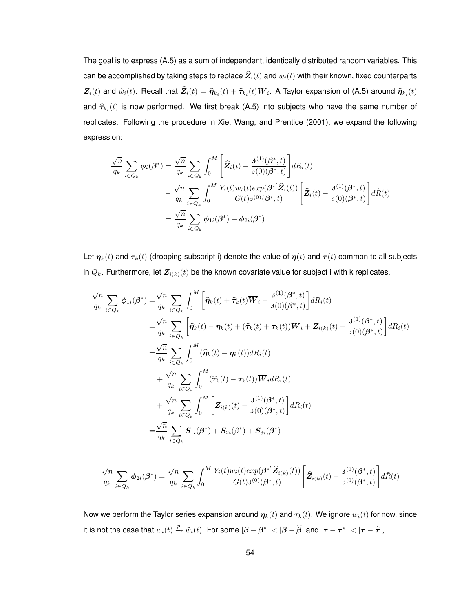The goal is to express (A.5) as a sum of independent, identically distributed random variables. This can be accomplished by taking steps to replace  $\widehat{Z}_i(t)$  and  $w_i(t)$  with their known, fixed counterparts  $\mathbf{Z}_i(t)$  and  $\tilde{w}_i(t)$ . Recall that  $\mathbf{Z}_i(t) = \widehat{\eta}_{k_i}(t) + \widehat{\tau}_{k_i}(t) \boldsymbol{W}_i$ . A Taylor expansion of (A.5) around  $\widehat{\eta}_{k_i}(t)$ and  $\widehat{\tau}_{k_i}(t)$  is now performed. We first break (A.5) into subjects who have the same number of replicates. Following the procedure in Xie, Wang, and Prentice (2001), we expand the following expression:

$$
\frac{\sqrt{n}}{q_k} \sum_{i \in Q_k} \phi_i(\beta^*) = \frac{\sqrt{n}}{q_k} \sum_{i \in Q_k} \int_0^M \left[ \hat{Z}_i(t) - \frac{\mathbf{J}^{(1)}(\beta^*, t)}{\mathbf{J}(0)(\beta^*, t)} \right] dR_i(t)
$$

$$
- \frac{\sqrt{n}}{q_k} \sum_{i \in Q_k} \int_0^M \frac{Y_i(t) w_i(t) exp(\beta^{*'} \hat{Z}_i(t))}{G(t) \mathbf{J}(0)(\beta^*, t)} \left[ \hat{Z}_i(t) - \frac{\mathbf{J}^{(1)}(\beta^*, t)}{\mathbf{J}(0)(\beta^*, t)} \right] d\tilde{R}(t)
$$

$$
= \frac{\sqrt{n}}{q_k} \sum_{i \in Q_k} \phi_{1i}(\beta^*) - \phi_{2i}(\beta^*)
$$

Let  $\eta_k(t)$  and  $\tau_k(t)$  (dropping subscript i) denote the value of  $\eta(t)$  and  $\tau(t)$  common to all subjects in  $Q_k$ . Furthermore, let  $\mathbf{Z}_{i(k)}(t)$  be the known covariate value for subject i with k replicates.

$$
\frac{\sqrt{n}}{q_k} \sum_{i \in Q_k} \phi_{1i}(\beta^*) = \frac{\sqrt{n}}{q_k} \sum_{i \in Q_k} \int_0^M \left[ \hat{\eta}_k(t) + \hat{\tau}_k(t) \overline{W}_i - \frac{\mathbf{J}^{(1)}(\beta^*, t)}{\mathbf{J}(0)(\beta^*, t)} \right] dR_i(t)
$$
\n
$$
= \frac{\sqrt{n}}{q_k} \sum_{i \in Q_k} \left[ \hat{\eta}_k(t) - \eta_k(t) + (\hat{\tau}_k(t) + \tau_k(t)) \overline{W}_i + \mathbf{Z}_{i(k)}(t) - \frac{\mathbf{J}^{(1)}(\beta^*, t)}{\mathbf{J}(0)(\beta^*, t)} \right] dR_i(t)
$$
\n
$$
= \frac{\sqrt{n}}{q_k} \sum_{i \in Q_k} \int_0^M (\hat{\eta}_k(t) - \eta_k(t)) dR_i(t)
$$
\n
$$
+ \frac{\sqrt{n}}{q_k} \sum_{i \in Q_k} \int_0^M (\hat{\tau}_k(t) - \tau_k(t)) \overline{W}_i dR_i(t)
$$
\n
$$
+ \frac{\sqrt{n}}{q_k} \sum_{i \in Q_k} \int_0^M \left[ \mathbf{Z}_{i(k)}(t) - \frac{\mathbf{J}^{(1)}(\beta^*, t)}{\mathbf{J}(0)(\beta^*, t)} \right] dR_i(t)
$$
\n
$$
= \frac{\sqrt{n}}{q_k} \sum_{i \in Q_k} \mathbf{S}_{1i}(\beta^*) + \mathbf{S}_{2i}(\beta^*) + \mathbf{S}_{3i}(\beta^*)
$$

$$
\frac{\sqrt{n}}{q_k} \sum_{i \in Q_k} \phi_{2i}(\beta^*) = \frac{\sqrt{n}}{q_k} \sum_{i \in Q_k} \int_0^M \frac{Y_i(t) w_i(t) exp(\beta^{*'} \hat{Z}_{i(k)}(t))}{G(t) \beta^{(0)}(\beta^*, t)} \left[ \hat{Z}_{i(k)}(t) - \frac{\mathbf{J}^{(1)}(\beta^*, t)}{\beta^{(0)}(\beta^*, t)} \right] d\tilde{R}(t)
$$

Now we perform the Taylor series expansion around  $\eta_k(t)$  and  $\tau_k(t)$ . We ignore  $w_i(t)$  for now, since it is not the case that  $w_i(t) \xrightarrow{p} \tilde{w}_i(t)$ . For some  $|\boldsymbol{\beta} - \boldsymbol{\beta}^*| < |\boldsymbol{\beta} - \widehat{\boldsymbol{\beta}}|$  and  $|\boldsymbol{\tau} - \boldsymbol{\tau}^*| < |\boldsymbol{\tau} - \widehat{\boldsymbol{\tau}}|$ ,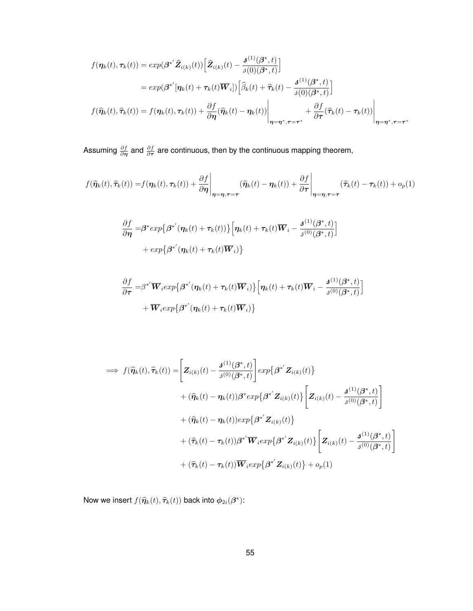$$
f(\eta_k(t), \tau_k(t)) = exp(\beta^{*'}\hat{Z}_{i(k)}(t)) \Big[ \hat{Z}_{i(k)}(t) - \frac{\mathbf{J}^{(1)}(\beta^*, t)}{\mathbf{J}(0)(\beta^*, t)} \Big]
$$
  
\n
$$
= exp(\beta^{*'}[\eta_k(t) + \tau_k(t)\overline{W}_i]) \Big[ \hat{\beta}_k(t) + \hat{\tau}_k(t) - \frac{\mathbf{J}^{(1)}(\beta^*, t)}{\mathbf{J}(0)(\beta^*, t)} \Big]
$$
  
\n
$$
f(\hat{\eta}_k(t), \hat{\tau}_k(t)) = f(\eta_k(t), \tau_k(t)) + \frac{\partial f}{\partial \eta}(\hat{\eta}_k(t) - \eta_k(t)) \Big|_{\eta = \eta^*, \tau = \tau^*} + \frac{\partial f}{\partial \tau}(\hat{\tau}_k(t) - \tau_k(t)) \Big|_{\eta = \eta^*, \tau = \tau^*}
$$

Assuming  $\frac{\partial f}{\partial \bm{\eta}}$  and  $\frac{\partial f}{\partial \bm{\tau}}$  are continuous, then by the continuous mapping theorem,

$$
f(\widehat{\eta}_k(t), \widehat{\tau}_k(t)) = f(\eta_k(t), \tau_k(t)) + \frac{\partial f}{\partial \eta} \Big|_{\eta = \eta, \tau = \tau} (\widehat{\eta}_k(t) - \eta_k(t)) + \frac{\partial f}{\partial \tau} \Big|_{\eta = \eta, \tau = \tau} (\widehat{\tau}_k(t) - \tau_k(t)) + o_p(1)
$$

$$
\frac{\partial f}{\partial \eta} = \beta^* exp\{\beta^{*'}(\eta_k(t) + \tau_k(t))\} \Big[ \eta_k(t) + \tau_k(t) \overline{W}_i - \frac{\beta^{(1)}(\beta^*, t)}{\beta^{(0)}(\beta^*, t)} \Big]
$$

$$
+ exp\{\beta^{*'}(\eta_k(t) + \tau_k(t) \overline{W}_i)\}
$$

$$
\frac{\partial f}{\partial \tau} = \beta^{*'} \overline{\mathbf{W}}_i exp\{\beta^{*'}(\eta_k(t) + \tau_k(t))\overline{\mathbf{W}}_i\} \Big[ \eta_k(t) + \tau_k(t) \overline{\mathbf{W}}_i - \frac{\mathbf{J}^{(1)}(\beta^*, t)}{\mathbf{J}^{(0)}(\beta^*, t)} \Big] + \overline{\mathbf{W}}_i exp\{\beta^{*'}(\eta_k(t) + \tau_k(t))\overline{\mathbf{W}}_i\} \Big]
$$

$$
\implies f(\widehat{\eta}_k(t), \widehat{\tau}_k(t)) = \left[ \mathbf{Z}_{i(k)}(t) - \frac{\mathbf{J}^{(1)}(\beta^*, t)}{\mathbf{J}^{(0)}(\beta^*, t)} \right] exp\left\{ \beta^{*'} \mathbf{Z}_{i(k)}(t) \right\} \n+ (\widehat{\eta}_k(t) - \eta_k(t)) \beta^* exp\left\{ \beta^{*'} \mathbf{Z}_{i(k)}(t) \right\} \left[ \mathbf{Z}_{i(k)}(t) - \frac{\mathbf{J}^{(1)}(\beta^*, t)}{\mathbf{J}^{(0)}(\beta^*, t)} \right] \n+ (\widehat{\eta}_k(t) - \eta_k(t)) exp\left\{ \beta^{*'} \mathbf{Z}_{i(k)}(t) \right\} \n+ (\widehat{\tau}_k(t) - \tau_k(t)) \beta^{*'} \overline{\mathbf{W}}_i exp\left\{ \beta^{*'} \mathbf{Z}_{i(k)}(t) \right\} \left[ \mathbf{Z}_{i(k)}(t) - \frac{\mathbf{J}^{(1)}(\beta^*, t)}{\mathbf{J}^{(0)}(\beta^*, t)} \right] \n+ (\widehat{\tau}_k(t) - \tau_k(t)) \overline{\mathbf{W}}_i exp\left\{ \beta^{*'} \mathbf{Z}_{i(k)}(t) \right\} + o_p(1)
$$

Now we insert  $f(\widehat{\eta}_k(t), \widehat{\tau}_k(t))$  back into  $\phi_{2i}(\beta^*)$ :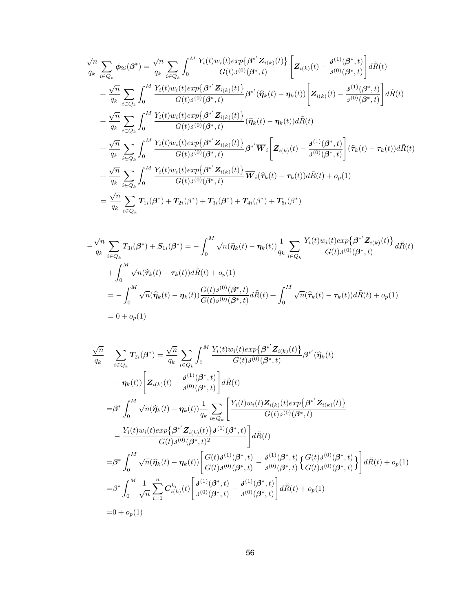$$
\frac{\sqrt{n}}{q_k} \sum_{i \in Q_k} \phi_{2i}(\beta^*) = \frac{\sqrt{n}}{q_k} \sum_{i \in Q_k} \int_0^M \frac{Y_i(t)w_i(t)exp\{\beta^{*'}\mathbf{Z}_{i(k)}(t)\}}{G(t)\beta^{(0)}(\beta^*,t)} \left[\mathbf{Z}_{i(k)}(t) - \frac{\mathbf{J}^{(1)}(\beta^*,t)}{\beta^{(0)}(\beta^*,t)}\right] d\tilde{R}(t) \n+ \frac{\sqrt{n}}{q_k} \sum_{i \in Q_k} \int_0^M \frac{Y_i(t)w_i(t)exp\{\beta^{*'}\mathbf{Z}_{i(k)}(t)\}}{G(t)\beta^{(0)}(\beta^*,t)} \beta^{*'}(\hat{\eta}_k(t) - \eta_k(t)) \left[\mathbf{Z}_{i(k)}(t) - \frac{\mathbf{J}^{(1)}(\beta^*,t)}{\beta^{(0)}(\beta^*,t)}\right] d\tilde{R}(t) \n+ \frac{\sqrt{n}}{q_k} \sum_{i \in Q_k} \int_0^M \frac{Y_i(t)w_i(t)exp\{\beta^{*'}\mathbf{Z}_{i(k)}(t)\}}{G(t)\beta^{(0)}(\beta^*,t)} (\hat{\eta}_k(t) - \eta_k(t)) d\tilde{R}(t) \n+ \frac{\sqrt{n}}{q_k} \sum_{i \in Q_k} \int_0^M \frac{Y_i(t)w_i(t)exp\{\beta^{*'}\mathbf{Z}_{i(k)}(t)\}}{G(t)\beta^{(0)}(\beta^*,t)} \beta^{*'}\overline{\mathbf{W}}_i \left[\mathbf{Z}_{i(k)}(t) - \frac{\mathbf{J}^{(1)}(\beta^*,t)}{\beta^{(0)}(\beta^*,t)}\right] (\hat{\tau}_k(t) - \tau_k(t)) d\tilde{R}(t) \n+ \frac{\sqrt{n}}{q_k} \sum_{i \in Q_k} \int_0^M \frac{Y_i(t)w_i(t)exp\{\beta^{*'}\mathbf{Z}_{i(k)}(t)\}}{G(t)\beta^{(0)}(\beta^*,t)} \overline{\mathbf{W}}_i(\hat{\tau}_k(t) - \tau_k(t)) d\tilde{R}(t) + o_p(1) \n= \frac{\sqrt{n}}{q_k} \sum_{i \in Q_k} \int_0^M \frac{Y_i(t)w_i(t)exp\{\beta^{*'}\mathbf{Z}_{i(k)}(t)\}}{G(t)\beta^{(0)}(\beta
$$

$$
-\frac{\sqrt{n}}{q_k} \sum_{i \in Q_k} T_{3i}(\beta^*) + S_{1i}(\beta^*) = -\int_0^M \sqrt{n}(\widehat{\eta}_k(t) - \eta_k(t)) \frac{1}{q_k} \sum_{i \in Q_k} \frac{Y_i(t) w_i(t) exp\{\beta^* Z_{i(k)}(t)\}}{G(t) \beta^{(0)}(\beta^*, t)} d\tilde{R}(t) + \int_0^M \sqrt{n}(\widehat{\tau}_k(t) - \tau_k(t)) d\tilde{R}(t) + o_p(1) = -\int_0^M \sqrt{n}(\widehat{\eta}_k(t) - \eta_k(t)) \frac{G(t) \beta^{(0)}(\beta^*, t)}{G(t) \beta^{(0)}(\beta^*, t)} d\tilde{R}(t) + \int_0^M \sqrt{n}(\widehat{\tau}_k(t) - \tau_k(t)) d\tilde{R}(t) + o_p(1) = 0 + o_p(1)
$$

$$
\frac{\sqrt{n}}{q_k} \quad \sum_{i \in Q_k} T_{2i}(\beta^*) = \frac{\sqrt{n}}{q_k} \sum_{i \in Q_k} \int_0^M \frac{Y_i(t)w_i(t)exp\{\beta^{*'}\mathbf{Z}_{i(k)}(t)\}}{G(t)\beta^{(0)}(\beta^*,t)} \beta^{*'}(\hat{\eta}_k(t)
$$
\n
$$
- \eta_k(t) \Bigg[ \mathbf{Z}_{i(k)}(t) - \frac{\mathbf{J}^{(1)}(\beta^*,t)}{\beta^{(0)}(\beta^*,t)} \Bigg] d\tilde{R}(t)
$$
\n
$$
= \beta^* \int_0^M \sqrt{n}(\hat{\eta}_k(t) - \eta_k(t)) \frac{1}{q_k} \sum_{i \in Q_k} \Bigg[ \frac{Y_i(t)w_i(t)Z_{i(k)}(t)exp\{\beta^{*'}\mathbf{Z}_{i(k)}(t)\}}{G(t)\beta^{(0)}(\beta^*,t)} - \frac{Y_i(t)w_i(t)exp\{\beta^{*'}\mathbf{Z}_{i(k)}(t)\}\mathbf{J}^{(1)}(\beta^*,t)}{G(t)\beta^{(0)}(\beta^*,t)^2} \Bigg] d\tilde{R}(t)
$$
\n
$$
= \beta^* \int_0^M \sqrt{n}(\hat{\eta}_k(t) - \eta_k(t)) \Bigg[ \frac{G(t)\mathbf{J}^{(1)}(\beta^*,t)}{G(t)\beta^{(0)}(\beta^*,t)} - \frac{\mathbf{J}^{(1)}(\beta^*,t)}{\beta^{(0)}(\beta^*,t)} \Bigg\{ \frac{G(t)\mathbf{J}^{(0)}(\beta^*,t)}{G(t)\beta^{(0)}(\beta^*,t)} \Bigg\} d\tilde{R}(t) + o_p(1)
$$
\n
$$
= \beta^* \int_0^M \frac{1}{\sqrt{n}} \sum_{i=1}^n C_{i(k)}^{k_i}(t) \Bigg[ \frac{\mathbf{J}^{(1)}(\beta^*,t)}{\beta^{(0)}(\beta^*,t)} - \frac{\mathbf{J}^{(1)}(\beta^*,t)}{\beta^{(0)}(\beta^*,t)} \Bigg] d\tilde{R}(t) + o_p(1)
$$
\n
$$
= 0 + o_p(1)
$$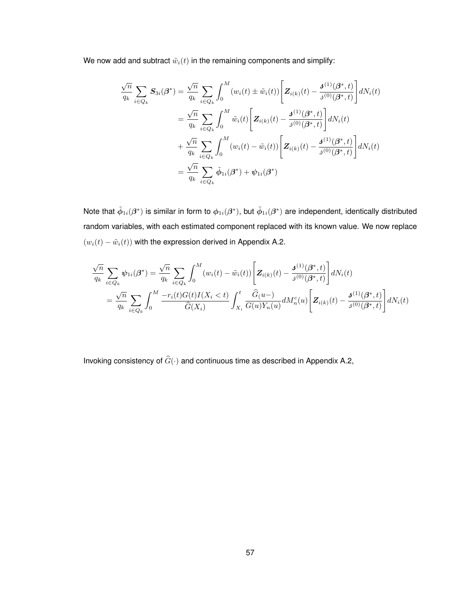We now add and subtract  $\tilde{w}_i(t)$  in the remaining components and simplify:

$$
\frac{\sqrt{n}}{q_k} \sum_{i \in Q_k} S_{3i}(\beta^*) = \frac{\sqrt{n}}{q_k} \sum_{i \in Q_k} \int_0^M (w_i(t) \pm \tilde{w}_i(t)) \left[ Z_{i(k)}(t) - \frac{\mathbf{J}^{(1)}(\beta^*, t)}{\mathbf{J}^{(0)}(\beta^*, t)} \right] dN_i(t)
$$
  
\n
$$
= \frac{\sqrt{n}}{q_k} \sum_{i \in Q_k} \int_0^M \tilde{w}_i(t) \left[ Z_{i(k)}(t) - \frac{\mathbf{J}^{(1)}(\beta^*, t)}{\mathbf{J}^{(0)}(\beta^*, t)} \right] dN_i(t)
$$
  
\n
$$
+ \frac{\sqrt{n}}{q_k} \sum_{i \in Q_k} \int_0^M (w_i(t) - \tilde{w}_i(t)) \left[ Z_{i(k)}(t) - \frac{\mathbf{J}^{(1)}(\beta^*, t)}{\mathbf{J}^{(0)}(\beta^*, t)} \right] dN_i(t)
$$
  
\n
$$
= \frac{\sqrt{n}}{q_k} \sum_{i \in Q_k} \tilde{\phi}_{1i}(\beta^*) + \psi_{1i}(\beta^*)
$$

Note that  $\tilde\phi_{1i}(\beta^*)$  is similar in form to  $\phi_{1i}(\beta^*)$ , but  $\tilde\phi_{1i}(\beta^*)$  are independent, identically distributed random variables, with each estimated component replaced with its known value. We now replace  $(w_i(t) - \tilde{w}_i(t))$  with the expression derived in Appendix A.2.

$$
\frac{\sqrt{n}}{q_k} \sum_{i \in Q_k} \psi_{1i}(\beta^*) = \frac{\sqrt{n}}{q_k} \sum_{i \in Q_k} \int_0^M (w_i(t) - \tilde{w}_i(t)) \left[ \mathbf{Z}_{i(k)}(t) - \frac{\mathbf{J}^{(1)}(\beta^*, t)}{\mathbf{J}^{(0)}(\beta^*, t)} \right] dN_i(t)
$$
\n
$$
= \frac{\sqrt{n}}{q_k} \sum_{i \in Q_k} \int_0^M \frac{-r_i(t)G(t)I(X_i < t)}{\widehat{G}(X_i)} \int_{X_i}^t \frac{\widehat{G}(u-)}{G(u)Y_n(u)} dM_n^c(u) \left[ \mathbf{Z}_{i(k)}(t) - \frac{\mathbf{J}^{(1)}(\beta^*, t)}{\mathbf{J}^{(0)}(\beta^*, t)} \right] dN_i(t)
$$

Invoking consistency of  $\widehat{G}(\cdot)$  and continuous time as described in Appendix A.2,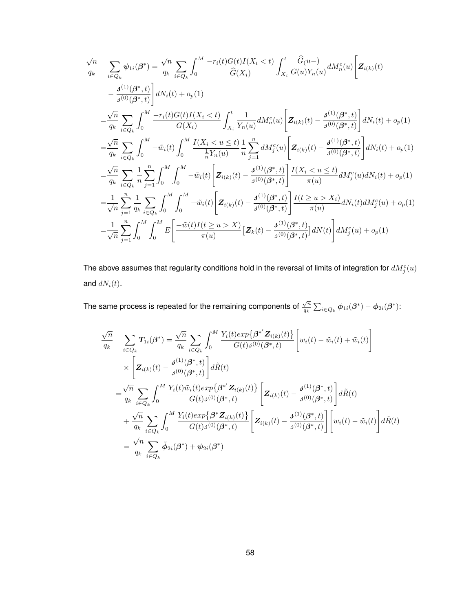$$
\frac{\sqrt{n}}{q_k} \quad \sum_{i \in Q_k} \psi_{1i}(\beta^*) = \frac{\sqrt{n}}{q_k} \sum_{i \in Q_k} \int_0^M \frac{-r_i(t)G(t)I(X_i < t)}{\hat{G}(X_i)} \int_{X_i}^t \frac{\hat{G}(u-)}{G(u)Y_n(u)} dM_n^c(u) \left[ \mathbf{Z}_{i(k)}(t) \right. \n- \frac{\mathbf{J}^{(1)}(\beta^*, t)}{\mathbf{J}^{(0)}(\beta^*, t)} \right] dN_i(t) + o_p(1) \n= \frac{\sqrt{n}}{q_k} \sum_{i \in Q_k} \int_0^M \frac{-r_i(t)G(t)I(X_i < t)}{G(X_i)} \int_{X_i}^t \frac{1}{Y_n(u)} dM_n^c(u) \left[ \mathbf{Z}_{i(k)}(t) - \frac{\mathbf{J}^{(1)}(\beta^*, t)}{\mathbf{J}^{(0)}(\beta^*, t)} \right] dN_i(t) + o_p(1) \n= \frac{\sqrt{n}}{q_k} \sum_{i \in Q_k} \int_0^M -\tilde{w}_i(t) \int_0^M \frac{I(X_i < u \le t)}{\frac{1}{n}Y_n(u)} \frac{1}{n} \sum_{j=1}^n dM_j^c(u) \left[ \mathbf{Z}_{i(k)}(t) - \frac{\mathbf{J}^{(1)}(\beta^*, t)}{\mathbf{J}^{(0)}(\beta^*, t)} \right] dN_i(t) + o_p(1) \n= \frac{\sqrt{n}}{q_k} \sum_{i \in Q_k} \frac{1}{n} \sum_{j=1}^n \int_0^M \int_0^M -\tilde{w}_i(t) \left[ \mathbf{Z}_{i(k)}(t) - \frac{\mathbf{J}^{(1)}(\beta^*, t)}{\mathbf{J}^{(0)}(\beta^*, t)} \right] \frac{I(X_i < u \le t)}{\pi(u)} dM_j^c(u) dN_i(t) + o_p(1) \n= \frac{1}{\sqrt{n}} \sum_{j=1}^n \frac{1}{q_k} \sum_{i \in Q_k} \int_0^M \int_0^M -\tilde{w}_i(t) \left[ \mathbf{Z}_{i(k)}(t) - \frac{\mathbf{J}^{(1)}(\beta^*, t)}{\mathbf{J}^{(0)}(\beta^*, t)} \right] \frac{I(t \ge u > X_i)}{\pi(u)}
$$

The above assumes that regularity conditions hold in the reversal of limits of integration for  $dM_j^c(u)$ and  $dN_i(t)$ .

The same process is repeated for the remaining components of  $\frac{\sqrt{n}}{n}$  $\frac{\sqrt{n}}{q_k}\sum_{i\in Q_k}\bm{\phi}_{1i}(\bm{\beta}^*)-\bm{\phi}_{2i}(\bm{\beta}^*)$ :

$$
\frac{\sqrt{n}}{q_k} \quad \sum_{i \in Q_k} T_{1i}(\beta^*) = \frac{\sqrt{n}}{q_k} \sum_{i \in Q_k} \int_0^M \frac{Y_i(t) \exp\{\beta^{*'} \mathbf{Z}_{i(k)}(t)\}}{G(t) \beta^{(0)}(\beta^*, t)} \left[ w_i(t) - \tilde{w}_i(t) + \tilde{w}_i(t) \right] \times \left[ \mathbf{Z}_{i(k)}(t) - \frac{\mathbf{J}^{(1)}(\beta^*, t)}{\beta^{(0)}(\beta^*, t)} \right] d\tilde{R}(t) \n= \frac{\sqrt{n}}{q_k} \sum_{i \in Q_k} \int_0^M \frac{Y_i(t) \tilde{w}_i(t) \exp\{\beta^{*'} \mathbf{Z}_{i(k)}(t)\}}{G(t) \beta^{(0)}(\beta^*, t)} \left[ \mathbf{Z}_{i(k)}(t) - \frac{\mathbf{J}^{(1)}(\beta^*, t)}{\beta^{(0)}(\beta^*, t)} \right] d\tilde{R}(t) \n+ \frac{\sqrt{n}}{q_k} \sum_{i \in Q_k} \int_0^M \frac{Y_i(t) \exp\{\beta^* \mathbf{Z}_{i(k)}(t)\}}{G(t) \beta^{(0)}(\beta^*, t)} \left[ \mathbf{Z}_{i(k)}(t) - \frac{\mathbf{J}^{(1)}(\beta^*, t)}{\beta^{(0)}(\beta^*, t)} \right] \left[ w_i(t) - \tilde{w}_i(t) \right] d\tilde{R}(t) \n= \frac{\sqrt{n}}{q_k} \sum_{i \in Q_k} \tilde{\phi}_{2i}(\beta^*) + \psi_{2i}(\beta^*)
$$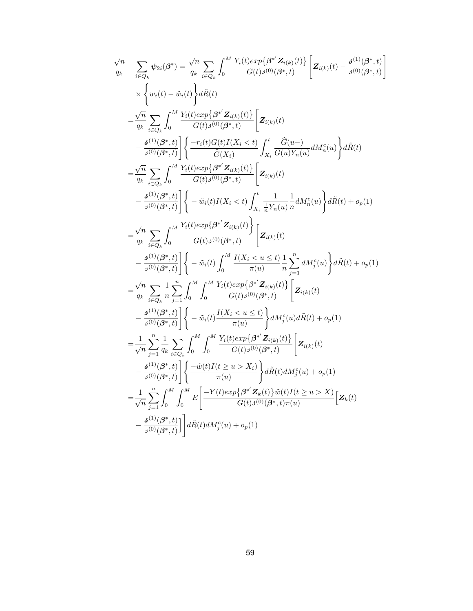$$
\begin{array}{ll} \frac{\sqrt{n}}{q_k} & \sum_{i \in Q_k} \psi_{2i}(\beta^*) = \frac{\sqrt{n}}{q_k} \sum_{i \in Q_k} \int_0^M \frac{Y_i(t)exp\{\beta^* Z_{i(k)}(t)\}}{G(t)\beta^{(0)}(\beta^*,t)} \bigg[ \mathbf{Z}_{i(k)}(t) - \frac{\mathbf{J}^{(1)}(\beta^*,t)}{\mathbf{J}^{(0)}(\beta^*,t)} \\ & \times \Big\{ w_i(t) - \tilde{w}_i(t) \Big\} d\tilde{R}(t) \\ & = \frac{\sqrt{n}}{q_k} \sum_{i \in Q_k} \int_0^M \frac{Y_i(t)exp\{\beta^* Z_{i(k)}(t)\}}{G(t)\beta^{(0)}(\beta^*,t)} \bigg[ \mathbf{Z}_{i(k)}(t) \\ & - \frac{\mathbf{J}^{(1)}(\beta^*,t)}{\mathbf{J}^{(0)}(\beta^*,t)} \bigg] \bigg\{ \frac{-r_i(t)G(t)I(X_i < t)}{G(X_i)} \int_{X_i}^t \frac{\hat{G}(u-)}{G(u)Y_n(u)} dM_n^c(u) \bigg\} d\tilde{R}(t) \\ & = \frac{\sqrt{n}}{q_k} \sum_{i \in Q_k} \int_0^M \frac{Y_i(t)exp\{\beta^* Z_{i(k)}(t)\}}{G(t)\mathbf{J}^{(0)}(\beta^*,t)} \bigg[ \mathbf{Z}_{i(k)}(t) \\ & - \frac{\mathbf{J}^{(1)}(\beta^*,t)}{\mathbf{J}^{(0)}(\beta^*,t)} \bigg] \bigg\{ -\tilde{w}_i(t)I(X_i < t) \int_{X_i}^t \frac{1}{n} Y_n(u)} \frac{1}{n} dM_n^c(u) \bigg\} d\tilde{R}(t) + o_p(1) \\ & = \frac{\sqrt{n}}{q_k} \sum_{i \in Q_k} \int_0^M \frac{Y_i(t)exp\{\beta^* Z_{i(k)}(t)\}}{G(t)\mathbf{J}^{(0)}(\beta^*,t)} \bigg[ \mathbf{Z}_{i(k)}(t) \\ & - \frac{\mathbf{J}^{(1)}(\beta^*,t)}{\mathbf{J}^{(0)}(\beta^*,t)} \bigg\{ -\tilde{w}_i(t) \int_0^M \frac{I(X_i < u \le t)}{\pi(u)} \frac{1}{n} \sum_{j=1}^n dM_j^
$$

1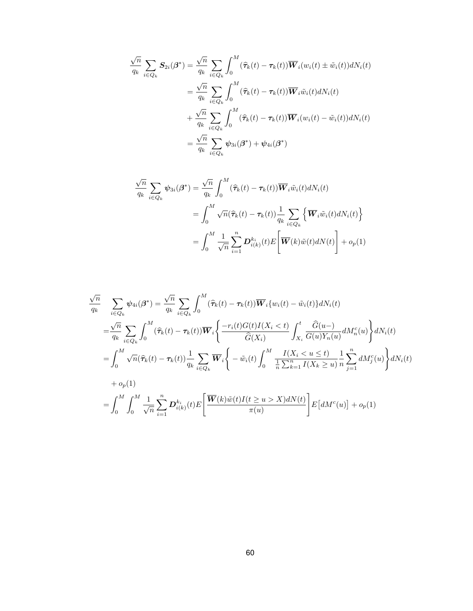$$
\frac{\sqrt{n}}{q_k} \sum_{i \in Q_k} \mathbf{S}_{2i}(\boldsymbol{\beta}^*) = \frac{\sqrt{n}}{q_k} \sum_{i \in Q_k} \int_0^M (\widehat{\tau}_k(t) - \tau_k(t)) \overline{\mathbf{W}}_i(w_i(t) \pm \tilde{w}_i(t)) dN_i(t)
$$

$$
= \frac{\sqrt{n}}{q_k} \sum_{i \in Q_k} \int_0^M (\widehat{\tau}_k(t) - \tau_k(t)) \overline{\mathbf{W}}_i \tilde{w}_i(t) dN_i(t)
$$

$$
+ \frac{\sqrt{n}}{q_k} \sum_{i \in Q_k} \int_0^M (\widehat{\tau}_k(t) - \tau_k(t)) \overline{\mathbf{W}}_i(w_i(t) - \tilde{w}_i(t)) dN_i(t)
$$

$$
= \frac{\sqrt{n}}{q_k} \sum_{i \in Q_k} \psi_{3i}(\boldsymbol{\beta}^*) + \psi_{4i}(\boldsymbol{\beta}^*)
$$

$$
\frac{\sqrt{n}}{q_k} \sum_{i \in Q_k} \psi_{3i}(\beta^*) = \frac{\sqrt{n}}{q_k} \int_0^M (\hat{\tau}_k(t) - \tau_k(t)) \overline{W}_i \tilde{w}_i(t) dN_i(t)
$$

$$
= \int_0^M \sqrt{n} (\hat{\tau}_k(t) - \tau_k(t)) \frac{1}{q_k} \sum_{i \in Q_k} \left\{ \overline{W}_i \tilde{w}_i(t) dN_i(t) \right\}
$$

$$
= \int_0^M \frac{1}{\sqrt{n}} \sum_{i=1}^n D_{i(k)}^{k_i}(t) E\left[ \overline{W}(k) \tilde{w}(t) dN(t) \right] + o_p(1)
$$

$$
\frac{\sqrt{n}}{q_k} \sum_{i \in Q_k} \psi_{4i}(\beta^*) = \frac{\sqrt{n}}{q_k} \sum_{i \in Q_k} \int_0^M (\hat{\tau}_k(t) - \tau_k(t)) \overline{W}_i \{w_i(t) - \tilde{w}_i(t)\} dN_i(t)
$$
\n
$$
= \frac{\sqrt{n}}{q_k} \sum_{i \in Q_k} \int_0^M (\hat{\tau}_k(t) - \tau_k(t)) \overline{W}_i \left\{ \frac{-r_i(t)G(t)I(X_i < t)}{\hat{G}(X_i)} \int_{X_i}^t \frac{\hat{G}(u-)}{G(u)Y_n(u)} dM_n^c(u) \right\} dN_i(t)
$$
\n
$$
= \int_0^M \sqrt{n} (\hat{\tau}_k(t) - \tau_k(t)) \frac{1}{q_k} \sum_{i \in Q_k} \overline{W}_i \left\{ -\tilde{w}_i(t) \int_0^M \frac{I(X_i < u \le t)}{\frac{1}{n} \sum_{k=1}^n I(X_k \ge u)} \frac{1}{n} \sum_{j=1}^n dM_j^c(u) \right\} dN_i(t)
$$
\n
$$
+ o_p(1)
$$
\n
$$
= \int_0^M \int_0^M \frac{1}{\sqrt{n}} \sum_{i=1}^n D_{i(k)}^{k_i}(t) E\left[ \frac{\overline{W}(k)\tilde{w}(t)I(t \ge u > X) dN(t)}{\pi(u)} \right] E\left[ dM^c(u) \right] + o_p(1)
$$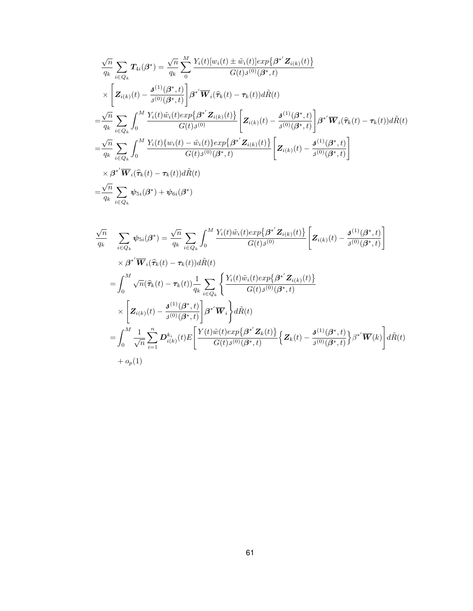$$
\frac{\sqrt{n}}{q_k} \sum_{i \in Q_k} T_{4i}(\beta^*) = \frac{\sqrt{n}}{q_k} \sum_{0}^{M} \frac{Y_i(t)[w_i(t) \pm \tilde{w}_i(t)]exp\{\beta^{*'} Z_{i(k)}(t)\}}{G(t)\beta^{(0)}(\beta^*, t)}
$$
\n
$$
\times \left[ Z_{i(k)}(t) - \frac{\mathbf{J}^{(1)}(\beta^*, t)}{\beta^{(0)}(\beta^*, t)} \right] \beta^{*'} \overline{W}_i(\hat{\tau}_k(t) - \tau_k(t)) d\tilde{R}(t)
$$
\n
$$
= \frac{\sqrt{n}}{q_k} \sum_{i \in Q_k} \int_0^M \frac{Y_i(t)\tilde{w}_i(t)exp\{\beta^{*'} Z_{i(k)}(t)\}}{G(t)\beta^{(0)}} \left[ Z_{i(k)}(t) - \frac{\mathbf{J}^{(1)}(\beta^*, t)}{\beta^{(0)}(\beta^*, t)} \right] \beta^{*'} \overline{W}_i(\hat{\tau}_k(t) - \tau_k(t)) d\tilde{R}(t)
$$
\n
$$
= \frac{\sqrt{n}}{q_k} \sum_{i \in Q_k} \int_0^M \frac{Y_i(t)\{w_i(t) - \tilde{w}_i(t)\}exp\{\beta^{*'} Z_{i(k)}(t)\}}{G(t)\beta^{(0)}(\beta^*, t)} \left[ Z_{i(k)}(t) - \frac{\mathbf{J}^{(1)}(\beta^*, t)}{\beta^{(0)}(\beta^*, t)} \right]
$$
\n
$$
\times \beta^{*'} \overline{W}_i(\hat{\tau}_k(t) - \tau_k(t)) d\tilde{R}(t)
$$
\n
$$
= \frac{\sqrt{n}}{q_k} \sum_{i \in Q_k} \psi_{5i}(\beta^*) + \psi_{6i}(\beta^*)
$$

$$
\frac{\sqrt{n}}{q_k} \quad \sum_{i \in Q_k} \psi_{5i}(\beta^*) = \frac{\sqrt{n}}{q_k} \sum_{i \in Q_k} \int_0^M \frac{Y_i(t)\tilde{w}_i(t)exp\{\beta^{*'}\mathbf{Z}_{i(k)}(t)\}}{G(t)\beta^{(0)}} \left[\mathbf{Z}_{i(k)}(t) - \frac{\mathbf{J}^{(1)}(\beta^*, t)}{\beta^{(0)}(\beta^*, t)}\right]
$$
\n
$$
\times \beta^{*'}\overline{\mathbf{W}}_i(\hat{\tau}_k(t) - \tau_k(t))d\tilde{R}(t)
$$
\n
$$
= \int_0^M \sqrt{n}(\hat{\tau}_k(t) - \tau_k(t))\frac{1}{q_k} \sum_{i \in Q_k} \left\{\frac{Y_i(t)\tilde{w}_i(t)exp\{\beta^{*'}\mathbf{Z}_{i(k)}(t)\}}{G(t)\beta^{(0)}(\beta^*, t)}\right\}
$$
\n
$$
\times \left[\mathbf{Z}_{i(k)}(t) - \frac{\mathbf{J}^{(1)}(\beta^*, t)}{\beta^{(0)}(\beta^*, t)}\right] \beta^{*'}\overline{\mathbf{W}}_i\right\} d\tilde{R}(t)
$$
\n
$$
= \int_0^M \frac{1}{\sqrt{n}} \sum_{i=1}^n \mathbf{D}_{i(k)}^{k_i}(t) E\left[\frac{Y(t)\tilde{w}(t)exp\{\beta^{*'}\mathbf{Z}_k(t)\}}{G(t)\beta^{(0)}(\beta^*, t)}\right\} \mathbf{Z}_k(t) - \frac{\mathbf{J}^{(1)}(\beta^*, t)}{\beta^{(0)}(\beta^*, t)}\right\} \beta^{*'}\overline{\mathbf{W}}(k)\right] d\tilde{R}(t)
$$
\n
$$
+ o_p(1)
$$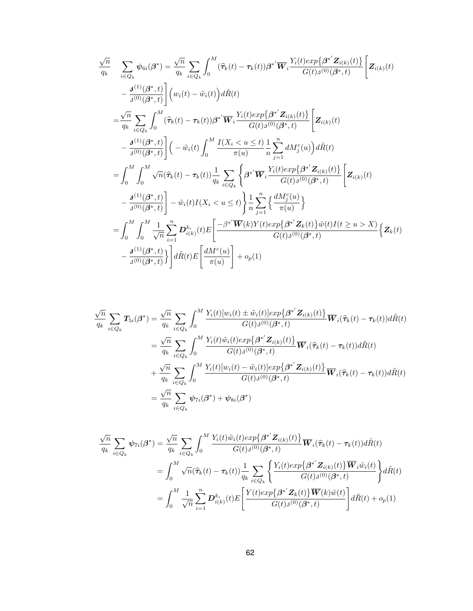$$
\frac{\sqrt{n}}{q_k} \quad \sum_{i \in Q_k} \psi_{6i}(\beta^*) = \frac{\sqrt{n}}{q_k} \sum_{i \in Q_k} \int_0^M (\hat{\tau}_k(t) - \tau_k(t)) \beta^{*'} \overline{W}_i \frac{Y_i(t) \exp{\{\beta^{*'} Z_{i(k)}(t\}}}{G(t)_{\beta(0)}(\beta^*, t)} \left[ Z_{i(k)}(t) \right. \n- \frac{\mathcal{J}^{(1)}(\beta^*, t)}{\mathcal{J}^{(0)}(\beta^*, t)} \right] (w_i(t) - \tilde{w}_i(t)) d\tilde{R}(t) \n= \frac{\sqrt{n}}{q_k} \sum_{i \in Q_k} \int_0^M (\hat{\tau}_k(t) - \tau_k(t)) \beta^{*'} \overline{W}_i \frac{Y_i(t) \exp{\{\beta^{*'} Z_{i(k)}(t\}}}{G(t)_{\beta(0)}(\beta^*, t)} \left[ Z_{i(k)}(t) \right. \n- \frac{\mathcal{J}^{(1)}(\beta^*, t)}{\mathcal{J}^{(0)}(\beta^*, t)} \right] (-\tilde{w}_i(t) \int_0^M \frac{I(X_i < u \le t)}{\pi(u)} \frac{1}{n} \sum_{j=1}^n dM_j^c(u) d\tilde{R}(t) \n= \int_0^M \int_0^M \sqrt{n} (\hat{\tau}_k(t) - \tau_k(t)) \frac{1}{q_k} \sum_{i \in Q_k} \left\{ \beta^{*'} \overline{W}_i \frac{Y_i(t) \exp{\{\beta^{*'} Z_{i(k)}(t\)}}}{G(t)_{\beta(0)}(\beta^*, t)} \left[ Z_{i(k)}(t) \right. \n- \frac{\mathcal{J}^{(1)}(\beta^*, t)}{\mathcal{J}^{(0)}(\beta^*, t)} \right] - \tilde{w}_i(t) I(X_i < u \le t) \left\} \frac{1}{n} \sum_{j=1}^n \left\{ \frac{dM_j^c(u)}{\pi(u)} \right\} \n= \int_0^M \int_0^M \frac{1}{\sqrt{n}} \sum_{i=1}^n D_{i(k)}^{k_i}(t) E\left[ \frac{-\beta^{*'} \overline{W}(k) Y(t) \exp{\{\beta^{*'} Z_k(t\)}} \tilde{w}(t) I(t \ge u > X)}{\mathcal{G}(t) \mathcal{
$$

$$
\frac{\sqrt{n}}{q_k} \sum_{i \in Q_k} T_{5i}(\beta^*) = \frac{\sqrt{n}}{q_k} \sum_{i \in Q_k} \int_0^M \frac{Y_i(t)[w_i(t) \pm \tilde{w}_i(t)] \exp\{\beta^{*'} \mathbf{Z}_{i(k)}(t)\}}{G(t)\beta^{(0)}(\beta^*, t)} \overline{W}_i(\hat{\tau}_k(t) - \tau_k(t)) d\tilde{R}(t)
$$
\n
$$
= \frac{\sqrt{n}}{q_k} \sum_{i \in Q_k} \int_0^M \frac{Y_i(t)\tilde{w}_i(t) \exp\{\beta^{*'} \mathbf{Z}_{i(k)}(t)\}}{G(t)\beta^{(0)}(\beta^*, t)} \overline{W}_i(\hat{\tau}_k(t) - \tau_k(t)) d\tilde{R}(t)
$$
\n
$$
+ \frac{\sqrt{n}}{q_k} \sum_{i \in Q_k} \int_0^M \frac{Y_i(t)[w_i(t) - \tilde{w}_i(t)] \exp\{\beta^{*'} \mathbf{Z}_{i(k)}(t)\}}{G(t)\beta^{(0)}(\beta^*, t)} \overline{W}_i(\hat{\tau}_k(t) - \tau_k(t)) d\tilde{R}(t)
$$
\n
$$
= \frac{\sqrt{n}}{q_k} \sum_{i \in Q_k} \psi_{\tau i}(\beta^*) + \psi_{8i}(\beta^*)
$$

$$
\frac{\sqrt{n}}{q_k} \sum_{i \in Q_k} \psi_{7i}(\beta^*) = \frac{\sqrt{n}}{q_k} \sum_{i \in Q_k} \int_0^M \frac{Y_i(t)\tilde{w}_i(t)exp\{\beta^{*'}\mathbf{Z}_{i(k)}(t)\}}{G(t)\mathbf{J}^{(0)}(\beta^*,t)} \overline{\mathbf{W}}_i(\hat{\tau}_k(t) - \tau_k(t))d\tilde{R}(t)
$$
\n
$$
= \int_0^M \sqrt{n}(\hat{\tau}_k(t) - \tau_k(t))\frac{1}{q_k} \sum_{i \in Q_k} \left\{ \frac{Y_i(t)exp\{\beta^{*'}\mathbf{Z}_{i(k)}(t)\}\overline{\mathbf{W}}_i\tilde{w}_i(t)}{G(t)\mathbf{J}^{(0)}(\beta^*,t)} \right\} d\tilde{R}(t)
$$
\n
$$
= \int_0^M \frac{1}{\sqrt{n}} \sum_{i=1}^n \mathbf{D}_{i(k)}^{k_i}(t) E\left[\frac{Y(t)exp\{\beta^{*'}\mathbf{Z}_k(t)\}\overline{\mathbf{W}}(k)\tilde{w}(t)}{G(t)\mathbf{J}^{(0)}(\beta^*,t)}\right] d\tilde{R}(t) + o_p(1)
$$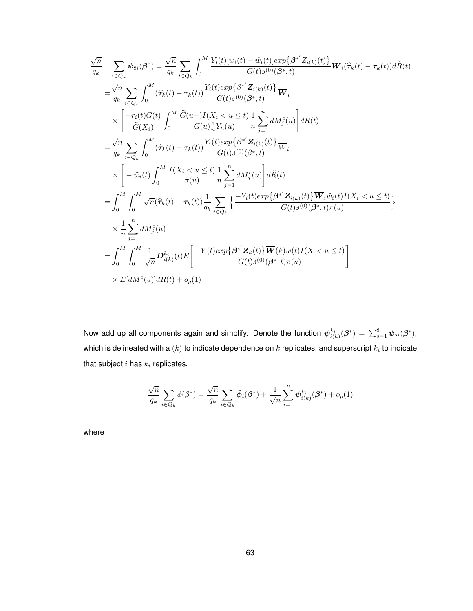$$
\frac{\sqrt{n}}{q_k} \quad \sum_{i \in Q_k} \psi_{8i}(\beta^*) = \frac{\sqrt{n}}{q_k} \sum_{i \in Q_k} \int_0^M \frac{Y_i(t)[w_i(t) - \tilde{w}_i(t)]exp\{\beta^{*'} Z_{i(k)}(t)\}}{G(t)\beta^{(0)}(\beta^*, t)} \overline{W}_i(\hat{\tau}_k(t) - \tau_k(t))d\tilde{R}(t)
$$
\n
$$
= \frac{\sqrt{n}}{q_k} \sum_{i \in Q_k} \int_0^M (\hat{\tau}_k(t) - \tau_k(t)) \frac{Y_i(t)exp\{\beta^{*'} Z_{i(k)}(t)\}}{G(t)\beta^{(0)}(\beta^*, t)} \overline{W}_i
$$
\n
$$
\times \left[ \frac{-r_i(t)G(t)}{\hat{G}(X_i)} \int_0^M \frac{\hat{G}(u - )I(X_i < u \le t)}{G(u)_\pi^1 Y_n(u)} \frac{1}{n} \sum_{j=1}^n dM_j^c(u) \right] d\tilde{R}(t)
$$
\n
$$
= \frac{\sqrt{n}}{q_k} \sum_{i \in Q_k} \int_0^M (\hat{\tau}_k(t) - \tau_k(t)) \frac{Y_i(t)exp\{\beta^{*'} Z_{i(k)}(t)\}}{G(t)\beta^{(0)}(\beta^*, t)} \overline{W}_i
$$
\n
$$
\times \left[ -\tilde{w}_i(t) \int_0^M \frac{I(X_i < u \le t)}{\pi(u)} \frac{1}{n} \sum_{j=1}^n dM_j^c(u) \right] d\tilde{R}(t)
$$
\n
$$
= \int_0^M \int_0^M \sqrt{n}(\hat{\tau}_k(t) - \tau_k(t)) \frac{1}{q_k} \sum_{i \in Q_k} \left\{ \frac{-Y_i(t)exp\{\beta^{*'} Z_{i(k)}(t)\} \overline{W}_i \tilde{w}_i(t)I(X_i < u \le t)}{G(t)\beta^{(0)}(\beta^*, t)\pi(u)} \right\}
$$
\n
$$
\times \frac{1}{n} \sum_{j=1}^n dM_j^c(u)
$$
\n
$$
= \int_0^M \int_0^M \frac{1}{\sqrt{n}} D_{i(k)}^k(t) E\left[ \frac{-Y(t)exp\{\beta^{*'} Z_k(t)\} \overline{W}(k) \tilde{w}(t)I(X < u \le
$$

Now add up all components again and simplify. Denote the function  $\psi_{i(k)}^{k_i}(\beta^*)=\sum_{s=1}^8\psi_{si}(\beta^*),$ which is delineated with a  $(k)$  to indicate dependence on  $k$  replicates, and superscript  $k_i$  to indicate that subject  $i$  has  $k_i$  replicates.

$$
\frac{\sqrt{n}}{q_k} \sum_{i \in Q_k} \phi(\beta^*) = \frac{\sqrt{n}}{q_k} \sum_{i \in Q_k} \tilde{\phi}_i(\beta^*) + \frac{1}{\sqrt{n}} \sum_{i=1}^n \psi_{i(k)}^{k_i}(\beta^*) + o_p(1)
$$

where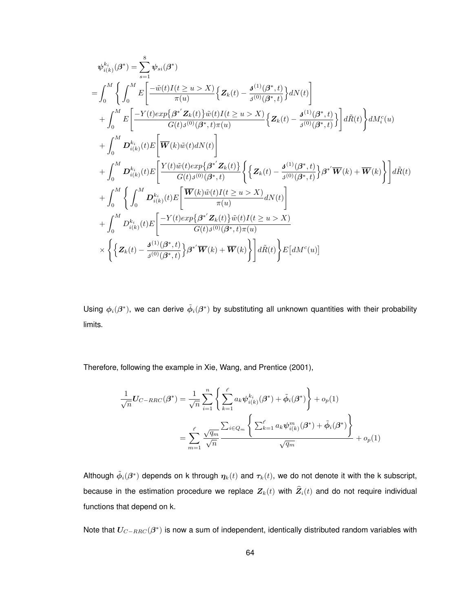$$
\psi_{i(k)}^{k_i}(\beta^*) = \sum_{s=1}^{8} \psi_{si}(\beta^*)
$$
\n
$$
= \int_0^M \left\{ \int_0^M E \left[ \frac{-\tilde{w}(t)I(t \ge u > X)}{\pi(u)} \left\{ \mathbf{Z}_k(t) - \frac{\mathbf{J}^{(1)}(\beta^*, t)}{\mathbf{J}^{(0)}(\beta^*, t)} \right\} dN(t) \right\} \right. \\
\left. + \int_0^M E \left[ \frac{-Y(t)exp\{\beta^* \mathbf{Z}_k(t)\}\tilde{w}(t)I(t \ge u > X)}{G(t)\mathbf{J}^{(0)}(\beta^*, t)\pi(u)} \left\{ \mathbf{Z}_k(t) - \frac{\mathbf{J}^{(1)}(\beta^*, t)}{\mathbf{J}^{(0)}(\beta^*, t)} \right\} \right] d\tilde{R}(t) \right\} dM_i^c(u) \\
+ \int_0^M \mathbf{D}_{i(k)}^{k_i}(t) E \left[ \overline{\mathbf{W}}(k)\tilde{w}(t) dN(t) \right] \\
+ \int_0^M \mathbf{D}_{i(k)}^{k_i}(t) E \left[ \frac{Y(t)\tilde{w}(t)exp\{\beta^* \mathbf{Z}_k(t)\}}{G(t)\mathbf{J}^{(0)}(\beta^*, t)} \left\{ \left\{ \mathbf{Z}_k(t) - \frac{\mathbf{J}^{(1)}(\beta^*, t)}{\mathbf{J}^{(0)}(\beta^*, t)} \right\} \beta^{*'} \overline{\mathbf{W}}(k) + \overline{\mathbf{W}}(k) \right\} \right] d\tilde{R}(t) \\
+ \int_0^M \left\{ \int_0^M \mathbf{D}_{i(k)}^{k_i}(t) E \left[ \frac{\overline{\mathbf{W}}(k)\tilde{w}(t)I(t \ge u > X)}{\pi(u)} dN(t) \right] \right. \\
+ \int_0^M \mathbf{D}_{i(k)}^{k_i}(t) E \left[ \frac{-Y(t)exp\{\beta^* \mathbf{Z}_k(t)\}\tilde{w}(t)I(t \ge u > X)}{G(t)\mathbf{J}^{(0)}(\beta^*, t)\pi(u)} \right. \\
\times \left\{ \left\{ \mathbf{Z}_k(t) - \frac{\mathbf{J}^{(1)}(\beta^*, t)}{\mathbf{J}^{(0)}(\beta^*, t)} \right\} \beta
$$

Using  $\phi_i(\beta^*)$ , we can derive  $\tilde{\phi}_i(\beta^*)$  by substituting all unknown quantities with their probability limits.

Therefore, following the example in Xie, Wang, and Prentice (2001),

$$
\frac{1}{\sqrt{n}}\mathbf{U}_{C-RRC}(\boldsymbol{\beta}^*) = \frac{1}{\sqrt{n}}\sum_{i=1}^n \left\{ \sum_{k=1}^\ell a_k \boldsymbol{\psi}_{i(k)}^{k_i}(\boldsymbol{\beta}^*) + \tilde{\boldsymbol{\phi}}_i(\boldsymbol{\beta}^*) \right\} + o_p(1)
$$
\n
$$
= \sum_{m=1}^\ell \frac{\sqrt{q_m}}{\sqrt{n}} \frac{\sum_{i\in Q_m} \left\{ \sum_{k=1}^\ell a_k \boldsymbol{\psi}_{i(k)}^m(\boldsymbol{\beta}^*) + \tilde{\boldsymbol{\phi}}_i(\boldsymbol{\beta}^*) \right\}}{\sqrt{q_m}} + o_p(1)
$$

Although  $\tilde{\phi}_i(\beta^*)$  depends on k through  $\eta_k(t)$  and  $\tau_k(t)$ , we do not denote it with the k subscript, because in the estimation procedure we replace  $Z_k(t)$  with  $\widehat{Z}_i(t)$  and do not require individual functions that depend on k.

Note that  $U_{C-RRC}(\beta^*)$  is now a sum of independent, identically distributed random variables with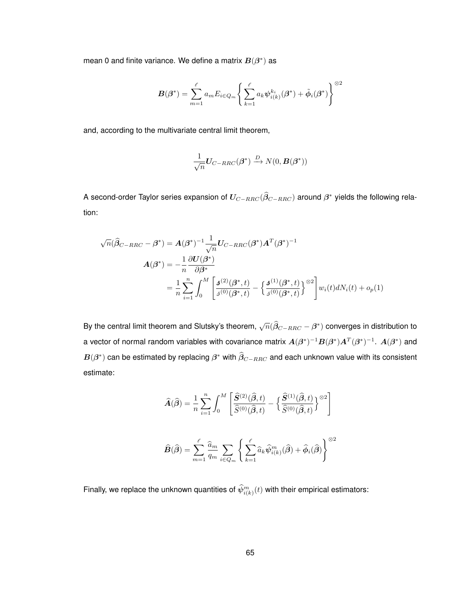mean 0 and finite variance. We define a matrix  $B(\beta^*)$  as

$$
\boldsymbol{B}(\boldsymbol{\beta}^*) = \sum_{m=1}^{\ell} a_m E_{i \in Q_m} \left\{ \sum_{k=1}^{\ell} a_k \boldsymbol{\psi}_{i(k)}^{k_i}(\boldsymbol{\beta}^*) + \tilde{\boldsymbol{\phi}}_i(\boldsymbol{\beta}^*) \right\}^{\otimes 2}
$$

and, according to the multivariate central limit theorem,

$$
\frac{1}{\sqrt{n}}\boldsymbol{U}_{C-RRC}(\boldsymbol{\beta}^*) \xrightarrow{D} N(0,\boldsymbol{B}(\boldsymbol{\beta}^*))
$$

A second-order Taylor series expansion of  $U_{C-RRC}(\widehat \beta_{C-RRC})$  around  $\beta^*$  yields the following relation:

$$
\sqrt{n}(\widehat{\beta}_{C-RRC} - \beta^*) = A(\beta^*)^{-1} \frac{1}{\sqrt{n}} U_{C-RRC}(\beta^*) A^T (\beta^*)^{-1}
$$
  

$$
A(\beta^*) = -\frac{1}{n} \frac{\partial U(\beta^*)}{\partial \beta^*}
$$
  

$$
= \frac{1}{n} \sum_{i=1}^n \int_0^M \left[ \frac{d^{(2)}(\beta^*, t)}{d^{(0)}(\beta^*, t)} - \left\{ \frac{d^{(1)}(\beta^*, t)}{d^{(0)}(\beta^*, t)} \right\}^{\otimes 2} \right] w_i(t) dN_i(t) + o_p(1)
$$

By the central limit theorem and Slutsky's theorem,  $\sqrt{n}(\widehat{\beta}_{C-RRC}-\beta^*)$  converges in distribution to a vector of normal random variables with covariance matrix  $A(\beta^*)^{-1}B(\beta^*)A^T(\beta^*)^{-1}$ .  $A(\beta^*)$  and  $\bm{B}(\bm{\beta}^*)$  can be estimated by replacing  $\bm{\beta}^*$  with  $\widehat{\bm{\beta}}_{C-RRC}$  and each unknown value with its consistent estimate:

$$
\widehat{A}(\widehat{\beta}) = \frac{1}{n} \sum_{i=1}^{n} \int_{0}^{M} \left[ \frac{\widehat{S}^{(2)}(\widehat{\beta},t)}{\widehat{S}^{(0)}(\widehat{\beta},t)} - \left\{ \frac{\widehat{S}^{(1)}(\widehat{\beta},t)}{\widehat{S}^{(0)}(\widehat{\beta},t)} \right\}^{\otimes 2} \right]
$$
  

$$
\widehat{B}(\widehat{\beta}) = \sum_{m=1}^{\ell} \frac{\widehat{a}_{m}}{q_{m}} \sum_{i \in Q_{m}} \left\{ \sum_{k=1}^{\ell} \widehat{a}_{k} \widehat{\psi}_{i(k)}^{m}(\widehat{\beta}) + \widehat{\phi}_{i}(\widehat{\beta}) \right\}^{\otimes 2}
$$

Finally, we replace the unknown quantities of  $\hat{\psi}_{i(k)}^m(t)$  with their empirical estimators: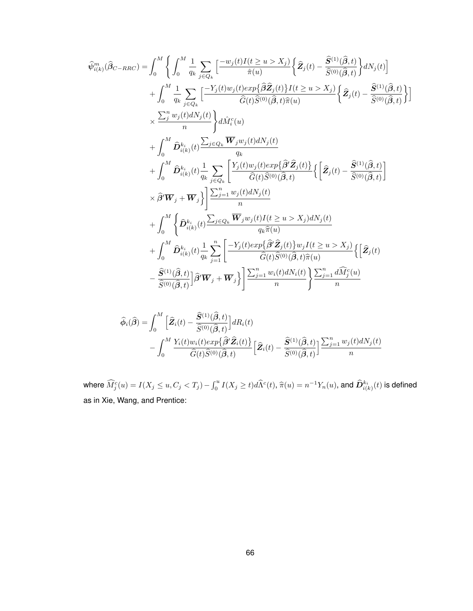$$
\begin{split} \widehat{\psi}_{i(k)}^{m}(\widehat{\beta}_{C-RRC}) & = \int_{0}^{M} \Bigg\{ \int_{0}^{M} \frac{1}{q_{k}} \sum_{j \in Q_{k}} \Big[ \frac{-w_{j}(t)I(t \geq u > X_{j})}{\widehat{\pi}(u)} \Big\{ \widehat{\mathbf{Z}}_{j}(t) - \frac{\widehat{S}^{(1)}(\widehat{\beta},t)}{\widehat{S}^{(0)}(\widehat{\beta},t)} \Big\} dN_{j}(t) \Big] \\ & + \int_{0}^{M} \frac{1}{q_{k}} \sum_{j \in Q_{k}} \Big[ \frac{-Y_{j}(t)w_{j}(t)exp\{\widehat{\beta}\widehat{\mathbf{Z}}_{j}(t)\}I(t \geq u > X_{j})}{\widehat{G}(t)\widehat{S}^{(0)}(\widehat{\beta},t)\widehat{\pi}(u)} \Big\{ \widehat{\mathbf{Z}}_{j}(t) - \frac{\widehat{S}^{(1)}(\widehat{\beta},t)}{\widehat{S}^{(0)}(\widehat{\beta},t)} \Big\} \Bigg] \\ & \times \frac{\sum_{j}^{n} w_{j}(t) dN_{j}(t)}{n} \Bigg\} d\widehat{M}_{i}^{c}(u) \\ & + \int_{0}^{M} \widehat{\mathbf{D}}_{i(k)}^{k_{i}}(t) \frac{\sum_{j \in Q_{k}} \overline{W}_{j}w_{j}(t) dN_{j}(t)}{q_{k}} \\ & + \int_{0}^{M} \widehat{\mathbf{D}}_{i(k)}^{k_{i}}(t) \frac{1}{q_{k}} \sum_{j \in Q_{k}} \Big[ \frac{Y_{j}(t)w_{j}(t)exp\{\widehat{\beta}'\widehat{\mathbf{Z}}_{j}(t)\}}{\widehat{G}(t)\widehat{S}^{(0)}(\widehat{\beta},t)} \Big\{ \Big[ \widehat{\mathbf{Z}}_{j}(t) - \frac{\widehat{S}^{(1)}(\widehat{\beta},t)}{\widehat{S}^{(0)}(\widehat{\beta},t)} \Big] \\ & \times \widehat{\beta}' \overline{W}_{j} + \overline{W}_{j} \Big\} \Bigg\{ \frac{\sum_{j=1}^{n} w_{j}(t)I(t \geq u > X_{j}) dN_{j}(t)}{n} \\ & + \int_{0}^{M} \Big\{ \widehat{\mathbf{D}}_{i(k)}^{k_{i}}(t
$$

$$
\begin{split} \widehat{\phi}_{i}(\widehat{\beta}) &= \int_{0}^{M} \left[ \widehat{\mathbf{Z}}_{i}(t) - \frac{\widehat{S}^{(1)}(\widehat{\beta},t)}{\widehat{S}^{(0)}(\widehat{\beta},t)} \right] dR_{i}(t) \\ &- \int_{0}^{M} \frac{Y_{i}(t)w_{i}(t)exp\{\widehat{\beta}^{\prime}\widehat{\mathbf{Z}}_{i}(t)\}}{\widehat{G}(t)\widehat{S}^{(0)}(\widehat{\beta},t)} \left[ \widehat{\mathbf{Z}}_{i}(t) - \frac{\widehat{S}^{(1)}(\widehat{\beta},t)}{\widehat{S}^{(0)}(\widehat{\beta},t)} \right] \frac{\sum_{j=1}^{n} w_{j}(t) dN_{j}(t)}{n} \end{split}
$$

where  $\widehat{M}^c_j(u)=I(X_j\leq u,C_j< T_j)-\int_0^uI(X_j\geq t)d\widehat{\Lambda}^c(t),$   $\widehat{\pi}(u)=n^{-1}Y_n(u),$  and  $\widehat{D}_{i(k)}^{k_i}(t)$  is defined as in Xie, Wang, and Prentice: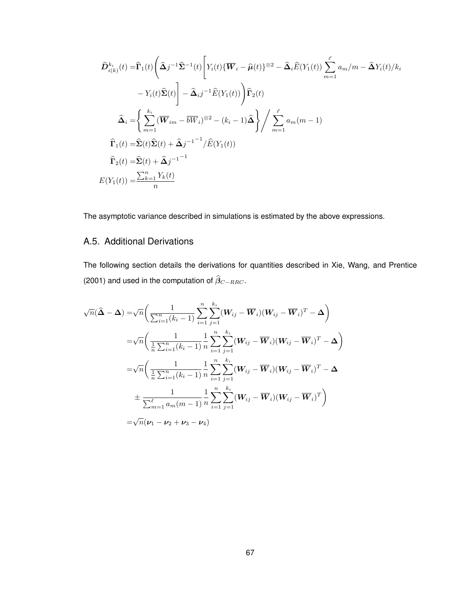$$
\hat{D}_{i(k)}^{k_i}(t) = \hat{\Gamma}_1(t) \left( \hat{\Delta}_j^{-1} \hat{\Sigma}^{-1}(t) \left[ Y_i(t) \{ \overline{W}_i - \hat{\mu}(t) \}^{\otimes 2} - \hat{\Delta}_i \hat{E}(Y_1(t)) \sum_{m=1}^{\ell} a_m / m - \hat{\Delta} Y_i(t) / k_i \right. \\
\left. - Y_i(t) \hat{\Sigma}(t) \right] - \hat{\Delta}_i j^{-1} \hat{E}(Y_1(t)) \left. \right) \hat{\Gamma}_2(t)
$$
\n
$$
\hat{\Delta}_i = \left\{ \sum_{m=1}^{k_i} (\overline{W}_{im} - \overline{b} \overline{W}_i)^{\otimes 2} - (k_i - 1) \hat{\Delta} \right\} / \sum_{m=1}^{\ell} a_m (m - 1)
$$
\n
$$
\hat{\Gamma}_1(t) = \hat{\Sigma}(t) \hat{\Sigma}(t) + \hat{\Delta}_j j^{-1} \hat{E}(Y_1(t))
$$
\n
$$
\hat{\Gamma}_2(t) = \hat{\Sigma}(t) + \hat{\Delta}_j j^{-1} \hat{E}(Y_1(t))
$$
\n
$$
E(Y_1(t)) = \frac{\sum_{k=1}^n Y_k(t)}{n}
$$

The asymptotic variance described in simulations is estimated by the above expressions.

# A.5. Additional Derivations

The following section details the derivations for quantities described in Xie, Wang, and Prentice (2001) and used in the computation of  $\widehat{\beta}_{C-RRC}$ .

$$
\sqrt{n}(\hat{\Delta} - \Delta) = \sqrt{n} \left( \frac{1}{\sum_{i=1}^{n} (k_i - 1)} \sum_{i=1}^{n} \sum_{j=1}^{k_i} (\mathbf{W}_{ij} - \overline{\mathbf{W}}_i) (\mathbf{W}_{ij} - \overline{\mathbf{W}}_i)^T - \Delta \right)
$$
  
\n
$$
= \sqrt{n} \left( \frac{1}{\frac{1}{n} \sum_{i=1}^{n} (k_i - 1)} \frac{1}{n} \sum_{i=1}^{n} \sum_{j=1}^{k_i} (\mathbf{W}_{ij} - \overline{\mathbf{W}}_i) (\mathbf{W}_{ij} - \overline{\mathbf{W}}_i)^T - \Delta \right)
$$
  
\n
$$
= \sqrt{n} \left( \frac{1}{\frac{1}{n} \sum_{i=1}^{n} (k_i - 1)} \frac{1}{n} \sum_{i=1}^{n} \sum_{j=1}^{k_i} (\mathbf{W}_{ij} - \overline{\mathbf{W}}_i) (\mathbf{W}_{ij} - \overline{\mathbf{W}}_i)^T - \Delta \right)
$$
  
\n
$$
+ \frac{1}{\sum_{m=1}^{\ell} a_m (m-1)} \frac{1}{n} \sum_{i=1}^{n} \sum_{j=1}^{k_i} (\mathbf{W}_{ij} - \overline{\mathbf{W}}_i) (\mathbf{W}_{ij} - \overline{\mathbf{W}}_i)^T \right)
$$
  
\n
$$
= \sqrt{n} (\mathbf{V}_1 - \mathbf{V}_2 + \mathbf{V}_3 - \mathbf{V}_4)
$$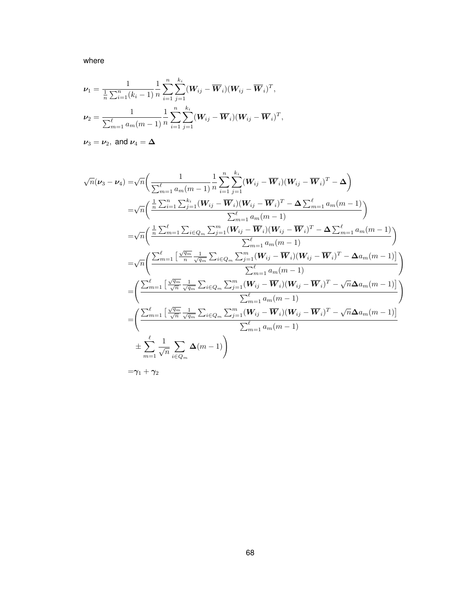where

$$
\nu_1 = \frac{1}{\frac{1}{n}\sum_{i=1}^n (k_i - 1)} \frac{1}{n} \sum_{i=1}^n \sum_{j=1}^{k_i} (\mathbf{W}_{ij} - \overline{\mathbf{W}}_i)(\mathbf{W}_{ij} - \overline{\mathbf{W}}_i)^T,
$$
  

$$
\nu_2 = \frac{1}{\sum_{m=1}^{\ell} a_m (m-1)} \frac{1}{n} \sum_{i=1}^n \sum_{j=1}^{k_i} (\mathbf{W}_{ij} - \overline{\mathbf{W}}_i)(\mathbf{W}_{ij} - \overline{\mathbf{W}}_i)^T,
$$

 $\nu_3 = \nu_2$ , and  $\nu_4 = \Delta$ 

$$
\sqrt{n}(\nu_3 - \nu_4) = \sqrt{n} \left( \frac{1}{\sum_{m=1}^{\ell} a_m(m-1)} \frac{1}{n} \sum_{i=1}^{n} \sum_{j=1}^{k_i} (\mathbf{W}_{ij} - \overline{\mathbf{W}}_i)(\mathbf{W}_{ij} - \overline{\mathbf{W}}_i)^T - \Delta \right)
$$
  
\n
$$
= \sqrt{n} \left( \frac{\frac{1}{n} \sum_{i=1}^{n} \sum_{j=1}^{k_i} (\mathbf{W}_{ij} - \overline{\mathbf{W}}_i)(\mathbf{W}_{ij} - \overline{\mathbf{W}}_i)^T - \Delta \sum_{m=1}^{\ell} a_m(m-1)}{\sum_{m=1}^{\ell} a_m(m-1)} \right)
$$
  
\n
$$
= \sqrt{n} \left( \frac{\frac{1}{n} \sum_{m=1}^{\ell} \sum_{i \in Q_m} \sum_{j=1}^{m} (\mathbf{W}_{ij} - \overline{\mathbf{W}}_i)(\mathbf{W}_{ij} - \overline{\mathbf{W}}_i)^T - \Delta \sum_{m=1}^{\ell} a_m(m-1)}{\sum_{m=1}^{\ell} a_m(m-1)} \right)
$$
  
\n
$$
= \sqrt{n} \left( \frac{\sum_{m=1}^{\ell} \left[ \frac{\sqrt{q_m}}{n} \frac{1}{\sqrt{q_m}} \sum_{i \in Q_m} \sum_{j=1}^{m} (\mathbf{W}_{ij} - \overline{\mathbf{W}}_i)(\mathbf{W}_{ij} - \overline{\mathbf{W}}_i)^T - \Delta a_m(m-1)}{\sum_{m=1}^{\ell} a_m(m-1)} \right)} \right)
$$
  
\n
$$
= \left( \frac{\sum_{m=1}^{\ell} \left[ \frac{\sqrt{q_m}}{\sqrt{n}} \frac{1}{\sqrt{q_m}} \sum_{i \in Q_m} \sum_{j=1}^{m} (\mathbf{W}_{ij} - \overline{\mathbf{W}}_i)(\mathbf{W}_{ij} - \overline{\mathbf{W}}_i)^T - \sqrt{n} \Delta a_m(m-1)}{\sum_{m=1}^{\ell} a_m(m-1)} \right)} \right)
$$
  
\n
$$
= \left( \frac{\sum_{m=1}^{\ell} \left[ \frac{\sqrt{q_m}}{\sqrt{n}} \frac{1}{\sqrt{q_m}} \sum_{i \in Q_m}
$$

 $=\!\boldsymbol{\gamma}_1+\boldsymbol{\gamma}_2$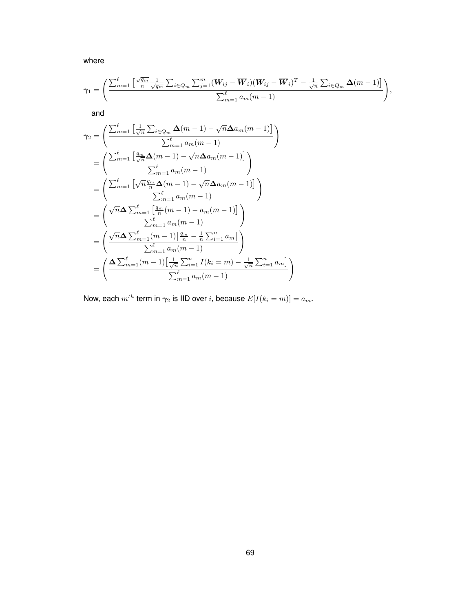where

$$
\gamma_1 = \left( \frac{\sum_{m=1}^{\ell} \left[ \frac{\sqrt{q_m}}{n} \frac{1}{\sqrt{q_m}} \sum_{i \in Q_m} \sum_{j=1}^m (\mathbf{W}_{ij} - \overline{\mathbf{W}}_i)(\mathbf{W}_{ij} - \overline{\mathbf{W}}_i)^T - \frac{1}{\sqrt{n}} \sum_{i \in Q_m} \Delta(m-1) \right]}{\sum_{m=1}^{\ell} a_m(m-1)}, \right)
$$

and

$$
\gamma_2 = \left( \frac{\sum_{m=1}^{\ell} \left[ \frac{1}{\sqrt{n}} \sum_{i \in Q_m} \Delta(m-1) - \sqrt{n} \Delta a_m(m-1) \right]}{\sum_{m=1}^{\ell} a_m(m-1)} \right)
$$
  
\n
$$
= \left( \frac{\sum_{m=1}^{\ell} \left[ \frac{q_m}{\sqrt{n}} \Delta(m-1) - \sqrt{n} \Delta a_m(m-1) \right]}{\sum_{m=1}^{\ell} a_m(m-1)} \right)
$$
  
\n
$$
= \left( \frac{\sum_{m=1}^{\ell} \left[ \sqrt{n} \frac{q_m}{n} \Delta(m-1) - \sqrt{n} \Delta a_m(m-1) \right]}{\sum_{m=1}^{\ell} a_m(m-1)} \right)
$$
  
\n
$$
= \left( \frac{\sqrt{n} \Delta \sum_{m=1}^{\ell} \left[ \frac{q_m}{n} (m-1) - a_m(m-1) \right]}{\sum_{m=1}^{\ell} a_m(m-1)} \right)
$$
  
\n
$$
= \left( \frac{\sqrt{n} \Delta \sum_{m=1}^{\ell} (m-1) \left[ \frac{q_m}{n} - \frac{1}{n} \sum_{i=1}^n a_m \right]}{\sum_{m=1}^{\ell} a_m(m-1)} \right)
$$
  
\n
$$
= \left( \frac{\Delta \sum_{m=1}^{\ell} (m-1) \left[ \frac{1}{\sqrt{n}} \sum_{i=1}^n I(k_i = m) - \frac{1}{\sqrt{n}} \sum_{i=1}^n a_m \right]}{\sum_{m=1}^{\ell} a_m(m-1)} \right)
$$

Now, each  $m^{th}$  term in  $\gamma_2$  is IID over *i*, because  $E[I(k_i = m)] = a_m$ .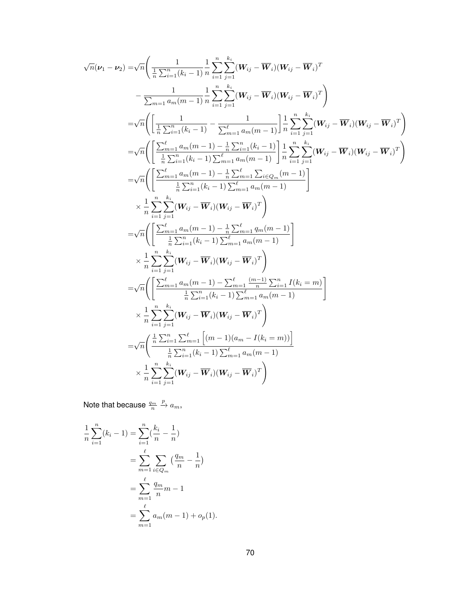$$
\sqrt{n}(\nu_1 - \nu_2) = \sqrt{n} \left( \frac{1}{\frac{1}{n} \sum_{i=1}^{n} (k_i - 1)} \frac{1}{n} \sum_{i=1}^{n} \sum_{j=1}^{k_i} (W_{ij} - \overline{W}_i)(W_{ij} - \overline{W}_i)^T - \frac{1}{\sum_{m=1}^{n} a_m(m-1)} \frac{1}{n} \sum_{i=1}^{n} \sum_{j=1}^{k_i} (W_{ij} - \overline{W}_i)(W_{ij} - \overline{W}_i)^T \right) \n= \sqrt{n} \left( \left[ \frac{1}{\frac{1}{n} \sum_{i=1}^{n} (k_i - 1)} - \frac{1}{\sum_{m=1}^{n} a_m(m-1)} \right] \frac{1}{n} \sum_{i=1}^{n} \sum_{j=1}^{k_i} (W_{ij} - \overline{W}_i)(W_{ij} - \overline{W}_i)^T \right) \n= \sqrt{n} \left( \left[ \frac{\sum_{m=1}^{n} a_m(m-1) - \frac{1}{n} \sum_{i=1}^{n} (k_i - 1)}{\frac{1}{n} \sum_{i=1}^{n} a_m(m-1)} \right] \frac{1}{n} \sum_{i=1}^{n} \sum_{j=1}^{k_i} (W_{ij} - \overline{W}_i)(W_{ij} - \overline{W}_i)^T \right) \n= \sqrt{n} \left( \left[ \frac{\sum_{m=1}^{n} a_m(m-1) - \frac{1}{n} \sum_{m=1}^{n} \sum_{i \in Q_m} (m-1)}{\frac{1}{n} \sum_{i=1}^{n} (k_i - 1) \sum_{m=1}^{n} a_m(m-1)} \right] \n\times \frac{1}{n} \sum_{i=1}^{n} \sum_{j=1}^{k_i} (W_{ij} - \overline{W}_i)^T \right) \n= \sqrt{n} \left( \left[ \frac{\sum_{m=1}^{n} a_m(m-1) - \frac{1}{n} \sum_{m=1}^{n} a_m(m-1)}{\frac{1}{n} \sum_{i=1}^{n} (k_i - 1) \sum_{m=1}^{n} a_m(m-1)} \right] \n\times \frac{1}{n} \sum_{i=1}^{n} \sum_{j=1}^{k_i} (W_{ij} - \
$$

Note that because  $\frac{q_m}{n}$  $\stackrel{p}{\rightarrow} a_m$ ,

$$
\frac{1}{n} \sum_{i=1}^{n} (k_i - 1) = \sum_{i=1}^{n} \left(\frac{k_i}{n} - \frac{1}{n}\right)
$$

$$
= \sum_{m=1}^{\ell} \sum_{i \in Q_m} \left(\frac{q_m}{n} - \frac{1}{n}\right)
$$

$$
= \sum_{m=1}^{\ell} \frac{q_m}{n} m - 1
$$

$$
= \sum_{m=1}^{\ell} a_m (m - 1) + o_p(1).
$$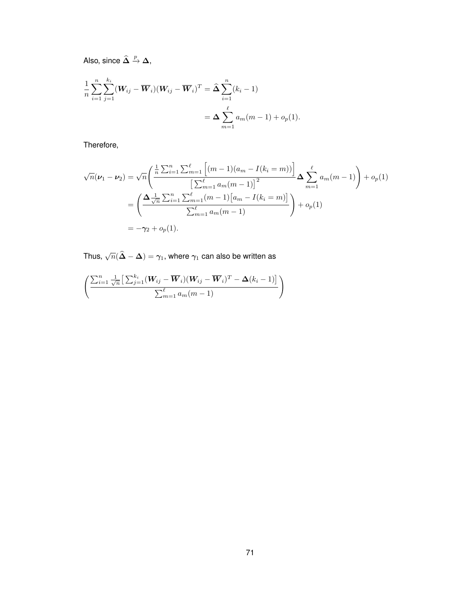Also, since  $\widehat{\mathbf{\Delta}} \stackrel{p}{\rightarrow} \mathbf{\Delta}$ ,

$$
\frac{1}{n} \sum_{i=1}^{n} \sum_{j=1}^{k_i} (\mathbf{W}_{ij} - \overline{\mathbf{W}}_i)(\mathbf{W}_{ij} - \overline{\mathbf{W}}_i)^T = \hat{\Delta} \sum_{i=1}^{n} (k_i - 1)
$$
  
=  $\Delta \sum_{m=1}^{\ell} a_m(m-1) + o_p(1).$ 

Therefore,

$$
\sqrt{n}(\nu_1 - \nu_2) = \sqrt{n} \left( \frac{\frac{1}{n} \sum_{i=1}^n \sum_{m=1}^\ell \left[ (m-1)(a_m - I(k_i = m)) \right]}{\left[ \sum_{m=1}^\ell a_m (m-1) \right]^2} \Delta \sum_{m=1}^\ell a_m (m-1) \right) + o_p(1)
$$
  
= 
$$
\left( \frac{\Delta \frac{1}{\sqrt{n}} \sum_{i=1}^n \sum_{m=1}^\ell (m-1) [a_m - I(k_i = m)]}{\sum_{m=1}^\ell a_m (m-1)} \right) + o_p(1)
$$
  
= 
$$
-\gamma_2 + o_p(1).
$$

Thus,  $\sqrt{n}(\widehat{\mathbf{\Delta}} - \mathbf{\Delta}) = \gamma_1,$  where  $\gamma_1$  can also be written as

$$
\left(\frac{\sum_{i=1}^{n} \frac{1}{\sqrt{n}} \left[\sum_{j=1}^{k_i} (\boldsymbol{W}_{ij} - \overline{\boldsymbol{W}}_i)(\boldsymbol{W}_{ij} - \overline{\boldsymbol{W}}_i)^T - \Delta(k_i - 1)\right]}{\sum_{m=1}^{\ell} a_m(m-1)}\right)
$$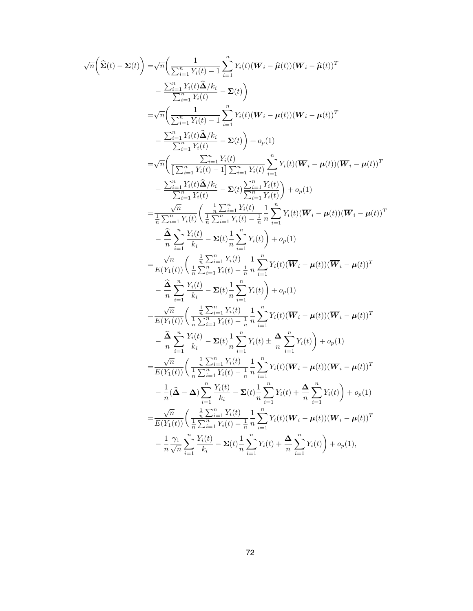$$
\sqrt{n}\left(\hat{\Sigma}(t)-\Sigma(t)\right) = \sqrt{n}\left(\frac{1}{\sum_{i=1}^{n} Y_i(t)-1} \sum_{i=1}^{n} Y_i(t)(\overline{W}_i - \hat{\mu}(t))(\overline{W}_i - \hat{\mu}(t))^T\right) \n- \frac{\sum_{i=1}^{n} Y_i(t)\hat{\Delta}/k_i}{\sum_{i=1}^{n} Y_i(t)-1} - \Sigma(t)\right) \n= \sqrt{n}\left(\frac{1}{\sum_{i=1}^{n} Y_i(t)-1} \sum_{i=1}^{n} Y_i(t)(\overline{W}_i - \mu(t))(\overline{W}_i - \mu(t))^T\right) \n- \frac{\sum_{i=1}^{n} Y_i(t)\hat{\Delta}/k_i}{\sum_{i=1}^{n} Y_i(t)-1} - \Sigma(t)\right) + o_p(1) \n= \sqrt{n}\left(\frac{1}{\left[\sum_{i=1}^{n} Y_i(t)-1\right] \sum_{i=1}^{n} Y_i(t)}\right) \sum_{i=1}^{n} Y_i(t)(\overline{W}_i - \mu(t))(\overline{W}_i - \mu(t))^T
$$
\n
$$
- \frac{\sum_{i=1}^{n} Y_i(t)\hat{\Delta}/k_i}{\sum_{i=1}^{n} Y_i(t)} - \Sigma(t)\sum_{i=1}^{n} Y_i(t)}\right) + o_p(1) \n= \frac{\sqrt{n}}{n} \frac{Y_i(t)}{\sum_{i=1}^{n} Y_i(t)} - \Sigma(t)\sum_{i=1}^{n} Y_i(t)}{\sum_{i=1}^{n} Y_i(t)} + o_p(1) \n= \frac{\sqrt{n}}{n} \frac{Y_i(t)}{\sum_{i=1}^{n} Y_i(t)} - \Sigma(t)\frac{1}{n} \sum_{i=1}^{n} Y_i(t)\right) + o_p(1) \n= \frac{\sqrt{n}}{n} \sum_{i=1}^{n} Y_i(t)} - \Sigma(t)\frac{1}{n} \sum_{i=1}^{n} Y_i(t)\right) + o_p(1) \n= \frac{\sqrt{n}}{E(Y_1(t))} \left(\frac{\frac{1}{n} \sum_{i=1}^{n} Y_i(t)}{\sum_{i=1}^{n} Y_i(t)} - \frac{1}{n} \frac{n}{n} \sum_{i=1}^{n} Y_i(t)(\overline{W}_i - \mu(t))(\overline{W}_i - \mu(t))^T\right)
$$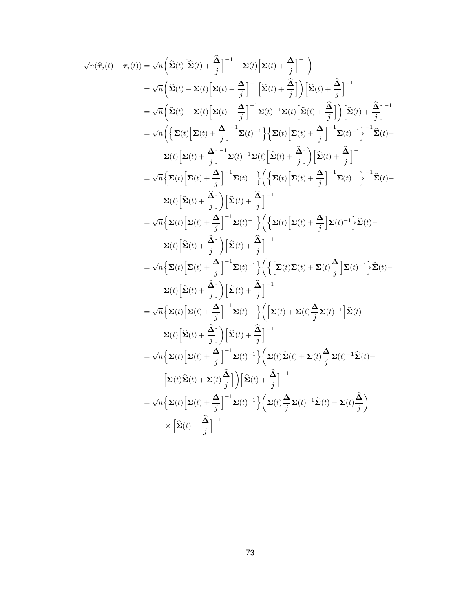$$
\sqrt{n}(\hat{\tau}_j(t) - \tau_j(t)) = \sqrt{n} \left( \hat{\Sigma}(t) \left[ \hat{\Sigma}(t) + \frac{\hat{\Delta}}{j} \right]^{-1} - \Sigma(t) \left[ \Sigma(t) + \frac{\hat{\Delta}}{j} \right]^{-1} \right)
$$
\n
$$
= \sqrt{n} \left( \hat{\Sigma}(t) - \Sigma(t) \left[ \Sigma(t) + \frac{\hat{\Delta}}{j} \right]^{-1} \left[ \hat{\Sigma}(t) + \frac{\hat{\Delta}}{j} \right] \right) \left[ \hat{\Sigma}(t) + \frac{\hat{\Delta}}{j} \right]^{-1}
$$
\n
$$
= \sqrt{n} \left( \hat{\Sigma}(t) - \Sigma(t) \left[ \Sigma(t) + \frac{\hat{\Delta}}{j} \right]^{-1} \Sigma(t)^{-1} \Sigma(t) \left[ \hat{\Sigma}(t) + \frac{\hat{\Delta}}{j} \right] \right) \left[ \hat{\Sigma}(t) + \frac{\hat{\Delta}}{j} \right]^{-1}
$$
\n
$$
= \sqrt{n} \left( \left\{ \Sigma(t) \left[ \Sigma(t) + \frac{\hat{\Delta}}{j} \right]^{-1} \Sigma(t)^{-1} \right\} \left\{ \Sigma(t) \left[ \Sigma(t) + \frac{\hat{\Delta}}{j} \right]^{-1} \Sigma(t)^{-1} \right\}^{-1} \Sigma(t)^{-1} \right\}^{-1}
$$
\n
$$
\Sigma(t) \left[ \Sigma(t) + \frac{\hat{\Delta}}{j} \right]^{-1} \Sigma(t)^{-1} \Sigma(t) \left[ \hat{\Sigma}(t) + \frac{\hat{\Delta}}{j} \right] \left[ \hat{\Sigma}(t) + \frac{\hat{\Delta}}{j} \right]^{-1}
$$
\n
$$
= \sqrt{n} \left\{ \Sigma(t) \left[ \Sigma(t) + \frac{\hat{\Delta}}{j} \right]^{-1} \Sigma(t)^{-1} \right\} \left( \left\{ \Sigma(t) \left[ \Sigma(t) + \frac{\hat{\Delta}}{j} \right]^{-1} \Sigma(t)^{-1} \right\}^{-1} \hat{\Sigma}(t) - \Sigma(t) \left[ \hat{\Sigma}(t) + \frac{\hat{\Delta}}{j} \right] \right]^{-1}
$$
\n
$$
= \sqrt{n} \left\{ \Sigma(t) \left[ \Sigma(t) + \frac{\hat{\Delta}}{j} \right] \right]^{-1} \Sigma(t)^{-1} \right\} \left( \left\{ \Sigma(t) \left[ \Sigma(t
$$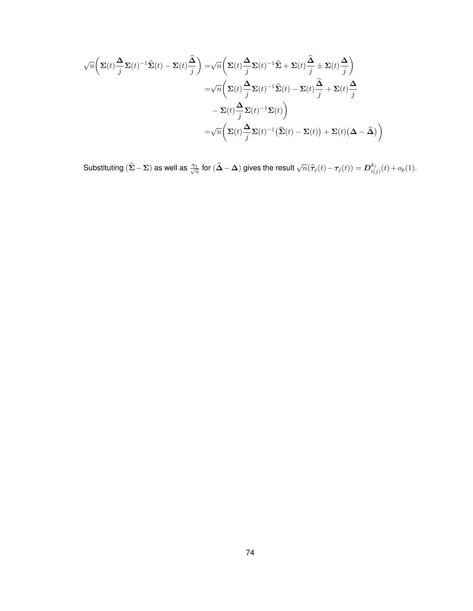$$
\sqrt{n}\left(\Sigma(t)\frac{\Delta}{j}\Sigma(t)^{-1}\widehat{\Sigma}(t) - \Sigma(t)\frac{\widehat{\Delta}}{j}\right) = \sqrt{n}\left(\Sigma(t)\frac{\Delta}{j}\Sigma(t)^{-1}\widehat{\Sigma} + \Sigma(t)\frac{\widehat{\Delta}}{j} \pm \Sigma(t)\frac{\Delta}{j}\right)
$$

$$
= \sqrt{n}\left(\Sigma(t)\frac{\Delta}{j}\Sigma(t)^{-1}\widehat{\Sigma}(t) - \Sigma(t)\frac{\widehat{\Delta}}{j} + \Sigma(t)\frac{\Delta}{j}
$$

$$
- \Sigma(t)\frac{\Delta}{j}\Sigma(t)^{-1}\Sigma(t)\right)
$$

$$
= \sqrt{n}\left(\Sigma(t)\frac{\Delta}{j}\Sigma(t)^{-1}(\widehat{\Sigma}(t) - \Sigma(t)) + \Sigma(t)(\Delta - \widehat{\Delta})\right)
$$

Substituting  $(\widehat{\mathbf{\Sigma}} - \mathbf{\Sigma})$  as well as  $\frac{\gamma_1}{\sqrt{n}}$  for  $(\widehat{\mathbf{\Delta}} - \mathbf{\Delta})$  gives the result  $\sqrt{n}(\widehat{\tau}_j(t) - \tau_j(t)) = \boldsymbol{D}_{i(j)}^{k_i}(t) + o_p(1)$ .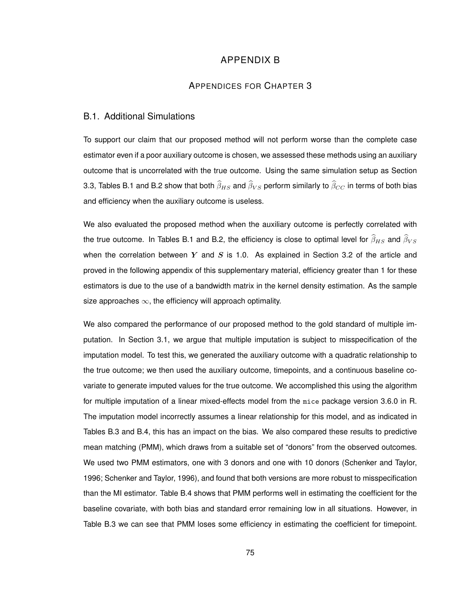## APPENDIX B

#### APPENDICES FOR CHAPTER 3

#### B.1. Additional Simulations

To support our claim that our proposed method will not perform worse than the complete case estimator even if a poor auxiliary outcome is chosen, we assessed these methods using an auxiliary outcome that is uncorrelated with the true outcome. Using the same simulation setup as Section 3.3, Tables B.1 and B.2 show that both  $\widehat{\beta}_{HS}$  and  $\widehat{\beta}_{VS}$  perform similarly to  $\widehat{\beta}_{CC}$  in terms of both bias and efficiency when the auxiliary outcome is useless.

We also evaluated the proposed method when the auxiliary outcome is perfectly correlated with the true outcome. In Tables B.1 and B.2, the efficiency is close to optimal level for  $\widehat{\beta}_{HS}$  and  $\widehat{\beta}_{VS}$ when the correlation between Y and S is 1.0. As explained in Section 3.2 of the article and proved in the following appendix of this supplementary material, efficiency greater than 1 for these estimators is due to the use of a bandwidth matrix in the kernel density estimation. As the sample size approaches  $\infty$ , the efficiency will approach optimality.

We also compared the performance of our proposed method to the gold standard of multiple imputation. In Section 3.1, we argue that multiple imputation is subject to misspecification of the imputation model. To test this, we generated the auxiliary outcome with a quadratic relationship to the true outcome; we then used the auxiliary outcome, timepoints, and a continuous baseline covariate to generate imputed values for the true outcome. We accomplished this using the algorithm for multiple imputation of a linear mixed-effects model from the mice package version 3.6.0 in R. The imputation model incorrectly assumes a linear relationship for this model, and as indicated in Tables B.3 and B.4, this has an impact on the bias. We also compared these results to predictive mean matching (PMM), which draws from a suitable set of "donors" from the observed outcomes. We used two PMM estimators, one with 3 donors and one with 10 donors (Schenker and Taylor, 1996; Schenker and Taylor, 1996), and found that both versions are more robust to misspecification than the MI estimator. Table B.4 shows that PMM performs well in estimating the coefficient for the baseline covariate, with both bias and standard error remaining low in all situations. However, in Table B.3 we can see that PMM loses some efficiency in estimating the coefficient for timepoint.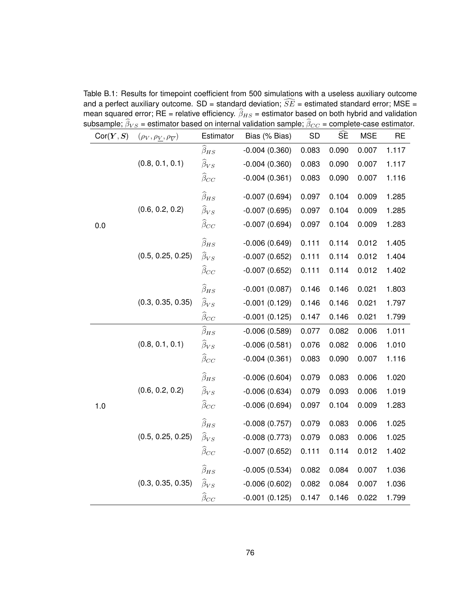| Cor(Y, S) | $(\rho_V, \rho_V, \rho_{\overline{V}})$ | Estimator              | Bias (% Bias)   | <b>SD</b> | ŜÈ    | <b>MSE</b> | <b>RE</b> |
|-----------|-----------------------------------------|------------------------|-----------------|-----------|-------|------------|-----------|
|           |                                         | $\widehat{\beta}_{HS}$ | $-0.004(0.360)$ | 0.083     | 0.090 | 0.007      | 1.117     |
|           | (0.8, 0.1, 0.1)                         | $\widehat{\beta}_{VS}$ | $-0.004(0.360)$ | 0.083     | 0.090 | 0.007      | 1.117     |
|           |                                         | $\widehat{\beta}_{CC}$ | $-0.004(0.361)$ | 0.083     | 0.090 | 0.007      | 1.116     |
|           |                                         | $\widehat{\beta}_{HS}$ | $-0.007(0.694)$ | 0.097     | 0.104 | 0.009      | 1.285     |
|           | (0.6, 0.2, 0.2)                         | $\widehat{\beta}_{VS}$ | $-0.007(0.695)$ | 0.097     | 0.104 | 0.009      | 1.285     |
| 0.0       |                                         | $\widehat{\beta}_{CC}$ | $-0.007(0.694)$ | 0.097     | 0.104 | 0.009      | 1.283     |
|           |                                         | $\widehat{\beta}_{HS}$ | $-0.006(0.649)$ | 0.111     | 0.114 | 0.012      | 1.405     |
|           | (0.5, 0.25, 0.25)                       | $\widehat{\beta}_{VS}$ | $-0.007(0.652)$ | 0.111     | 0.114 | 0.012      | 1.404     |
|           |                                         | $\widehat{\beta}_{CC}$ | $-0.007(0.652)$ | 0.111     | 0.114 | 0.012      | 1.402     |
|           |                                         | $\widehat{\beta}_{HS}$ | $-0.001(0.087)$ | 0.146     | 0.146 | 0.021      | 1.803     |
|           | (0.3, 0.35, 0.35)                       | $\widehat{\beta}_{VS}$ | $-0.001(0.129)$ | 0.146     | 0.146 | 0.021      | 1.797     |
|           |                                         | $\widehat{\beta}_{CC}$ | $-0.001(0.125)$ | 0.147     | 0.146 | 0.021      | 1.799     |
|           |                                         | $\widehat{\beta}_{HS}$ | $-0.006(0.589)$ | 0.077     | 0.082 | 0.006      | 1.011     |
|           | (0.8, 0.1, 0.1)                         | $\widehat{\beta}_{VS}$ | $-0.006(0.581)$ | 0.076     | 0.082 | 0.006      | 1.010     |
|           |                                         | $\widehat{\beta}_{CC}$ | $-0.004(0.361)$ | 0.083     | 0.090 | 0.007      | 1.116     |
|           |                                         | $\widehat{\beta}_{HS}$ | $-0.006(0.604)$ | 0.079     | 0.083 | 0.006      | 1.020     |
|           | (0.6, 0.2, 0.2)                         | $\widehat{\beta}_{VS}$ | $-0.006(0.634)$ | 0.079     | 0.093 | 0.006      | 1.019     |
| 1.0       |                                         | $\widehat{\beta}_{CC}$ | $-0.006(0.694)$ | 0.097     | 0.104 | 0.009      | 1.283     |
|           |                                         | $\widehat{\beta}_{HS}$ | $-0.008(0.757)$ | 0.079     | 0.083 | 0.006      | 1.025     |
|           | (0.5, 0.25, 0.25)                       | $\widehat{\beta}_{VS}$ | $-0.008(0.773)$ | 0.079     | 0.083 | 0.006      | 1.025     |
|           |                                         | $\widehat{\beta}_{CC}$ | $-0.007(0.652)$ | 0.111     | 0.114 | 0.012      | 1.402     |
|           |                                         | $\widehat{\beta}_{HS}$ | $-0.005(0.534)$ | 0.082     | 0.084 | 0.007      | 1.036     |
|           | (0.3, 0.35, 0.35)                       | $\widehat{\beta}_{VS}$ | $-0.006(0.602)$ | 0.082     | 0.084 | 0.007      | 1.036     |
|           |                                         | $\widehat{\beta}_{CC}$ | $-0.001(0.125)$ | 0.147     | 0.146 | 0.022      | 1.799     |

Table B.1: Results for timepoint coefficient from 500 simulations with a useless auxiliary outcome and a perfect auxiliary outcome. SD = standard deviation;  $\widehat{SE}$  = estimated standard error; MSE = mean squared error; RE = relative efficiency.  $\beta_{HS}$  = estimator based on both hybrid and validation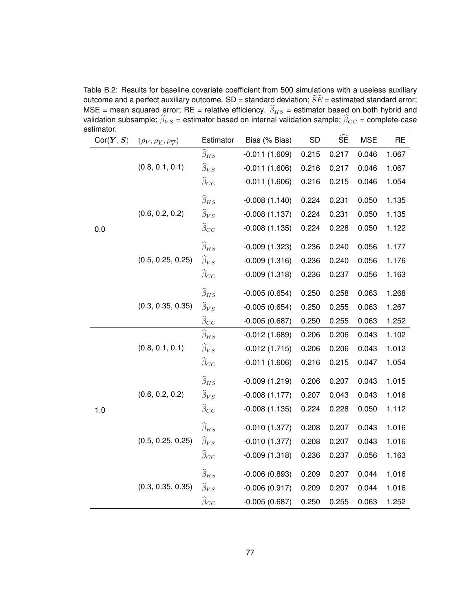Table B.2: Results for baseline covariate coefficient from 500 simulations with a useless auxiliary outcome and a perfect auxiliary outcome. SD = standard deviation;  $\widehat{SE}$  = estimated standard error; MSE = mean squared error; RE = relative efficiency.  $\widehat{\beta}_{HS}$  = estimator based on both hybrid and validation subsample;  $\widehat{\beta}_{VS}$  = estimator based on internal validation sample;  $\widehat{\beta}_{CC}$  = complete-case estimator.

| οιππαινπ.<br>Cor(Y, S) | $(\rho_V, \rho_V, \rho_{\overline{V}})$ | Estimator              | Bias (% Bias)   | <b>SD</b> | $\widehat{\mathsf{SE}}$ | <b>MSE</b> | <b>RE</b> |
|------------------------|-----------------------------------------|------------------------|-----------------|-----------|-------------------------|------------|-----------|
|                        |                                         | $\widehat{\beta}_{HS}$ | $-0.011(1.609)$ | 0.215     | 0.217                   | 0.046      | 1.067     |
|                        | (0.8, 0.1, 0.1)                         | $\widehat{\beta}_{VS}$ | $-0.011(1.606)$ | 0.216     | 0.217                   | 0.046      | 1.067     |
|                        |                                         | $\widehat{\beta}_{CC}$ | $-0.011(1.606)$ | 0.216     | 0.215                   | 0.046      | 1.054     |
|                        |                                         | $\widehat{\beta}_{HS}$ | $-0.008(1.140)$ | 0.224     | 0.231                   | 0.050      | 1.135     |
|                        | (0.6, 0.2, 0.2)                         | $\widehat{\beta}_{VS}$ | $-0.008(1.137)$ | 0.224     | 0.231                   | 0.050      | 1.135     |
| 0.0                    |                                         | $\widehat{\beta}_{CC}$ | $-0.008(1.135)$ | 0.224     | 0.228                   | 0.050      | 1.122     |
|                        |                                         | $\widehat{\beta}_{HS}$ | $-0.009(1.323)$ | 0.236     | 0.240                   | 0.056      | 1.177     |
|                        | (0.5, 0.25, 0.25)                       | $\widehat{\beta}_{VS}$ | $-0.009(1.316)$ | 0.236     | 0.240                   | 0.056      | 1.176     |
|                        |                                         | $\widehat{\beta}_{CC}$ | $-0.009(1.318)$ | 0.236     | 0.237                   | 0.056      | 1.163     |
|                        |                                         | $\widehat{\beta}_{HS}$ | $-0.005(0.654)$ | 0.250     | 0.258                   | 0.063      | 1.268     |
|                        | (0.3, 0.35, 0.35)                       | $\widehat{\beta}_{VS}$ | $-0.005(0.654)$ | 0.250     | 0.255                   | 0.063      | 1.267     |
|                        |                                         | $\widehat{\beta}_{CC}$ | $-0.005(0.687)$ | 0.250     | 0.255                   | 0.063      | 1.252     |
|                        |                                         | $\widehat{\beta}_{HS}$ | $-0.012(1.689)$ | 0.206     | 0.206                   | 0.043      | 1.102     |
|                        | (0.8, 0.1, 0.1)                         | $\widehat{\beta}_{VS}$ | $-0.012(1.715)$ | 0.206     | 0.206                   | 0.043      | 1.012     |
|                        |                                         | $\widehat{\beta}_{CC}$ | $-0.011(1.606)$ | 0.216     | 0.215                   | 0.047      | 1.054     |
|                        |                                         | $\widehat{\beta}_{HS}$ | $-0.009(1.219)$ | 0.206     | 0.207                   | 0.043      | 1.015     |
|                        | (0.6, 0.2, 0.2)                         | $\widehat{\beta}_{VS}$ | $-0.008(1.177)$ | 0.207     | 0.043                   | 0.043      | 1.016     |
| 1.0                    |                                         | $\widehat{\beta}_{CC}$ | $-0.008(1.135)$ | 0.224     | 0.228                   | 0.050      | 1.112     |
|                        |                                         | $\widehat{\beta}_{HS}$ | $-0.010(1.377)$ | 0.208     | 0.207                   | 0.043      | 1.016     |
|                        | (0.5, 0.25, 0.25)                       | $\widehat{\beta}_{VS}$ | $-0.010(1.377)$ | 0.208     | 0.207                   | 0.043      | 1.016     |
|                        |                                         | $\widehat{\beta}_{CC}$ | $-0.009(1.318)$ | 0.236     | 0.237                   | 0.056      | 1.163     |
|                        |                                         | $\widehat{\beta}_{HS}$ | $-0.006(0.893)$ | 0.209     | 0.207                   | 0.044      | 1.016     |
|                        | (0.3, 0.35, 0.35)                       | $\widehat{\beta}_{VS}$ | $-0.006(0.917)$ | 0.209     | 0.207                   | 0.044      | 1.016     |
|                        |                                         | $\widehat{\beta}_{CC}$ | $-0.005(0.687)$ | 0.250     | 0.255                   | 0.063      | 1.252     |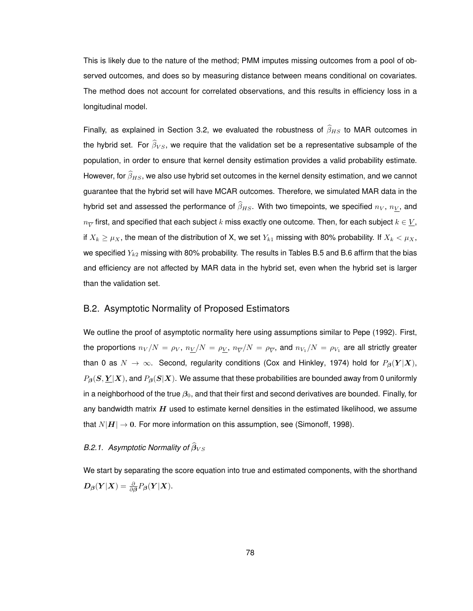This is likely due to the nature of the method; PMM imputes missing outcomes from a pool of observed outcomes, and does so by measuring distance between means conditional on covariates. The method does not account for correlated observations, and this results in efficiency loss in a longitudinal model.

Finally, as explained in Section 3.2, we evaluated the robustness of  $\widehat{\beta}_{HS}$  to MAR outcomes in the hybrid set. For  $\widehat{\beta}_{VS}$ , we require that the validation set be a representative subsample of the population, in order to ensure that kernel density estimation provides a valid probability estimate. However, for  $\widehat{\beta}_{HS}$ , we also use hybrid set outcomes in the kernel density estimation, and we cannot guarantee that the hybrid set will have MCAR outcomes. Therefore, we simulated MAR data in the hybrid set and assessed the performance of  $\widehat{\beta}_{HS}$ . With two timepoints, we specified  $n_V$ ,  $n_V$ , and  $n_{\overline V}$  first, and specified that each subject  $k$  miss exactly one outcome. Then, for each subject  $k\in \underline V,$ if  $X_k \geq \mu_X$ , the mean of the distribution of X, we set  $Y_{k1}$  missing with 80% probability. If  $X_k < \mu_X$ , we specified  $Y_{k2}$  missing with 80% probability. The results in Tables B.5 and B.6 affirm that the bias and efficiency are not affected by MAR data in the hybrid set, even when the hybrid set is larger than the validation set.

### B.2. Asymptotic Normality of Proposed Estimators

We outline the proof of asymptotic normality here using assumptions similar to Pepe (1992). First, the proportions  $n_V/N=\rho_V,~n_{\underline{V}}/N=\rho_{\underline{V}},~n_{\overline{V}}/N=\rho_{\overline{V}},$  and  $n_{V_1}/N=\rho_{V_1}$  are all strictly greater than 0 as  $N \to \infty$ . Second, regularity conditions (Cox and Hinkley, 1974) hold for  $P_{\beta}(Y|X)$ ,  $P_{\beta}(S, \underline{Y} | X)$ , and  $P_{\beta}(S | X)$ . We assume that these probabilities are bounded away from 0 uniformly in a neighborhood of the true  $\beta_0$ , and that their first and second derivatives are bounded. Finally, for any bandwidth matrix  $H$  used to estimate kernel densities in the estimated likelihood, we assume that  $N|H| \to 0$ . For more information on this assumption, see (Simonoff, 1998).

### *B.2.1.* Asymptotic Normality of  $\widehat{\beta}_{VS}$

We start by separating the score equation into true and estimated components, with the shorthand  $\boldsymbol{D}_{\boldsymbol{\beta}}(\boldsymbol{Y}|\boldsymbol{X}) = \frac{\partial}{\partial\boldsymbol{\beta}}P_{\boldsymbol{\beta}}(\boldsymbol{Y}|\boldsymbol{X}).$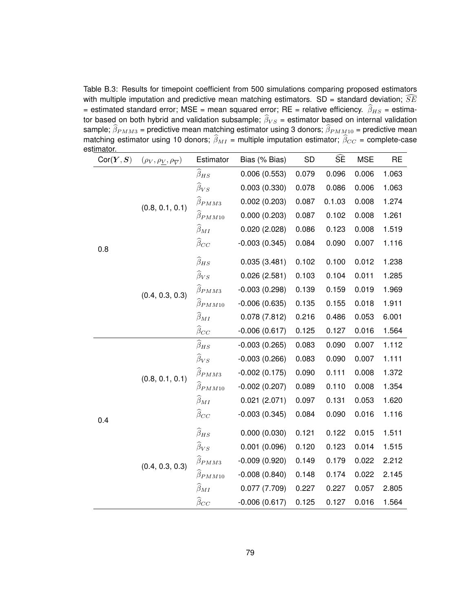Table B.3: Results for timepoint coefficient from 500 simulations comparing proposed estimators with multiple imputation and predictive mean matching estimators. SD = standard deviation;  $SE$ = estimated standard error; MSE = mean squared error; RE = relative efficiency.  $\widehat{\beta}_{HS}$  = estimator based on both hybrid and validation subsample;  $\widehat{\beta}_{VS}$  = estimator based on internal validation sample;  $\beta_{PMM3}$  = predictive mean matching estimator using 3 donors;  $\beta_{PMM10}$  = predictive mean matching estimator using 10 donors;  $\beta_{MI}$  = multiple imputation estimator;  $\beta_{CC}$  = complete-case estimator.

| <u>ιππαινπ.</u> |                                         |                           |                 |           |                         |            |           |
|-----------------|-----------------------------------------|---------------------------|-----------------|-----------|-------------------------|------------|-----------|
| Cor(Y, S)       | $(\rho_V, \rho_V, \rho_{\overline{V}})$ | Estimator                 | Bias (% Bias)   | <b>SD</b> | $\widehat{\mathsf{SE}}$ | <b>MSE</b> | <b>RE</b> |
|                 |                                         | $\widehat{\beta}_{HS}$    | 0.006(0.553)    | 0.079     | 0.096                   | 0.006      | 1.063     |
|                 |                                         | $\widehat{\beta}_{VS}$    | 0.003(0.330)    | 0.078     | 0.086                   | 0.006      | 1.063     |
|                 | (0.8, 0.1, 0.1)                         | $\widehat{\beta}_{PMM3}$  | 0.002(0.203)    | 0.087     | 0.1.03                  | 0.008      | 1.274     |
|                 |                                         | $\widehat{\beta}_{PMM10}$ | 0.000(0.203)    | 0.087     | 0.102                   | 0.008      | 1.261     |
|                 |                                         | $\widehat{\beta}_{MI}$    | 0.020(2.028)    | 0.086     | 0.123                   | 0.008      | 1.519     |
| 0.8             |                                         | $\widehat{\beta}_{CC}$    | $-0.003(0.345)$ | 0.084     | 0.090                   | 0.007      | 1.116     |
|                 |                                         | $\widehat{\beta}_{HS}$    | 0.035(3.481)    | 0.102     | 0.100                   | 0.012      | 1.238     |
|                 |                                         | $\widehat{\beta}_{VS}$    | 0.026(2.581)    | 0.103     | 0.104                   | 0.011      | 1.285     |
|                 | (0.4, 0.3, 0.3)                         | $\widehat{\beta}_{PMM3}$  | $-0.003(0.298)$ | 0.139     | 0.159                   | 0.019      | 1.969     |
|                 |                                         | $\widehat{\beta}_{PMM10}$ | $-0.006(0.635)$ | 0.135     | 0.155                   | 0.018      | 1.911     |
|                 |                                         | $\widehat{\beta}_{MI}$    | 0.078(7.812)    | 0.216     | 0.486                   | 0.053      | 6.001     |
|                 |                                         | $\widehat{\beta}_{CC}$    | $-0.006(0.617)$ | 0.125     | 0.127                   | 0.016      | 1.564     |
|                 | (0.8, 0.1, 0.1)                         | $\widehat{\beta}_{HS}$    | $-0.003(0.265)$ | 0.083     | 0.090                   | 0.007      | 1.112     |
|                 |                                         | $\widehat{\beta}_{VS}$    | $-0.003(0.266)$ | 0.083     | 0.090                   | 0.007      | 1.111     |
|                 |                                         | $\widehat{\beta}_{PMM3}$  | $-0.002(0.175)$ | 0.090     | 0.111                   | 0.008      | 1.372     |
|                 |                                         | $\hat{\beta}_{PMM10}$     | $-0.002(0.207)$ | 0.089     | 0.110                   | 0.008      | 1.354     |
|                 |                                         | $\widehat{\beta}_{MI}$    | 0.021(2.071)    | 0.097     | 0.131                   | 0.053      | 1.620     |
| 0.4             |                                         | $\widehat{\beta}_{CC}$    | $-0.003(0.345)$ | 0.084     | 0.090                   | 0.016      | 1.116     |
|                 |                                         | $\widehat{\beta}_{HS}$    | 0.000(0.030)    | 0.121     | 0.122                   | 0.015      | 1.511     |
|                 |                                         | $\widehat{\beta}_{VS}$    | 0.001(0.096)    | 0.120     | 0.123                   | 0.014      | 1.515     |
|                 | (0.4, 0.3, 0.3)                         | $\widehat{\beta}_{PMM3}$  | $-0.009(0.920)$ | 0.149     | 0.179                   | 0.022      | 2.212     |
|                 |                                         | $\widehat{\beta}_{PMM10}$ | $-0.008(0.840)$ | 0.148     | 0.174                   | 0.022      | 2.145     |
|                 |                                         | $\widehat{\beta}_{MI}$    | 0.077(7.709)    | 0.227     | 0.227                   | 0.057      | 2.805     |
|                 |                                         | $\widehat{\beta}_{CC}$    | $-0.006(0.617)$ | 0.125     | 0.127                   | 0.016      | 1.564     |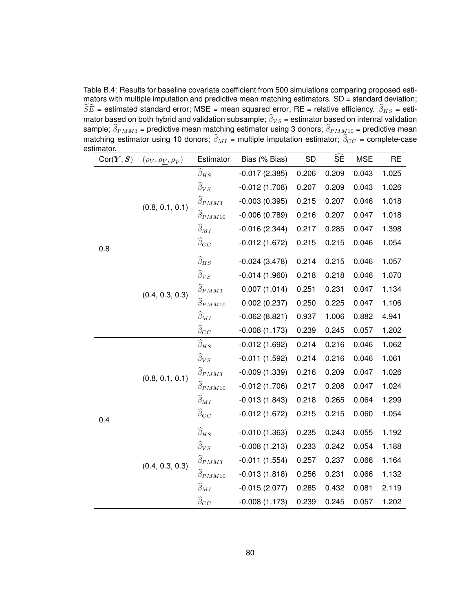Table B.4: Results for baseline covariate coefficient from 500 simulations comparing proposed estimators with multiple imputation and predictive mean matching estimators. SD = standard deviation;  $\widehat{SE}$  = estimated standard error; MSE = mean squared error; RE = relative efficiency.  $\widehat{\beta}_{HS}$  = estimator based on both hybrid and validation subsample;  $\beta_{VS}$  = estimator based on internal validation sample;  $\beta_{PMM3}$  = predictive mean matching estimator using 3 donors;  $\beta_{PMM10}$  = predictive mean matching estimator using 10 donors;  $\beta_{MI}$  = multiple imputation estimator;  $\beta_{CC}$  = complete-case estimator.

| umawi.<br>Cor(Y, S) | $(\rho_V, \rho_V, \rho_{\overline{V}})$ | Estimator                 | Bias (% Bias)   | SD    | SE    | <b>MSE</b> | <b>RE</b> |
|---------------------|-----------------------------------------|---------------------------|-----------------|-------|-------|------------|-----------|
|                     |                                         | $\widehat{\beta}_{HS}$    | $-0.017(2.385)$ | 0.206 | 0.209 | 0.043      | 1.025     |
|                     |                                         | $\widehat{\beta}_{VS}$    | $-0.012(1.708)$ | 0.207 | 0.209 | 0.043      | 1.026     |
|                     | (0.8, 0.1, 0.1)                         | $\widehat{\beta}_{PMM3}$  | $-0.003(0.395)$ | 0.215 | 0.207 | 0.046      | 1.018     |
|                     |                                         | $\widehat{\beta}_{PMM10}$ | $-0.006(0.789)$ | 0.216 | 0.207 | 0.047      | 1.018     |
|                     |                                         | $\widehat{\beta}_{MI}$    | $-0.016(2.344)$ | 0.217 | 0.285 | 0.047      | 1.398     |
| 0.8                 | $\widehat{\beta}_{CC}$                  |                           | $-0.012(1.672)$ | 0.215 | 0.215 | 0.046      | 1.054     |
|                     |                                         | $\widehat{\beta}_{HS}$    | $-0.024(3.478)$ | 0.214 | 0.215 | 0.046      | 1.057     |
|                     |                                         | $\widehat{\beta}_{VS}$    | $-0.014(1.960)$ | 0.218 | 0.218 | 0.046      | 1.070     |
|                     | (0.4, 0.3, 0.3)                         | $\widehat{\beta}_{PMM3}$  | 0.007(1.014)    | 0.251 | 0.231 | 0.047      | 1.134     |
|                     |                                         | $\widehat{\beta}_{PMM10}$ | 0.002(0.237)    | 0.250 | 0.225 | 0.047      | 1.106     |
|                     |                                         | $\widehat{\beta}_{MI}$    | $-0.062(8.821)$ | 0.937 | 1.006 | 0.882      | 4.941     |
|                     |                                         | $\widehat{\beta}_{CC}$    | $-0.008(1.173)$ | 0.239 | 0.245 | 0.057      | 1.202     |
|                     | (0.8, 0.1, 0.1)                         | $\widehat{\beta}_{HS}$    | $-0.012(1.692)$ | 0.214 | 0.216 | 0.046      | 1.062     |
|                     |                                         | $\widehat{\beta}_{VS}$    | $-0.011(1.592)$ | 0.214 | 0.216 | 0.046      | 1.061     |
|                     |                                         | $\widehat{\beta}_{PMM3}$  | $-0.009(1.339)$ | 0.216 | 0.209 | 0.047      | 1.026     |
|                     |                                         | $\widehat{\beta}_{PMM10}$ | $-0.012(1.706)$ | 0.217 | 0.208 | 0.047      | 1.024     |
|                     |                                         | $\widehat{\beta}_{MI}$    | $-0.013(1.843)$ | 0.218 | 0.265 | 0.064      | 1.299     |
| 0.4                 |                                         | $\widehat{\beta}_{CC}$    | $-0.012(1.672)$ | 0.215 | 0.215 | 0.060      | 1.054     |
|                     |                                         | $\widehat{\beta}_{HS}$    | $-0.010(1.363)$ | 0.235 | 0.243 | 0.055      | 1.192     |
|                     |                                         | $\widehat{\beta}_{VS}$    | $-0.008(1.213)$ | 0.233 | 0.242 | 0.054      | 1.188     |
|                     | (0.4, 0.3, 0.3)                         | $\widehat{\beta}_{PMM3}$  | $-0.011(1.554)$ | 0.257 | 0.237 | 0.066      | 1.164     |
|                     |                                         | $\widehat{\beta}_{PMM10}$ | $-0.013(1.818)$ | 0.256 | 0.231 | 0.066      | 1.132     |
|                     |                                         | $\widehat{\beta}_{MI}$    | $-0.015(2.077)$ | 0.285 | 0.432 | 0.081      | 2.119     |
|                     |                                         | $\widehat{\beta}_{CC}$    | $-0.008(1.173)$ | 0.239 | 0.245 | 0.057      | 1.202     |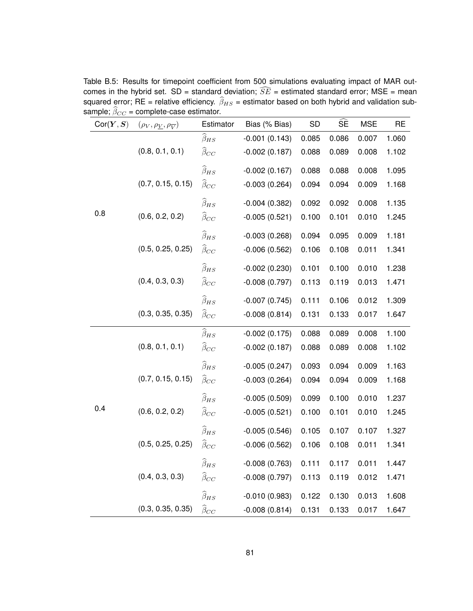| Cor(Y, S) | $(\rho_V, \rho_V, \rho_{\overline{V}})$ | Estimator              | Bias (% Bias)   | SD    | $\widehat{\mathsf{SE}}$ | <b>MSE</b> | <b>RE</b> |
|-----------|-----------------------------------------|------------------------|-----------------|-------|-------------------------|------------|-----------|
|           |                                         | $\widehat{\beta}_{HS}$ | $-0.001(0.143)$ | 0.085 | 0.086                   | 0.007      | 1.060     |
|           | (0.8, 0.1, 0.1)                         | $\widehat{\beta}_{CC}$ | $-0.002(0.187)$ | 0.088 | 0.089                   | 0.008      | 1.102     |
|           |                                         | $\widehat{\beta}_{HS}$ | $-0.002(0.167)$ | 0.088 | 0.088                   | 0.008      | 1.095     |
|           | (0.7, 0.15, 0.15)                       | $\widehat{\beta}_{CC}$ | $-0.003(0.264)$ | 0.094 | 0.094                   | 0.009      | 1.168     |
|           |                                         | $\widehat{\beta}_{HS}$ | $-0.004(0.382)$ | 0.092 | 0.092                   | 0.008      | 1.135     |
| 0.8       | (0.6, 0.2, 0.2)                         | $\widehat{\beta}_{CC}$ | $-0.005(0.521)$ | 0.100 | 0.101                   | 0.010      | 1.245     |
|           |                                         | $\widehat{\beta}_{HS}$ | $-0.003(0.268)$ | 0.094 | 0.095                   | 0.009      | 1.181     |
|           | (0.5, 0.25, 0.25)                       | $\widehat{\beta}_{CC}$ | $-0.006(0.562)$ | 0.106 | 0.108                   | 0.011      | 1.341     |
|           |                                         | $\widehat{\beta}_{HS}$ | $-0.002(0.230)$ | 0.101 | 0.100                   | 0.010      | 1.238     |
|           | (0.4, 0.3, 0.3)                         | $\widehat{\beta}_{CC}$ | $-0.008(0.797)$ | 0.113 | 0.119                   | 0.013      | 1.471     |
|           |                                         | $\widehat{\beta}_{HS}$ | $-0.007(0.745)$ | 0.111 | 0.106                   | 0.012      | 1.309     |
|           | (0.3, 0.35, 0.35)                       | $\widehat{\beta}_{CC}$ | $-0.008(0.814)$ | 0.131 | 0.133                   | 0.017      | 1.647     |
|           |                                         | $\widehat{\beta}_{HS}$ | $-0.002(0.175)$ | 0.088 | 0.089                   | 0.008      | 1.100     |
|           | (0.8, 0.1, 0.1)                         | $\widehat{\beta}_{CC}$ | $-0.002(0.187)$ | 0.088 | 0.089                   | 0.008      | 1.102     |
|           |                                         | $\widehat{\beta}_{HS}$ | $-0.005(0.247)$ | 0.093 | 0.094                   | 0.009      | 1.163     |
|           | (0.7, 0.15, 0.15)                       | $\widehat{\beta}_{CC}$ | $-0.003(0.264)$ | 0.094 | 0.094                   | 0.009      | 1.168     |
|           |                                         | $\widehat{\beta}_{HS}$ | $-0.005(0.509)$ | 0.099 | 0.100                   | 0.010      | 1.237     |
| 0.4       | (0.6, 0.2, 0.2)                         | $\widehat{\beta}_{CC}$ | $-0.005(0.521)$ | 0.100 | 0.101                   | 0.010      | 1.245     |
|           |                                         | $\widehat{\beta}_{HS}$ | $-0.005(0.546)$ | 0.105 | 0.107                   | 0.107      | 1.327     |
|           | (0.5, 0.25, 0.25)                       | $\widehat{\beta}_{CC}$ | $-0.006(0.562)$ | 0.106 | 0.108                   | 0.011      | 1.341     |
|           |                                         | $\widehat{\beta}_{HS}$ | $-0.008(0.763)$ | 0.111 | 0.117                   | 0.011      | 1.447     |
|           | (0.4, 0.3, 0.3)                         | $\widehat{\beta}_{CC}$ | $-0.008(0.797)$ | 0.113 | 0.119                   | 0.012      | 1.471     |
|           |                                         | $\widehat{\beta}_{HS}$ | $-0.010(0.983)$ | 0.122 | 0.130                   | 0.013      | 1.608     |
|           | (0.3, 0.35, 0.35)                       | $\widehat{\beta}_{CC}$ | $-0.008(0.814)$ | 0.131 | 0.133                   | 0.017      | 1.647     |

Table B.5: Results for timepoint coefficient from 500 simulations evaluating impact of MAR outcomes in the hybrid set. SD = standard deviation;  $\widehat{SE}$  = estimated standard error; MSE = mean squared error; RE = relative efficiency.  $\beta_{HS}$  = estimator based on both hybrid and validation sub-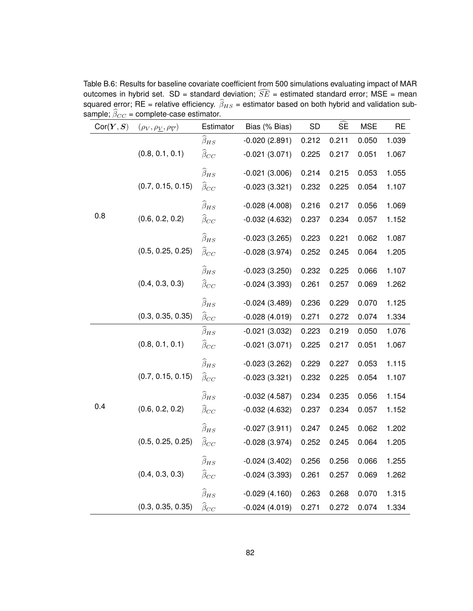| Cor(Y, S) | $(\rho_V, \rho_{\underline{V}}, \rho_{\overline{V}})$ | Estimator              | Bias (% Bias)   | <b>SD</b> | $\widehat{\mathsf{SE}}$ | <b>MSE</b> | <b>RE</b> |
|-----------|-------------------------------------------------------|------------------------|-----------------|-----------|-------------------------|------------|-----------|
|           |                                                       | $\widehat{\beta}_{HS}$ | $-0.020(2.891)$ | 0.212     | 0.211                   | 0.050      | 1.039     |
|           | (0.8, 0.1, 0.1)                                       | $\widehat{\beta}_{CC}$ | $-0.021(3.071)$ | 0.225     | 0.217                   | 0.051      | 1.067     |
|           |                                                       | $\widehat{\beta}_{HS}$ | $-0.021(3.006)$ | 0.214     | 0.215                   | 0.053      | 1.055     |
|           | (0.7, 0.15, 0.15)                                     | $\widehat{\beta}_{CC}$ | $-0.023(3.321)$ | 0.232     | 0.225                   | 0.054      | 1.107     |
|           |                                                       | $\widehat{\beta}_{HS}$ | $-0.028(4.008)$ | 0.216     | 0.217                   | 0.056      | 1.069     |
| 0.8       | (0.6, 0.2, 0.2)                                       | $\widehat{\beta}_{CC}$ | $-0.032(4.632)$ | 0.237     | 0.234                   | 0.057      | 1.152     |
|           |                                                       | $\widehat{\beta}_{HS}$ | $-0.023(3.265)$ | 0.223     | 0.221                   | 0.062      | 1.087     |
|           | (0.5, 0.25, 0.25)                                     | $\widehat{\beta}_{CC}$ | $-0.028(3.974)$ | 0.252     | 0.245                   | 0.064      | 1.205     |
|           |                                                       | $\widehat{\beta}_{HS}$ | $-0.023(3.250)$ | 0.232     | 0.225                   | 0.066      | 1.107     |
|           | (0.4, 0.3, 0.3)                                       | $\widehat{\beta}_{CC}$ | $-0.024(3.393)$ | 0.261     | 0.257                   | 0.069      | 1.262     |
|           |                                                       | $\widehat{\beta}_{HS}$ | $-0.024(3.489)$ | 0.236     | 0.229                   | 0.070      | 1.125     |
|           | (0.3, 0.35, 0.35)                                     | $\widehat{\beta}_{CC}$ | $-0.028(4.019)$ | 0.271     | 0.272                   | 0.074      | 1.334     |
|           |                                                       | $\widehat{\beta}_{HS}$ | $-0.021(3.032)$ | 0.223     | 0.219                   | 0.050      | 1.076     |
|           | (0.8, 0.1, 0.1)                                       | $\widehat{\beta}_{CC}$ | $-0.021(3.071)$ | 0.225     | 0.217                   | 0.051      | 1.067     |
|           |                                                       | $\widehat{\beta}_{HS}$ | $-0.023(3.262)$ | 0.229     | 0.227                   | 0.053      | 1.115     |
|           | (0.7, 0.15, 0.15)                                     | $\widehat{\beta}_{CC}$ | $-0.023(3.321)$ | 0.232     | 0.225                   | 0.054      | 1.107     |
|           |                                                       | $\widehat{\beta}_{HS}$ | $-0.032(4.587)$ | 0.234     | 0.235                   | 0.056      | 1.154     |
| 0.4       | (0.6, 0.2, 0.2)                                       | $\widehat{\beta}_{CC}$ | $-0.032(4.632)$ | 0.237     | 0.234                   | 0.057      | 1.152     |
|           |                                                       | $\widehat{\beta}_{HS}$ | $-0.027(3.911)$ | 0.247     | 0.245                   | 0.062      | 1.202     |
|           | (0.5, 0.25, 0.25)                                     | $\widehat{\beta}_{CC}$ | $-0.028(3.974)$ | 0.252     | 0.245                   | 0.064      | 1.205     |
|           |                                                       | $\widehat{\beta}_{HS}$ | $-0.024(3.402)$ | 0.256     | 0.256                   | 0.066      | 1.255     |
|           | (0.4, 0.3, 0.3)                                       | $\widehat{\beta}_{CC}$ | $-0.024(3.393)$ | 0.261     | 0.257                   | 0.069      | 1.262     |
|           |                                                       | $\widehat{\beta}_{HS}$ | $-0.029(4.160)$ | 0.263     | 0.268                   | 0.070      | 1.315     |
|           | (0.3, 0.35, 0.35)                                     | $\widehat{\beta}_{CC}$ | $-0.024(4.019)$ | 0.271     | 0.272                   | 0.074      | 1.334     |

Table B.6: Results for baseline covariate coefficient from 500 simulations evaluating impact of MAR outcomes in hybrid set. SD = standard deviation;  $\widehat{SE}$  = estimated standard error; MSE = mean squared error; RE = relative efficiency.  $\widehat{\beta}_{HS}$  = estimator based on both hybrid and validation subsample;  $\widehat{\beta}_{CC}$  = complete-case estimator.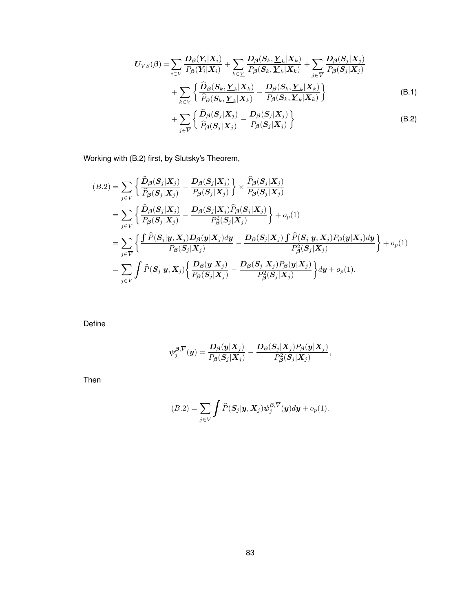$$
U_{VS}(\beta) = \sum_{i \in V} \frac{D_{\beta}(Y_i|X_i)}{P_{\beta}(Y_i|X_i)} + \sum_{k \in \underline{V}} \frac{D_{\beta}(S_k, \underline{Y}_k|X_k)}{P_{\beta}(S_k, \underline{Y}_k|X_k)} + \sum_{j \in \overline{V}} \frac{D_{\beta}(S_j|X_j)}{P_{\beta}(S_j|X_j)} + \sum_{k \in \underline{V}} \left\{ \frac{\widehat{D}_{\beta}(S_k, \underline{Y}_k|X_k)}{\widehat{P}_{\beta}(S_k, \underline{Y}_k|X_k)} - \frac{D_{\beta}(S_k, \underline{Y}_k|X_k)}{P_{\beta}(S_k, \underline{Y}_k|X_k)} \right\} + \sum_{k \in \underline{V}} \left\{ \frac{\widehat{D}_{\beta}(S_j|X_j)}{\widehat{P}_{\beta}(S_k, \underline{Y}_k|X_k)} - \frac{D_{\beta}(S_j|X_j)}{P_{\beta}(S_k, \underline{Y}_k|X_k)} \right\}
$$
(B.1)

$$
+\sum_{j\in\overline{V}}\left\{\frac{\mathbf{D}_{\beta}(\mathbf{S}_{j}|\mathbf{X}_{j})}{\widehat{P}_{\beta}(\mathbf{S}_{j}|\mathbf{X}_{j})}-\frac{\mathbf{D}_{\beta}(\mathbf{S}_{j}|\mathbf{X}_{j})}{P_{\beta}(\mathbf{S}_{j}|\mathbf{X}_{j})}\right\}\tag{B.2}
$$

Working with (B.2) first, by Slutsky's Theorem,

$$
(B.2) = \sum_{j \in \overline{V}} \left\{ \frac{\hat{D}_{\beta}(S_j|X_j)}{\hat{P}_{\beta}(S_j|X_j)} - \frac{D_{\beta}(S_j|X_j)}{P_{\beta}(S_j|X_j)} \right\} \times \frac{\hat{P}_{\beta}(S_j|X_j)}{P_{\beta}(S_j|X_j)} \n= \sum_{j \in \overline{V}} \left\{ \frac{\hat{D}_{\beta}(S_j|X_j)}{P_{\beta}(S_j|X_j)} - \frac{D_{\beta}(S_j|X_j)\hat{P}_{\beta}(S_j|X_j)}{P_{\beta}^2(S_j|X_j)} \right\} + o_p(1) \n= \sum_{j \in \overline{V}} \left\{ \frac{\int \hat{P}(S_j|y, X_j)D_{\beta}(y|X_j)dy}{P_{\beta}(S_j|X_j)} - \frac{D_{\beta}(S_j|X_j)\int \hat{P}(S_j|y, X_j)P_{\beta}(y|X_j)dy}{P_{\beta}^2(S_j|X_j)} \right\} + o_p(1) \n= \sum_{j \in \overline{V}} \int \hat{P}(S_j|y, X_j) \left\{ \frac{D_{\beta}(y|X_j)}{P_{\beta}(S_j|X_j)} - \frac{D_{\beta}(S_j|X_j)P_{\beta}(y|X_j)}{P_{\beta}^2(S_j|X_j)} \right\} dy + o_p(1).
$$

Define

$$
\psi_j^{\boldsymbol{\beta},\overline{V}}(\boldsymbol{y})=\frac{\boldsymbol{D}_{\boldsymbol{\beta}}(\boldsymbol{y}|\boldsymbol{X}_j)}{P_{\boldsymbol{\beta}}(\boldsymbol{S}_j|\boldsymbol{X}_j)}-\frac{\boldsymbol{D}_{\boldsymbol{\beta}}(\boldsymbol{S}_j|\boldsymbol{X}_j)P_{\boldsymbol{\beta}}(\boldsymbol{y}|\boldsymbol{X}_j)}{P_{\boldsymbol{\beta}}^2(\boldsymbol{S}_j|\boldsymbol{X}_j)},
$$

Then

$$
(B.2) = \sum_{j \in \overline{V}} \int \widehat{P}(\boldsymbol{S}_j | \boldsymbol{y}, \boldsymbol{X}_j) \psi_j^{\boldsymbol{\beta}, \overline{V}}(\boldsymbol{y}) d\boldsymbol{y} + o_p(1).
$$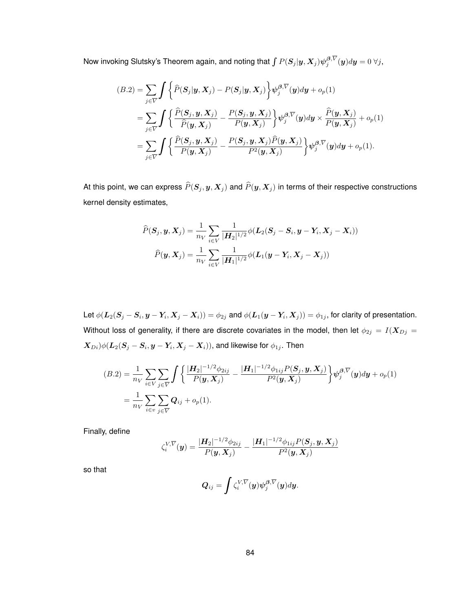Now invoking Slutsky's Theorem again, and noting that  $\int P(S_j |y,X_j) \psi_j^{\beta,V}(y) dy = 0 \ \forall j,$ 

$$
(B.2) = \sum_{j \in \overline{V}} \int \left\{ \hat{P}(S_j | \mathbf{y}, \mathbf{X}_j) - P(S_j | \mathbf{y}, \mathbf{X}_j) \right\} \psi_j^{\beta, \overline{V}}(\mathbf{y}) d\mathbf{y} + o_p(1)
$$
  
\n
$$
= \sum_{j \in \overline{V}} \int \left\{ \frac{\hat{P}(S_j, \mathbf{y}, \mathbf{X}_j)}{\hat{P}(\mathbf{y}, \mathbf{X}_j)} - \frac{P(S_j, \mathbf{y}, \mathbf{X}_j)}{P(\mathbf{y}, \mathbf{X}_j)} \right\} \psi_j^{\beta, \overline{V}}(\mathbf{y}) d\mathbf{y} \times \frac{\hat{P}(\mathbf{y}, \mathbf{X}_j)}{P(\mathbf{y}, \mathbf{X}_j)} + o_p(1)
$$
  
\n
$$
= \sum_{j \in \overline{V}} \int \left\{ \frac{\hat{P}(S_j, \mathbf{y}, \mathbf{X}_j)}{P(\mathbf{y}, \mathbf{X}_j)} - \frac{P(S_j, \mathbf{y}, \mathbf{X}_j) \hat{P}(\mathbf{y}, \mathbf{X}_j)}{P^2(\mathbf{y}, \mathbf{X}_j)} \right\} \psi_j^{\beta, \overline{V}}(\mathbf{y}) d\mathbf{y} + o_p(1).
$$

At this point, we can express  $\widehat{P}(\bm{S}_j , \bm{y}, \bm{X}_j )$  and  $\widehat{P}(\bm{y}, \bm{X}_j )$  in terms of their respective constructions kernel density estimates,

$$
\widehat{P}(\boldsymbol{S}_j, \boldsymbol{y}, \boldsymbol{X}_j) = \frac{1}{n_V} \sum_{i \in V} \frac{1}{|\boldsymbol{H}_2|^{1/2}} \phi(\boldsymbol{L}_2(\boldsymbol{S}_j - \boldsymbol{S}_i, \boldsymbol{y} - \boldsymbol{Y}_i, \boldsymbol{X}_j - \boldsymbol{X}_i))
$$

$$
\widehat{P}(\boldsymbol{y}, \boldsymbol{X}_j) = \frac{1}{n_V} \sum_{i \in V} \frac{1}{|\boldsymbol{H}_1|^{1/2}} \phi(\boldsymbol{L}_1(\boldsymbol{y} - \boldsymbol{Y}_i, \boldsymbol{X}_j - \boldsymbol{X}_j))
$$

Let  $\phi(\bm{L}_2(\bm{S}_j-\bm{S}_i,\bm{y}-\bm{Y}_i,\bm{X}_j-\bm{X}_i))=\phi_{2j}$  and  $\phi(\bm{L}_1(\bm{y}-\bm{Y}_i,\bm{X}_j))=\phi_{1j},$  for clarity of presentation. Without loss of generality, if there are discrete covariates in the model, then let  $\phi_{2j} = I(\boldsymbol{X}_{Dj} = \boldsymbol{X}_{Dj})$  $(\bm{X}_{Di})\phi(\bm{L}_{2}(\bm{S}_{j}-\bm{S}_{i},\bm{y}-\bm{Y}_{i},\bm{X}_{j}-\bm{X}_{i})),$  and likewise for  $\phi_{1j}.$  Then

$$
(B.2) = \frac{1}{n_V} \sum_{i \in V} \sum_{j \in \overline{V}} \int \left\{ \frac{|\mathbf{H}_2|^{-1/2} \phi_{2ij}}{P(\mathbf{y}, \mathbf{X}_j)} - \frac{|\mathbf{H}_1|^{-1/2} \phi_{1ij} P(\mathbf{S}_j, \mathbf{y}, \mathbf{X}_j)}{P^2(\mathbf{y}, \mathbf{X}_j)} \right\} \psi_j^{\beta, \overline{V}}(\mathbf{y}) d\mathbf{y} + o_p(1)
$$
  
= 
$$
\frac{1}{n_V} \sum_{i \in v} \sum_{j \in \overline{V}} Q_{ij} + o_p(1).
$$

Finally, define

$$
\zeta_i^{V,\overline{V}}(\boldsymbol{y}) = \frac{|\boldsymbol{H}_2|^{-1/2}\phi_{2ij}}{P(\boldsymbol{y},\boldsymbol{X}_j)} - \frac{|\boldsymbol{H}_1|^{-1/2}\phi_{1ij}P(\boldsymbol{S}_j,\boldsymbol{y},\boldsymbol{X}_j)}{P^2(\boldsymbol{y},\boldsymbol{X}_j)}
$$

so that

$$
\boldsymbol{Q}_{ij}=\int\zeta_i^{V,\overline{V}}(\boldsymbol{y})\psi_j^{\boldsymbol{\beta},\overline{V}}(\boldsymbol{y})d\boldsymbol{y}.
$$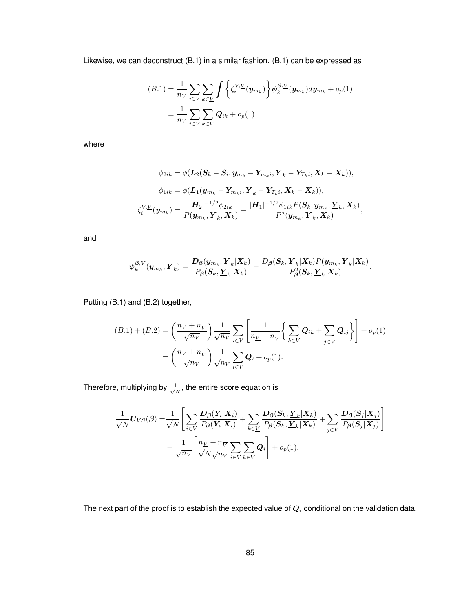Likewise, we can deconstruct (B.1) in a similar fashion. (B.1) can be expressed as

$$
(B.1) = \frac{1}{n_V} \sum_{i \in V} \sum_{k \in \underline{V}} \int \left\{ \zeta_i^{V,\underline{V}}(\mathbf{y}_{m_k}) \right\} \psi_k^{\beta,\underline{V}}(\mathbf{y}_{m_k}) d\mathbf{y}_{m_k} + o_p(1)
$$
  
= 
$$
\frac{1}{n_V} \sum_{i \in V} \sum_{k \in \underline{V}} \mathbf{Q}_{ik} + o_p(1),
$$

where

$$
\phi_{2ik} = \phi(\boldsymbol{L}_2(\boldsymbol{S}_k - \boldsymbol{S}_i, \boldsymbol{y}_{m_k} - \boldsymbol{Y}_{m_k i}, \boldsymbol{\underline{Y}}_k - \boldsymbol{Y}_{T_k i}, \boldsymbol{X}_k - \boldsymbol{X}_k)),
$$
  

$$
\phi_{1ik} = \phi(\boldsymbol{L}_1(\boldsymbol{y}_{m_k} - \boldsymbol{Y}_{m_k i}, \boldsymbol{\underline{Y}}_k - \boldsymbol{Y}_{T_k i}, \boldsymbol{X}_k - \boldsymbol{X}_k)),
$$
  

$$
\zeta_i^{V,\underline{V}}(\boldsymbol{y}_{m_k}) = \frac{|\boldsymbol{H}_2|^{-1/2} \phi_{2ik}}{P(\boldsymbol{y}_{m_k}, \boldsymbol{\underline{Y}}_k, \boldsymbol{X}_k)} - \frac{|\boldsymbol{H}_1|^{-1/2} \phi_{1ik} P(\boldsymbol{S}_k, \boldsymbol{y}_{m_k}, \boldsymbol{\underline{Y}}_k, \boldsymbol{X}_k)}{P^2(\boldsymbol{y}_{m_k}, \boldsymbol{\underline{Y}}_k, \boldsymbol{X}_k)},
$$

and

$$
\psi_k^{\boldsymbol{\beta},\underline{V}}(\boldsymbol{y}_{m_k},\underline{\boldsymbol{Y}}_k)=\frac{\boldsymbol{D}_{\boldsymbol{\beta}}(\boldsymbol{y}_{m_k},\underline{\boldsymbol{Y}}_k|\boldsymbol{X}_k)}{P_{\boldsymbol{\beta}}(\boldsymbol{S}_k,\underline{\boldsymbol{Y}}_k|\boldsymbol{X}_k)}-\frac{D_{\boldsymbol{\beta}}(\boldsymbol{S}_k,\underline{\boldsymbol{Y}}_k|\boldsymbol{X}_k)P(\boldsymbol{y}_{m_k},\underline{\boldsymbol{Y}}_k|\boldsymbol{X}_k)}{P_{\boldsymbol{\beta}}^2(\boldsymbol{S}_k,\underline{\boldsymbol{Y}}_k|\boldsymbol{X}_k)}.
$$

Putting (B.1) and (B.2) together,

$$
(B.1) + (B.2) = \left(\frac{n_{V} + n_{\overline{V}}}{\sqrt{n_{V}}}\right) \frac{1}{\sqrt{n_{V}}} \sum_{i \in V} \left[\frac{1}{n_{V} + n_{\overline{V}}} \left\{\sum_{k \in V} \mathbf{Q}_{ik} + \sum_{j \in \overline{V}} \mathbf{Q}_{ij}\right\}\right] + o_{p}(1)
$$

$$
= \left(\frac{n_{V} + n_{\overline{V}}}{\sqrt{n_{V}}}\right) \frac{1}{\sqrt{n_{V}}} \sum_{i \in V} \mathbf{Q}_{i} + o_{p}(1).
$$

Therefore, multiplying by  $\frac{1}{\sqrt{2}}$  $\frac{\mathbb{L}}{\overline{N}}$ , the entire score equation is

$$
\frac{1}{\sqrt{N}}\boldsymbol{U}_{VS}(\boldsymbol{\beta}) = \frac{1}{\sqrt{N}} \Bigg[ \sum_{i \in V} \frac{\boldsymbol{D}_{\boldsymbol{\beta}}(\boldsymbol{Y}_i|\boldsymbol{X}_i)}{\boldsymbol{P}_{\boldsymbol{\beta}}(\boldsymbol{Y}_i|\boldsymbol{X}_i)} + \sum_{k \in \underline{V}} \frac{\boldsymbol{D}_{\boldsymbol{\beta}}(\boldsymbol{S}_k, \boldsymbol{Y}_k|\boldsymbol{X}_k)}{\boldsymbol{P}_{\boldsymbol{\beta}}(\boldsymbol{S}_k, \boldsymbol{Y}_k|\boldsymbol{X}_k)} + \sum_{j \in \overline{V}} \frac{\boldsymbol{D}_{\boldsymbol{\beta}}(\boldsymbol{S}_j|\boldsymbol{X}_j)}{\boldsymbol{P}_{\boldsymbol{\beta}}(\boldsymbol{S}_j|\boldsymbol{X}_j)} \Bigg] + \frac{1}{\sqrt{n_V}} \Bigg[ \frac{n_{\underline{V}} + n_{\overline{V}}}{\sqrt{N}\sqrt{n_{V}}} \sum_{i \in V} \sum_{k \in \underline{V}} \boldsymbol{Q}_i \Bigg] + o_p(1).
$$

The next part of the proof is to establish the expected value of  $Q_i$  conditional on the validation data.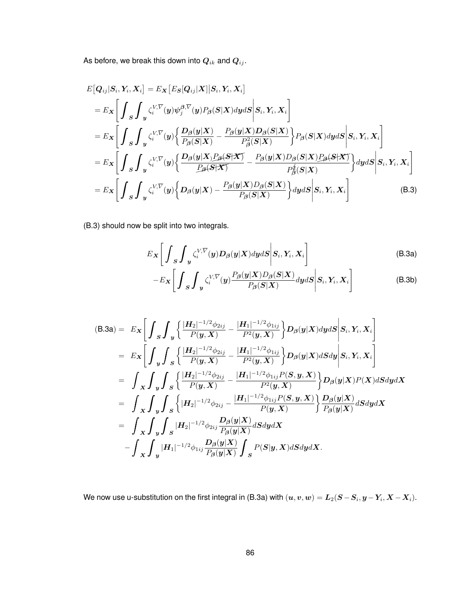As before, we break this down into  $Q_{ik}$  and  $Q_{ij}$ .

$$
E[Q_{ij}|S_i, Y_i, X_i] = E_X [E_S[Q_{ij}|X]|S_i, Y_i, X_i]
$$
  
\n
$$
= E_X \left[ \int_S \int_y \zeta_i^{V,\overline{V}}(y) \psi_j^{\beta,\overline{V}}(y) P_\beta(S|X) dy ds \middle| S_i, Y_i, X_i \right]
$$
  
\n
$$
= E_X \left[ \int_S \int_y \zeta_i^{V,\overline{V}}(y) \left\{ \frac{D_\beta(y|X)}{P_\beta(S|X)} - \frac{P_\beta(y|X)D_\beta(S|X)}{P_\beta^2(S|X)} \right\} P_\beta(S|X) dy ds \middle| S_i, Y_i, X_i \right]
$$
  
\n
$$
= E_X \left[ \int_S \int_y \zeta_i^{V,\overline{V}}(y) \left\{ \frac{D_\beta(y|X)P_\beta(S|X)}{P_\beta(S|X)} - \frac{P_\beta(y|X)D_\beta(S|X)P_\beta(S|X)}{P_\beta^4(S|X)} \right\} dy ds \middle| S_i, Y_i, X_i \right]
$$
  
\n
$$
= E_X \left[ \int_S \int_y \zeta_i^{V,\overline{V}}(y) \left\{ D_\beta(y|X) - \frac{P_\beta(y|X)D_\beta(S|X)}{P_\beta(S|X)} \right\} dy ds \middle| S_i, Y_i, X_i \right]
$$
(B.3)

(B.3) should now be split into two integrals.

$$
E_X\left[\int_S \int_y \zeta_i^{V,\overline{V}}(y) D_\beta(y|X) dy dS \middle| S_i, Y_i, X_i\right]
$$
\n(B.3a)

$$
-E_{\boldsymbol{X}}\bigg[\int_{\boldsymbol{S}}\int_{\boldsymbol{y}}\zeta_i^{V,\overline{V}}(\boldsymbol{y})\frac{P_{\boldsymbol{\beta}}(\boldsymbol{y}|\boldsymbol{X})D_{\boldsymbol{\beta}}(\boldsymbol{S}|\boldsymbol{X})}{P_{\boldsymbol{\beta}}(\boldsymbol{S}|\boldsymbol{X})}d\boldsymbol{y}d\boldsymbol{S}\bigg|\boldsymbol{S}_i,\boldsymbol{Y}_i,\boldsymbol{X}_i\bigg]
$$
(B.3b)

$$
(B.3a) = E_X \left[ \int_S \int_y \left\{ \frac{|H_2|^{-1/2} \phi_{2ij}}{P(y,X)} - \frac{|H_1|^{-1/2} \phi_{1ij}}{P^2(y,X)} \right\} D_\beta(y|X) dy dS \middle| S_i, Y_i, X_i \right]
$$
  
\n
$$
= E_X \left[ \int_y \int_S \left\{ \frac{|H_2|^{-1/2} \phi_{2ij}}{P(y,X)} - \frac{|H_1|^{-1/2} \phi_{1ij}}{P^2(y,X)} \right\} D_\beta(y|X) dS dy \middle| S_i, Y_i, X_i \right]
$$
  
\n
$$
= \int_X \int_y \int_S \left\{ \frac{|H_2|^{-1/2} \phi_{2ij}}{P(y,X)} - \frac{|H_1|^{-1/2} \phi_{1ij} P(S,y,X)}{P^2(y,X)} \right\} D_\beta(y|X) P(X) dS dy dX
$$
  
\n
$$
= \int_X \int_y \int_S \left\{ |H_2|^{-1/2} \phi_{2ij} - \frac{|H_1|^{-1/2} \phi_{1ij} P(S,y,X)}{P(y,X)} \right\} \frac{D_\beta(y|X)}{P_\beta(y|X)} dS dy dX
$$
  
\n
$$
= \int_X \int_y \int_S |H_2|^{-1/2} \phi_{2ij} \frac{D_\beta(y|X)}{P_\beta(y|X)} dS dy dX
$$
  
\n
$$
- \int_X \int_y |H_1|^{-1/2} \phi_{1ij} \frac{D_\beta(y|X)}{P_\beta(y|X)} \int_S P(S|y,X) dS dy dX.
$$

We now use u-substitution on the first integral in (B.3a) with  $(\bm u,\bm v,\bm w)=\bm L_2(\bm S\!-\bm S_i,\bm y\!-\!\bm Y_i,\bm X\!-\!\bm X_i).$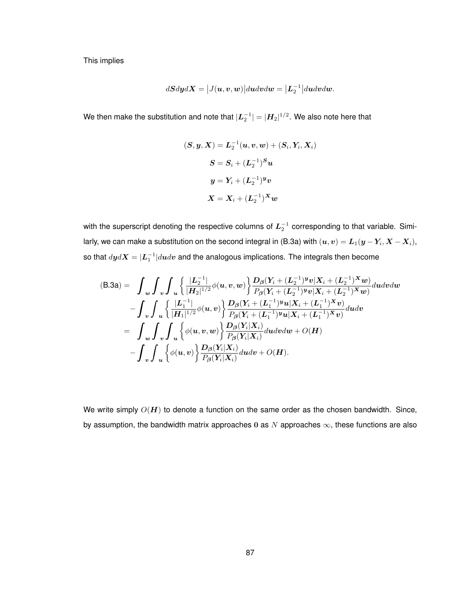This implies

$$
d\bm{S} d\bm{y} d\bm{X} = \big|J(\bm{u},\bm{v},\bm{w})\big|d\bm{u} d\bm{v} d\bm{w} = \big|\bm{L}_2^{-1}\big|d\bm{u} d\bm{v} d\bm{w}.
$$

We then make the substitution and note that  $|\bm{L}_2^{-1}|=|\bm{H}_2|^{1/2}.$  We also note here that

$$
\begin{aligned} (\boldsymbol{S},\boldsymbol{y},\boldsymbol{X}) &= \boldsymbol{L}_2^{-1}(\boldsymbol{u},\boldsymbol{v},\boldsymbol{w}) + (\boldsymbol{S}_i,\boldsymbol{Y}_i,\boldsymbol{X}_i) \\ \boldsymbol{S} &= \boldsymbol{S}_i + (\boldsymbol{L}_2^{-1})^{\boldsymbol{S}} \boldsymbol{u} \\ \boldsymbol{y} &= \boldsymbol{Y}_i + (\boldsymbol{L}_2^{-1})^{\boldsymbol{y}} \boldsymbol{v} \\ \boldsymbol{X} &= \boldsymbol{X}_i + (\boldsymbol{L}_2^{-1})^{\boldsymbol{X}} \boldsymbol{w} \end{aligned}
$$

with the superscript denoting the respective columns of  $L_2^{-1}$  corresponding to that variable. Similarly, we can make a substitution on the second integral in (B.3a) with  $(\bm u,\bm v)=\bm L_1(\bm y-\bm Y_i,\bm X-\bm X_i),$ so that  $dyd\bm{X} = |\bm{L}_1^{-1}|d\bm{u}d\bm{v}$  and the analogous implications. The integrals then become

$$
(B.3a) = \int_{w} \int_{v} \int_{u} \left\{ \frac{|L_{2}^{-1}|}{|H_{2}|^{1/2}} \phi(u,v,w) \right\} \frac{D_{\beta}(Y_{i} + (L_{2}^{-1})^{y}v|X_{i} + (L_{2}^{-1})^{x}w)}{P_{\beta}(Y_{i} + (L_{2}^{-1})^{y}v|X_{i} + (L_{2}^{-1})^{x}w)} du dv dw - \int_{v} \int_{u} \left\{ \frac{|L_{1}^{-1}|}{|H_{1}|^{1/2}} \phi(u,v) \right\} \frac{D_{\beta}(Y_{i} + (L_{1}^{-1})^{y}u|X_{i} + (L_{1}^{-1})^{x}v)}{P_{\beta}(Y_{i} + (L_{1}^{-1})^{y}u|X_{i} + (L_{1}^{-1})^{x}v)} du dv = \int_{w} \int_{v} \int_{u} \left\{ \phi(u,v,w) \right\} \frac{D_{\beta}(Y_{i}|X_{i})}{P_{\beta}(Y_{i}|X_{i})} du dv dw + O(H) - \int_{v} \int_{u} \left\{ \phi(u,v) \right\} \frac{D_{\beta}(Y_{i}|X_{i})}{P_{\beta}(Y_{i}|X_{i})} du dv + O(H).
$$

We write simply  $O(H)$  to denote a function on the same order as the chosen bandwidth. Since, by assumption, the bandwidth matrix approaches 0 as N approaches  $\infty$ , these functions are also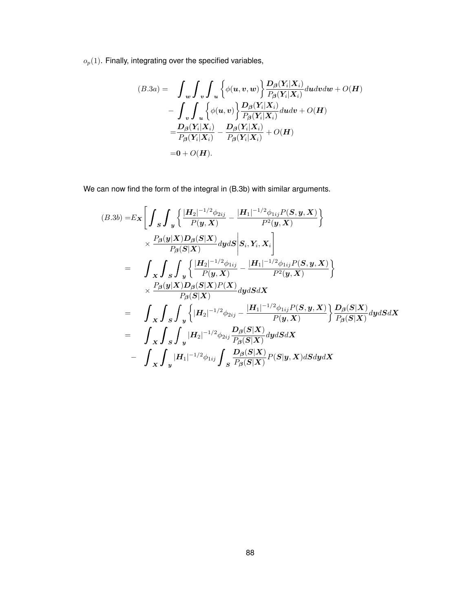$o_p(1)$ . Finally, integrating over the specified variables,

$$
(B.3a) = \int_{w} \int_{v} \int_{u} \left\{ \phi(u, v, w) \right\} \frac{D_{\beta}(Y_i | X_i)}{P_{\beta}(Y_i | X_i)} du dv dw + O(H)
$$
  

$$
- \int_{v} \int_{u} \left\{ \phi(u, v) \right\} \frac{D_{\beta}(Y_i | X_i)}{P_{\beta}(Y_i | X_i)} du dv + O(H)
$$
  

$$
= \frac{D_{\beta}(Y_i | X_i)}{P_{\beta}(Y_i | X_i)} - \frac{D_{\beta}(Y_i | X_i)}{P_{\beta}(Y_i | X_i)} + O(H)
$$
  

$$
= 0 + O(H).
$$

We can now find the form of the integral in (B.3b) with similar arguments.

$$
(B.3b) = E_X \Bigg[ \int_S \int_y \left\{ \frac{|H_2|^{-1/2} \phi_{2ij}}{P(y,X)} - \frac{|H_1|^{-1/2} \phi_{1ij} P(S,y,X)}{P^2(y,X)} \right\} \times \frac{P_\beta(y|X) D_\beta(S|X)}{P_\beta(S|X)} dy ds \Bigg| S_i, Y_i, X_i \Bigg] = \int_X \int_S \int_y \left\{ \frac{|H_2|^{-1/2} \phi_{1ij}}{P(y,X)} - \frac{|H_1|^{-1/2} \phi_{1ij} P(S,y,X)}{P^2(y,X)} \right\} \times \frac{P_\beta(y|X) D_\beta(S|X) P(X)}{P_\beta(S|X)} dy ds dx = \int_X \int_S \int_y \left\{ |H_2|^{-1/2} \phi_{2ij} - \frac{|H_1|^{-1/2} \phi_{1ij} P(S,y,X)}{P(y,X)} \right\} \frac{D_\beta(S|X)}{P_\beta(S|X)} dy ds dx = \int_X \int_S \int_y |H_2|^{-1/2} \phi_{2ij} \frac{D_\beta(S|X)}{P_\beta(S|X)} dy ds dx - \int_X \int_S \int_y |H_1|^{-1/2} \phi_{1ij} \int_S \frac{D_\beta(S|X)}{P_\beta(S|X)} P(S|y,X) ds dy dx
$$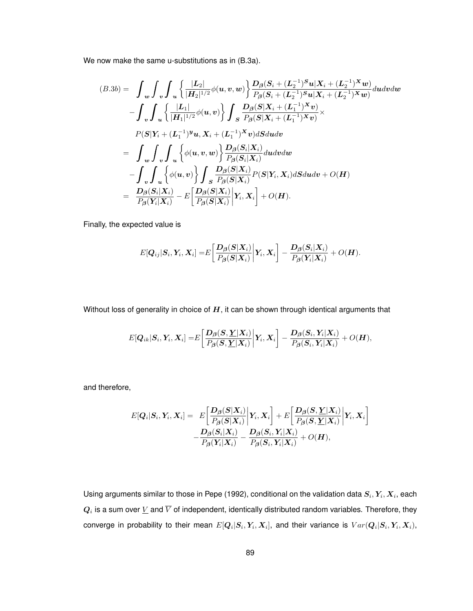We now make the same u-substitutions as in (B.3a).

$$
(B.3b) = \int_{w} \int_{v} \int_{u} \left\{ \frac{|L_{2}|}{|H_{2}|^{1/2}} \phi(u,v,w) \right\} \frac{D_{\beta}(S_{i} + (L_{2}^{-1})^{S}u|X_{i} + (L_{2}^{-1})^{X}w)}{P_{\beta}(S_{i} + (L_{2}^{-1})^{S}u|X_{i} + (L_{2}^{-1})^{X}w)} du dv dw - \int_{v} \int_{u} \left\{ \frac{|L_{1}|}{|H_{1}|^{1/2}} \phi(u,v) \right\} \int_{S} \frac{D_{\beta}(S|X_{i} + (L_{1}^{-1})^{X}v)}{P_{\beta}(S|X_{i} + (L_{1}^{-1})^{X}v)} \times P(S|Y_{i} + (L_{1}^{-1})^{y}u, X_{i} + (L_{1}^{-1})^{X}v) dS du dv = \int_{w} \int_{v} \int_{u} \left\{ \phi(u,v,w) \right\} \frac{D_{\beta}(S_{i}|X_{i})}{P_{\beta}(S_{i}|X_{i})} du dv dw - \int_{v} \int_{u} \left\{ \phi(u,v) \right\} \int_{S} \frac{D_{\beta}(S|X_{i})}{P_{\beta}(S|X_{i})} P(S|Y_{i}, X_{i}) dS du dv + O(H) = \frac{D_{\beta}(S_{i}|X_{i})}{P_{\beta}(Y_{i}|X_{i})} - E\left[\frac{D_{\beta}(S|X_{i})}{P_{\beta}(S|X_{i})}\right|Y_{i}, X_{i}\right] + O(H).
$$

Finally, the expected value is

$$
E[\boldsymbol{Q}_{ij}|\boldsymbol{S}_{i},\boldsymbol{Y}_{i},\boldsymbol{X}_{i}]=E\bigg[\frac{\boldsymbol{D}_{\boldsymbol{\beta}}(\boldsymbol{S}|\boldsymbol{X}_{i})}{P_{\boldsymbol{\beta}}(\boldsymbol{S}|\boldsymbol{X}_{i})}\bigg|\boldsymbol{Y}_{i},\boldsymbol{X}_{i}\bigg]-\frac{\boldsymbol{D}_{\boldsymbol{\beta}}(\boldsymbol{S}_{i}|\boldsymbol{X}_{i})}{P_{\boldsymbol{\beta}}(\boldsymbol{Y}_{i}|\boldsymbol{X}_{i})}+O(\boldsymbol{H}).
$$

Without loss of generality in choice of  $H$ , it can be shown through identical arguments that

$$
E[\boldsymbol{Q}_{ik}|\boldsymbol{S}_{i},\boldsymbol{Y}_{i},\boldsymbol{X}_{i}]=E\bigg[\frac{\boldsymbol{D}_{\boldsymbol{\beta}}(\boldsymbol{S},\boldsymbol{\underline{Y}}|\boldsymbol{X}_{i})}{P_{\boldsymbol{\beta}}(\boldsymbol{S},\boldsymbol{\underline{Y}}|\boldsymbol{X}_{i})}\bigg|\boldsymbol{Y}_{i},\boldsymbol{X}_{i}\bigg]-\frac{\boldsymbol{D}_{\boldsymbol{\beta}}(\boldsymbol{S}_{i},\boldsymbol{Y}_{i}|\boldsymbol{X}_{i})}{P_{\boldsymbol{\beta}}(\boldsymbol{S}_{i},\boldsymbol{Y}_{i}|\boldsymbol{X}_{i})}+O(\boldsymbol{H}),
$$

and therefore,

$$
E[\mathbf{Q}_i|\mathbf{S}_i,\mathbf{Y}_i,\mathbf{X}_i] = E\bigg[\frac{D_{\boldsymbol{\beta}}(\mathbf{S}|\mathbf{X}_i)}{P_{\boldsymbol{\beta}}(\mathbf{S}|\mathbf{X}_i)}\bigg|\mathbf{Y}_i,\mathbf{X}_i\bigg] + E\bigg[\frac{D_{\boldsymbol{\beta}}(\mathbf{S},\mathbf{\underline{Y}}|\mathbf{X}_i)}{P_{\boldsymbol{\beta}}(\mathbf{S},\mathbf{\underline{Y}}|\mathbf{X}_i)}\bigg|\mathbf{Y}_i,\mathbf{X}_i\bigg] - \frac{D_{\boldsymbol{\beta}}(\mathbf{S}_i|\mathbf{X}_i)}{P_{\boldsymbol{\beta}}(\mathbf{Y}_i|\mathbf{X}_i)} - \frac{D_{\boldsymbol{\beta}}(\mathbf{S}_i,\mathbf{Y}_i|\mathbf{X}_i)}{P_{\boldsymbol{\beta}}(\mathbf{S}_i,\mathbf{Y}_i|\mathbf{X}_i)} + O(\boldsymbol{H}),
$$

Using arguments similar to those in Pepe (1992), conditional on the validation data  $\bm{S}_i, \bm{Y}_i, \bm{X}_i,$  each  $\bm{Q}_i$  is a sum over  $\underline{V}$  and  $\overline{V}$  of independent, identically distributed random variables. Therefore, they converge in probability to their mean  $E[\bm{Q}_i|\bm{S}_i,\bm{Y}_i,\bm{X}_i],$  and their variance is  $Var(\bm{Q}_i|\bm{S}_i,\bm{Y}_i,\bm{X}_i),$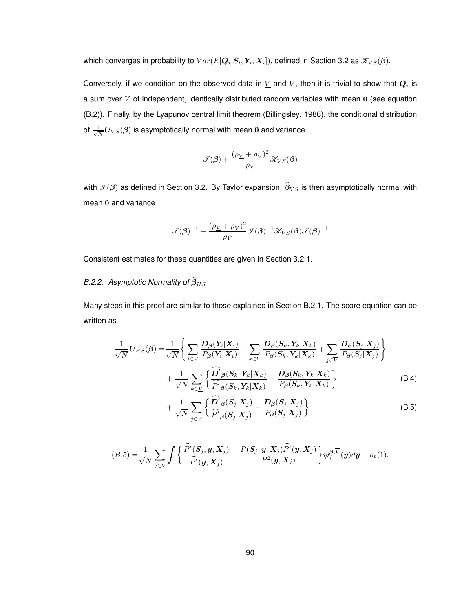which converges in probability to  $Var(E[\bm{Q}_i|\bm{S}_i,\bm{Y}_i,\bm{X}_i])$ , defined in Section 3.2 as  $\mathscr{K}_{VS}(\bm{\beta}).$ 

Conversely, if we condition on the observed data in  $\underline{V}$  and  $V,$  then it is trivial to show that  $\boldsymbol{Q}_i$  is a sum over  $V$  of independent, identically distributed random variables with mean  $0$  (see equation (B.2)). Finally, by the Lyapunov central limit theorem (Billingsley, 1986), the conditional distribution of  $\frac{1}{\sqrt{2}}$  $\frac{1}{N}U_{VS}(\beta)$  is asymptotically normal with mean 0 and variance

$$
\mathcal{F}(\pmb{\beta}) + \frac{(\rho_{V} + \rho_{\overline{V}})^2}{\rho_{V}} \mathcal{K}_{VS}(\pmb{\beta})
$$

with  $\mathcal{I}(\beta)$  as defined in Section 3.2. By Taylor expansion,  $\widehat{\beta}_{VS}$  is then asymptotically normal with mean 0 and variance

$$
\mathcal{F}(\boldsymbol{\beta})^{-1} + \frac{(\rho_{\underline{V}} + \rho_{\overline{V}})^2}{\rho_{V}} \mathcal{F}(\boldsymbol{\beta})^{-1} \mathcal{K}_{VS}(\boldsymbol{\beta}) \mathcal{F}(\boldsymbol{\beta})^{-1}
$$

Consistent estimates for these quantities are given in Section 3.2.1.

# *B.2.2.* Asymptotic Normality of  $\widehat{\beta}_{HS}$

Many steps in this proof are similar to those explained in Section B.2.1. The score equation can be written as

$$
\frac{1}{\sqrt{N}}U_{HS}(\boldsymbol{\beta}) = \frac{1}{\sqrt{N}} \Bigg\{ \sum_{i \in V} \frac{D_{\boldsymbol{\beta}}(\boldsymbol{Y}_i|\boldsymbol{X}_i)}{P_{\boldsymbol{\beta}}(\boldsymbol{Y}_i|\boldsymbol{X}_i)} + \sum_{k \in \underline{V}} \frac{D_{\boldsymbol{\beta}}(\boldsymbol{S}_k, \boldsymbol{Y}_k|\boldsymbol{X}_k)}{P_{\boldsymbol{\beta}}(\boldsymbol{S}_k, \boldsymbol{Y}_k|\boldsymbol{X}_k)} + \sum_{j \in \overline{V}} \frac{D_{\boldsymbol{\beta}}(\boldsymbol{S}_j|\boldsymbol{X}_j)}{P_{\boldsymbol{\beta}}(\boldsymbol{S}_j|\boldsymbol{X}_j)} \Bigg\} + \frac{1}{\sqrt{N}} \sum_{k \in \underline{V}} \Bigg\{ \frac{\widehat{D}'_{\boldsymbol{\beta}}(\boldsymbol{S}_k, \boldsymbol{Y}_k|\boldsymbol{X}_k)}{\widehat{P}'_{\boldsymbol{\beta}}(\boldsymbol{S}_k, \boldsymbol{Y}_k|\boldsymbol{X}_k)} - \frac{D_{\boldsymbol{\beta}}(\boldsymbol{S}_k, \boldsymbol{Y}_k|\boldsymbol{X}_k)}{P_{\boldsymbol{\beta}}(\boldsymbol{S}_k, \boldsymbol{Y}_k|\boldsymbol{X}_k)} \Bigg\} \tag{B.4}
$$

$$
+\frac{1}{\sqrt{N}}\sum_{j\in\overline{V}}\left\{\frac{\mathbf{D}'_{\beta}(\mathbf{S}_j|\mathbf{X}_j)}{\widehat{P}'_{\beta}(\mathbf{S}_j|\mathbf{X}_j)}-\frac{\mathbf{D}_{\beta}(\mathbf{S}_j|\mathbf{X}_j)}{P_{\beta}(\mathbf{S}_j|\mathbf{X}_j)}\right\}\n\tag{B.5}
$$

$$
(B.5)=\frac{1}{\sqrt{N}}\sum_{j\in\overline{V}}\int\bigg\{\frac{\widehat{P}'(\mathcal{\mathbf{S}}_{j},\mathcal{\mathbf{y}},\mathcal{\mathbf{X}}_{j})}{\widehat{P}'(\mathcal{\mathbf{y}},\mathcal{\mathbf{X}}_{j})}-\frac{P(\mathcal{\mathbf{S}}_{j},\mathcal{\mathbf{y}},\mathcal{\mathbf{X}}_{j})\widehat{P}'(\mathcal{\mathbf{y}},\mathcal{\mathbf{X}}_{j})}{P^{2}(\mathcal{\mathbf{y}},\mathcal{\mathbf{X}}_{j})}\bigg\}\psi_{j}^{\beta,\overline{V}}(\mathcal{\mathbf{y}})d\mathcal{\mathbf{y}}+o_{p}(1).
$$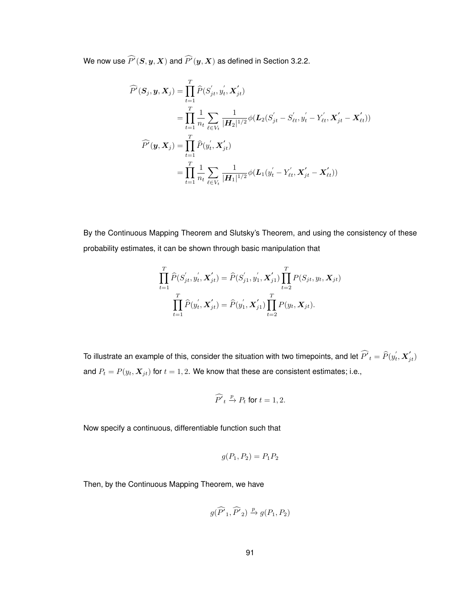We now use  $P^{\prime}(\boldsymbol{S}, \boldsymbol{y}, \boldsymbol{X})$  and  $P^{\prime}(\boldsymbol{y}, \boldsymbol{X})$  as defined in Section 3.2.2.

$$
\widehat{P}'(\mathbf{S}_{j}, \mathbf{y}, \mathbf{X}_{j}) = \prod_{t=1}^{T} \widehat{P}(S'_{jt}, y'_{t}, \mathbf{X}'_{jt}) \n= \prod_{t=1}^{T} \frac{1}{n_{t}} \sum_{\ell \in V_{t}} \frac{1}{|\mathbf{H}_{2}|^{1/2}} \phi(\mathbf{L}_{2}(S'_{jt} - S'_{\ell t}, y'_{t} - Y'_{\ell t}, \mathbf{X}'_{jt} - \mathbf{X}'_{\ell t})) \n\widehat{P}'(\mathbf{y}, \mathbf{X}_{j}) = \prod_{t=1}^{T} \widehat{P}(y'_{t}, \mathbf{X}'_{jt}) \n= \prod_{t=1}^{T} \frac{1}{n_{t}} \sum_{\ell \in V_{t}} \frac{1}{|\mathbf{H}_{1}|^{1/2}} \phi(\mathbf{L}_{1}(y'_{t} - Y'_{\ell t}, \mathbf{X}'_{jt} - \mathbf{X}'_{\ell t}))
$$

By the Continuous Mapping Theorem and Slutsky's Theorem, and using the consistency of these probability estimates, it can be shown through basic manipulation that

$$
\prod_{t=1}^{T} \widehat{P}(S'_{jt}, y'_{t}, \mathbf{X}'_{jt}) = \widehat{P}(S'_{j1}, y'_{1}, \mathbf{X}'_{j1}) \prod_{t=2}^{T} P(S_{jt}, y_{t}, \mathbf{X}_{jt})
$$

$$
\prod_{t=1}^{T} \widehat{P}(y'_{t}, \mathbf{X}'_{jt}) = \widehat{P}(y'_{1}, \mathbf{X}'_{j1}) \prod_{t=2}^{T} P(y_{t}, \mathbf{X}_{jt}).
$$

To illustrate an example of this, consider the situation with two timepoints, and let  $\widehat{P'}_t=\widehat{P}(y^{'}_t, \bm{X}^{'}_{jt})$ and  $P_t = P(y_t, X_{jt})$  for  $t = 1, 2$ . We know that these are consistent estimates; i.e.,

$$
\widehat{P'}_t \xrightarrow{p} P_t \text{ for } t = 1, 2.
$$

Now specify a continuous, differentiable function such that

$$
g(P_1, P_2) = P_1 P_2
$$

Then, by the Continuous Mapping Theorem, we have

$$
g(\widehat{P'}_1, \widehat{P'}_2) \xrightarrow{p} g(P_1, P_2)
$$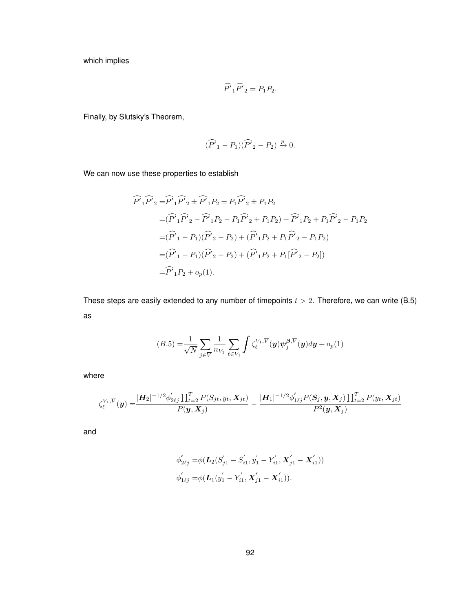which implies

$$
\widehat{P}'_1\widehat{P}'_2 = P_1P_2.
$$

Finally, by Slutsky's Theorem,

$$
(\widehat{P'}_1 - P_1)(\widehat{P'}_2 - P_2) \xrightarrow{p} 0.
$$

We can now use these properties to establish

$$
\widehat{P'}_1 \widehat{P'}_2 = \widehat{P'}_1 \widehat{P'}_2 \pm \widehat{P'}_1 P_2 \pm P_1 \widehat{P'}_2 \pm P_1 P_2
$$
  
\n
$$
= (\widehat{P'}_1 \widehat{P'}_2 - \widehat{P'}_1 P_2 - P_1 \widehat{P'}_2 + P_1 P_2) + \widehat{P'}_1 P_2 + P_1 \widehat{P'}_2 - P_1 P_2
$$
  
\n
$$
= (\widehat{P'}_1 - P_1)(\widehat{P'}_2 - P_2) + (\widehat{P'}_1 P_2 + P_1 \widehat{P'}_2 - P_1 P_2)
$$
  
\n
$$
= (\widehat{P'}_1 - P_1)(\widehat{P'}_2 - P_2) + (\widehat{P'}_1 P_2 + P_1 [\widehat{P'}_2 - P_2])
$$
  
\n
$$
= \widehat{P'}_1 P_2 + o_p(1).
$$

These steps are easily extended to any number of timepoints  $t > 2$ . Therefore, we can write (B.5) as

$$
(B.5) = \frac{1}{\sqrt{N}} \sum_{j \in \overline{V}} \frac{1}{n_{V_1}} \sum_{\ell \in V_1} \int \zeta_{\ell}^{V_1, \overline{V}}(\mathbf{y}) \psi_j^{\beta, \overline{V}}(\mathbf{y}) d\mathbf{y} + o_p(1)
$$

where

$$
\zeta_{\ell}^{V_1,\overline{V}}(\pmb{y})=\frac{|\pmb{H}_2|^{-1/2}\phi_{2\ell j}^{'}\prod_{t=2}^{T}P(S_{jt},y_t,\pmb{X}_{jt})}{P(\pmb{y},\pmb{X}_{j})}-\frac{|\pmb{H}_1|^{-1/2}\phi_{1\ell j}^{'}P(\pmb{S}_{j},\pmb{y},\pmb{X}_{j})\prod_{t=2}^{T}P(y_t,\pmb{X}_{jt})}{P^2(\pmb{y},\pmb{X}_{j})}
$$

and

$$
\phi_{2\ell j}^{'} = \phi(\mathbf{L}_{2}(S_{j1}^{'}-S_{i1}^{'}, y_{1}^{'}-Y_{i1}^{'}, \mathbf{X}_{j1}^{'}-\mathbf{X}_{i1}^{'}))
$$
  

$$
\phi_{1\ell j}^{'} = \phi(\mathbf{L}_{1}(y_{1}^{'}-Y_{i1}^{'}, \mathbf{X}_{j1}^{'}-\mathbf{X}_{i1}^{'})).
$$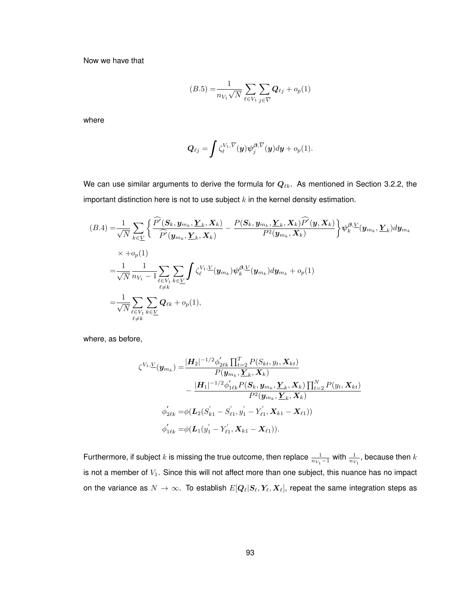Now we have that

$$
(B.5) = \frac{1}{n_{V_1} \sqrt{N}} \sum_{\ell \in V_1} \sum_{j \in \overline{V}} Q_{\ell j} + o_p(1)
$$

where

$$
\boldsymbol{Q}_{\ell j} = \int \zeta_{\ell}^{V_1,\overline{V}}(\boldsymbol{y}) \boldsymbol{\psi}_{j}^{\boldsymbol{\beta},\overline{V}}(\boldsymbol{y}) d\boldsymbol{y} + o_{p}(1).
$$

We can use similar arguments to derive the formula for  $Q_{\ell k}$ . As mentioned in Section 3.2.2, the important distinction here is not to use subject  $k$  in the kernel density estimation.

$$
(B.4) = \frac{1}{\sqrt{N}} \sum_{k \in \underline{V}} \left\{ \frac{\widehat{P}'(\mathbf{S}_k, \mathbf{y}_{m_k}, \underline{Y}_k, \mathbf{X}_k)}{\widehat{P}'(\mathbf{y}_{m_k}, \underline{Y}_k, \mathbf{X}_k)} - \frac{P(\mathbf{S}_k, \mathbf{y}_{m_k}, \underline{Y}_k, \mathbf{X}_k)\widehat{P}'(\mathbf{y}, \mathbf{X}_k)}{P^2(\mathbf{y}_{m_k}, \mathbf{X}_k)} \right\} \psi_k^{\beta, \underline{V}}(\mathbf{y}_{m_k}, \underline{Y}_k) d\mathbf{y}_{m_k}
$$
\n
$$
\times + o_p(1)
$$
\n
$$
= \frac{1}{\sqrt{N}} \frac{1}{n_{V_1} - 1} \sum_{\substack{\ell \in V_1 \\ \ell \neq k}} \sum_{k \in \underline{V}} \int \zeta_{\ell}^{V_1, \underline{V}}(\mathbf{y}_{m_k}) \psi_k^{\beta, \underline{V}}(\mathbf{y}_{m_k}) d\mathbf{y}_{m_k} + o_p(1)
$$
\n
$$
= \frac{1}{\sqrt{N}} \sum_{\substack{\ell \in V_1 \\ \ell \neq k}} \sum_{k \in \underline{V}} \mathbf{Q}_{\ell k} + o_p(1),
$$

where, as before,

$$
\zeta^{V_1,\underline{V}}(\mathbf{y}_{m_k}) = \frac{|\mathbf{H}_2|^{-1/2} \phi_{2\ell k}' \prod_{t=2}^T P(S_{kt}, y_t, \mathbf{X}_{kt})}{P(\mathbf{y}_{m_k}, \underline{\mathbf{Y}}_k, \mathbf{X}_k)} \n- \frac{|\mathbf{H}_1|^{-1/2} \phi_{1\ell k}' P(\mathbf{S}_k, \mathbf{y}_{m_k}, \underline{\mathbf{Y}}_k, \mathbf{X}_k) \prod_{t=2}^N P(y_t, \mathbf{X}_{kt})}{P^2(\mathbf{y}_{m_k}, \underline{\mathbf{Y}}_k, \mathbf{X}_k)} \n\phi_{2\ell k}' = \phi(\mathbf{L}_2(S_{k1}' - S_{\ell 1}', y_1' - Y_{\ell 1}', \mathbf{X}_{k1} - \mathbf{X}_{\ell 1})) \n\phi_{1\ell k}' = \phi(\mathbf{L}_1(y_1' - Y_{\ell 1}', \mathbf{X}_{k1} - \mathbf{X}_{\ell 1})).
$$

Furthermore, if subject  $k$  is missing the true outcome, then replace  $\frac{1}{n_{V_1}-1}$  with  $\frac{1}{n_{V_1}}$ , because then  $k$ is not a member of  $V_1$ . Since this will not affect more than one subject, this nuance has no impact on the variance as  $N \to \infty$ . To establish  $E[\mathbf{Q}_\ell|\mathbf{S}_\ell,\mathbf{Y}_\ell,\mathbf{X}_\ell]$ , repeat the same integration steps as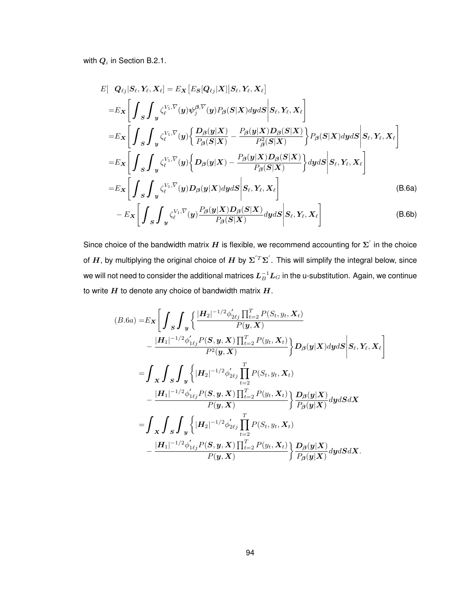with  $\boldsymbol{Q}_i$  in Section B.2.1.

$$
E[\boldsymbol{Q}_{\ell j} | S_{\ell}, Y_{\ell}, X_{\ell}] = E_{\boldsymbol{X}} [E_{\boldsymbol{S}}[\boldsymbol{Q}_{\ell j} | \boldsymbol{X}] | S_{\ell}, Y_{\ell}, X_{\ell}]
$$
\n
$$
= E_{\boldsymbol{X}} \Bigg[ \int_{\boldsymbol{S}} \int_{\boldsymbol{y}} \zeta_{\ell}^{V_{1}, \overline{V}}(\boldsymbol{y}) \psi_{j}^{\beta, \overline{V}}(\boldsymbol{y}) P_{\beta}(\boldsymbol{S} | \boldsymbol{X}) d\boldsymbol{y} d\boldsymbol{S} \Bigg| S_{\ell}, Y_{\ell}, X_{\ell} \Bigg]
$$
\n
$$
= E_{\boldsymbol{X}} \Bigg[ \int_{\boldsymbol{S}} \int_{\boldsymbol{y}} \zeta_{\ell}^{V_{1}, \overline{V}}(\boldsymbol{y}) \Bigg\{ \frac{D_{\beta}(\boldsymbol{y} | \boldsymbol{X})}{P_{\beta}(\boldsymbol{S} | \boldsymbol{X})} - \frac{P_{\beta}(\boldsymbol{y} | \boldsymbol{X}) D_{\beta}(\boldsymbol{S} | \boldsymbol{X})}{P_{\beta}^2(\boldsymbol{S} | \boldsymbol{X})} \Bigg\} P_{\beta}(\boldsymbol{S} | \boldsymbol{X}) d\boldsymbol{y} d\boldsymbol{S} \Bigg| S_{\ell}, Y_{\ell}, X_{\ell} \Bigg]
$$
\n
$$
= E_{\boldsymbol{X}} \Bigg[ \int_{\boldsymbol{S}} \int_{\boldsymbol{y}} \zeta_{\ell}^{V_{1}, \overline{V}}(\boldsymbol{y}) \Bigg\{ D_{\beta}(\boldsymbol{y} | \boldsymbol{X}) - \frac{P_{\beta}(\boldsymbol{y} | \boldsymbol{X}) D_{\beta}(\boldsymbol{S} | \boldsymbol{X})}{P_{\beta}(\boldsymbol{S} | \boldsymbol{X})} \Bigg\} d\boldsymbol{y} d\boldsymbol{S} \Bigg| S_{\ell}, Y_{\ell}, X_{\ell} \Bigg]
$$
\n
$$
= E_{\boldsymbol{X}} \Bigg[ \int_{\boldsymbol{S}} \int_{\boldsymbol{y}} \zeta_{\ell}^{V_{1}, \overline{V}}(\boldsymbol{y}) D_{\beta}(\boldsymbol{y} | \boldsymbol{X}) d\boldsymbol{y} d\boldsymbol{S} \Bigg| S_{\ell}, Y_{\ell}, X_{\ell} \Bigg]
$$

Since choice of the bandwidth matrix  $H$  is flexible, we recommend accounting for  $\Sigma^{'}$  in the choice of  $H$ , by multiplying the original choice of  $H$  by  $\Sigma^{'}{}^T\Sigma^{'}$ . This will simplify the integral below, since we will not need to consider the additional matrices  $\bm{L}_{B}^{-1}\bm{L}_{G}$  in the u-substitution. Again, we continue to write  $H$  to denote any choice of bandwidth matrix  $H$ .

$$
(B.6a) = E_{\mathbf{X}} \Bigg[ \int_{S} \int_{y} \Bigg\{ \frac{|H_{2}|^{-1/2} \phi_{2\ell j}^{\prime} \prod_{t=2}^{T} P(S_{t}, y_{t}, \mathbf{X}_{t})}{P(\mathbf{y}, \mathbf{X})} - \frac{|H_{1}|^{-1/2} \phi_{1\ell j}^{\prime} P(S, \mathbf{y}, \mathbf{X}) \prod_{t=2}^{T} P(y_{t}, \mathbf{X}_{t})}{P^{2}(\mathbf{y}, \mathbf{X})} \Bigg\} D_{\beta}(\mathbf{y}|\mathbf{X}) dy dS \Bigg| S_{\ell}, Y_{\ell}, X_{\ell} \Bigg]
$$
  
\n
$$
= \int_{X} \int_{S} \int_{y} \Bigg\{ |H_{2}|^{-1/2} \phi_{2\ell j}^{\prime} \prod_{t=2}^{T} P(S_{t}, y_{t}, \mathbf{X}_{t}) - \frac{|H_{1}|^{-1/2} \phi_{1\ell j}^{\prime} P(S, \mathbf{y}, \mathbf{X}) \prod_{t=2}^{T} P(y_{t}, \mathbf{X}_{t})}{P(\mathbf{y}, \mathbf{X})} \Bigg\} \frac{D_{\beta}(\mathbf{y}|\mathbf{X})}{P_{\beta}(\mathbf{y}|\mathbf{X})} dy dS d\mathbf{X}
$$
  
\n
$$
= \int_{X} \int_{S} \int_{y} \Bigg\{ |H_{2}|^{-1/2} \phi_{2\ell j}^{\prime} \prod_{t=2}^{T} P(S_{t}, y_{t}, \mathbf{X}_{t}) - \frac{|H_{1}|^{-1/2} \phi_{1\ell j}^{\prime} P(S, \mathbf{y}, \mathbf{X}) \prod_{t=2}^{T} P(y_{t}, \mathbf{X}_{t})}{P(\mathbf{y}, \mathbf{X})} \Bigg\} \frac{D_{\beta}(\mathbf{y}|\mathbf{X})}{P_{\beta}(\mathbf{y}|\mathbf{X})} dy dS d\mathbf{X}.
$$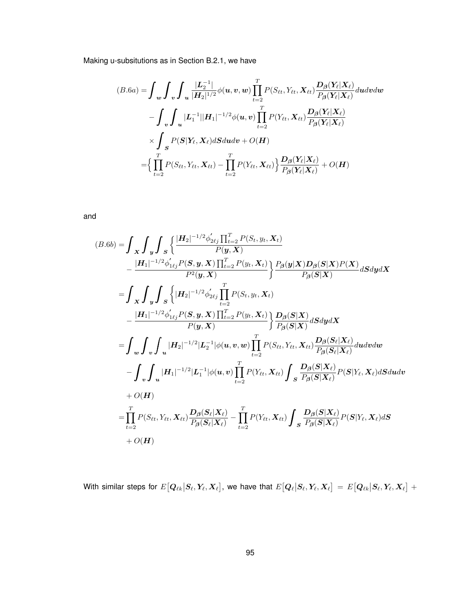Making u-subsitutions as in Section B.2.1, we have

$$
(B.6a) = \int_{\mathbf{w}} \int_{\mathbf{v}} \int_{\mathbf{u}} \frac{|\mathbf{L}_2^{-1}|}{|\mathbf{H}_2|^{1/2}} \phi(\mathbf{u}, \mathbf{v}, \mathbf{w}) \prod_{t=2}^T P(S_{\ell t}, Y_{\ell t}, \mathbf{X}_{\ell t}) \frac{D_{\beta}(\mathbf{Y}_{\ell}|\mathbf{X}_{\ell})}{P_{\beta}(\mathbf{Y}_{\ell}|\mathbf{X}_{\ell})} d\mathbf{u} d\mathbf{v} d\mathbf{w}
$$

$$
- \int_{\mathbf{v}} \int_{\mathbf{u}} |\mathbf{L}_1^{-1}||\mathbf{H}_1|^{-1/2} \phi(\mathbf{u}, \mathbf{v}) \prod_{t=2}^T P(Y_{\ell t}, \mathbf{X}_{\ell t}) \frac{D_{\beta}(\mathbf{Y}_{\ell}|\mathbf{X}_{\ell})}{P_{\beta}(\mathbf{Y}_{\ell}|\mathbf{X}_{\ell})}
$$

$$
\times \int_{\mathbf{S}} P(\mathbf{S}|\mathbf{Y}_{\ell}, \mathbf{X}_{\ell}) d\mathbf{S} d\mathbf{u} d\mathbf{v} + O(\mathbf{H})
$$

$$
= \Big\{ \prod_{t=2}^T P(S_{\ell t}, Y_{\ell t}, \mathbf{X}_{\ell t}) - \prod_{t=2}^T P(Y_{\ell t}, \mathbf{X}_{\ell t}) \Big\} \frac{D_{\beta}(\mathbf{Y}_{\ell}|\mathbf{X}_{\ell})}{P_{\beta}(\mathbf{Y}_{\ell}|\mathbf{X}_{\ell})} + O(\mathbf{H})
$$

and

$$
(B.6b) = \int_{\mathbf{X}} \int_{\mathbf{y}} \int_{S} \left\{ \frac{|H_2|^{-1/2} \phi_{2\ell j}^{\prime} \prod_{t=2}^{T} P(S_t, y_t, \mathbf{X}_t)}{P(y, \mathbf{X})} - \frac{|H_1|^{-1/2} \phi_{1\ell j}^{\prime} P(S, y, \mathbf{X}) \prod_{t=2}^{T} P(y_t, \mathbf{X}_t)}{P^2(y, \mathbf{X})} \right\} \frac{P_{\beta}(\mathbf{y}|\mathbf{X}) D_{\beta}(S|\mathbf{X}) P(\mathbf{X})}{P_{\beta}(S|\mathbf{X})} dSdyd\mathbf{X}
$$
  
\n
$$
= \int_{\mathbf{X}} \int_{\mathbf{y}} \int_{S} \left\{ |H_2|^{-1/2} \phi_{2\ell j}^{\prime} \prod_{t=2}^{T} P(S_t, y_t, \mathbf{X}_t) - \frac{|H_1|^{-1/2} \phi_{1\ell j}^{\prime} P(S, y, \mathbf{X}) \prod_{t=2}^{T} P(y_t, \mathbf{X}_t)}{P(y, \mathbf{X})} \right\} \frac{D_{\beta}(S|\mathbf{X})}{P_{\beta}(S|\mathbf{X})} dSdyd\mathbf{X}
$$
  
\n
$$
= \int_{\mathbf{w}} \int_{\mathbf{v}} \int_{\mathbf{u}} |H_2|^{-1/2} |L_2^{-1}| \phi(\mathbf{u}, \mathbf{v}, \mathbf{w}) \prod_{t=2}^{T} P(S_{\ell t}, Y_{\ell t}, \mathbf{X}_{\ell t}) \frac{D_{\beta}(S_{\ell}|\mathbf{X}_{\ell})}{P_{\beta}(S_{\ell}|\mathbf{X}_{\ell})} dudvdw
$$
  
\n
$$
- \int_{\mathbf{v}} \int_{\mathbf{u}} |H_1|^{-1/2} |L_1^{-1}| \phi(\mathbf{u}, \mathbf{v}) \prod_{t=2}^{T} P(Y_{\ell t}, \mathbf{X}_{\ell t}) \int_{S} \frac{D_{\beta}(S|\mathbf{X}_{\ell})}{P_{\beta}(S|\mathbf{X}_{\ell})} P(S|Y_{\ell}, \mathbf{X}_{\ell}) dSdudv
$$
  
\n
$$
+ O(H)
$$
  
\n

With similar steps for  $E\big[\bm Q_{\ell k} \big|\bm S_\ell,\bm Y_\ell,\bm X_\ell\big]$ , we have that  $E\big[\bm Q_\ell \big|\bm S_\ell,\bm Y_\ell,\bm X_\ell\big]=E\big[\bm Q_{\ell k} \big|\bm S_\ell,\bm Y_\ell,\bm X_\ell\big]+\,$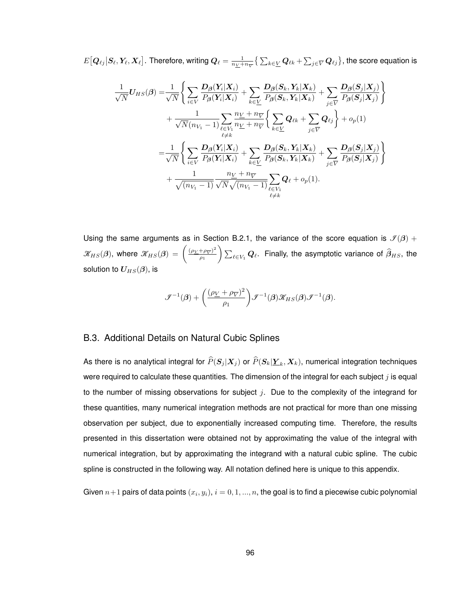$E[\bm Q_{\ell j}|\bm S_\ell,\bm Y_\ell,\bm X_\ell]$ . Therefore, writing  $\bm Q_\ell=\frac{1}{n_{\bm Y}+n_{\bm Y}}\big\{\sum_{k\in \bm{\underline{V}}} \bm Q_{\ell k}+\sum_{j\in \bm{\overline{V}}} \bm Q_{\ell j}\big\},$  the score equation is

$$
\frac{1}{\sqrt{N}}U_{HS}(\boldsymbol{\beta}) = \frac{1}{\sqrt{N}} \Bigg\{ \sum_{i \in V} \frac{D_{\boldsymbol{\beta}}(Y_i|X_i)}{P_{\boldsymbol{\beta}}(Y_i|X_i)} + \sum_{k \in \underline{V}} \frac{D_{\boldsymbol{\beta}}(S_k, Y_k|X_k)}{P_{\boldsymbol{\beta}}(S_k, Y_k|X_k)} + \sum_{j \in \overline{V}} \frac{D_{\boldsymbol{\beta}}(S_j|X_j)}{P_{\boldsymbol{\beta}}(S_j|X_j)} \Bigg\} \n+ \frac{1}{\sqrt{N}(n_{V_1}-1)} \sum_{\substack{\ell \in V_1 \\ \ell \neq k}} \frac{n_{\underline{V}}+n_{\overline{V}}}{n_{\underline{V}}+n_{\overline{V}}} \Bigg\{ \sum_{k \in \underline{V}} Q_{\ell k} + \sum_{j \in \overline{V}} Q_{\ell j} \Bigg\} + o_p(1) \n= \frac{1}{\sqrt{N}} \Bigg\{ \sum_{i \in V} \frac{D_{\boldsymbol{\beta}}(Y_i|X_i)}{P_{\boldsymbol{\beta}}(Y_i|X_i)} + \sum_{k \in \underline{V}} \frac{D_{\boldsymbol{\beta}}(S_k, Y_k|X_k)}{P_{\boldsymbol{\beta}}(S_k, Y_k|X_k)} + \sum_{j \in \overline{V}} \frac{D_{\boldsymbol{\beta}}(S_j|X_j)}{P_{\boldsymbol{\beta}}(S_j|X_j)} \Bigg\} \n+ \frac{1}{\sqrt{(n_{V_1}-1)}} \frac{n_{\underline{V}}+n_{\overline{V}}}{\sqrt{N}\sqrt{(n_{V_1}-1)}} \sum_{\substack{\ell \in V_1 \\ \ell \neq k}} Q_{\ell} + o_p(1).
$$

Using the same arguments as in Section B.2.1, the variance of the score equation is  $\mathcal{I}(\beta)$  +  $\mathscr{K}_{HS}(\beta)$ , where  $\mathscr{K}_{HS}(\beta) = \left(\frac{(\rho_Y + \rho_{\overline{Y}})^2}{\rho_Y}\right)$  $\left(\frac{(\mu-\mu_{\widetilde{V}})^2}{\rho_1}\right)\sum_{\ell\in V_1}\bm Q_\ell.$  Finally, the asymptotic variance of  $\widehat{\beta}_{HS},$  the solution to  $U_{HS}(\beta)$ , is

$$
\mathcal{F}^{-1}(\boldsymbol{\beta}) + \left(\frac{(\rho_{\underline{V}} + \rho_{\overline{V}})^2}{\rho_1}\right) \mathcal{F}^{-1}(\boldsymbol{\beta}) \mathcal{K}_{HS}(\boldsymbol{\beta}) \mathcal{F}^{-1}(\boldsymbol{\beta}).
$$

#### B.3. Additional Details on Natural Cubic Splines

As there is no analytical integral for  $P(\bm{S}_j|\bm{X}_j )$  or  $P(\bm{S}_k | \bm{\underline{Y}}_k,\bm{X}_k ),$  numerical integration techniques were required to calculate these quantities. The dimension of the integral for each subject  $j$  is equal to the number of missing observations for subject  $j$ . Due to the complexity of the integrand for these quantities, many numerical integration methods are not practical for more than one missing observation per subject, due to exponentially increased computing time. Therefore, the results presented in this dissertation were obtained not by approximating the value of the integral with numerical integration, but by approximating the integrand with a natural cubic spline. The cubic spline is constructed in the following way. All notation defined here is unique to this appendix.

Given  $n{+}1$  pairs of data points  $\left(x_i, y_i\right)$ ,  $i=0,1,...,n,$  the goal is to find a piecewise cubic polynomial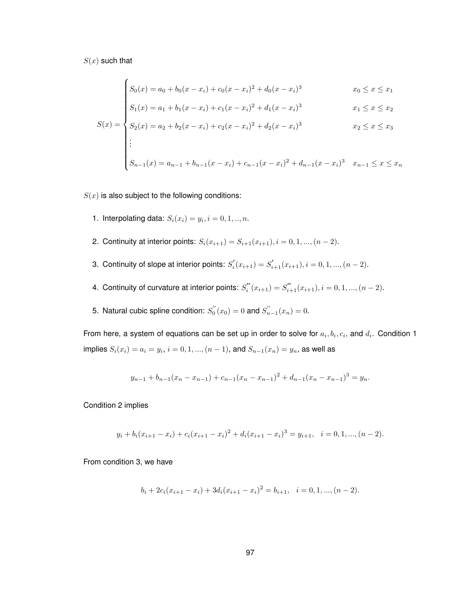$S(x)$  such that

$$
\int S_0(x) = a_0 + b_0(x - x_i) + c_0(x - x_i)^2 + d_0(x - x_i)^3
$$
  
  $x_0 \le x \le x_1$ 

$$
S_0(x) = a_0 + b_0(x - x_i) + c_0(x - x_i)^2 + d_0(x - x_i)^3
$$
  
\n
$$
S_1(x) = a_1 + b_1(x - x_i) + c_1(x - x_i)^2 + d_1(x - x_i)^3
$$
  
\n
$$
x_1 \le x \le x_2
$$

$$
S(x) = \begin{cases} S_2(x) = a_2 + b_2(x - x_i) + c_2(x - x_i)^2 + d_2(x - x_i)^3 & x_2 \le x \le x_3 \\ \vdots & & \\ S_{n-1}(x) = a_{n-1} + b_{n-1}(x - x_i) + c_{n-1}(x - x_i)^2 + d_{n-1}(x - x_i)^3 & x_{n-1} \le x \le x_n \end{cases}
$$

 $S(x)$  is also subject to the following conditions:

- 1. Interpolating data:  $S_i(x_i) = y_i, i = 0, 1, ..., n$ .
- 2. Continuity at interior points:  $S_i(x_{i+1}) = S_{i+1}(x_{i+1}), i = 0, 1, ..., (n-2)$ .
- 3. Continuity of slope at interior points:  $S_i^{'}(x_{i+1}) = S_{i+1}^{'}(x_{i+1}), i = 0, 1, ..., (n-2)$ .
- 4. Continuity of curvature at interior points:  $S_i''(x_{i+1}) = S_{i+1}'(x_{i+1}), i = 0, 1, ..., (n-2)$ .
- 5. Natural cubic spline condition:  $S_0''(x_0) = 0$  and  $S_{n-1}''(x_n) = 0$ .

From here, a system of equations can be set up in order to solve for  $a_i, b_i, c_i$ , and  $d_i$ . Condition 1 implies  $S_i(x_i) = a_i = y_i, i = 0, 1, ..., (n - 1)$ , and  $S_{n-1}(x_n) = y_n$ , as well as

$$
y_{n-1} + b_{n-1}(x_n - x_{n-1}) + c_{n-1}(x_n - x_{n-1})^2 + d_{n-1}(x_n - x_{n-1})^3 = y_n.
$$

Condition 2 implies

$$
y_i + b_i(x_{i+1} - x_i) + c_i(x_{i+1} - x_i)^2 + d_i(x_{i+1} - x_i)^3 = y_{i+1}, \quad i = 0, 1, ..., (n-2).
$$

From condition 3, we have

$$
b_i + 2c_i(x_{i+1} - x_i) + 3d_i(x_{i+1} - x_i)^2 = b_{i+1}, \quad i = 0, 1, ..., (n-2).
$$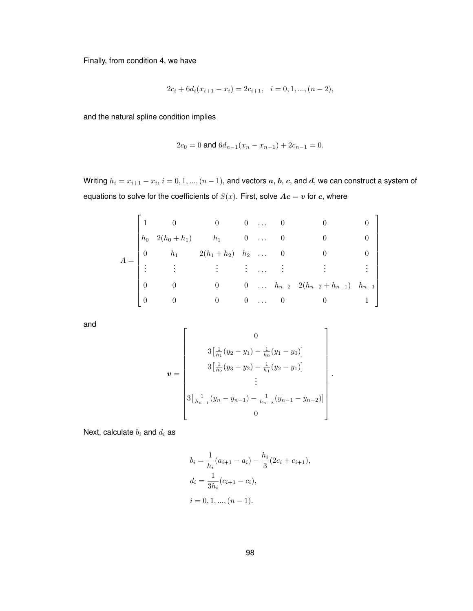Finally, from condition 4, we have

$$
2c_i + 6d_i(x_{i+1} - x_i) = 2c_{i+1}, \quad i = 0, 1, ..., (n-2),
$$

and the natural spline condition implies

$$
2c_0 = 0 \text{ and } 6d_{n-1}(x_n - x_{n-1}) + 2c_{n-1} = 0.
$$

Writing  $h_i = x_{i+1} - x_i, \, i=0,1,...,(n-1),$  and vectors  $\bm{a},$   $\bm{b},$   $\bm{c},$  and  $\bm{d},$  we can construct a system of equations to solve for the coefficients of  $S(x)$ . First, solve  $A**c** = **v**$  for c, where

$$
A = \begin{bmatrix} 1 & 0 & 0 & 0 & \dots & 0 & 0 & 0 \\ h_0 & 2(h_0 + h_1) & h_1 & 0 & \dots & 0 & 0 & 0 \\ 0 & h_1 & 2(h_1 + h_2) & h_2 & \dots & 0 & 0 & 0 \\ \vdots & \vdots & \vdots & \vdots & \dots & \vdots & \vdots & \vdots \\ 0 & 0 & 0 & 0 & \dots & h_{n-2} & 2(h_{n-2} + h_{n-1}) & h_{n-1} \\ 0 & 0 & 0 & 0 & \dots & 0 & 0 & 1 \end{bmatrix}
$$

and

$$
\boldsymbol{v} = \begin{bmatrix} 0 \\ 3\left[\frac{1}{h_1}(y_2 - y_1) - \frac{1}{h_0}(y_1 - y_0)\right] \\ 3\left[\frac{1}{h_2}(y_3 - y_2) - \frac{1}{h_1}(y_2 - y_1)\right] \\ \vdots \\ 3\left[\frac{1}{h_{n-1}}(y_n - y_{n-1}) - \frac{1}{h_{n-2}}(y_{n-1} - y_{n-2})\right] \\ 0 \end{bmatrix}.
$$

Next, calculate  $b_i$  and  $d_i$  as

$$
b_i = \frac{1}{h_i}(a_{i+1} - a_i) - \frac{h_i}{3}(2c_i + c_{i+1}),
$$
  
\n
$$
d_i = \frac{1}{3h_i}(c_{i+1} - c_i),
$$
  
\n
$$
i = 0, 1, ..., (n - 1).
$$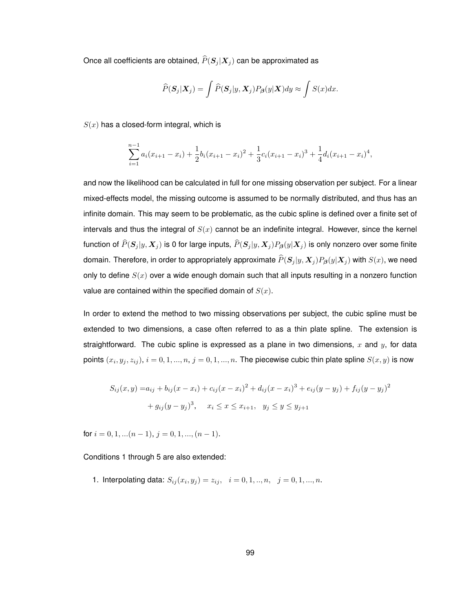Once all coefficients are obtained,  $\widehat{P}(\boldsymbol{S}_j | \boldsymbol{X}_j )$  can be approximated as

$$
\widehat{P}(\boldsymbol{S}_j|\boldsymbol{X}_j) = \int \widehat{P}(\boldsymbol{S}_j|y,\boldsymbol{X}_j) P_{\boldsymbol{\beta}}(y|\boldsymbol{X}) dy \approx \int S(x) dx.
$$

 $S(x)$  has a closed-form integral, which is

$$
\sum_{i=1}^{n-1} a_i (x_{i+1} - x_i) + \frac{1}{2} b_i (x_{i+1} - x_i)^2 + \frac{1}{3} c_i (x_{i+1} - x_i)^3 + \frac{1}{4} d_i (x_{i+1} - x_i)^4,
$$

and now the likelihood can be calculated in full for one missing observation per subject. For a linear mixed-effects model, the missing outcome is assumed to be normally distributed, and thus has an infinite domain. This may seem to be problematic, as the cubic spline is defined over a finite set of intervals and thus the integral of  $S(x)$  cannot be an indefinite integral. However, since the kernel function of  $\widehat{P}(S_j |y, X_j )$  is 0 for large inputs,  $\widehat{P}(S_j |y, X_j)P_\bm{\beta}(y|X_j )$  is only nonzero over some finite domain. Therefore, in order to appropriately approximate  $\widehat{P}(\pmb{S}_j |y,\pmb{X}_j)P_{\pmb{\beta}}(y|\pmb{X}_j )$  with  $S(x)$ , we need only to define  $S(x)$  over a wide enough domain such that all inputs resulting in a nonzero function value are contained within the specified domain of  $S(x)$ .

In order to extend the method to two missing observations per subject, the cubic spline must be extended to two dimensions, a case often referred to as a thin plate spline. The extension is straightforward. The cubic spline is expressed as a plane in two dimensions,  $x$  and  $y$ , for data points  $(x_i,y_j,z_{ij}),$   $i=0,1,...,n,$   $j=0,1,...,n.$  The piecewise cubic thin plate spline  $S(x,y)$  is now

$$
S_{ij}(x,y) = a_{ij} + b_{ij}(x - x_i) + c_{ij}(x - x_i)^2 + d_{ij}(x - x_i)^3 + e_{ij}(y - y_j) + f_{ij}(y - y_j)^2
$$

$$
+ g_{ij}(y - y_j)^3, \quad x_i \le x \le x_{i+1}, \quad y_j \le y \le y_{j+1}
$$

for  $i = 0, 1, \ldots (n-1), i = 0, 1, \ldots (n-1).$ 

Conditions 1 through 5 are also extended:

1. Interpolating data:  $S_{ij}(x_i, y_j) = z_{ij}, \ \ i = 0, 1, ..., n, \ \ j = 0, 1, ..., n.$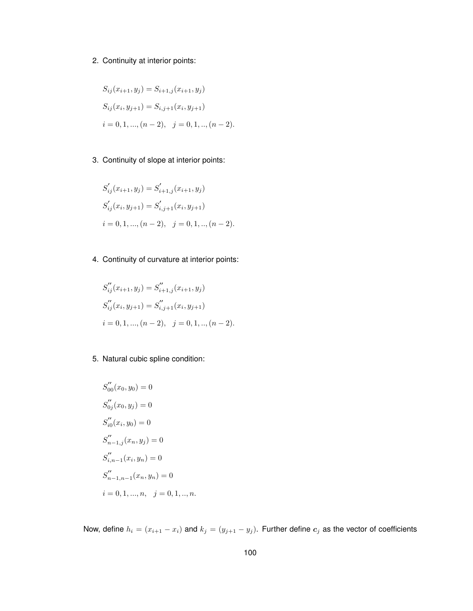## 2. Continuity at interior points:

$$
S_{ij}(x_{i+1}, y_j) = S_{i+1,j}(x_{i+1}, y_j)
$$
  
\n
$$
S_{ij}(x_i, y_{j+1}) = S_{i,j+1}(x_i, y_{j+1})
$$
  
\n
$$
i = 0, 1, ..., (n-2), \quad j = 0, 1, ..., (n-2).
$$

3. Continuity of slope at interior points:

$$
S'_{ij}(x_{i+1}, y_j) = S'_{i+1,j}(x_{i+1}, y_j)
$$
  
\n
$$
S'_{ij}(x_i, y_{j+1}) = S'_{i,j+1}(x_i, y_{j+1})
$$
  
\n
$$
i = 0, 1, ..., (n-2), \quad j = 0, 1, ..., (n-2).
$$

4. Continuity of curvature at interior points:

$$
S_{ij}''(x_{i+1}, y_j) = S_{i+1,j}''(x_{i+1}, y_j)
$$
  
\n
$$
S_{ij}''(x_i, y_{j+1}) = S_{i,j+1}''(x_i, y_{j+1})
$$
  
\n
$$
i = 0, 1, ..., (n-2), \quad j = 0, 1, ..., (n-2).
$$

5. Natural cubic spline condition:

$$
S_{00}''(x_0, y_0) = 0
$$
  
\n
$$
S_{0j}''(x_0, y_j) = 0
$$
  
\n
$$
S_{i0}''(x_i, y_0) = 0
$$
  
\n
$$
S_{n-1,j}''(x_n, y_j) = 0
$$
  
\n
$$
S_{i,n-1}''(x_i, y_n) = 0
$$
  
\n
$$
S_{n-1,n-1}''(x_n, y_n) = 0
$$
  
\n
$$
i = 0, 1, ..., n, \quad j = 0, 1, ..., n.
$$

Now, define  $h_i = (x_{i+1} - x_i)$  and  $k_j = (y_{j+1} - y_j)$ . Further define  $c_j$  as the vector of coefficients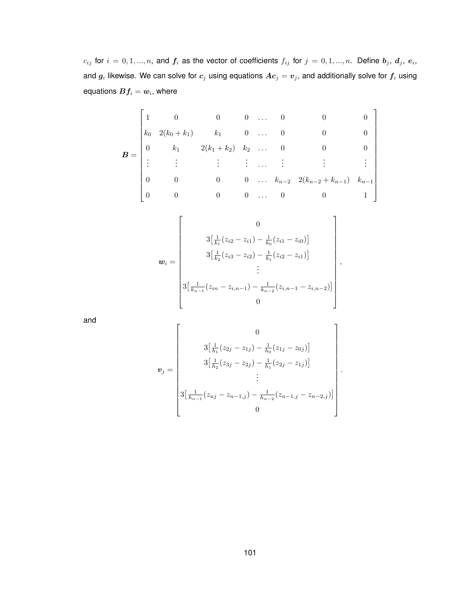$c_{ij}$  for  $i=0,1,...,n$ , and  $\boldsymbol{f_i}$  as the vector of coefficients  $f_{ij}$  for  $j=0,1,...,n$ . Define  $\boldsymbol{b_j},\,\boldsymbol{d_j},\,\boldsymbol{e_i},$ and  $g_i$  likewise. We can solve for  $c_j$  using equations  $Ac_j=v_j,$  and additionally solve for  $f_i$  using equations  $\boldsymbol{B} \boldsymbol{f_i} = \boldsymbol{w_i},$  where

$$
B = \begin{bmatrix} 1 & 0 & 0 & 0 & \dots & 0 & 0 & 0 \\ k_0 & 2(k_0 + k_1) & k_1 & 0 & \dots & 0 & 0 & 0 \\ 0 & k_1 & 2(k_1 + k_2) & k_2 & \dots & 0 & 0 & 0 \\ \vdots & \vdots & \vdots & \vdots & \dots & \vdots & \vdots & \vdots \\ 0 & 0 & 0 & 0 & \dots & k_{n-2} & 2(k_{n-2} + k_{n-1}) & k_{n-1} \\ 0 & 0 & 0 & 0 & \dots & 0 & 0 & 1 \end{bmatrix}
$$

$$
\boldsymbol{w}_{i} = \begin{bmatrix} 0 \\ 3\left[\frac{1}{k_{1}}(z_{i2} - z_{i1}) - \frac{1}{k_{0}}(z_{i1} - z_{i0})\right] \\ 3\left[\frac{1}{k_{2}}(z_{i3} - z_{i2}) - \frac{1}{k_{1}}(z_{i2} - z_{i1})\right] \\ \vdots \\ 3\left[\frac{1}{k_{n-1}}(z_{in} - z_{i,n-1}) - \frac{1}{k_{n-2}}(z_{i,n-1} - z_{i,n-2})\right] \\ 0 \end{bmatrix},
$$

and

$$
\boldsymbol{v}_{j} = \begin{bmatrix} 0 \\ 3\left[\frac{1}{h_{1}}(z_{2j} - z_{1j}) - \frac{1}{h_{0}}(z_{1j} - z_{0j})\right] \\ 3\left[\frac{1}{h_{2}}(z_{3j} - z_{2j}) - \frac{1}{h_{1}}(z_{2j} - z_{1j})\right] \\ \vdots \\ 3\left[\frac{1}{h_{n-1}}(z_{nj} - z_{n-1,j}) - \frac{1}{h_{n-2}}(z_{n-1,j} - z_{n-2,j})\right] \\ 0 \end{bmatrix}.
$$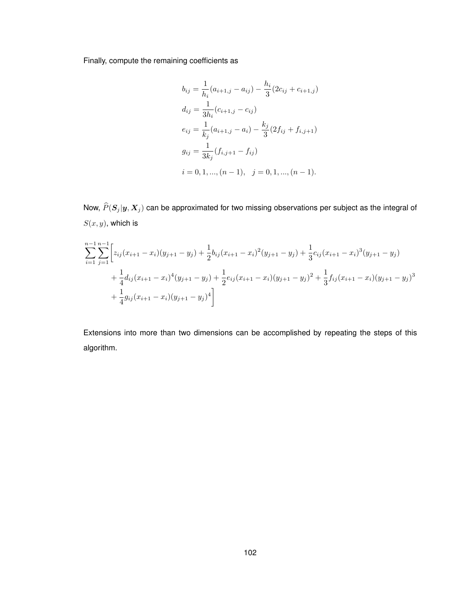Finally, compute the remaining coefficients as

$$
b_{ij} = \frac{1}{h_i}(a_{i+1,j} - a_{ij}) - \frac{h_i}{3}(2c_{ij} + c_{i+1,j})
$$
  
\n
$$
d_{ij} = \frac{1}{3h_i}(c_{i+1,j} - c_{ij})
$$
  
\n
$$
e_{ij} = \frac{1}{k_j}(a_{i+1,j} - a_i) - \frac{k_j}{3}(2f_{ij} + f_{i,j+1})
$$
  
\n
$$
g_{ij} = \frac{1}{3k_j}(f_{i,j+1} - f_{ij})
$$
  
\n
$$
i = 0, 1, ..., (n - 1), \quad j = 0, 1, ..., (n - 1).
$$

Now,  $\widehat{P}(S_j |y, X_j )$  can be approximated for two missing observations per subject as the integral of  $S(x, y)$ , which is

$$
\sum_{i=1}^{n-1} \sum_{j=1}^{n-1} \left[ z_{ij} (x_{i+1} - x_i)(y_{j+1} - y_j) + \frac{1}{2} b_{ij} (x_{i+1} - x_i)^2 (y_{j+1} - y_j) + \frac{1}{3} c_{ij} (x_{i+1} - x_i)^3 (y_{j+1} - y_j) \right]
$$
  
+ 
$$
\frac{1}{4} d_{ij} (x_{i+1} - x_i)^4 (y_{j+1} - y_j) + \frac{1}{2} e_{ij} (x_{i+1} - x_i) (y_{j+1} - y_j)^2 + \frac{1}{3} f_{ij} (x_{i+1} - x_i) (y_{j+1} - y_j)^3
$$
  
+ 
$$
\frac{1}{4} g_{ij} (x_{i+1} - x_i) (y_{j+1} - y_j)^4
$$

Extensions into more than two dimensions can be accomplished by repeating the steps of this algorithm.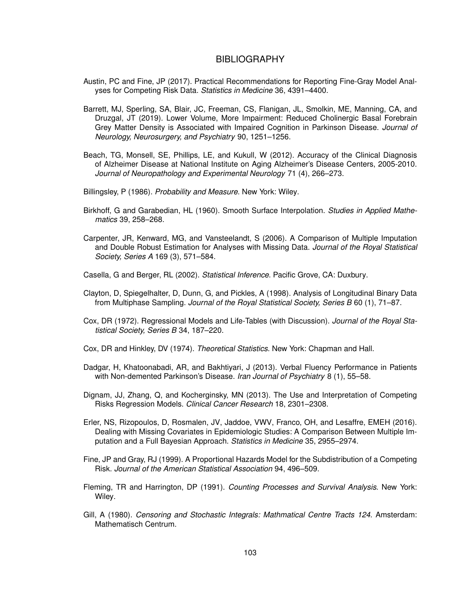## **BIBLIOGRAPHY**

- Austin, PC and Fine, JP (2017). Practical Recommendations for Reporting Fine-Gray Model Analyses for Competing Risk Data. *Statistics in Medicine* 36, 4391–4400.
- Barrett, MJ, Sperling, SA, Blair, JC, Freeman, CS, Flanigan, JL, Smolkin, ME, Manning, CA, and Druzgal, JT (2019). Lower Volume, More Impairment: Reduced Cholinergic Basal Forebrain Grey Matter Density is Associated with Impaired Cognition in Parkinson Disease. *Journal of Neurology, Neurosurgery, and Psychiatry* 90, 1251–1256.
- Beach, TG, Monsell, SE, Phillips, LE, and Kukull, W (2012). Accuracy of the Clinical Diagnosis of Alzheimer Disease at National Institute on Aging Alzheimer's Disease Centers, 2005-2010. *Journal of Neuropathology and Experimental Neurology* 71 (4), 266–273.
- Billingsley, P (1986). *Probability and Measure*. New York: Wiley.
- Birkhoff, G and Garabedian, HL (1960). Smooth Surface Interpolation. *Studies in Applied Mathematics* 39, 258–268.
- Carpenter, JR, Kenward, MG, and Vansteelandt, S (2006). A Comparison of Multiple Imputation and Double Robust Estimation for Analyses with Missing Data. *Journal of the Royal Statistical Society, Series A* 169 (3), 571–584.
- Casella, G and Berger, RL (2002). *Statistical Inference*. Pacific Grove, CA: Duxbury.
- Clayton, D, Spiegelhalter, D, Dunn, G, and Pickles, A (1998). Analysis of Longitudinal Binary Data from Multiphase Sampling. *Journal of the Royal Statistical Society, Series B* 60 (1), 71–87.
- Cox, DR (1972). Regressional Models and Life-Tables (with Discussion). *Journal of the Royal Statistical Society, Series B* 34, 187–220.
- Cox, DR and Hinkley, DV (1974). *Theoretical Statistics*. New York: Chapman and Hall.
- Dadgar, H, Khatoonabadi, AR, and Bakhtiyari, J (2013). Verbal Fluency Performance in Patients with Non-demented Parkinson's Disease. *Iran Journal of Psychiatry* 8 (1), 55–58.
- Dignam, JJ, Zhang, Q, and Kocherginsky, MN (2013). The Use and Interpretation of Competing Risks Regression Models. *Clinical Cancer Research* 18, 2301–2308.
- Erler, NS, Rizopoulos, D, Rosmalen, JV, Jaddoe, VWV, Franco, OH, and Lesaffre, EMEH (2016). Dealing with Missing Covariates in Epidemiologic Studies: A Comparison Between Multiple Imputation and a Full Bayesian Approach. *Statistics in Medicine* 35, 2955–2974.
- Fine, JP and Gray, RJ (1999). A Proportional Hazards Model for the Subdistribution of a Competing Risk. *Journal of the American Statistical Association* 94, 496–509.
- Fleming, TR and Harrington, DP (1991). *Counting Processes and Survival Analysis*. New York: Wiley.
- Gill, A (1980). *Censoring and Stochastic Integrals: Mathmatical Centre Tracts 124*. Amsterdam: Mathematisch Centrum.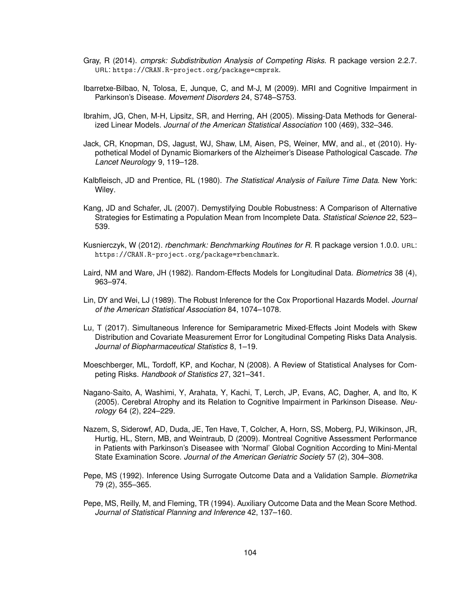- Gray, R (2014). *cmprsk: Subdistribution Analysis of Competing Risks*. R package version 2.2.7. URL: https://CRAN.R-project.org/package=cmprsk.
- Ibarretxe-Bilbao, N, Tolosa, E, Junque, C, and M-J, M (2009). MRI and Cognitive Impairment in Parkinson's Disease. *Movement Disorders* 24, S748–S753.
- Ibrahim, JG, Chen, M-H, Lipsitz, SR, and Herring, AH (2005). Missing-Data Methods for Generalized Linear Models. *Journal of the American Statistical Association* 100 (469), 332–346.
- Jack, CR, Knopman, DS, Jagust, WJ, Shaw, LM, Aisen, PS, Weiner, MW, and al., et (2010). Hypothetical Model of Dynamic Biomarkers of the Alzheimer's Disease Pathological Cascade. *The Lancet Neurology* 9, 119–128.
- Kalbfleisch, JD and Prentice, RL (1980). *The Statistical Analysis of Failure Time Data*. New York: Wiley.
- Kang, JD and Schafer, JL (2007). Demystifying Double Robustness: A Comparison of Alternative Strategies for Estimating a Population Mean from Incomplete Data. *Statistical Science* 22, 523– 539.
- Kusnierczyk, W (2012). *rbenchmark: Benchmarking Routines for R*. R package version 1.0.0. URL: https://CRAN.R-project.org/package=rbenchmark.
- Laird, NM and Ware, JH (1982). Random-Effects Models for Longitudinal Data. *Biometrics* 38 (4), 963–974.
- Lin, DY and Wei, LJ (1989). The Robust Inference for the Cox Proportional Hazards Model. *Journal of the American Statistical Association* 84, 1074–1078.
- Lu, T (2017). Simultaneous Inference for Semiparametric Mixed-Effects Joint Models with Skew Distribution and Covariate Measurement Error for Longitudinal Competing Risks Data Analysis. *Journal of Biopharmaceutical Statistics* 8, 1–19.
- Moeschberger, ML, Tordoff, KP, and Kochar, N (2008). A Review of Statistical Analyses for Competing Risks. *Handbook of Statistics* 27, 321–341.
- Nagano-Saito, A, Washimi, Y, Arahata, Y, Kachi, T, Lerch, JP, Evans, AC, Dagher, A, and Ito, K (2005). Cerebral Atrophy and its Relation to Cognitive Impairment in Parkinson Disease. *Neurology* 64 (2), 224–229.
- Nazem, S, Siderowf, AD, Duda, JE, Ten Have, T, Colcher, A, Horn, SS, Moberg, PJ, Wilkinson, JR, Hurtig, HL, Stern, MB, and Weintraub, D (2009). Montreal Cognitive Assessment Performance in Patients with Parkinson's Diseasee with 'Normal' Global Cognition According to Mini-Mental State Examination Score. *Journal of the American Geriatric Society* 57 (2), 304–308.
- Pepe, MS (1992). Inference Using Surrogate Outcome Data and a Validation Sample. *Biometrika* 79 (2), 355–365.
- Pepe, MS, Reilly, M, and Fleming, TR (1994). Auxiliary Outcome Data and the Mean Score Method. *Journal of Statistical Planning and Inference* 42, 137–160.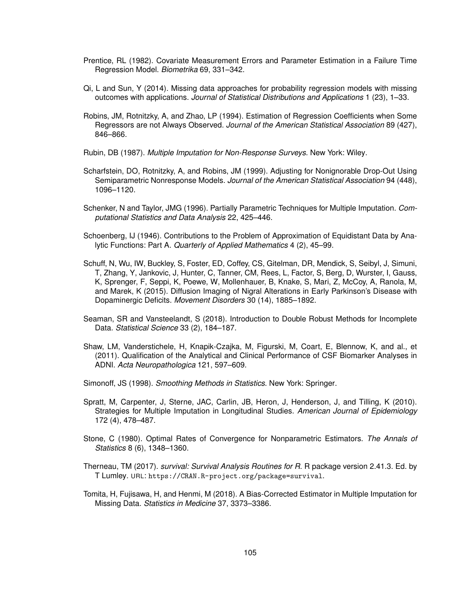- Prentice, RL (1982). Covariate Measurement Errors and Parameter Estimation in a Failure Time Regression Model. *Biometrika* 69, 331–342.
- Qi, L and Sun, Y (2014). Missing data approaches for probability regression models with missing outcomes with applications. *Journal of Statistical Distributions and Applications* 1 (23), 1–33.
- Robins, JM, Rotnitzky, A, and Zhao, LP (1994). Estimation of Regression Coefficients when Some Regressors are not Always Observed. *Journal of the American Statistical Association* 89 (427), 846–866.
- Rubin, DB (1987). *Multiple Imputation for Non-Response Surveys*. New York: Wiley.
- Scharfstein, DO, Rotnitzky, A, and Robins, JM (1999). Adjusting for Nonignorable Drop-Out Using Semiparametric Nonresponse Models. *Journal of the American Statistical Association* 94 (448), 1096–1120.
- Schenker, N and Taylor, JMG (1996). Partially Parametric Techniques for Multiple Imputation. *Computational Statistics and Data Analysis* 22, 425–446.
- Schoenberg, IJ (1946). Contributions to the Problem of Approximation of Equidistant Data by Analytic Functions: Part A. *Quarterly of Applied Mathematics* 4 (2), 45–99.
- Schuff, N, Wu, IW, Buckley, S, Foster, ED, Coffey, CS, Gitelman, DR, Mendick, S, Seibyl, J, Simuni, T, Zhang, Y, Jankovic, J, Hunter, C, Tanner, CM, Rees, L, Factor, S, Berg, D, Wurster, I, Gauss, K, Sprenger, F, Seppi, K, Poewe, W, Mollenhauer, B, Knake, S, Mari, Z, McCoy, A, Ranola, M, and Marek, K (2015). Diffusion Imaging of Nigral Alterations in Early Parkinson's Disease with Dopaminergic Deficits. *Movement Disorders* 30 (14), 1885–1892.
- Seaman, SR and Vansteelandt, S (2018). Introduction to Double Robust Methods for Incomplete Data. *Statistical Science* 33 (2), 184–187.
- Shaw, LM, Vanderstichele, H, Knapik-Czajka, M, Figurski, M, Coart, E, Blennow, K, and al., et (2011). Qualification of the Analytical and Clinical Performance of CSF Biomarker Analyses in ADNI. *Acta Neuropathologica* 121, 597–609.
- Simonoff, JS (1998). *Smoothing Methods in Statistics*. New York: Springer.
- Spratt, M, Carpenter, J, Sterne, JAC, Carlin, JB, Heron, J, Henderson, J, and Tilling, K (2010). Strategies for Multiple Imputation in Longitudinal Studies. *American Journal of Epidemiology* 172 (4), 478–487.
- Stone, C (1980). Optimal Rates of Convergence for Nonparametric Estimators. *The Annals of Statistics* 8 (6), 1348–1360.
- Therneau, TM (2017). *survival: Survival Analysis Routines for R*. R package version 2.41.3. Ed. by T Lumley. URL: https://CRAN.R-project.org/package=survival.
- Tomita, H, Fujisawa, H, and Henmi, M (2018). A Bias-Corrected Estimator in Multiple Imputation for Missing Data. *Statistics in Medicine* 37, 3373–3386.